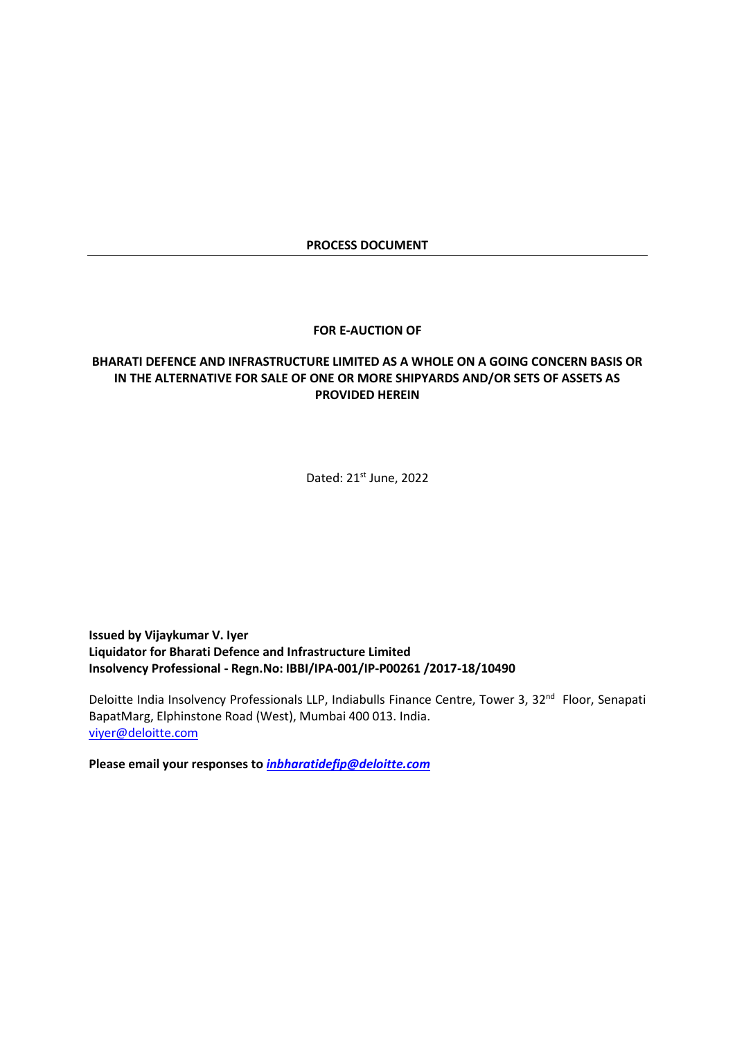#### **PROCESS DOCUMENT**

#### **FOR E-AUCTION OF**

# **BHARATI DEFENCE AND INFRASTRUCTURE LIMITED AS A WHOLE ON A GOING CONCERN BASIS OR IN THE ALTERNATIVE FOR SALE OF ONE OR MORE SHIPYARDS AND/OR SETS OF ASSETS AS PROVIDED HEREIN**

Dated: 21st June, 2022

**Issued by Vijaykumar V. Iyer Liquidator for Bharati Defence and Infrastructure Limited Insolvency Professional - Regn.No: IBBI/IPA-001/IP-P00261 /2017-18/10490**

Deloitte India Insolvency Professionals LLP, Indiabulls Finance Centre, Tower 3, 32<sup>nd</sup> Floor, Senapati BapatMarg, Elphinstone Road (West), Mumbai 400 013. India. [viyer@deloitte.com](mailto:viyer@deloitte.com)

**Please email your responses to** *[inbharatidefip@deloitte.com](mailto:inbharatidefip@deloitte.com)*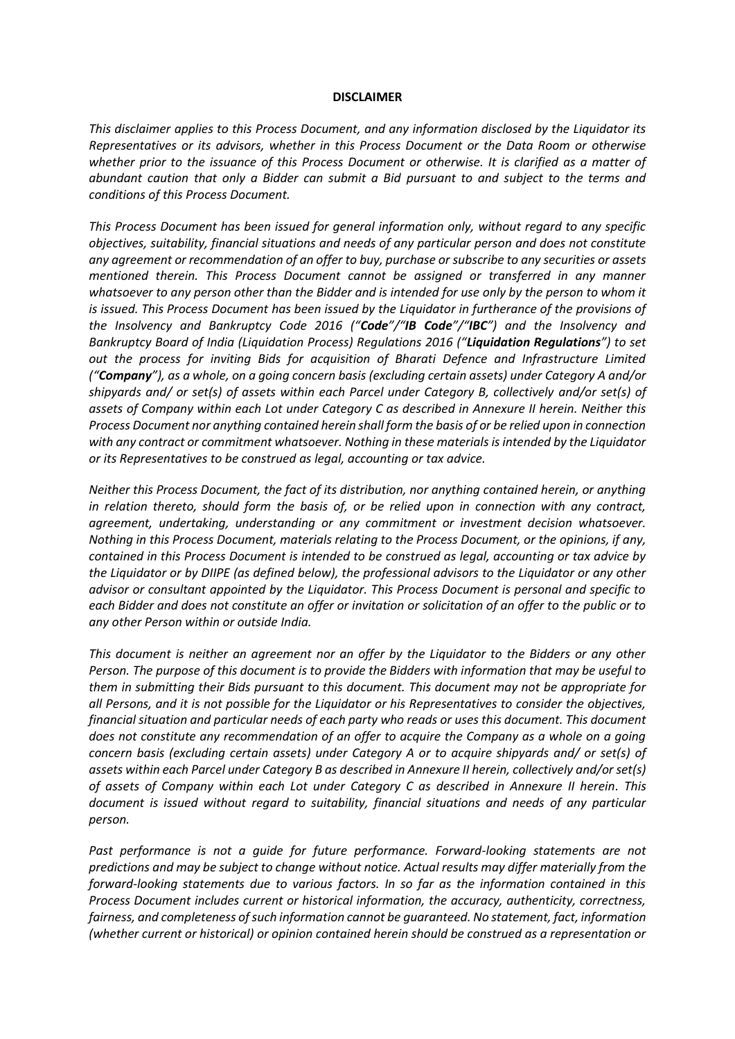#### **DISCLAIMER**

<span id="page-1-0"></span>*This disclaimer applies to this Process Document, and any information disclosed by the Liquidator its Representatives or its advisors, whether in this Process Document or the Data Room or otherwise whether prior to the issuance of this Process Document or otherwise. It is clarified as a matter of abundant caution that only a Bidder can submit a Bid pursuant to and subject to the terms and conditions of this Process Document.*

*This Process Document has been issued for general information only, without regard to any specific objectives, suitability, financial situations and needs of any particular person and does not constitute any agreement or recommendation of an offer to buy, purchase or subscribe to any securities or assets mentioned therein. This Process Document cannot be assigned or transferred in any manner whatsoever to any person other than the Bidder and is intended for use only by the person to whom it is issued. This Process Document has been issued by the Liquidator in furtherance of the provisions of the Insolvency and Bankruptcy Code 2016 ("Code"/"IB Code"/"IBC") and the Insolvency and Bankruptcy Board of India (Liquidation Process) Regulations 2016 ("Liquidation Regulations") to set out the process for inviting Bids for acquisition of Bharati Defence and Infrastructure Limited ("Company"), as a whole, on a going concern basis (excluding certain assets) under Category A and/or shipyards and/ or set(s) of assets within each Parcel under Category B, collectively and/or set(s) of assets of Company within each Lot under Category C as described in Annexure II herein. Neither this Process Document nor anything contained herein shall form the basis of or be relied upon in connection with any contract or commitment whatsoever. Nothing in these materials is intended by the Liquidator or its Representatives to be construed as legal, accounting or tax advice.*

*Neither this Process Document, the fact of its distribution, nor anything contained herein, or anything in relation thereto, should form the basis of, or be relied upon in connection with any contract, agreement, undertaking, understanding or any commitment or investment decision whatsoever. Nothing in this Process Document, materials relating to the Process Document, or the opinions, if any, contained in this Process Document is intended to be construed as legal, accounting or tax advice by the Liquidator or by DIIPE (as defined below), the professional advisors to the Liquidator or any other advisor or consultant appointed by the Liquidator. This Process Document is personal and specific to each Bidder and does not constitute an offer or invitation or solicitation of an offer to the public or to any other Person within or outside India.*

*This document is neither an agreement nor an offer by the Liquidator to the Bidders or any other Person. The purpose of this document is to provide the Bidders with information that may be useful to them in submitting their Bids pursuant to this document. This document may not be appropriate for all Persons, and it is not possible for the Liquidator or his Representatives to consider the objectives, financial situation and particular needs of each party who reads or uses this document. This document does not constitute any recommendation of an offer to acquire the Company as a whole on a going concern basis (excluding certain assets) under Category A or to acquire shipyards and/ or set(s) of assets within each Parcel under Category B as described in Annexure II herein, collectively and/or set(s) of assets of Company within each Lot under Category C as described in Annexure II herein. This document is issued without regard to suitability, financial situations and needs of any particular person.*

Past performance is not a quide for future performance. Forward-looking statements are not *predictions and may be subject to change without notice. Actual results may differ materially from the forward-looking statements due to various factors. In so far as the information contained in this Process Document includes current or historical information, the accuracy, authenticity, correctness, fairness, and completeness of such information cannot be guaranteed. No statement, fact, information (whether current or historical) or opinion contained herein should be construed as a representation or*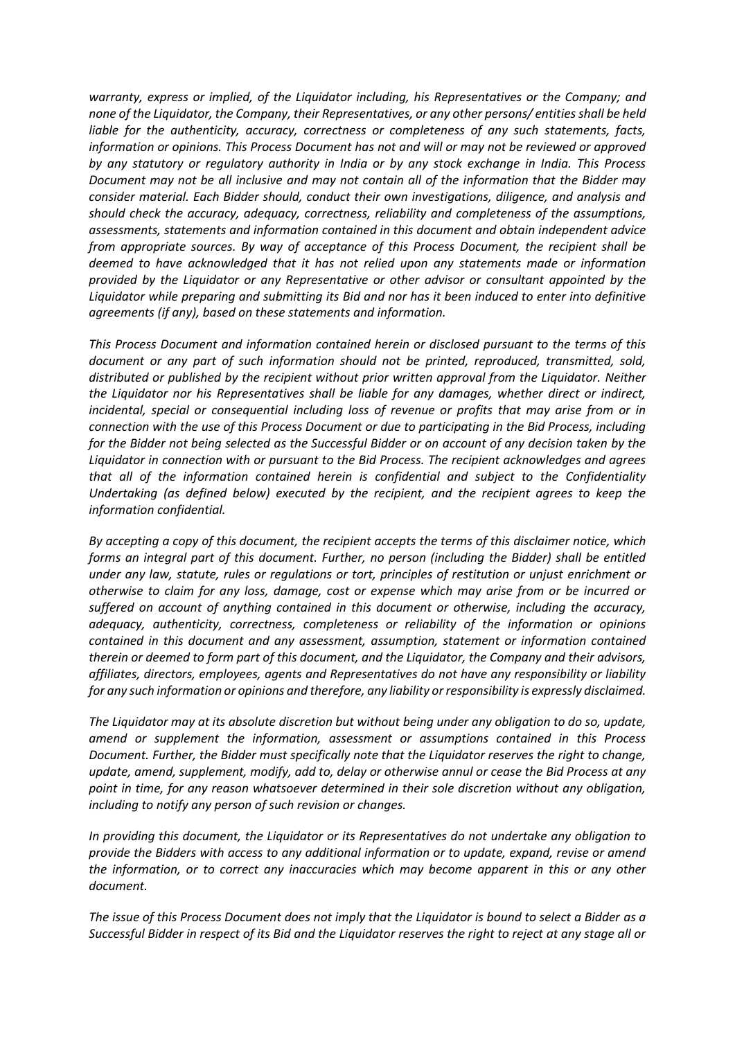*warranty, express or implied, of the Liquidator including, his Representatives or the Company; and none of the Liquidator, the Company, their Representatives, or any other persons/ entities shall be held liable for the authenticity, accuracy, correctness or completeness of any such statements, facts, information or opinions. This Process Document has not and will or may not be reviewed or approved by any statutory or regulatory authority in India or by any stock exchange in India. This Process Document may not be all inclusive and may not contain all of the information that the Bidder may consider material. Each Bidder should, conduct their own investigations, diligence, and analysis and should check the accuracy, adequacy, correctness, reliability and completeness of the assumptions, assessments, statements and information contained in this document and obtain independent advice from appropriate sources. By way of acceptance of this Process Document, the recipient shall be deemed to have acknowledged that it has not relied upon any statements made or information provided by the Liquidator or any Representative or other advisor or consultant appointed by the Liquidator while preparing and submitting its Bid and nor has it been induced to enter into definitive agreements (if any), based on these statements and information.*

*This Process Document and information contained herein or disclosed pursuant to the terms of this document or any part of such information should not be printed, reproduced, transmitted, sold, distributed or published by the recipient without prior written approval from the Liquidator. Neither the Liquidator nor his Representatives shall be liable for any damages, whether direct or indirect, incidental, special or consequential including loss of revenue or profits that may arise from or in connection with the use of this Process Document or due to participating in the Bid Process, including for the Bidder not being selected as the Successful Bidder or on account of any decision taken by the Liquidator in connection with or pursuant to the Bid Process. The recipient acknowledges and agrees that all of the information contained herein is confidential and subject to the Confidentiality Undertaking (as defined below) executed by the recipient, and the recipient agrees to keep the information confidential.*

*By accepting a copy of this document, the recipient accepts the terms of this disclaimer notice, which forms an integral part of this document. Further, no person (including the Bidder) shall be entitled under any law, statute, rules or regulations or tort, principles of restitution or unjust enrichment or otherwise to claim for any loss, damage, cost or expense which may arise from or be incurred or suffered on account of anything contained in this document or otherwise, including the accuracy, adequacy, authenticity, correctness, completeness or reliability of the information or opinions contained in this document and any assessment, assumption, statement or information contained therein or deemed to form part of this document, and the Liquidator, the Company and their advisors, affiliates, directors, employees, agents and Representatives do not have any responsibility or liability for any such information or opinions and therefore, any liability or responsibility is expressly disclaimed.*

*The Liquidator may at its absolute discretion but without being under any obligation to do so, update, amend or supplement the information, assessment or assumptions contained in this Process Document. Further, the Bidder must specifically note that the Liquidator reserves the right to change, update, amend, supplement, modify, add to, delay or otherwise annul or cease the Bid Process at any point in time, for any reason whatsoever determined in their sole discretion without any obligation, including to notify any person of such revision or changes.*

*In providing this document, the Liquidator or its Representatives do not undertake any obligation to provide the Bidders with access to any additional information or to update, expand, revise or amend the information, or to correct any inaccuracies which may become apparent in this or any other document.*

*The issue of this Process Document does not imply that the Liquidator is bound to select a Bidder as a Successful Bidder in respect of its Bid and the Liquidator reserves the right to reject at any stage all or*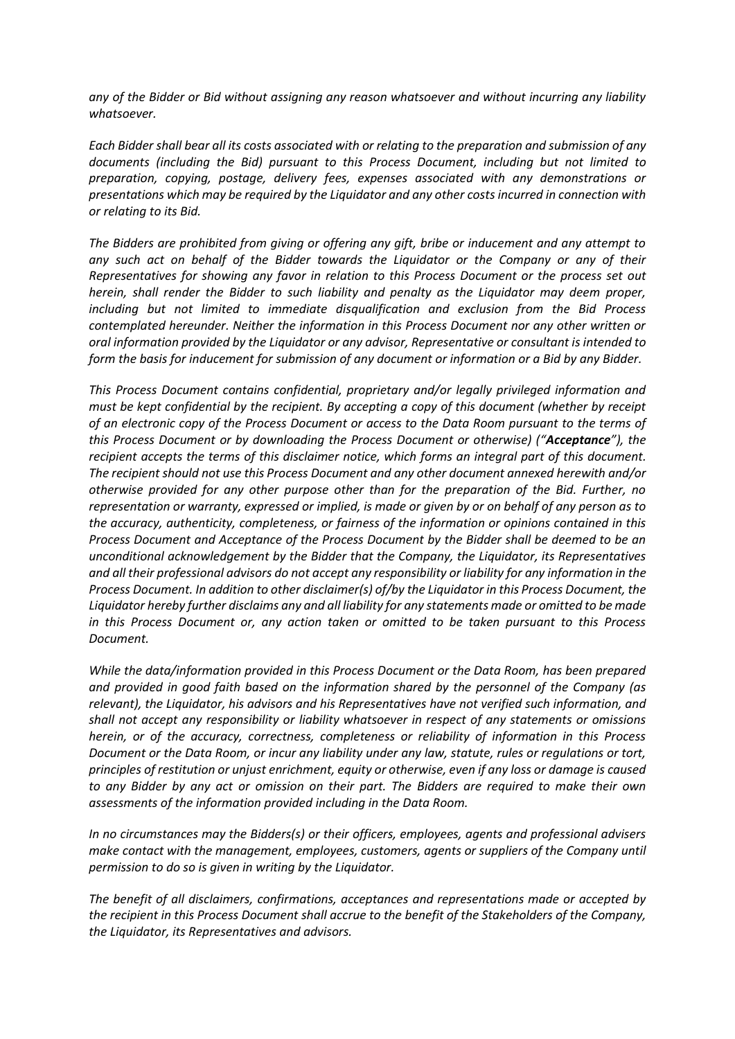*any of the Bidder or Bid without assigning any reason whatsoever and without incurring any liability whatsoever.*

*Each Bidder shall bear all its costs associated with or relating to the preparation and submission of any documents (including the Bid) pursuant to this Process Document, including but not limited to preparation, copying, postage, delivery fees, expenses associated with any demonstrations or presentations which may be required by the Liquidator and any other costs incurred in connection with or relating to its Bid.*

*The Bidders are prohibited from giving or offering any gift, bribe or inducement and any attempt to any such act on behalf of the Bidder towards the Liquidator or the Company or any of their Representatives for showing any favor in relation to this Process Document or the process set out herein, shall render the Bidder to such liability and penalty as the Liquidator may deem proper, including but not limited to immediate disqualification and exclusion from the Bid Process contemplated hereunder. Neither the information in this Process Document nor any other written or oral information provided by the Liquidator or any advisor, Representative or consultant is intended to form the basis for inducement for submission of any document or information or a Bid by any Bidder.*

*This Process Document contains confidential, proprietary and/or legally privileged information and must be kept confidential by the recipient. By accepting a copy of this document (whether by receipt of an electronic copy of the Process Document or access to the Data Room pursuant to the terms of this Process Document or by downloading the Process Document or otherwise) ("Acceptance"), the recipient accepts the terms of this disclaimer notice, which forms an integral part of this document. The recipient should not use this Process Document and any other document annexed herewith and/or otherwise provided for any other purpose other than for the preparation of the Bid. Further, no representation or warranty, expressed or implied, is made or given by or on behalf of any person as to the accuracy, authenticity, completeness, or fairness of the information or opinions contained in this Process Document and Acceptance of the Process Document by the Bidder shall be deemed to be an unconditional acknowledgement by the Bidder that the Company, the Liquidator, its Representatives and all their professional advisors do not accept any responsibility or liability for any information in the Process Document. In addition to other disclaimer(s) of/by the Liquidator in this Process Document, the Liquidator hereby further disclaims any and all liability for any statements made or omitted to be made in this Process Document or, any action taken or omitted to be taken pursuant to this Process Document.*

*While the data/information provided in this Process Document or the Data Room, has been prepared and provided in good faith based on the information shared by the personnel of the Company (as relevant), the Liquidator, his advisors and his Representatives have not verified such information, and shall not accept any responsibility or liability whatsoever in respect of any statements or omissions herein, or of the accuracy, correctness, completeness or reliability of information in this Process Document or the Data Room, or incur any liability under any law, statute, rules or regulations or tort, principles of restitution or unjust enrichment, equity or otherwise, even if any loss or damage is caused to any Bidder by any act or omission on their part. The Bidders are required to make their own assessments of the information provided including in the Data Room.*

*In no circumstances may the Bidders(s) or their officers, employees, agents and professional advisers make contact with the management, employees, customers, agents or suppliers of the Company until permission to do so is given in writing by the Liquidator.*

*The benefit of all disclaimers, confirmations, acceptances and representations made or accepted by the recipient in this Process Document shall accrue to the benefit of the Stakeholders of the Company, the Liquidator, its Representatives and advisors.*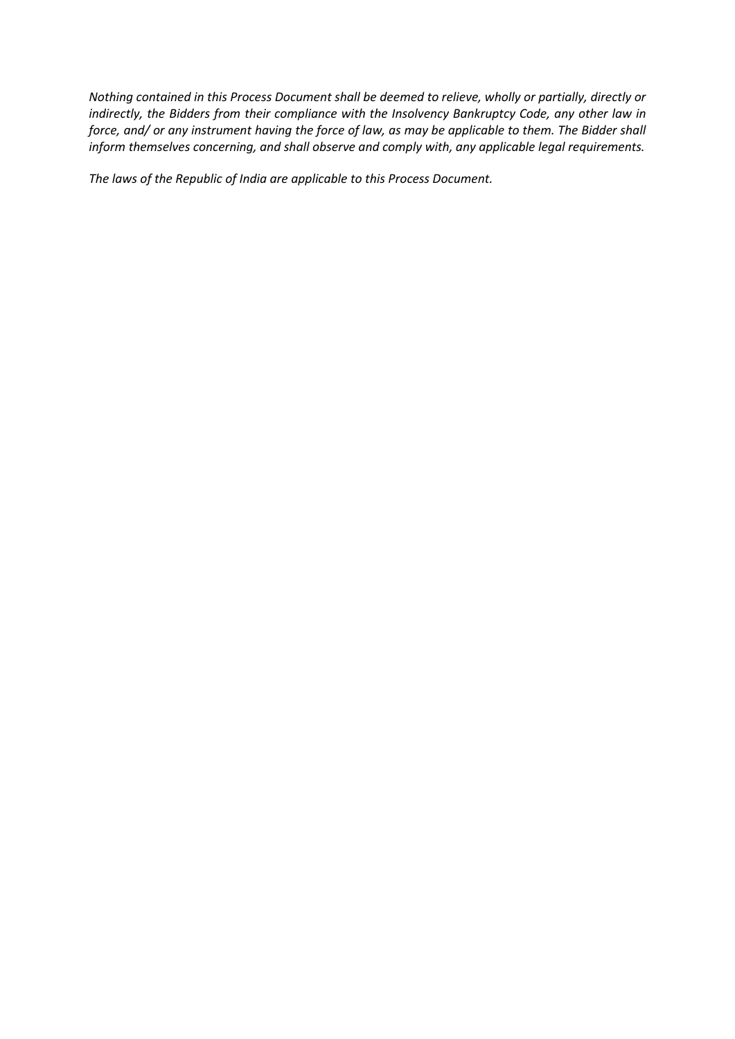*Nothing contained in this Process Document shall be deemed to relieve, wholly or partially, directly or indirectly, the Bidders from their compliance with the Insolvency Bankruptcy Code, any other law in force, and/ or any instrument having the force of law, as may be applicable to them. The Bidder shall inform themselves concerning, and shall observe and comply with, any applicable legal requirements.*

*The laws of the Republic of India are applicable to this Process Document.*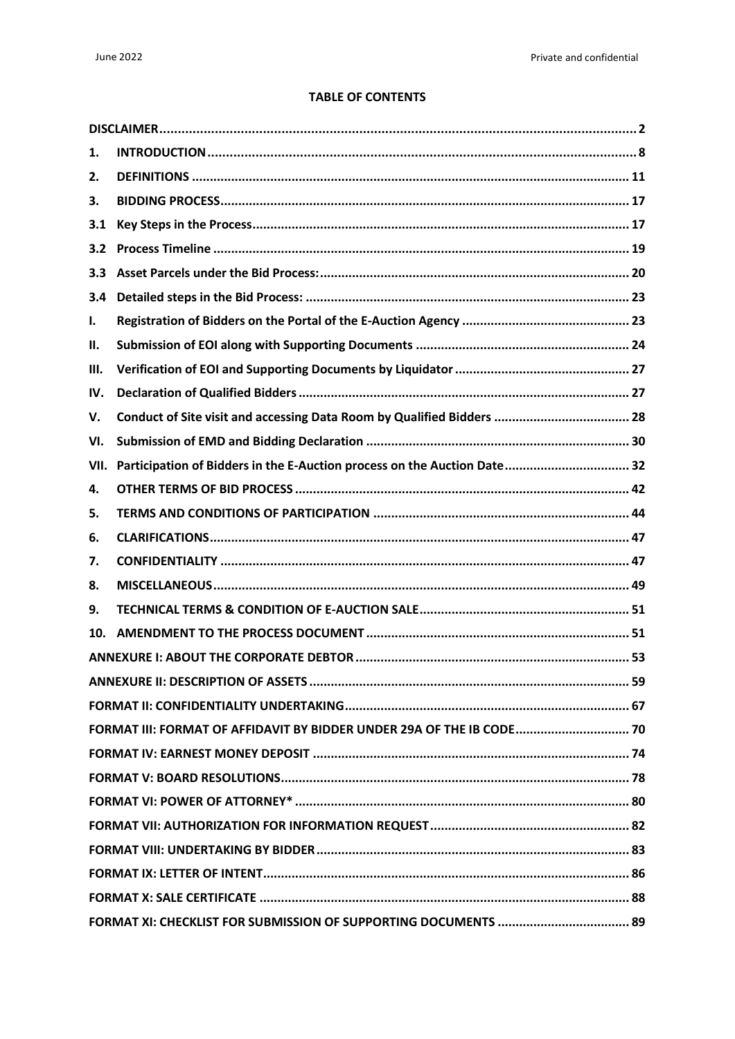#### **TABLE OF CONTENTS**

| 1.                                                                    |                                                                          |  |  |
|-----------------------------------------------------------------------|--------------------------------------------------------------------------|--|--|
| 2.                                                                    |                                                                          |  |  |
| 3.                                                                    |                                                                          |  |  |
| 3.1                                                                   |                                                                          |  |  |
| 3.2                                                                   |                                                                          |  |  |
| 3.3                                                                   |                                                                          |  |  |
| 3.4                                                                   |                                                                          |  |  |
| Ι.                                                                    |                                                                          |  |  |
| Н.                                                                    |                                                                          |  |  |
| III.                                                                  |                                                                          |  |  |
| IV.                                                                   |                                                                          |  |  |
| V.                                                                    |                                                                          |  |  |
| VI.                                                                   |                                                                          |  |  |
| VII.                                                                  | Participation of Bidders in the E-Auction process on the Auction Date 32 |  |  |
| 4.                                                                    |                                                                          |  |  |
| 5.                                                                    |                                                                          |  |  |
| 6.                                                                    |                                                                          |  |  |
| 7.                                                                    |                                                                          |  |  |
| 8.                                                                    |                                                                          |  |  |
| 9.                                                                    |                                                                          |  |  |
| 10.                                                                   |                                                                          |  |  |
|                                                                       |                                                                          |  |  |
|                                                                       |                                                                          |  |  |
|                                                                       |                                                                          |  |  |
| FORMAT III: FORMAT OF AFFIDAVIT BY BIDDER UNDER 29A OF THE IB CODE 70 |                                                                          |  |  |
|                                                                       |                                                                          |  |  |
|                                                                       |                                                                          |  |  |
|                                                                       |                                                                          |  |  |
|                                                                       |                                                                          |  |  |
|                                                                       |                                                                          |  |  |
|                                                                       |                                                                          |  |  |
|                                                                       |                                                                          |  |  |
|                                                                       |                                                                          |  |  |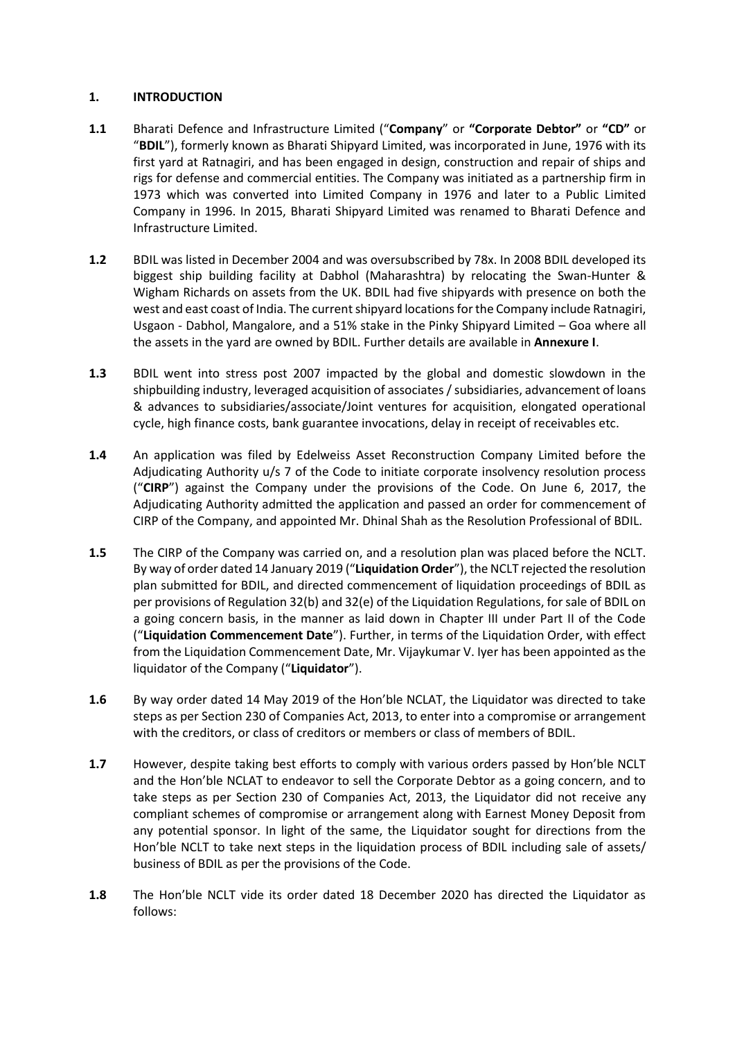#### <span id="page-7-0"></span>**1. INTRODUCTION**

- **1.1** Bharati Defence and Infrastructure Limited ("**Company**" or **"Corporate Debtor"** or **"CD"** or "**BDIL**"), formerly known as Bharati Shipyard Limited, was incorporated in June, 1976 with its first yard at Ratnagiri, and has been engaged in design, construction and repair of ships and rigs for defense and commercial entities. The Company was initiated as a partnership firm in 1973 which was converted into Limited Company in 1976 and later to a Public Limited Company in 1996. In 2015, Bharati Shipyard Limited was renamed to Bharati Defence and Infrastructure Limited.
- **1.2** BDIL was listed in December 2004 and was oversubscribed by 78x. In 2008 BDIL developed its biggest ship building facility at Dabhol (Maharashtra) by relocating the Swan-Hunter & Wigham Richards on assets from the UK. BDIL had five shipyards with presence on both the west and east coast of India. The current shipyard locations for the Company include Ratnagiri, Usgaon - Dabhol, Mangalore, and a 51% stake in the Pinky Shipyard Limited – Goa where all the assets in the yard are owned by BDIL. Further details are available in **Annexure I**.
- **1.3** BDIL went into stress post 2007 impacted by the global and domestic slowdown in the shipbuilding industry, leveraged acquisition of associates / subsidiaries, advancement of loans & advances to subsidiaries/associate/Joint ventures for acquisition, elongated operational cycle, high finance costs, bank guarantee invocations, delay in receipt of receivables etc.
- **1.4** An application was filed by Edelweiss Asset Reconstruction Company Limited before the Adjudicating Authority u/s 7 of the Code to initiate corporate insolvency resolution process ("**CIRP**") against the Company under the provisions of the Code. On June 6, 2017, the Adjudicating Authority admitted the application and passed an order for commencement of CIRP of the Company, and appointed Mr. Dhinal Shah as the Resolution Professional of BDIL.
- **1.5** The CIRP of the Company was carried on, and a resolution plan was placed before the NCLT. By way of order dated 14 January 2019 ("**Liquidation Order**"), the NCLT rejected the resolution plan submitted for BDIL, and directed commencement of liquidation proceedings of BDIL as per provisions of Regulation 32(b) and 32(e) of the Liquidation Regulations, for sale of BDIL on a going concern basis, in the manner as laid down in Chapter III under Part II of the Code ("**Liquidation Commencement Date**"). Further, in terms of the Liquidation Order, with effect from the Liquidation Commencement Date, Mr. Vijaykumar V. Iyer has been appointed as the liquidator of the Company ("**Liquidator**").
- **1.6** By way order dated 14 May 2019 of the Hon'ble NCLAT, the Liquidator was directed to take steps as per Section 230 of Companies Act, 2013, to enter into a compromise or arrangement with the creditors, or class of creditors or members or class of members of BDIL.
- **1.7** However, despite taking best efforts to comply with various orders passed by Hon'ble NCLT and the Hon'ble NCLAT to endeavor to sell the Corporate Debtor as a going concern, and to take steps as per Section 230 of Companies Act, 2013, the Liquidator did not receive any compliant schemes of compromise or arrangement along with Earnest Money Deposit from any potential sponsor. In light of the same, the Liquidator sought for directions from the Hon'ble NCLT to take next steps in the liquidation process of BDIL including sale of assets/ business of BDIL as per the provisions of the Code.
- **1.8** The Hon'ble NCLT vide its order dated 18 December 2020 has directed the Liquidator as follows: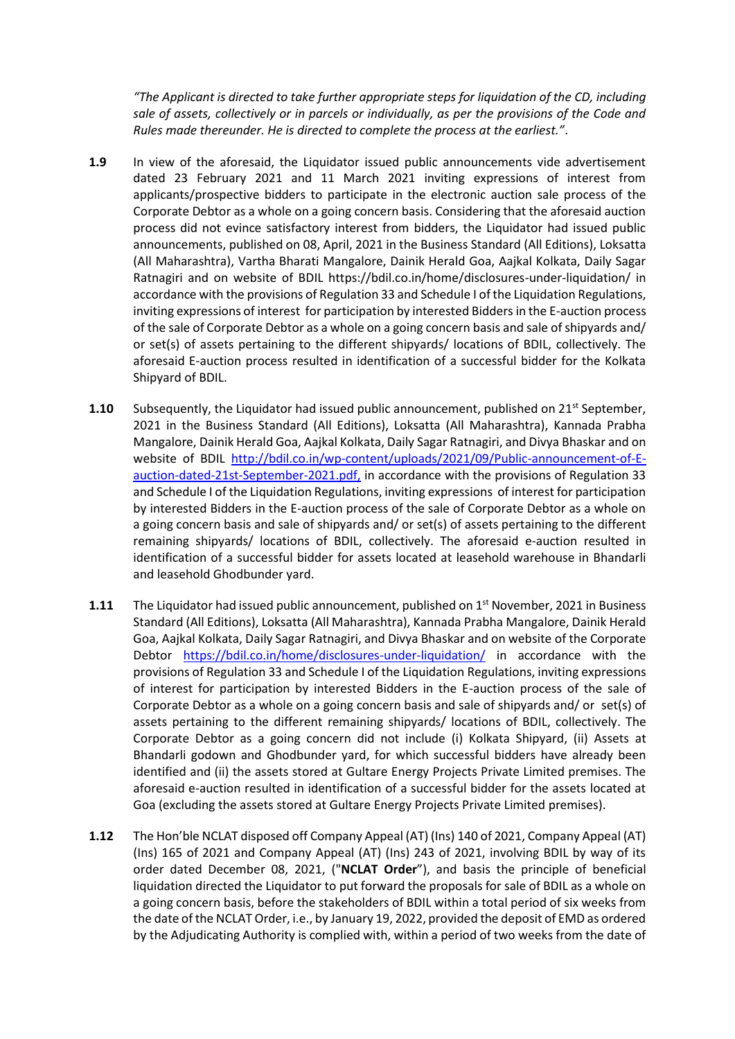*"The Applicant is directed to take further appropriate steps for liquidation of the CD, including sale of assets, collectively or in parcels or individually, as per the provisions of the Code and Rules made thereunder. He is directed to complete the process at the earliest."*.

- **1.9** In view of the aforesaid, the Liquidator issued public announcements vide advertisement dated 23 February 2021 and 11 March 2021 inviting expressions of interest from applicants/prospective bidders to participate in the electronic auction sale process of the Corporate Debtor as a whole on a going concern basis. Considering that the aforesaid auction process did not evince satisfactory interest from bidders, the Liquidator had issued public announcements, published on 08, April, 2021 in the Business Standard (All Editions), Loksatta (All Maharashtra), Vartha Bharati Mangalore, Dainik Herald Goa, Aajkal Kolkata, Daily Sagar Ratnagiri and on website of BDIL https://bdil.co.in/home/disclosures-under-liquidation/ in accordance with the provisions of Regulation 33 and Schedule I of the Liquidation Regulations, inviting expressions of interest for participation by interested Bidders in the E-auction process of the sale of Corporate Debtor as a whole on a going concern basis and sale of shipyards and/ or set(s) of assets pertaining to the different shipyards/ locations of BDIL, collectively. The aforesaid E-auction process resulted in identification of a successful bidder for the Kolkata Shipyard of BDIL.
- **1.10** Subsequently, the Liquidator had issued public announcement, published on 21<sup>st</sup> September, 2021 in the Business Standard (All Editions), Loksatta (All Maharashtra), Kannada Prabha Mangalore, Dainik Herald Goa, Aajkal Kolkata, Daily Sagar Ratnagiri, and Divya Bhaskar and on website of BDIL [http://bdil.co.in/wp-content/uploads/2021/09/Public-announcement-of-E](http://bdil.co.in/wp-content/uploads/2021/09/Public-announcement-of-E-auction-dated-21st-September-2021.pdf)[auction-dated-21st-September-2021.pdf,](http://bdil.co.in/wp-content/uploads/2021/09/Public-announcement-of-E-auction-dated-21st-September-2021.pdf) in accordance with the provisions of Regulation 33 and Schedule I of the Liquidation Regulations, inviting expressions of interest for participation by interested Bidders in the E-auction process of the sale of Corporate Debtor as a whole on a going concern basis and sale of shipyards and/ or set(s) of assets pertaining to the different remaining shipyards/ locations of BDIL, collectively. The aforesaid e-auction resulted in identification of a successful bidder for assets located at leasehold warehouse in Bhandarli and leasehold Ghodbunder yard.
- **1.11** The Liquidator had issued public announcement, published on 1<sup>st</sup> November, 2021 in Business Standard (All Editions), Loksatta (All Maharashtra), Kannada Prabha Mangalore, Dainik Herald Goa, Aajkal Kolkata, Daily Sagar Ratnagiri, and Divya Bhaskar and on website of the Corporate Debtor <https://bdil.co.in/home/disclosures-under-liquidation/> in accordance with the provisions of Regulation 33 and Schedule I of the Liquidation Regulations, inviting expressions of interest for participation by interested Bidders in the E-auction process of the sale of Corporate Debtor as a whole on a going concern basis and sale of shipyards and/ or set(s) of assets pertaining to the different remaining shipyards/ locations of BDIL, collectively. The Corporate Debtor as a going concern did not include (i) Kolkata Shipyard, (ii) Assets at Bhandarli godown and Ghodbunder yard, for which successful bidders have already been identified and (ii) the assets stored at Gultare Energy Projects Private Limited premises. The aforesaid e-auction resulted in identification of a successful bidder for the assets located at Goa (excluding the assets stored at Gultare Energy Projects Private Limited premises).
- **1.12** The Hon'ble NCLAT disposed off Company Appeal (AT) (Ins) 140 of 2021, Company Appeal (AT) (Ins) 165 of 2021 and Company Appeal (AT) (Ins) 243 of 2021, involving BDIL by way of its order dated December 08, 2021, ("**NCLAT Order**"), and basis the principle of beneficial liquidation directed the Liquidator to put forward the proposals for sale of BDIL as a whole on a going concern basis, before the stakeholders of BDIL within a total period of six weeks from the date of the NCLAT Order, i.e., by January 19, 2022, provided the deposit of EMD as ordered by the Adjudicating Authority is complied with, within a period of two weeks from the date of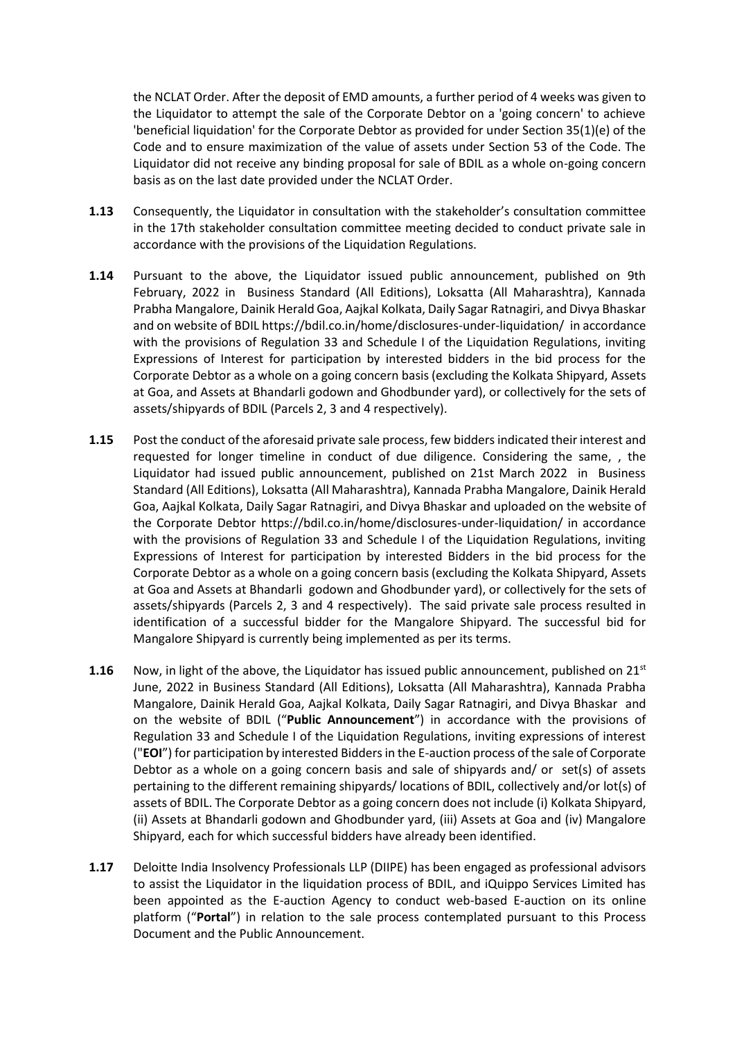the NCLAT Order. After the deposit of EMD amounts, a further period of 4 weeks was given to the Liquidator to attempt the sale of the Corporate Debtor on a 'going concern' to achieve 'beneficial liquidation' for the Corporate Debtor as provided for under Section 35(1)(e) of the Code and to ensure maximization of the value of assets under Section 53 of the Code. The Liquidator did not receive any binding proposal for sale of BDIL as a whole on-going concern basis as on the last date provided under the NCLAT Order.

- **1.13** Consequently, the Liquidator in consultation with the stakeholder's consultation committee in the 17th stakeholder consultation committee meeting decided to conduct private sale in accordance with the provisions of the Liquidation Regulations.
- **1.14** Pursuant to the above, the Liquidator issued public announcement, published on 9th February, 2022 in Business Standard (All Editions), Loksatta (All Maharashtra), Kannada Prabha Mangalore, Dainik Herald Goa, Aajkal Kolkata, Daily Sagar Ratnagiri, and Divya Bhaskar and on website of BDIL https://bdil.co.in/home/disclosures-under-liquidation/ in accordance with the provisions of Regulation 33 and Schedule I of the Liquidation Regulations, inviting Expressions of Interest for participation by interested bidders in the bid process for the Corporate Debtor as a whole on a going concern basis (excluding the Kolkata Shipyard, Assets at Goa, and Assets at Bhandarli godown and Ghodbunder yard), or collectively for the sets of assets/shipyards of BDIL (Parcels 2, 3 and 4 respectively).
- **1.15** Post the conduct of the aforesaid private sale process, few bidders indicated their interest and requested for longer timeline in conduct of due diligence. Considering the same, , the Liquidator had issued public announcement, published on 21st March 2022 in Business Standard (All Editions), Loksatta (All Maharashtra), Kannada Prabha Mangalore, Dainik Herald Goa, Aajkal Kolkata, Daily Sagar Ratnagiri, and Divya Bhaskar and uploaded on the website of the Corporate Debtor https://bdil.co.in/home/disclosures-under-liquidation/ in accordance with the provisions of Regulation 33 and Schedule I of the Liquidation Regulations, inviting Expressions of Interest for participation by interested Bidders in the bid process for the Corporate Debtor as a whole on a going concern basis (excluding the Kolkata Shipyard, Assets at Goa and Assets at Bhandarli godown and Ghodbunder yard), or collectively for the sets of assets/shipyards (Parcels 2, 3 and 4 respectively). The said private sale process resulted in identification of a successful bidder for the Mangalore Shipyard. The successful bid for Mangalore Shipyard is currently being implemented as per its terms.
- **1.16** Now, in light of the above, the Liquidator has issued public announcement, published on 21<sup>st</sup> June, 2022 in Business Standard (All Editions), Loksatta (All Maharashtra), Kannada Prabha Mangalore, Dainik Herald Goa, Aajkal Kolkata, Daily Sagar Ratnagiri, and Divya Bhaskar and on the website of BDIL ("**Public Announcement**") in accordance with the provisions of Regulation 33 and Schedule I of the Liquidation Regulations, inviting expressions of interest ("**EOI**") for participation by interested Bidders in the E-auction process of the sale of Corporate Debtor as a whole on a going concern basis and sale of shipyards and/ or set(s) of assets pertaining to the different remaining shipyards/ locations of BDIL, collectively and/or lot(s) of assets of BDIL. The Corporate Debtor as a going concern does not include (i) Kolkata Shipyard, (ii) Assets at Bhandarli godown and Ghodbunder yard, (iii) Assets at Goa and (iv) Mangalore Shipyard, each for which successful bidders have already been identified.
- **1.17** Deloitte India Insolvency Professionals LLP (DIIPE) has been engaged as professional advisors to assist the Liquidator in the liquidation process of BDIL, and iQuippo Services Limited has been appointed as the E-auction Agency to conduct web-based E-auction on its online platform ("**Portal**") in relation to the sale process contemplated pursuant to this Process Document and the Public Announcement.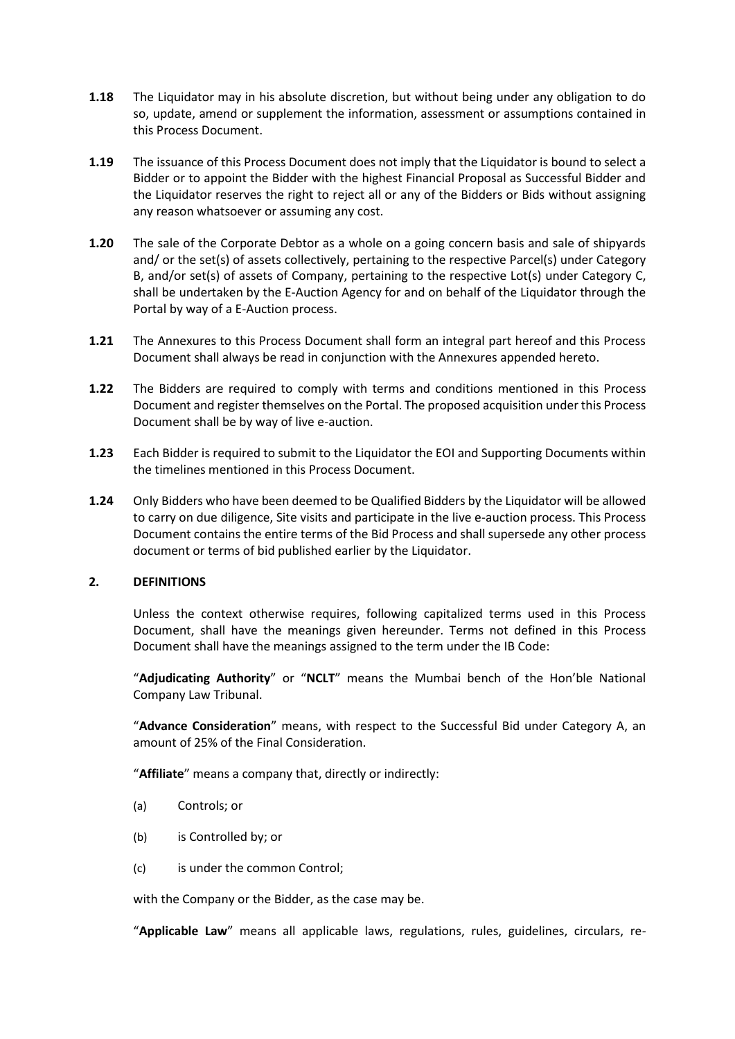- **1.18** The Liquidator may in his absolute discretion, but without being under any obligation to do so, update, amend or supplement the information, assessment or assumptions contained in this Process Document.
- **1.19** The issuance of this Process Document does not imply that the Liquidator is bound to select a Bidder or to appoint the Bidder with the highest Financial Proposal as Successful Bidder and the Liquidator reserves the right to reject all or any of the Bidders or Bids without assigning any reason whatsoever or assuming any cost.
- **1.20** The sale of the Corporate Debtor as a whole on a going concern basis and sale of shipyards and/ or the set(s) of assets collectively, pertaining to the respective Parcel(s) under Category B, and/or set(s) of assets of Company, pertaining to the respective Lot(s) under Category C, shall be undertaken by the E-Auction Agency for and on behalf of the Liquidator through the Portal by way of a E-Auction process.
- **1.21** The Annexures to this Process Document shall form an integral part hereof and this Process Document shall always be read in conjunction with the Annexures appended hereto.
- **1.22** The Bidders are required to comply with terms and conditions mentioned in this Process Document and register themselves on the Portal. The proposed acquisition under this Process Document shall be by way of live e-auction.
- **1.23** Each Bidder is required to submit to the Liquidator the EOI and Supporting Documents within the timelines mentioned in this Process Document.
- **1.24** Only Bidders who have been deemed to be Qualified Bidders by the Liquidator will be allowed to carry on due diligence, Site visits and participate in the live e-auction process. This Process Document contains the entire terms of the Bid Process and shall supersede any other process document or terms of bid published earlier by the Liquidator.

#### <span id="page-10-0"></span>**2. DEFINITIONS**

Unless the context otherwise requires, following capitalized terms used in this Process Document, shall have the meanings given hereunder. Terms not defined in this Process Document shall have the meanings assigned to the term under the IB Code:

"**Adjudicating Authority**" or "**NCLT**" means the Mumbai bench of the Hon'ble National Company Law Tribunal.

"**Advance Consideration**" means, with respect to the Successful Bid under Category A, an amount of 25% of the Final Consideration.

"**Affiliate**" means a company that, directly or indirectly:

- (a) Controls; or
- (b) is Controlled by; or
- (c) is under the common Control;

with the Company or the Bidder, as the case may be.

"**Applicable Law**" means all applicable laws, regulations, rules, guidelines, circulars, re-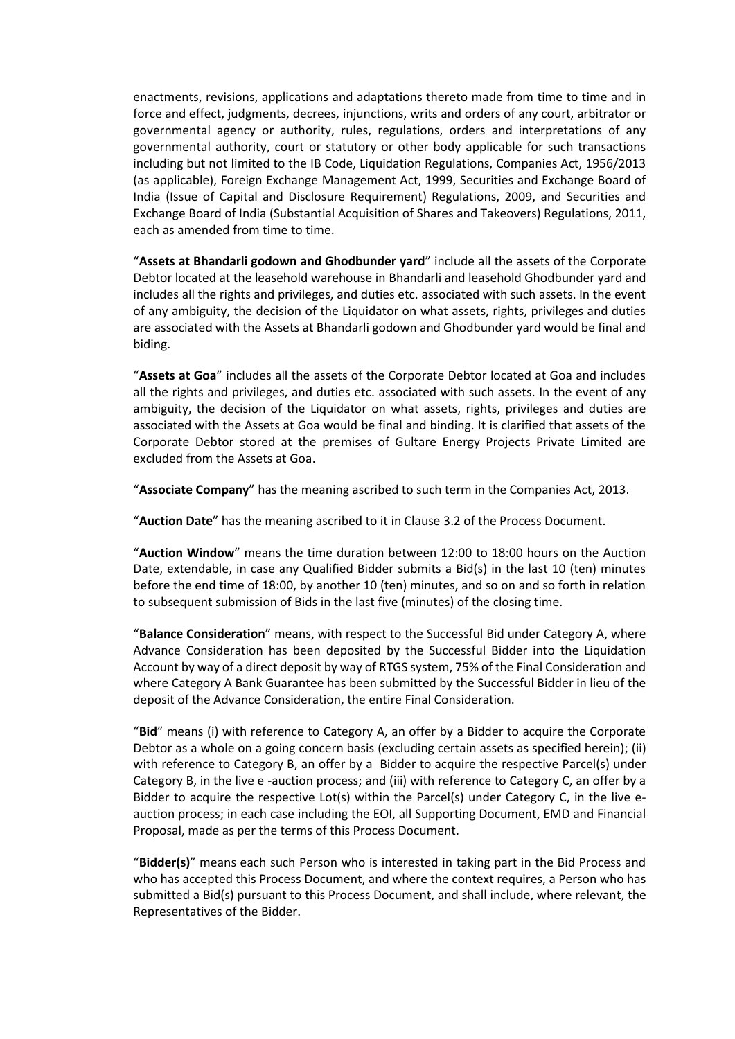enactments, revisions, applications and adaptations thereto made from time to time and in force and effect, judgments, decrees, injunctions, writs and orders of any court, arbitrator or governmental agency or authority, rules, regulations, orders and interpretations of any governmental authority, court or statutory or other body applicable for such transactions including but not limited to the IB Code, Liquidation Regulations, Companies Act, 1956/2013 (as applicable), Foreign Exchange Management Act, 1999, Securities and Exchange Board of India (Issue of Capital and Disclosure Requirement) Regulations, 2009, and Securities and Exchange Board of India (Substantial Acquisition of Shares and Takeovers) Regulations, 2011, each as amended from time to time.

"**Assets at Bhandarli godown and Ghodbunder yard**" include all the assets of the Corporate Debtor located at the leasehold warehouse in Bhandarli and leasehold Ghodbunder yard and includes all the rights and privileges, and duties etc. associated with such assets. In the event of any ambiguity, the decision of the Liquidator on what assets, rights, privileges and duties are associated with the Assets at Bhandarli godown and Ghodbunder yard would be final and biding.

"**Assets at Goa**" includes all the assets of the Corporate Debtor located at Goa and includes all the rights and privileges, and duties etc. associated with such assets. In the event of any ambiguity, the decision of the Liquidator on what assets, rights, privileges and duties are associated with the Assets at Goa would be final and binding. It is clarified that assets of the Corporate Debtor stored at the premises of Gultare Energy Projects Private Limited are excluded from the Assets at Goa.

"**Associate Company**" has the meaning ascribed to such term in the Companies Act, 2013.

"**Auction Date**" has the meaning ascribed to it in Clause 3.2 of the Process Document.

"**Auction Window**" means the time duration between 12:00 to 18:00 hours on the Auction Date, extendable, in case any Qualified Bidder submits a Bid(s) in the last 10 (ten) minutes before the end time of 18:00, by another 10 (ten) minutes, and so on and so forth in relation to subsequent submission of Bids in the last five (minutes) of the closing time.

"**Balance Consideration**" means, with respect to the Successful Bid under Category A, where Advance Consideration has been deposited by the Successful Bidder into the Liquidation Account by way of a direct deposit by way of RTGS system, 75% of the Final Consideration and where Category A Bank Guarantee has been submitted by the Successful Bidder in lieu of the deposit of the Advance Consideration, the entire Final Consideration.

"**Bid**" means (i) with reference to Category A, an offer by a Bidder to acquire the Corporate Debtor as a whole on a going concern basis (excluding certain assets as specified herein); (ii) with reference to Category B, an offer by a Bidder to acquire the respective Parcel(s) under Category B, in the live e -auction process; and (iii) with reference to Category C, an offer by a Bidder to acquire the respective Lot(s) within the Parcel(s) under Category C, in the live eauction process; in each case including the EOI, all Supporting Document, EMD and Financial Proposal, made as per the terms of this Process Document.

"**Bidder(s)**" means each such Person who is interested in taking part in the Bid Process and who has accepted this Process Document, and where the context requires, a Person who has submitted a Bid(s) pursuant to this Process Document, and shall include, where relevant, the Representatives of the Bidder.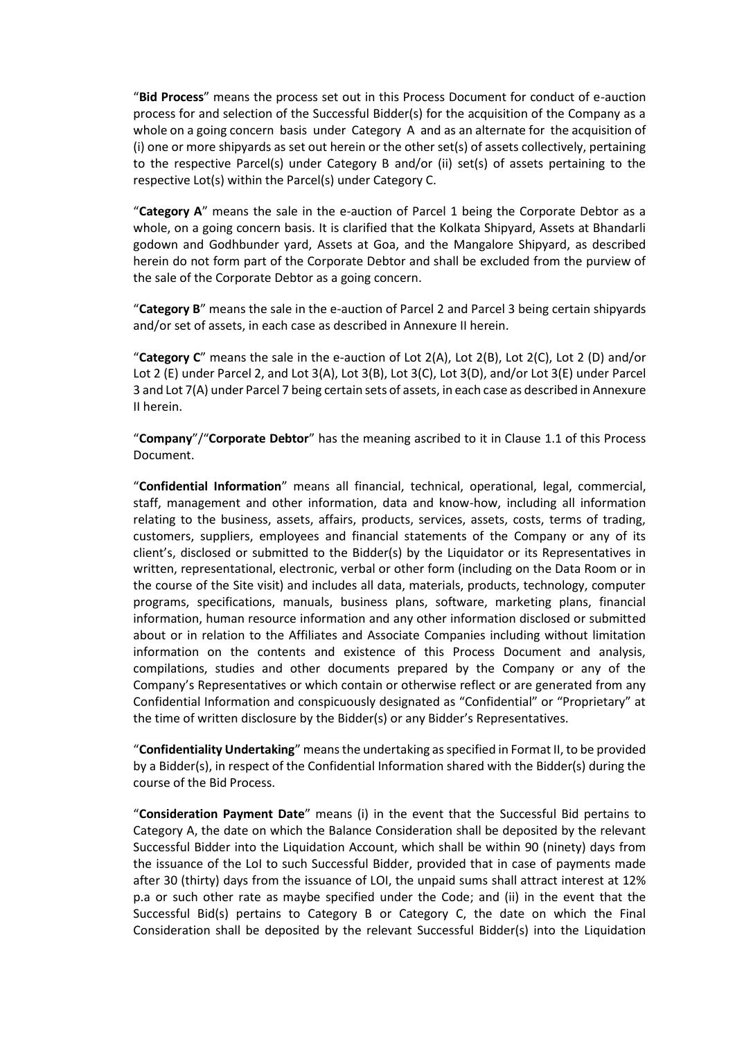"**Bid Process**" means the process set out in this Process Document for conduct of e-auction process for and selection of the Successful Bidder(s) for the acquisition of the Company as a whole on a going concern basis under Category A and as an alternate for the acquisition of (i) one or more shipyards as set out herein or the other set(s) of assets collectively, pertaining to the respective Parcel(s) under Category B and/or (ii) set(s) of assets pertaining to the respective Lot(s) within the Parcel(s) under Category C.

"**Category A**" means the sale in the e-auction of Parcel 1 being the Corporate Debtor as a whole, on a going concern basis. It is clarified that the Kolkata Shipyard, Assets at Bhandarli godown and Godhbunder yard, Assets at Goa, and the Mangalore Shipyard, as described herein do not form part of the Corporate Debtor and shall be excluded from the purview of the sale of the Corporate Debtor as a going concern.

"**Category B**" means the sale in the e-auction of Parcel 2 and Parcel 3 being certain shipyards and/or set of assets, in each case as described in Annexure II herein.

"**Category C**" means the sale in the e-auction of Lot 2(A), Lot 2(B), Lot 2(C), Lot 2 (D) and/or Lot 2 (E) under Parcel 2, and Lot 3(A), Lot 3(B), Lot 3(C), Lot 3(D), and/or Lot 3(E) under Parcel 3 and Lot 7(A) under Parcel 7 being certain sets of assets, in each case as described in Annexure II herein.

"**Company**"/"**Corporate Debtor**" has the meaning ascribed to it in Clause 1.1 of this Process Document.

"**Confidential Information**" means all financial, technical, operational, legal, commercial, staff, management and other information, data and know-how, including all information relating to the business, assets, affairs, products, services, assets, costs, terms of trading, customers, suppliers, employees and financial statements of the Company or any of its client's, disclosed or submitted to the Bidder(s) by the Liquidator or its Representatives in written, representational, electronic, verbal or other form (including on the Data Room or in the course of the Site visit) and includes all data, materials, products, technology, computer programs, specifications, manuals, business plans, software, marketing plans, financial information, human resource information and any other information disclosed or submitted about or in relation to the Affiliates and Associate Companies including without limitation information on the contents and existence of this Process Document and analysis, compilations, studies and other documents prepared by the Company or any of the Company's Representatives or which contain or otherwise reflect or are generated from any Confidential Information and conspicuously designated as "Confidential" or "Proprietary" at the time of written disclosure by the Bidder(s) or any Bidder's Representatives.

"**Confidentiality Undertaking**" means the undertaking as specified in Format II, to be provided by a Bidder(s), in respect of the Confidential Information shared with the Bidder(s) during the course of the Bid Process.

"**Consideration Payment Date**" means (i) in the event that the Successful Bid pertains to Category A, the date on which the Balance Consideration shall be deposited by the relevant Successful Bidder into the Liquidation Account, which shall be within 90 (ninety) days from the issuance of the LoI to such Successful Bidder, provided that in case of payments made after 30 (thirty) days from the issuance of LOI, the unpaid sums shall attract interest at 12% p.a or such other rate as maybe specified under the Code; and (ii) in the event that the Successful Bid(s) pertains to Category B or Category C, the date on which the Final Consideration shall be deposited by the relevant Successful Bidder(s) into the Liquidation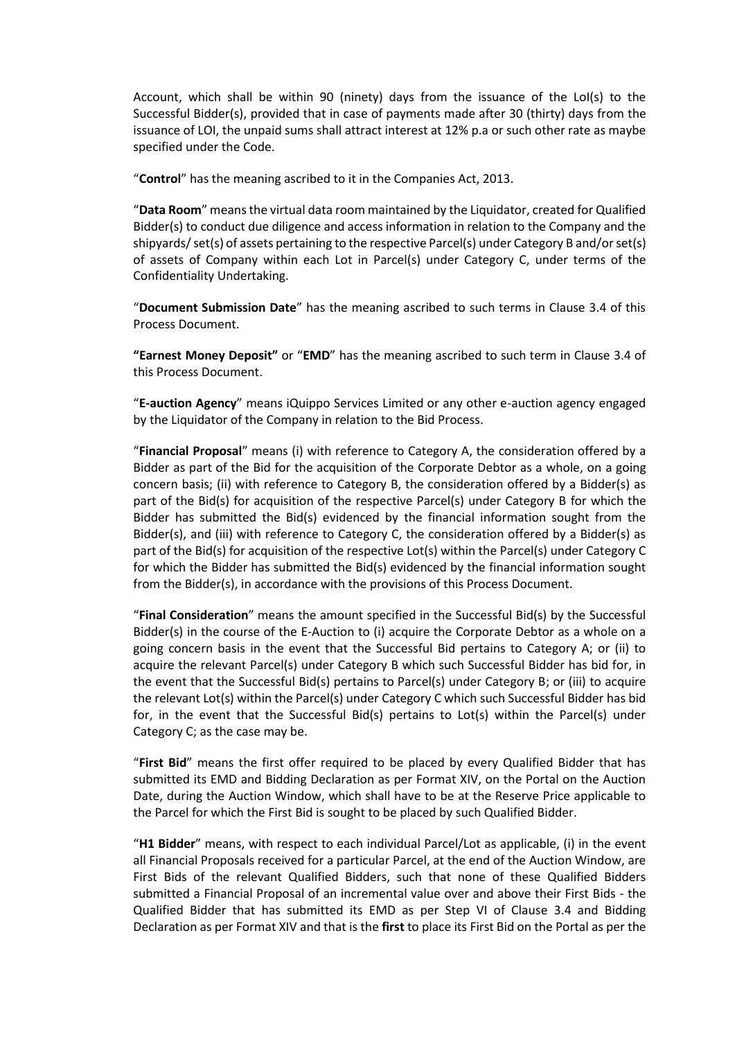Account, which shall be within 90 (ninety) days from the issuance of the LoI(s) to the Successful Bidder(s), provided that in case of payments made after 30 (thirty) days from the issuance of LOI, the unpaid sums shall attract interest at 12% p.a or such other rate as maybe specified under the Code.

"**Control**" has the meaning ascribed to it in the Companies Act, 2013.

"**Data Room**" means the virtual data room maintained by the Liquidator, created for Qualified Bidder(s) to conduct due diligence and access information in relation to the Company and the shipyards/ set(s) of assets pertaining to the respective Parcel(s) under Category B and/or set(s) of assets of Company within each Lot in Parcel(s) under Category C, under terms of the Confidentiality Undertaking.

"**Document Submission Date**" has the meaning ascribed to such terms in Clause 3.4 of this Process Document.

**"Earnest Money Deposit"** or "**EMD**" has the meaning ascribed to such term in Clause 3.4 of this Process Document.

"**E-auction Agency**" means iQuippo Services Limited or any other e-auction agency engaged by the Liquidator of the Company in relation to the Bid Process.

"**Financial Proposal**" means (i) with reference to Category A, the consideration offered by a Bidder as part of the Bid for the acquisition of the Corporate Debtor as a whole, on a going concern basis; (ii) with reference to Category B, the consideration offered by a Bidder(s) as part of the Bid(s) for acquisition of the respective Parcel(s) under Category B for which the Bidder has submitted the Bid(s) evidenced by the financial information sought from the Bidder(s), and (iii) with reference to Category C, the consideration offered by a Bidder(s) as part of the Bid(s) for acquisition of the respective Lot(s) within the Parcel(s) under Category C for which the Bidder has submitted the Bid(s) evidenced by the financial information sought from the Bidder(s), in accordance with the provisions of this Process Document.

"**Final Consideration**" means the amount specified in the Successful Bid(s) by the Successful Bidder(s) in the course of the E-Auction to (i) acquire the Corporate Debtor as a whole on a going concern basis in the event that the Successful Bid pertains to Category A; or (ii) to acquire the relevant Parcel(s) under Category B which such Successful Bidder has bid for, in the event that the Successful Bid(s) pertains to Parcel(s) under Category B; or (iii) to acquire the relevant Lot(s) within the Parcel(s) under Category C which such Successful Bidder has bid for, in the event that the Successful Bid(s) pertains to Lot(s) within the Parcel(s) under Category C; as the case may be.

"**First Bid**" means the first offer required to be placed by every Qualified Bidder that has submitted its EMD and Bidding Declaration as per Format XIV, on the Portal on the Auction Date, during the Auction Window, which shall have to be at the Reserve Price applicable to the Parcel for which the First Bid is sought to be placed by such Qualified Bidder.

"**H1 Bidder**" means, with respect to each individual Parcel/Lot as applicable, (i) in the event all Financial Proposals received for a particular Parcel, at the end of the Auction Window, are First Bids of the relevant Qualified Bidders, such that none of these Qualified Bidders submitted a Financial Proposal of an incremental value over and above their First Bids - the Qualified Bidder that has submitted its EMD as per Step VI of Clause 3.4 and Bidding Declaration as per Format XIV and that is the **first** to place its First Bid on the Portal as per the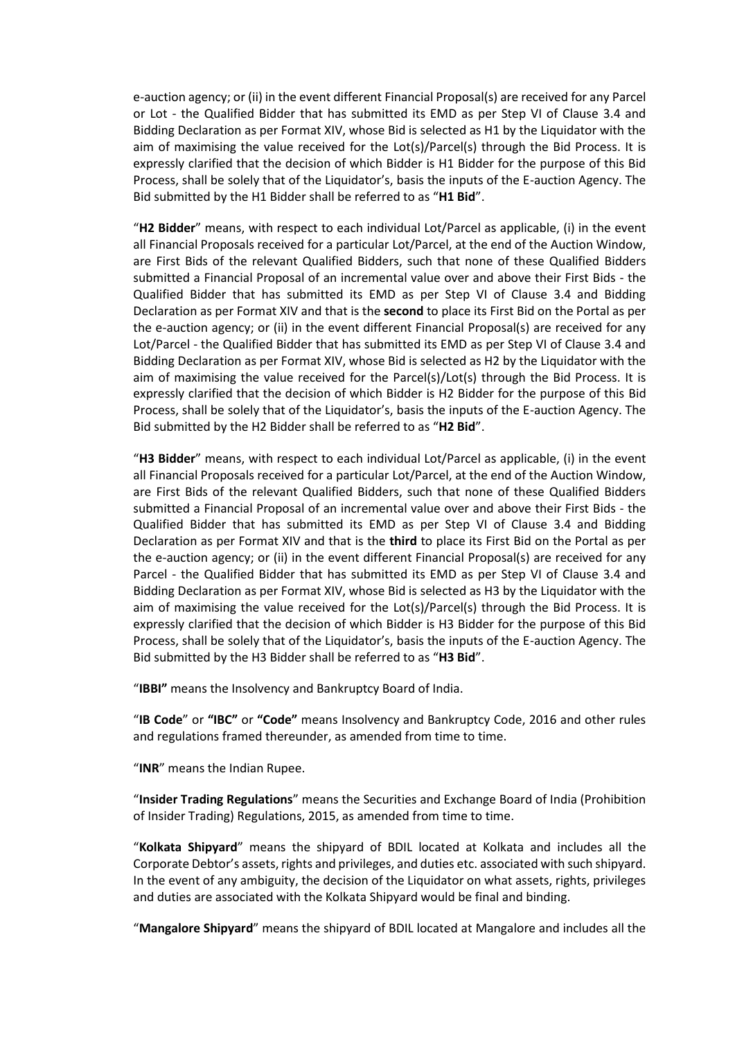e-auction agency; or (ii) in the event different Financial Proposal(s) are received for any Parcel or Lot - the Qualified Bidder that has submitted its EMD as per Step VI of Clause 3.4 and Bidding Declaration as per Format XIV, whose Bid is selected as H1 by the Liquidator with the aim of maximising the value received for the Lot(s)/Parcel(s) through the Bid Process. It is expressly clarified that the decision of which Bidder is H1 Bidder for the purpose of this Bid Process, shall be solely that of the Liquidator's, basis the inputs of the E-auction Agency. The Bid submitted by the H1 Bidder shall be referred to as "**H1 Bid**".

"**H2 Bidder**" means, with respect to each individual Lot/Parcel as applicable, (i) in the event all Financial Proposals received for a particular Lot/Parcel, at the end of the Auction Window, are First Bids of the relevant Qualified Bidders, such that none of these Qualified Bidders submitted a Financial Proposal of an incremental value over and above their First Bids - the Qualified Bidder that has submitted its EMD as per Step VI of Clause 3.4 and Bidding Declaration as per Format XIV and that is the **second** to place its First Bid on the Portal as per the e-auction agency; or (ii) in the event different Financial Proposal(s) are received for any Lot/Parcel - the Qualified Bidder that has submitted its EMD as per Step VI of Clause 3.4 and Bidding Declaration as per Format XIV, whose Bid is selected as H2 by the Liquidator with the aim of maximising the value received for the Parcel(s)/Lot(s) through the Bid Process. It is expressly clarified that the decision of which Bidder is H2 Bidder for the purpose of this Bid Process, shall be solely that of the Liquidator's, basis the inputs of the E-auction Agency. The Bid submitted by the H2 Bidder shall be referred to as "**H2 Bid**".

"**H3 Bidder**" means, with respect to each individual Lot/Parcel as applicable, (i) in the event all Financial Proposals received for a particular Lot/Parcel, at the end of the Auction Window, are First Bids of the relevant Qualified Bidders, such that none of these Qualified Bidders submitted a Financial Proposal of an incremental value over and above their First Bids - the Qualified Bidder that has submitted its EMD as per Step VI of Clause 3.4 and Bidding Declaration as per Format XIV and that is the **third** to place its First Bid on the Portal as per the e-auction agency; or (ii) in the event different Financial Proposal(s) are received for any Parcel - the Qualified Bidder that has submitted its EMD as per Step VI of Clause 3.4 and Bidding Declaration as per Format XIV, whose Bid is selected as H3 by the Liquidator with the aim of maximising the value received for the Lot(s)/Parcel(s) through the Bid Process. It is expressly clarified that the decision of which Bidder is H3 Bidder for the purpose of this Bid Process, shall be solely that of the Liquidator's, basis the inputs of the E-auction Agency. The Bid submitted by the H3 Bidder shall be referred to as "**H3 Bid**".

"**IBBI"** means the Insolvency and Bankruptcy Board of India.

"**IB Code**" or **"IBC"** or **"Code"** means Insolvency and Bankruptcy Code, 2016 and other rules and regulations framed thereunder, as amended from time to time.

"**INR**" means the Indian Rupee.

"**Insider Trading Regulations**" means the Securities and Exchange Board of India (Prohibition of Insider Trading) Regulations, 2015, as amended from time to time.

"**Kolkata Shipyard**" means the shipyard of BDIL located at Kolkata and includes all the Corporate Debtor's assets, rights and privileges, and duties etc. associated with such shipyard. In the event of any ambiguity, the decision of the Liquidator on what assets, rights, privileges and duties are associated with the Kolkata Shipyard would be final and binding.

"**Mangalore Shipyard**" means the shipyard of BDIL located at Mangalore and includes all the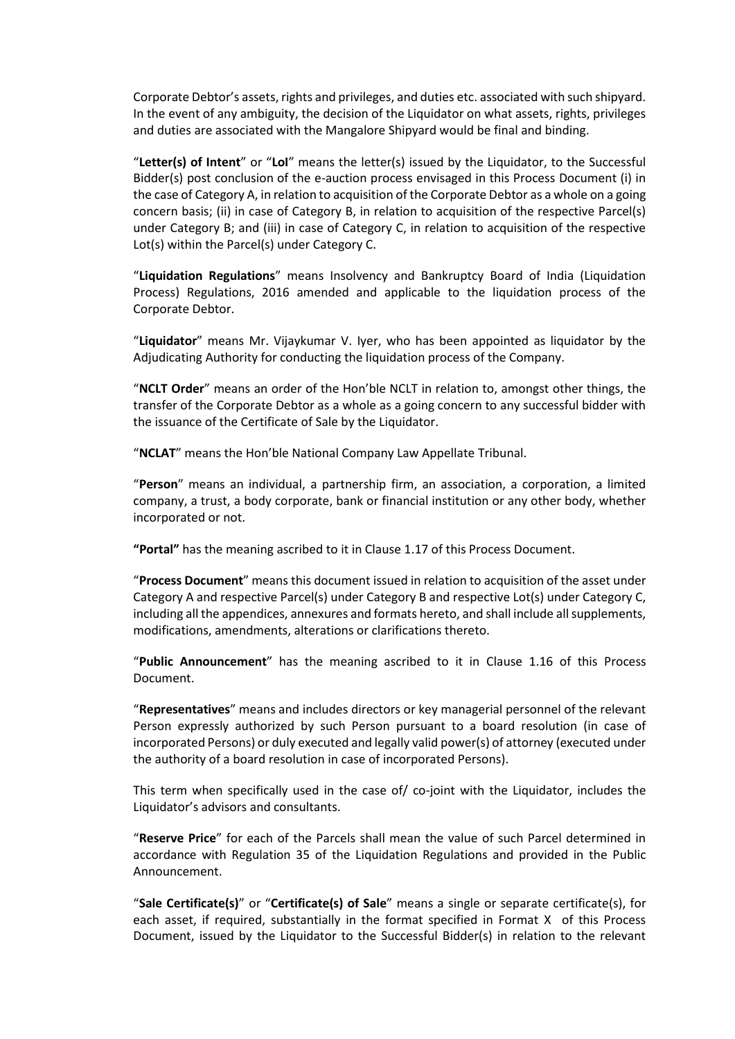Corporate Debtor's assets, rights and privileges, and duties etc. associated with such shipyard. In the event of any ambiguity, the decision of the Liquidator on what assets, rights, privileges and duties are associated with the Mangalore Shipyard would be final and binding.

"**Letter(s) of Intent**" or "**LoI**" means the letter(s) issued by the Liquidator, to the Successful Bidder(s) post conclusion of the e-auction process envisaged in this Process Document (i) in the case of Category A, in relation to acquisition of the Corporate Debtor as a whole on a going concern basis; (ii) in case of Category B, in relation to acquisition of the respective Parcel(s) under Category B; and (iii) in case of Category C, in relation to acquisition of the respective Lot(s) within the Parcel(s) under Category C.

"**Liquidation Regulations**" means Insolvency and Bankruptcy Board of India (Liquidation Process) Regulations, 2016 amended and applicable to the liquidation process of the Corporate Debtor.

"**Liquidator**" means Mr. Vijaykumar V. Iyer, who has been appointed as liquidator by the Adjudicating Authority for conducting the liquidation process of the Company.

"**NCLT Order**" means an order of the Hon'ble NCLT in relation to, amongst other things, the transfer of the Corporate Debtor as a whole as a going concern to any successful bidder with the issuance of the Certificate of Sale by the Liquidator.

"**NCLAT**" means the Hon'ble National Company Law Appellate Tribunal.

"**Person**" means an individual, a partnership firm, an association, a corporation, a limited company, a trust, a body corporate, bank or financial institution or any other body, whether incorporated or not.

**"Portal"** has the meaning ascribed to it in Clause 1.17 of this Process Document.

"**Process Document**" means this document issued in relation to acquisition of the asset under Category A and respective Parcel(s) under Category B and respective Lot(s) under Category C, including all the appendices, annexures and formats hereto, and shall include all supplements, modifications, amendments, alterations or clarifications thereto.

"**Public Announcement**" has the meaning ascribed to it in Clause 1.16 of this Process Document.

"**Representatives**" means and includes directors or key managerial personnel of the relevant Person expressly authorized by such Person pursuant to a board resolution (in case of incorporated Persons) or duly executed and legally valid power(s) of attorney (executed under the authority of a board resolution in case of incorporated Persons).

This term when specifically used in the case of/ co-joint with the Liquidator, includes the Liquidator's advisors and consultants.

"**Reserve Price**" for each of the Parcels shall mean the value of such Parcel determined in accordance with Regulation 35 of the Liquidation Regulations and provided in the Public Announcement.

"**Sale Certificate(s)**" or "**Certificate(s) of Sale**" means a single or separate certificate(s), for each asset, if required, substantially in the format specified in Format X of this Process Document, issued by the Liquidator to the Successful Bidder(s) in relation to the relevant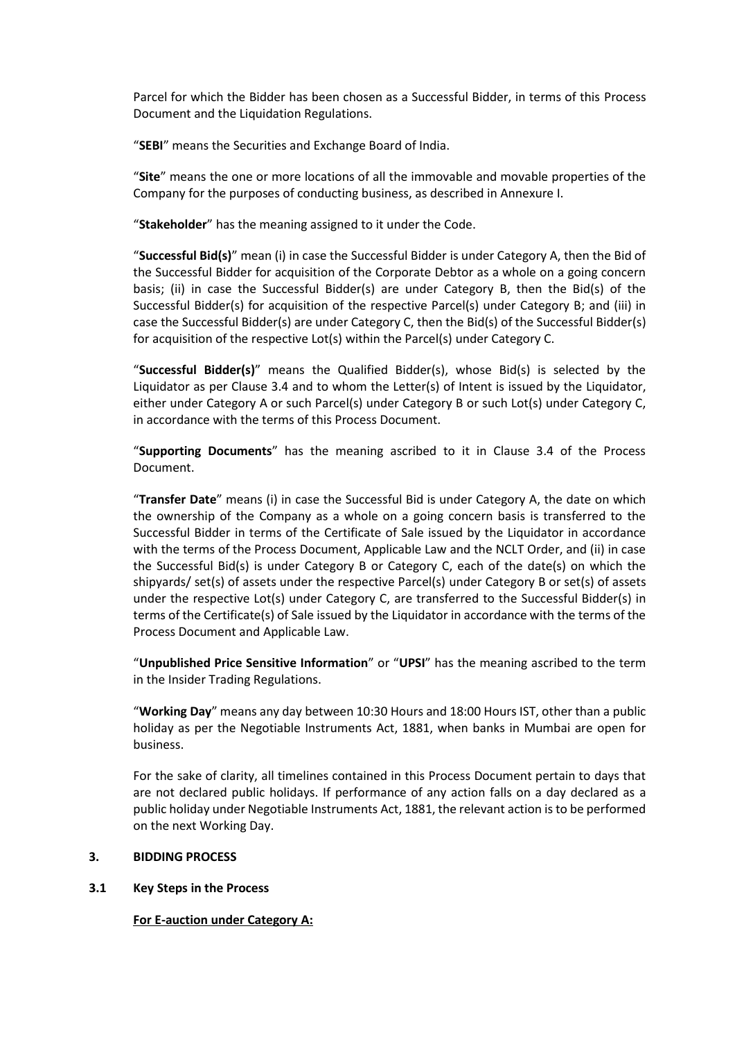Parcel for which the Bidder has been chosen as a Successful Bidder, in terms of this Process Document and the Liquidation Regulations.

"**SEBI**" means the Securities and Exchange Board of India.

"**Site**" means the one or more locations of all the immovable and movable properties of the Company for the purposes of conducting business, as described in Annexure I.

"**Stakeholder**" has the meaning assigned to it under the Code.

"**Successful Bid(s)**" mean (i) in case the Successful Bidder is under Category A, then the Bid of the Successful Bidder for acquisition of the Corporate Debtor as a whole on a going concern basis; (ii) in case the Successful Bidder(s) are under Category B, then the Bid(s) of the Successful Bidder(s) for acquisition of the respective Parcel(s) under Category B; and (iii) in case the Successful Bidder(s) are under Category C, then the Bid(s) of the Successful Bidder(s) for acquisition of the respective Lot(s) within the Parcel(s) under Category C.

"**Successful Bidder(s)**" means the Qualified Bidder(s), whose Bid(s) is selected by the Liquidator as per Clause 3.4 and to whom the Letter(s) of Intent is issued by the Liquidator, either under Category A or such Parcel(s) under Category B or such Lot(s) under Category C, in accordance with the terms of this Process Document.

"**Supporting Documents**" has the meaning ascribed to it in Clause 3.4 of the Process Document.

"**Transfer Date**" means (i) in case the Successful Bid is under Category A, the date on which the ownership of the Company as a whole on a going concern basis is transferred to the Successful Bidder in terms of the Certificate of Sale issued by the Liquidator in accordance with the terms of the Process Document, Applicable Law and the NCLT Order, and (ii) in case the Successful Bid(s) is under Category B or Category C, each of the date(s) on which the shipyards/ set(s) of assets under the respective Parcel(s) under Category B or set(s) of assets under the respective Lot(s) under Category C, are transferred to the Successful Bidder(s) in terms of the Certificate(s) of Sale issued by the Liquidator in accordance with the terms of the Process Document and Applicable Law.

"**Unpublished Price Sensitive Information**" or "**UPSI**" has the meaning ascribed to the term in the Insider Trading Regulations.

"**Working Day**" means any day between 10:30 Hours and 18:00 Hours IST, other than a public holiday as per the Negotiable Instruments Act, 1881, when banks in Mumbai are open for business.

For the sake of clarity, all timelines contained in this Process Document pertain to days that are not declared public holidays. If performance of any action falls on a day declared as a public holiday under Negotiable Instruments Act, 1881, the relevant action is to be performed on the next Working Day.

## <span id="page-16-0"></span>**3. BIDDING PROCESS**

#### <span id="page-16-1"></span>**3.1 Key Steps in the Process**

**For E-auction under Category A:**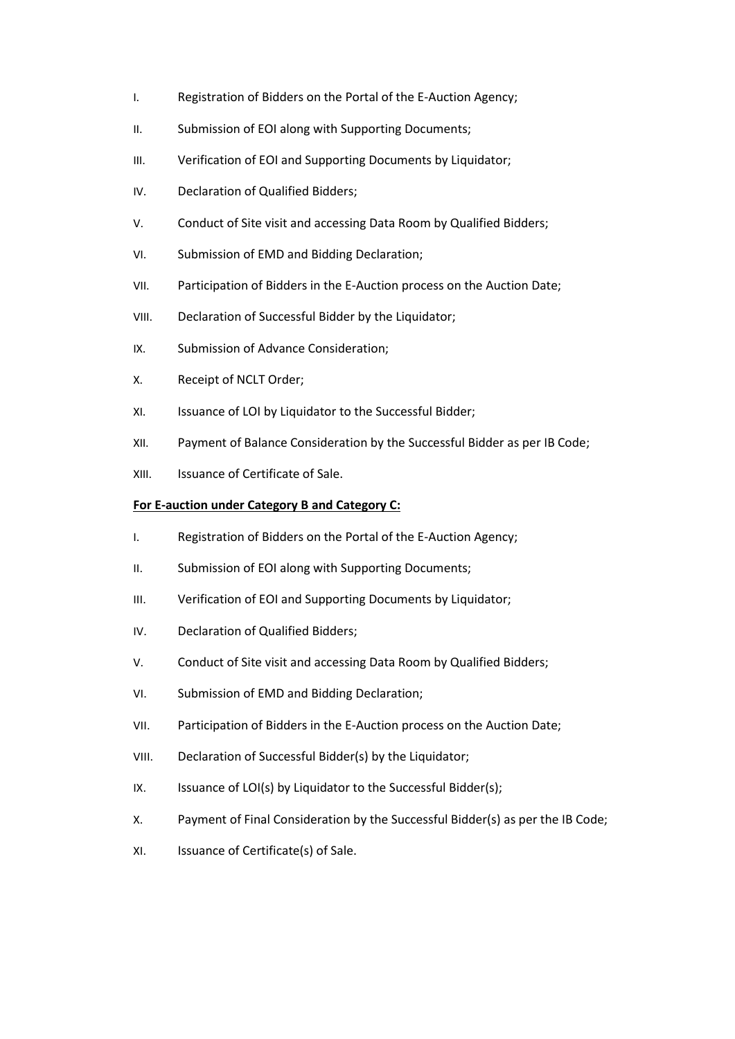- I. Registration of Bidders on the Portal of the E-Auction Agency;
- II. Submission of EOI along with Supporting Documents;
- III. Verification of EOI and Supporting Documents by Liquidator;
- IV. Declaration of Qualified Bidders;
- V. Conduct of Site visit and accessing Data Room by Qualified Bidders;
- VI. Submission of EMD and Bidding Declaration;
- VII. Participation of Bidders in the E-Auction process on the Auction Date;
- VIII. Declaration of Successful Bidder by the Liquidator;
- IX. Submission of Advance Consideration;
- X. Receipt of NCLT Order;
- XI. Issuance of LOI by Liquidator to the Successful Bidder;
- XII. Payment of Balance Consideration by the Successful Bidder as per IB Code;
- XIII. Issuance of Certificate of Sale.

### **For E-auction under Category B and Category C:**

- I. Registration of Bidders on the Portal of the E-Auction Agency;
- II. Submission of EOI along with Supporting Documents;
- III. Verification of EOI and Supporting Documents by Liquidator;
- IV. Declaration of Qualified Bidders;
- V. Conduct of Site visit and accessing Data Room by Qualified Bidders;
- VI. Submission of EMD and Bidding Declaration;
- VII. Participation of Bidders in the E-Auction process on the Auction Date;
- VIII. Declaration of Successful Bidder(s) by the Liquidator;
- IX. Issuance of LOI(s) by Liquidator to the Successful Bidder(s);
- X. Payment of Final Consideration by the Successful Bidder(s) as per the IB Code;
- XI. Issuance of Certificate(s) of Sale.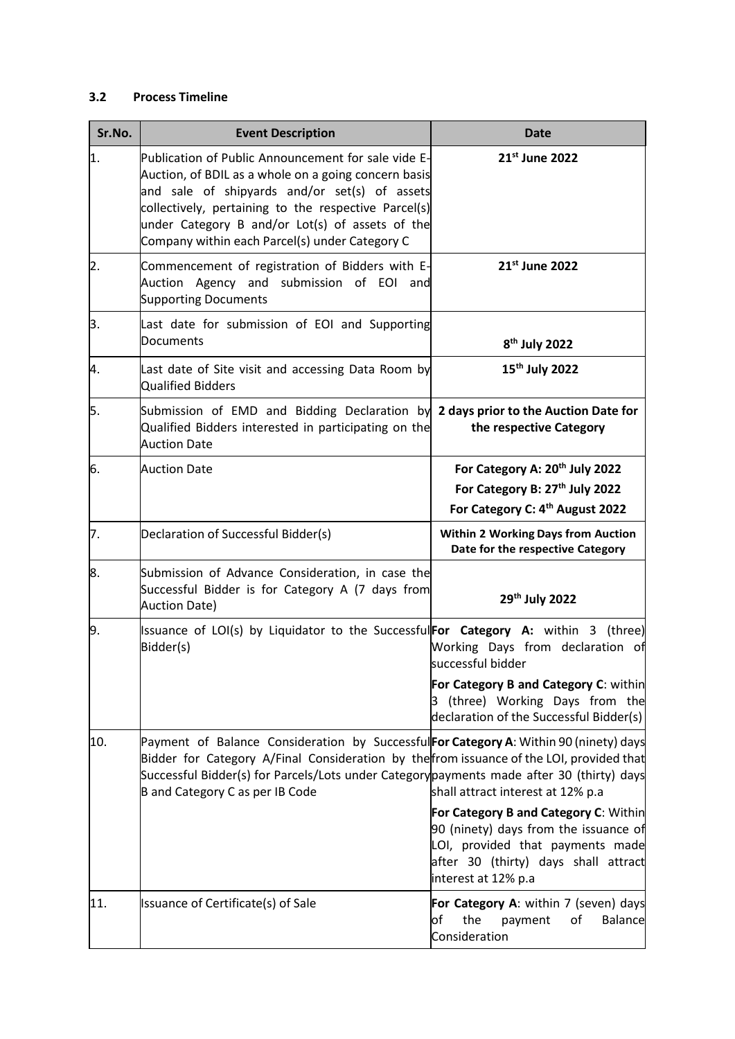### <span id="page-18-0"></span>**3.2 Process Timeline**

| Sr.No.           | <b>Event Description</b>                                                                                                                                                                                                                                                                                                  | <b>Date</b>                                                                                                                                                                       |
|------------------|---------------------------------------------------------------------------------------------------------------------------------------------------------------------------------------------------------------------------------------------------------------------------------------------------------------------------|-----------------------------------------------------------------------------------------------------------------------------------------------------------------------------------|
| 1.               | Publication of Public Announcement for sale vide E-<br>Auction, of BDIL as a whole on a going concern basis<br>and sale of shipyards and/or set(s) of assets<br>collectively, pertaining to the respective Parcel(s)<br>under Category B and/or Lot(s) of assets of the<br>Company within each Parcel(s) under Category C | 21st June 2022                                                                                                                                                                    |
| $\overline{2}$ . | Commencement of registration of Bidders with E-<br>Auction Agency and submission of EOI and<br><b>Supporting Documents</b>                                                                                                                                                                                                | 21st June 2022                                                                                                                                                                    |
| 3.               | Last date for submission of EOI and Supporting<br>Documents                                                                                                                                                                                                                                                               | 8 <sup>th</sup> July 2022                                                                                                                                                         |
| 4.               | Last date of Site visit and accessing Data Room by<br>Qualified Bidders                                                                                                                                                                                                                                                   | 15 <sup>th</sup> July 2022                                                                                                                                                        |
| 5.               | Submission of EMD and Bidding Declaration by 2 days prior to the Auction Date for<br>Qualified Bidders interested in participating on the<br><b>Auction Date</b>                                                                                                                                                          | the respective Category                                                                                                                                                           |
| 6.               | <b>Auction Date</b>                                                                                                                                                                                                                                                                                                       | For Category A: 20 <sup>th</sup> July 2022<br>For Category B: 27 <sup>th</sup> July 2022<br>For Category C: 4 <sup>th</sup> August 2022                                           |
| 7.               | Declaration of Successful Bidder(s)                                                                                                                                                                                                                                                                                       | <b>Within 2 Working Days from Auction</b><br>Date for the respective Category                                                                                                     |
| 8.               | Submission of Advance Consideration, in case the<br>Successful Bidder is for Category A (7 days from<br><b>Auction Date)</b>                                                                                                                                                                                              | 29th July 2022                                                                                                                                                                    |
| 9.               | Issuance of LOI(s) by Liquidator to the SuccessfulFor Category A: within 3 (three)<br>Bidder(s)                                                                                                                                                                                                                           | Working Days from declaration of<br>successful bidder<br>For Category B and Category C: within<br>3 (three) Working Days from the<br>declaration of the Successful Bidder(s)      |
| 10.              | Payment of Balance Consideration by SuccessfulFor Category A: Within 90 (ninety) days<br>Bidder for Category A/Final Consideration by the from issuance of the LOI, provided that<br>Successful Bidder(s) for Parcels/Lots under Category payments made after 30 (thirty) days<br>B and Category C as per IB Code         | shall attract interest at 12% p.a                                                                                                                                                 |
|                  |                                                                                                                                                                                                                                                                                                                           | For Category B and Category C: Within<br>90 (ninety) days from the issuance of<br>LOI, provided that payments made<br>after 30 (thirty) days shall attract<br>interest at 12% p.a |
| 11.              | Issuance of Certificate(s) of Sale                                                                                                                                                                                                                                                                                        | For Category A: within 7 (seven) days<br>the<br><b>Balance</b><br>of<br>payment<br>of<br>Consideration                                                                            |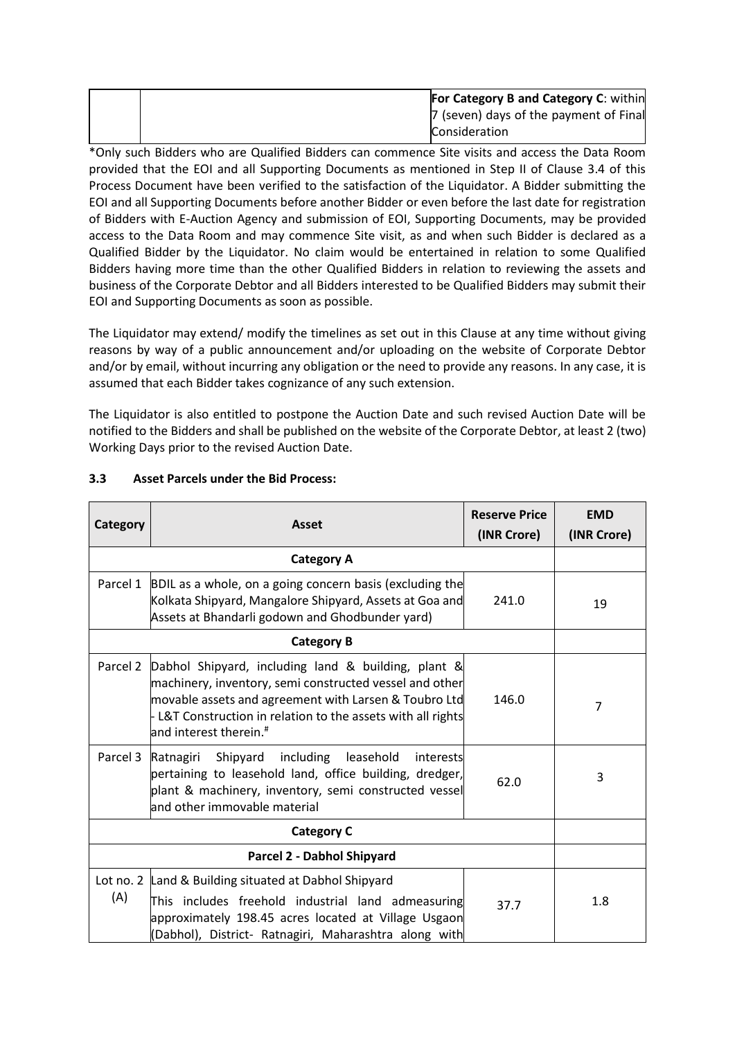|  | <b>For Category B and Category C: within</b> |
|--|----------------------------------------------|
|  | 7 (seven) days of the payment of Final       |
|  | <b>Consideration</b>                         |

\*Only such Bidders who are Qualified Bidders can commence Site visits and access the Data Room provided that the EOI and all Supporting Documents as mentioned in Step II of Clause 3.4 of this Process Document have been verified to the satisfaction of the Liquidator. A Bidder submitting the EOI and all Supporting Documents before another Bidder or even before the last date for registration of Bidders with E-Auction Agency and submission of EOI, Supporting Documents, may be provided access to the Data Room and may commence Site visit, as and when such Bidder is declared as a Qualified Bidder by the Liquidator. No claim would be entertained in relation to some Qualified Bidders having more time than the other Qualified Bidders in relation to reviewing the assets and business of the Corporate Debtor and all Bidders interested to be Qualified Bidders may submit their EOI and Supporting Documents as soon as possible.

The Liquidator may extend/ modify the timelines as set out in this Clause at any time without giving reasons by way of a public announcement and/or uploading on the website of Corporate Debtor and/or by email, without incurring any obligation or the need to provide any reasons. In any case, it is assumed that each Bidder takes cognizance of any such extension.

The Liquidator is also entitled to postpone the Auction Date and such revised Auction Date will be notified to the Bidders and shall be published on the website of the Corporate Debtor, at least 2 (two) Working Days prior to the revised Auction Date.

| <b>Category</b>   | <b>Asset</b>                                                                                                                                                                                                                                                                                              | <b>Reserve Price</b><br>(INR Crore) | <b>EMD</b><br>(INR Crore) |
|-------------------|-----------------------------------------------------------------------------------------------------------------------------------------------------------------------------------------------------------------------------------------------------------------------------------------------------------|-------------------------------------|---------------------------|
|                   | <b>Category A</b>                                                                                                                                                                                                                                                                                         |                                     |                           |
|                   | Parcel 1 $\vert$ BDIL as a whole, on a going concern basis (excluding the<br>Kolkata Shipyard, Mangalore Shipyard, Assets at Goa and<br>Assets at Bhandarli godown and Ghodbunder yard)                                                                                                                   | 241.0                               | 19                        |
| <b>Category B</b> |                                                                                                                                                                                                                                                                                                           |                                     |                           |
|                   | Parcel 2 Dabhol Shipyard, including land & building, plant &<br>machinery, inventory, semi constructed vessel and other<br>movable assets and agreement with Larsen & Toubro Ltd<br>- L&T Construction in relation to the assets with all rights<br>and interest therein. ${}^{\text{\tiny{\textsf{#}}}}$ | 146.0                               | 7                         |
| Parcel 3          | Shipyard including<br>Ratnagiri<br>leasehold<br>interests<br>pertaining to leasehold land, office building, dredger,<br>plant & machinery, inventory, semi constructed vessel<br>and other immovable material                                                                                             | 62.0                                | 3                         |
| <b>Category C</b> |                                                                                                                                                                                                                                                                                                           |                                     |                           |
|                   | Parcel 2 - Dabhol Shipyard                                                                                                                                                                                                                                                                                |                                     |                           |
| (A)               | Lot no. 2 Land & Building situated at Dabhol Shipyard<br>This includes freehold industrial land admeasuring<br>approximately 198.45 acres located at Village Usgaon<br>(Dabhol), District- Ratnagiri, Maharashtra along with                                                                              | 37.7                                | 1.8                       |

# <span id="page-19-0"></span>**3.3 Asset Parcels under the Bid Process:**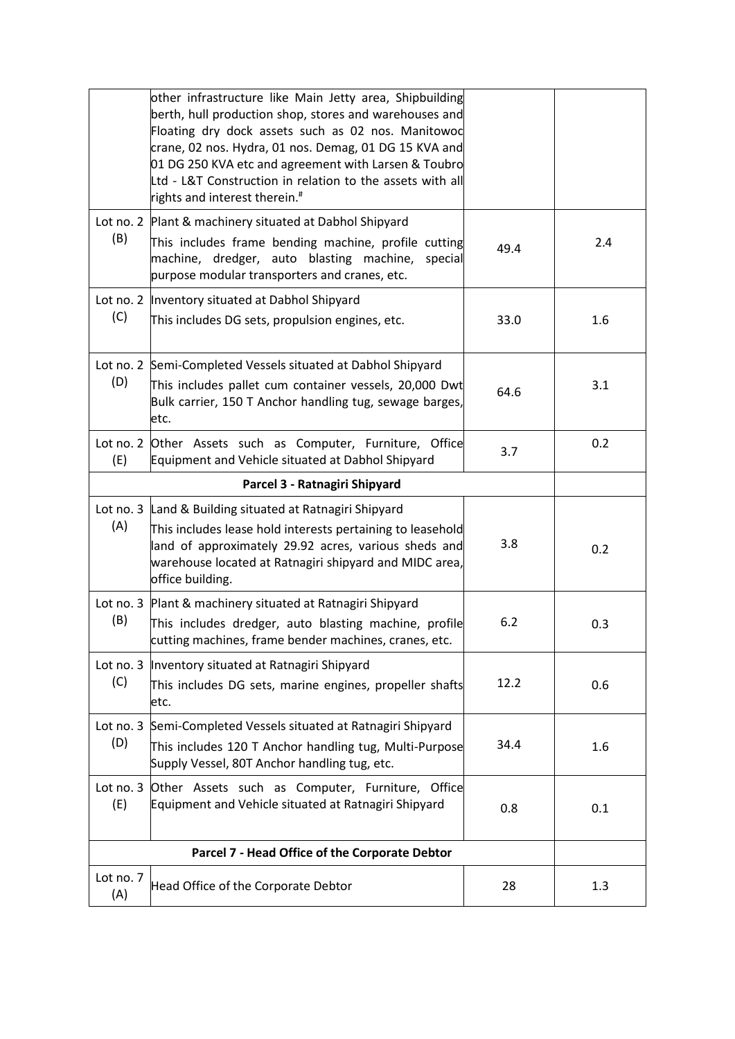|                                                | other infrastructure like Main Jetty area, Shipbuilding<br>berth, hull production shop, stores and warehouses and<br>Floating dry dock assets such as 02 nos. Manitowod<br>crane, 02 nos. Hydra, 01 nos. Demag, 01 DG 15 KVA and<br>01 DG 250 KVA etc and agreement with Larsen & Toubro<br>Ltd - L&T Construction in relation to the assets with all<br>rights and interest therein. <sup>#</sup> |      |     |
|------------------------------------------------|----------------------------------------------------------------------------------------------------------------------------------------------------------------------------------------------------------------------------------------------------------------------------------------------------------------------------------------------------------------------------------------------------|------|-----|
| (B)                                            | Lot no. 2 Plant & machinery situated at Dabhol Shipyard<br>This includes frame bending machine, profile cutting<br>machine, dredger, auto blasting machine,<br>special<br>purpose modular transporters and cranes, etc.                                                                                                                                                                            | 49.4 | 2.4 |
| (C)                                            | Lot no. 2   Inventory situated at Dabhol Shipyard<br>This includes DG sets, propulsion engines, etc.                                                                                                                                                                                                                                                                                               | 33.0 | 1.6 |
| (D)                                            | Lot no. 2 Semi-Completed Vessels situated at Dabhol Shipyard<br>This includes pallet cum container vessels, 20,000 Dwt<br>Bulk carrier, 150 T Anchor handling tug, sewage barges,<br>etc.                                                                                                                                                                                                          | 64.6 | 3.1 |
| (E)                                            | Lot no. 2 Other Assets such as Computer, Furniture, Office<br>Equipment and Vehicle situated at Dabhol Shipyard                                                                                                                                                                                                                                                                                    | 3.7  | 0.2 |
|                                                | Parcel 3 - Ratnagiri Shipyard                                                                                                                                                                                                                                                                                                                                                                      |      |     |
| (A)                                            | Lot no. 3 Land & Building situated at Ratnagiri Shipyard<br>This includes lease hold interests pertaining to leasehold<br>land of approximately 29.92 acres, various sheds and<br>warehouse located at Ratnagiri shipyard and MIDC area,<br>office building.                                                                                                                                       | 3.8  | 0.2 |
| (B)                                            | Lot no. 3 Plant & machinery situated at Ratnagiri Shipyard<br>This includes dredger, auto blasting machine, profile<br>cutting machines, frame bender machines, cranes, etc.                                                                                                                                                                                                                       | 6.2  | 0.3 |
| Lot no. 3<br>(C)                               | Inventory situated at Ratnagiri Shipyard<br>This includes DG sets, marine engines, propeller shafts<br>etc.                                                                                                                                                                                                                                                                                        | 12.2 | 0.6 |
| Lot no. 3<br>(D)                               | Semi-Completed Vessels situated at Ratnagiri Shipyard<br>This includes 120 T Anchor handling tug, Multi-Purpose<br>Supply Vessel, 80T Anchor handling tug, etc.                                                                                                                                                                                                                                    | 34.4 | 1.6 |
| Lot no. 3<br>(E)                               | Other Assets such as Computer, Furniture, Office<br>Equipment and Vehicle situated at Ratnagiri Shipyard                                                                                                                                                                                                                                                                                           | 0.8  | 0.1 |
| Parcel 7 - Head Office of the Corporate Debtor |                                                                                                                                                                                                                                                                                                                                                                                                    |      |     |
| Lot no. 7<br>(A)                               | Head Office of the Corporate Debtor                                                                                                                                                                                                                                                                                                                                                                | 28   | 1.3 |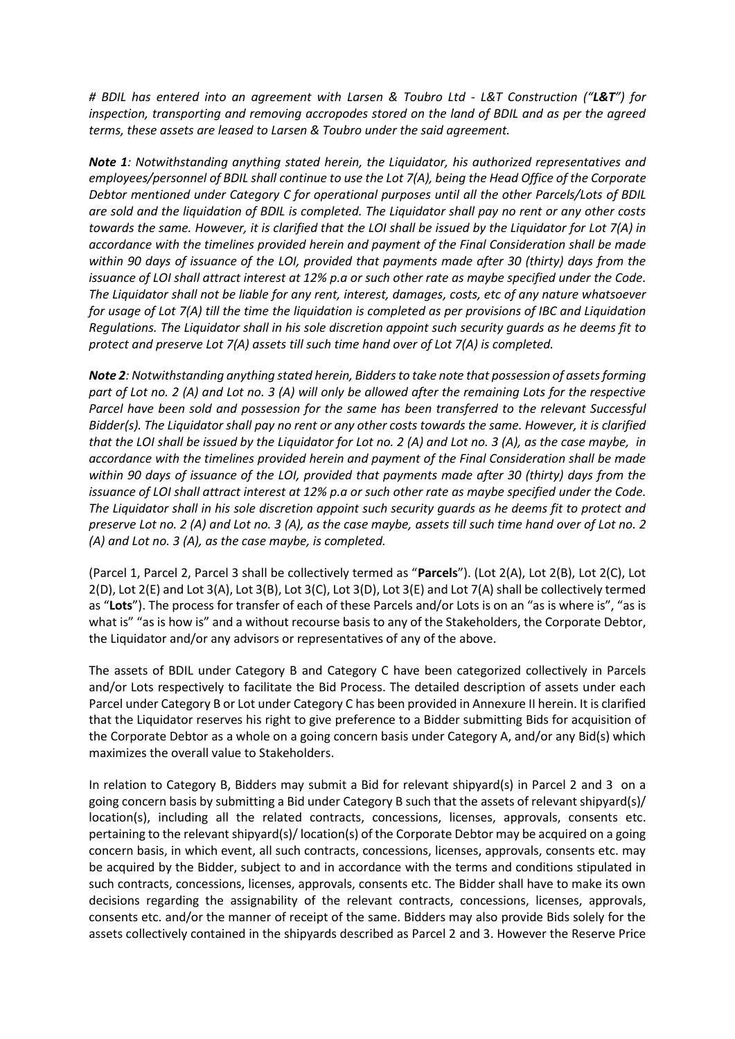*# BDIL has entered into an agreement with Larsen & Toubro Ltd - L&T Construction ("L&T") for inspection, transporting and removing accropodes stored on the land of BDIL and as per the agreed terms, these assets are leased to Larsen & Toubro under the said agreement.* 

*Note 1: Notwithstanding anything stated herein, the Liquidator, his authorized representatives and employees/personnel of BDIL shall continue to use the Lot 7(A), being the Head Office of the Corporate Debtor mentioned under Category C for operational purposes until all the other Parcels/Lots of BDIL are sold and the liquidation of BDIL is completed. The Liquidator shall pay no rent or any other costs towards the same. However, it is clarified that the LOI shall be issued by the Liquidator for Lot 7(A) in accordance with the timelines provided herein and payment of the Final Consideration shall be made within 90 days of issuance of the LOI, provided that payments made after 30 (thirty) days from the issuance of LOI shall attract interest at 12% p.a or such other rate as maybe specified under the Code. The Liquidator shall not be liable for any rent, interest, damages, costs, etc of any nature whatsoever for usage of Lot 7(A) till the time the liquidation is completed as per provisions of IBC and Liquidation Regulations. The Liquidator shall in his sole discretion appoint such security guards as he deems fit to protect and preserve Lot 7(A) assets till such time hand over of Lot 7(A) is completed.*

*Note 2: Notwithstanding anything stated herein, Bidders to take note that possession of assets forming part of Lot no. 2 (A) and Lot no. 3 (A) will only be allowed after the remaining Lots for the respective Parcel have been sold and possession for the same has been transferred to the relevant Successful Bidder(s). The Liquidator shall pay no rent or any other costs towards the same. However, it is clarified that the LOI shall be issued by the Liquidator for Lot no. 2 (A) and Lot no. 3 (A), as the case maybe, in accordance with the timelines provided herein and payment of the Final Consideration shall be made within 90 days of issuance of the LOI, provided that payments made after 30 (thirty) days from the issuance of LOI shall attract interest at 12% p.a or such other rate as maybe specified under the Code. The Liquidator shall in his sole discretion appoint such security guards as he deems fit to protect and preserve Lot no. 2 (A) and Lot no. 3 (A), as the case maybe, assets till such time hand over of Lot no. 2 (A) and Lot no. 3 (A), as the case maybe, is completed.*

(Parcel 1, Parcel 2, Parcel 3 shall be collectively termed as "**Parcels**"). (Lot 2(A), Lot 2(B), Lot 2(C), Lot 2(D), Lot 2(E) and Lot 3(A), Lot 3(B), Lot 3(C), Lot 3(D), Lot 3(E) and Lot 7(A) shall be collectively termed as "**Lots**"). The process for transfer of each of these Parcels and/or Lots is on an "as is where is", "as is what is" "as is how is" and a without recourse basis to any of the Stakeholders, the Corporate Debtor, the Liquidator and/or any advisors or representatives of any of the above.

The assets of BDIL under Category B and Category C have been categorized collectively in Parcels and/or Lots respectively to facilitate the Bid Process. The detailed description of assets under each Parcel under Category B or Lot under Category C has been provided in Annexure II herein. It is clarified that the Liquidator reserves his right to give preference to a Bidder submitting Bids for acquisition of the Corporate Debtor as a whole on a going concern basis under Category A, and/or any Bid(s) which maximizes the overall value to Stakeholders.

In relation to Category B, Bidders may submit a Bid for relevant shipyard(s) in Parcel 2 and 3 on a going concern basis by submitting a Bid under Category B such that the assets of relevant shipyard(s)/ location(s), including all the related contracts, concessions, licenses, approvals, consents etc. pertaining to the relevant shipyard(s)/ location(s) of the Corporate Debtor may be acquired on a going concern basis, in which event, all such contracts, concessions, licenses, approvals, consents etc. may be acquired by the Bidder, subject to and in accordance with the terms and conditions stipulated in such contracts, concessions, licenses, approvals, consents etc. The Bidder shall have to make its own decisions regarding the assignability of the relevant contracts, concessions, licenses, approvals, consents etc. and/or the manner of receipt of the same. Bidders may also provide Bids solely for the assets collectively contained in the shipyards described as Parcel 2 and 3. However the Reserve Price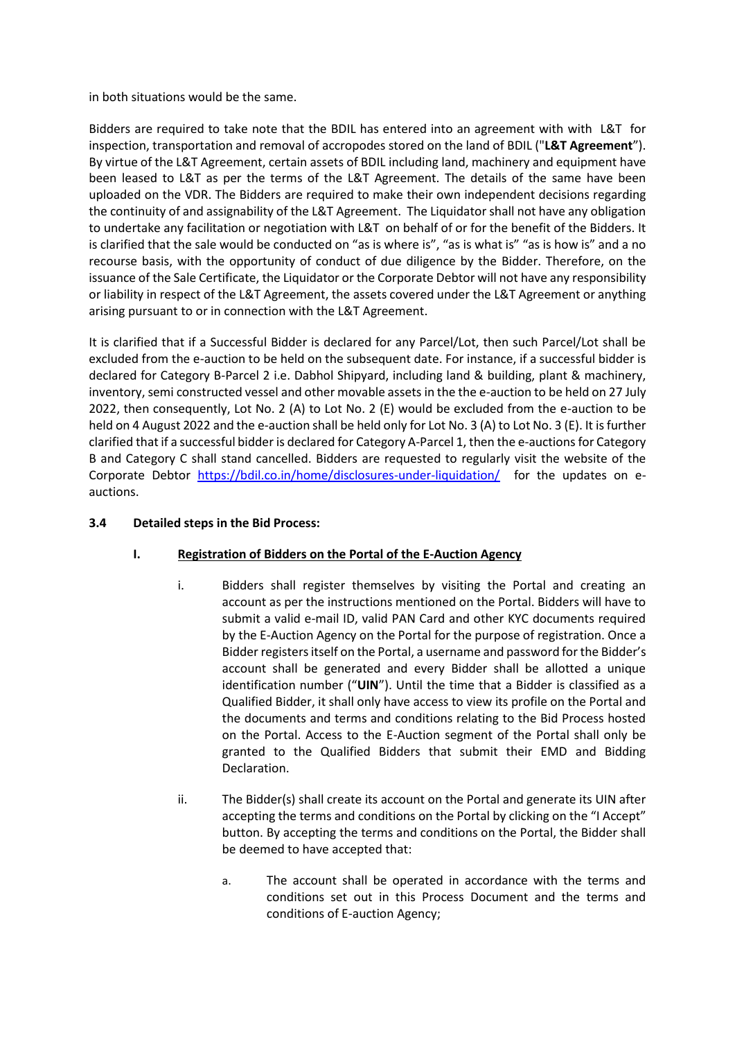in both situations would be the same.

Bidders are required to take note that the BDIL has entered into an agreement with with L&T for inspection, transportation and removal of accropodes stored on the land of BDIL ("**L&T Agreement**"). By virtue of the L&T Agreement, certain assets of BDIL including land, machinery and equipment have been leased to L&T as per the terms of the L&T Agreement. The details of the same have been uploaded on the VDR. The Bidders are required to make their own independent decisions regarding the continuity of and assignability of the L&T Agreement. The Liquidator shall not have any obligation to undertake any facilitation or negotiation with L&T on behalf of or for the benefit of the Bidders. It is clarified that the sale would be conducted on "as is where is", "as is what is" "as is how is" and a no recourse basis, with the opportunity of conduct of due diligence by the Bidder. Therefore, on the issuance of the Sale Certificate, the Liquidator or the Corporate Debtor will not have any responsibility or liability in respect of the L&T Agreement, the assets covered under the L&T Agreement or anything arising pursuant to or in connection with the L&T Agreement.

It is clarified that if a Successful Bidder is declared for any Parcel/Lot, then such Parcel/Lot shall be excluded from the e-auction to be held on the subsequent date. For instance, if a successful bidder is declared for Category B-Parcel 2 i.e. Dabhol Shipyard, including land & building, plant & machinery, inventory, semi constructed vessel and other movable assets in the the e-auction to be held on 27 July 2022, then consequently, Lot No. 2 (A) to Lot No. 2 (E) would be excluded from the e-auction to be held on 4 August 2022 and the e-auction shall be held only for Lot No. 3 (A) to Lot No. 3 (E). It is further clarified that if a successful bidder is declared for Category A-Parcel 1, then the e-auctions for Category B and Category C shall stand cancelled. Bidders are requested to regularly visit the website of the Corporate Debtor <https://bdil.co.in/home/disclosures-under-liquidation/> for the updates on eauctions.

### <span id="page-22-1"></span><span id="page-22-0"></span>**3.4 Detailed steps in the Bid Process:**

## **I. Registration of Bidders on the Portal of the E-Auction Agency**

- i. Bidders shall register themselves by visiting the Portal and creating an account as per the instructions mentioned on the Portal. Bidders will have to submit a valid e-mail ID, valid PAN Card and other KYC documents required by the E-Auction Agency on the Portal for the purpose of registration. Once a Bidder registers itself on the Portal, a username and password for the Bidder's account shall be generated and every Bidder shall be allotted a unique identification number ("**UIN**"). Until the time that a Bidder is classified as a Qualified Bidder, it shall only have access to view its profile on the Portal and the documents and terms and conditions relating to the Bid Process hosted on the Portal. Access to the E-Auction segment of the Portal shall only be granted to the Qualified Bidders that submit their EMD and Bidding Declaration.
- ii. The Bidder(s) shall create its account on the Portal and generate its UIN after accepting the terms and conditions on the Portal by clicking on the "I Accept" button. By accepting the terms and conditions on the Portal, the Bidder shall be deemed to have accepted that:
	- a. The account shall be operated in accordance with the terms and conditions set out in this Process Document and the terms and conditions of E-auction Agency;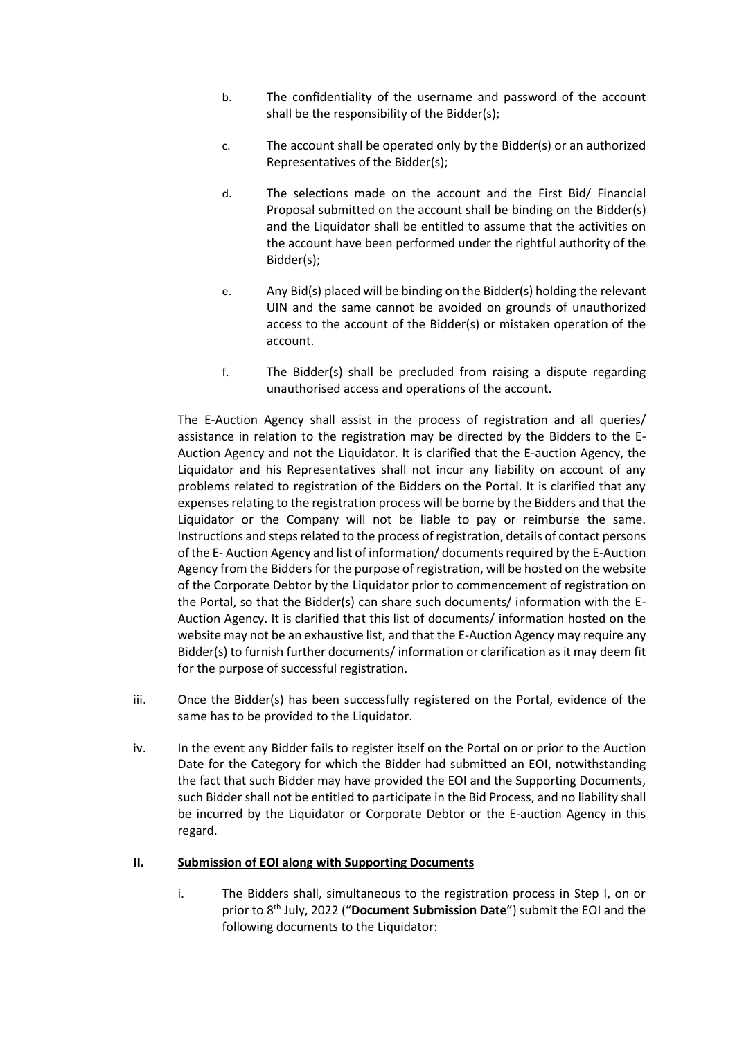- b. The confidentiality of the username and password of the account shall be the responsibility of the Bidder(s);
- c. The account shall be operated only by the Bidder(s) or an authorized Representatives of the Bidder(s);
- d. The selections made on the account and the First Bid/ Financial Proposal submitted on the account shall be binding on the Bidder(s) and the Liquidator shall be entitled to assume that the activities on the account have been performed under the rightful authority of the Bidder(s);
- e. Any Bid(s) placed will be binding on the Bidder(s) holding the relevant UIN and the same cannot be avoided on grounds of unauthorized access to the account of the Bidder(s) or mistaken operation of the account.
- f. The Bidder(s) shall be precluded from raising a dispute regarding unauthorised access and operations of the account.

The E-Auction Agency shall assist in the process of registration and all queries/ assistance in relation to the registration may be directed by the Bidders to the E-Auction Agency and not the Liquidator. It is clarified that the E-auction Agency, the Liquidator and his Representatives shall not incur any liability on account of any problems related to registration of the Bidders on the Portal. It is clarified that any expenses relating to the registration process will be borne by the Bidders and that the Liquidator or the Company will not be liable to pay or reimburse the same. Instructions and steps related to the process of registration, details of contact persons of the E- Auction Agency and list of information/ documents required by the E-Auction Agency from the Bidders for the purpose of registration, will be hosted on the website of the Corporate Debtor by the Liquidator prior to commencement of registration on the Portal, so that the Bidder(s) can share such documents/ information with the E-Auction Agency. It is clarified that this list of documents/ information hosted on the website may not be an exhaustive list, and that the E-Auction Agency may require any Bidder(s) to furnish further documents/ information or clarification as it may deem fit for the purpose of successful registration.

- iii. Once the Bidder(s) has been successfully registered on the Portal, evidence of the same has to be provided to the Liquidator.
- iv. In the event any Bidder fails to register itself on the Portal on or prior to the Auction Date for the Category for which the Bidder had submitted an EOI, notwithstanding the fact that such Bidder may have provided the EOI and the Supporting Documents, such Bidder shall not be entitled to participate in the Bid Process, and no liability shall be incurred by the Liquidator or Corporate Debtor or the E-auction Agency in this regard.

#### <span id="page-23-0"></span>**II. Submission of EOI along with Supporting Documents**

i. The Bidders shall, simultaneous to the registration process in Step I, on or prior to 8<sup>th</sup> July, 2022 ("Document Submission Date") submit the EOI and the following documents to the Liquidator: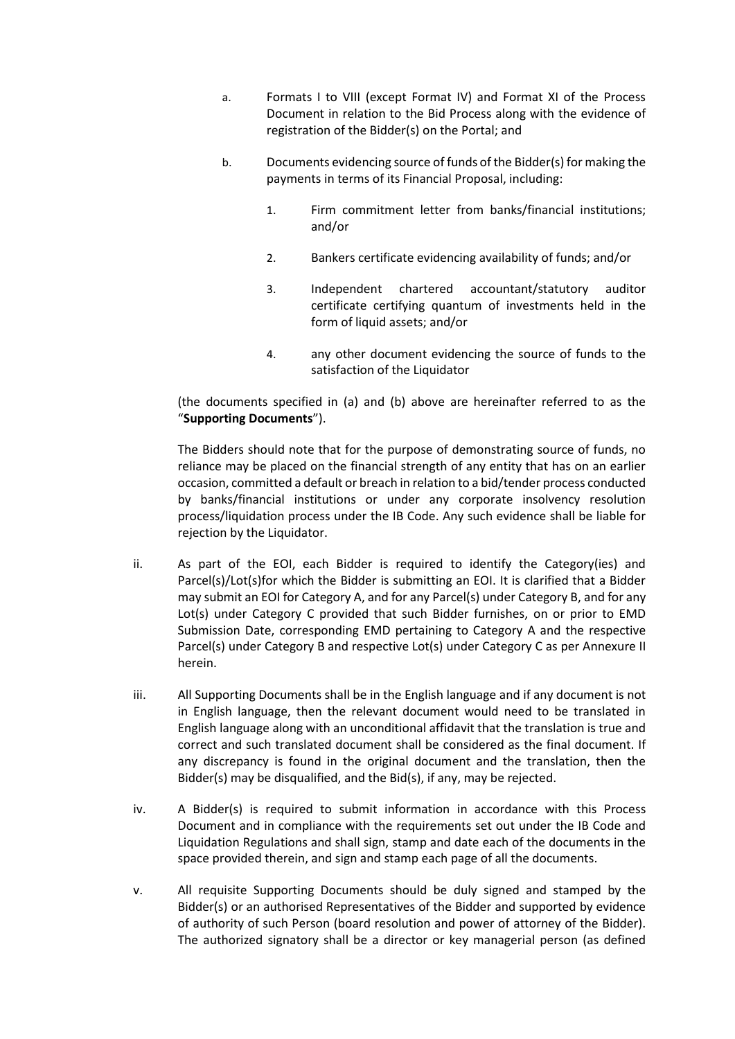- a. Formats I to VIII (except Format IV) and Format XI of the Process Document in relation to the Bid Process along with the evidence of registration of the Bidder(s) on the Portal; and
- b. Documents evidencing source of funds of the Bidder(s) for making the payments in terms of its Financial Proposal, including:
	- 1. Firm commitment letter from banks/financial institutions; and/or
	- 2. Bankers certificate evidencing availability of funds; and/or
	- 3. Independent chartered accountant/statutory auditor certificate certifying quantum of investments held in the form of liquid assets; and/or
	- 4. any other document evidencing the source of funds to the satisfaction of the Liquidator

(the documents specified in (a) and (b) above are hereinafter referred to as the "**Supporting Documents**").

The Bidders should note that for the purpose of demonstrating source of funds, no reliance may be placed on the financial strength of any entity that has on an earlier occasion, committed a default or breach in relation to a bid/tender process conducted by banks/financial institutions or under any corporate insolvency resolution process/liquidation process under the IB Code. Any such evidence shall be liable for rejection by the Liquidator.

- ii. As part of the EOI, each Bidder is required to identify the Category(ies) and Parcel(s)/Lot(s)for which the Bidder is submitting an EOI. It is clarified that a Bidder may submit an EOI for Category A, and for any Parcel(s) under Category B, and for any Lot(s) under Category C provided that such Bidder furnishes, on or prior to EMD Submission Date, corresponding EMD pertaining to Category A and the respective Parcel(s) under Category B and respective Lot(s) under Category C as per Annexure II herein.
- iii. All Supporting Documents shall be in the English language and if any document is not in English language, then the relevant document would need to be translated in English language along with an unconditional affidavit that the translation is true and correct and such translated document shall be considered as the final document. If any discrepancy is found in the original document and the translation, then the Bidder(s) may be disqualified, and the Bid(s), if any, may be rejected.
- iv. A Bidder(s) is required to submit information in accordance with this Process Document and in compliance with the requirements set out under the IB Code and Liquidation Regulations and shall sign, stamp and date each of the documents in the space provided therein, and sign and stamp each page of all the documents.
- v. All requisite Supporting Documents should be duly signed and stamped by the Bidder(s) or an authorised Representatives of the Bidder and supported by evidence of authority of such Person (board resolution and power of attorney of the Bidder). The authorized signatory shall be a director or key managerial person (as defined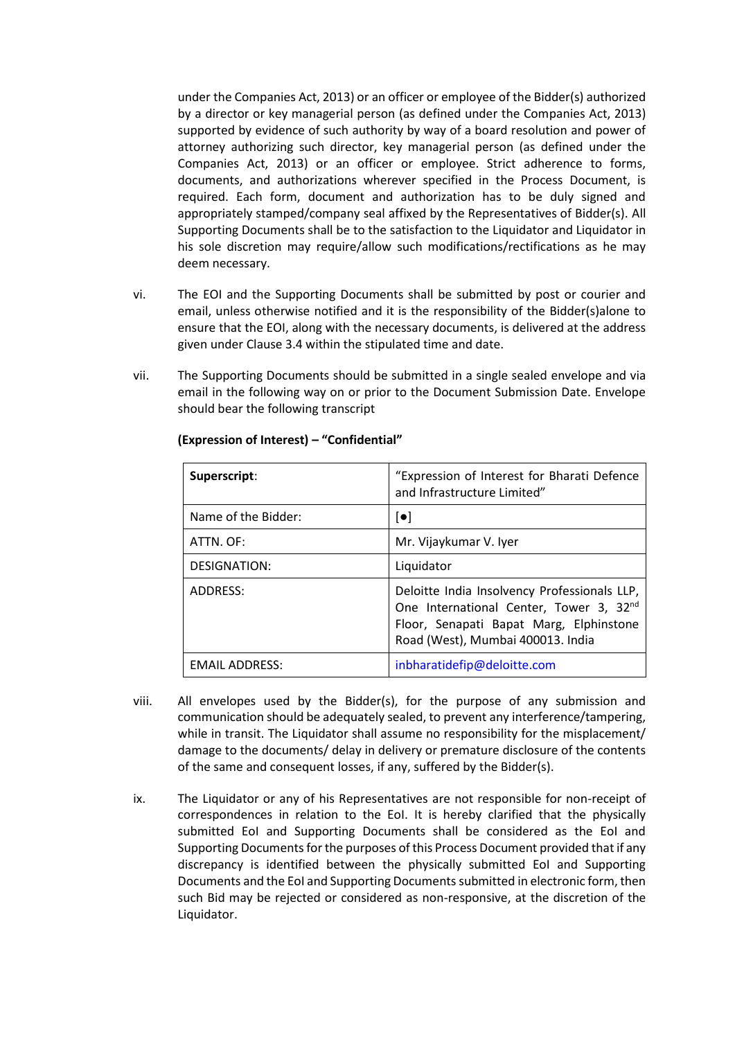under the Companies Act, 2013) or an officer or employee of the Bidder(s) authorized by a director or key managerial person (as defined under the Companies Act, 2013) supported by evidence of such authority by way of a board resolution and power of attorney authorizing such director, key managerial person (as defined under the Companies Act, 2013) or an officer or employee. Strict adherence to forms, documents, and authorizations wherever specified in the Process Document, is required. Each form, document and authorization has to be duly signed and appropriately stamped/company seal affixed by the Representatives of Bidder(s). All Supporting Documents shall be to the satisfaction to the Liquidator and Liquidator in his sole discretion may require/allow such modifications/rectifications as he may deem necessary.

- vi. The EOI and the Supporting Documents shall be submitted by post or courier and email, unless otherwise notified and it is the responsibility of the Bidder(s)alone to ensure that the EOI, along with the necessary documents, is delivered at the address given under Clause 3.4 within the stipulated time and date.
- vii. The Supporting Documents should be submitted in a single sealed envelope and via email in the following way on or prior to the Document Submission Date. Envelope should bear the following transcript

| Superscript:          | "Expression of Interest for Bharati Defence<br>and Infrastructure Limited"                                                                                              |
|-----------------------|-------------------------------------------------------------------------------------------------------------------------------------------------------------------------|
| Name of the Bidder:   | $\lbrack \bullet \rbrack$                                                                                                                                               |
| ATTN. OF:             | Mr. Vijaykumar V. Iyer                                                                                                                                                  |
| DESIGNATION:          | Liquidator                                                                                                                                                              |
| ADDRESS:              | Deloitte India Insolvency Professionals LLP,<br>One International Center, Tower 3, 32nd<br>Floor, Senapati Bapat Marg, Elphinstone<br>Road (West), Mumbai 400013. India |
| <b>EMAIL ADDRESS:</b> | inbharatidefip@deloitte.com                                                                                                                                             |

#### **(Expression of Interest) – "Confidential"**

- viii. All envelopes used by the Bidder(s), for the purpose of any submission and communication should be adequately sealed, to prevent any interference/tampering, while in transit. The Liquidator shall assume no responsibility for the misplacement/ damage to the documents/ delay in delivery or premature disclosure of the contents of the same and consequent losses, if any, suffered by the Bidder(s).
- ix. The Liquidator or any of his Representatives are not responsible for non-receipt of correspondences in relation to the EoI. It is hereby clarified that the physically submitted EoI and Supporting Documents shall be considered as the EoI and Supporting Documents for the purposes of this Process Document provided that if any discrepancy is identified between the physically submitted EoI and Supporting Documents and the EoI and Supporting Documents submitted in electronic form, then such Bid may be rejected or considered as non-responsive, at the discretion of the Liquidator.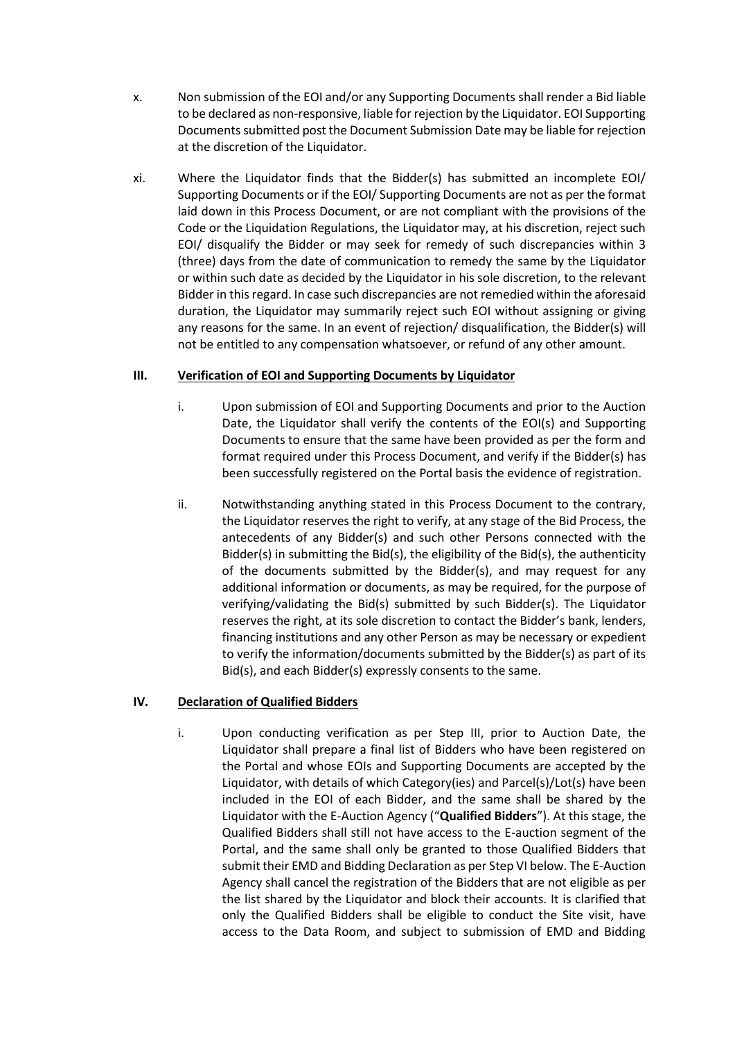- x. Non submission of the EOI and/or any Supporting Documents shall render a Bid liable to be declared as non-responsive, liable for rejection by the Liquidator. EOI Supporting Documents submitted post the Document Submission Date may be liable for rejection at the discretion of the Liquidator.
- xi. Where the Liquidator finds that the Bidder(s) has submitted an incomplete EOI/ Supporting Documents or if the EOI/ Supporting Documents are not as per the format laid down in this Process Document, or are not compliant with the provisions of the Code or the Liquidation Regulations, the Liquidator may, at his discretion, reject such EOI/ disqualify the Bidder or may seek for remedy of such discrepancies within 3 (three) days from the date of communication to remedy the same by the Liquidator or within such date as decided by the Liquidator in his sole discretion, to the relevant Bidder in this regard. In case such discrepancies are not remedied within the aforesaid duration, the Liquidator may summarily reject such EOI without assigning or giving any reasons for the same. In an event of rejection/ disqualification, the Bidder(s) will not be entitled to any compensation whatsoever, or refund of any other amount.

### <span id="page-26-0"></span>**III. Verification of EOI and Supporting Documents by Liquidator**

- i. Upon submission of EOI and Supporting Documents and prior to the Auction Date, the Liquidator shall verify the contents of the EOI(s) and Supporting Documents to ensure that the same have been provided as per the form and format required under this Process Document, and verify if the Bidder(s) has been successfully registered on the Portal basis the evidence of registration.
- ii. Notwithstanding anything stated in this Process Document to the contrary, the Liquidator reserves the right to verify, at any stage of the Bid Process, the antecedents of any Bidder(s) and such other Persons connected with the Bidder(s) in submitting the Bid(s), the eligibility of the Bid(s), the authenticity of the documents submitted by the Bidder(s), and may request for any additional information or documents, as may be required, for the purpose of verifying/validating the Bid(s) submitted by such Bidder(s). The Liquidator reserves the right, at its sole discretion to contact the Bidder's bank, lenders, financing institutions and any other Person as may be necessary or expedient to verify the information/documents submitted by the Bidder(s) as part of its Bid(s), and each Bidder(s) expressly consents to the same.

## <span id="page-26-1"></span>**IV. Declaration of Qualified Bidders**

i. Upon conducting verification as per Step III, prior to Auction Date, the Liquidator shall prepare a final list of Bidders who have been registered on the Portal and whose EOIs and Supporting Documents are accepted by the Liquidator, with details of which Category(ies) and Parcel(s)/Lot(s) have been included in the EOI of each Bidder, and the same shall be shared by the Liquidator with the E-Auction Agency ("**Qualified Bidders**"). At this stage, the Qualified Bidders shall still not have access to the E-auction segment of the Portal, and the same shall only be granted to those Qualified Bidders that submit their EMD and Bidding Declaration as per Step VI below. The E-Auction Agency shall cancel the registration of the Bidders that are not eligible as per the list shared by the Liquidator and block their accounts. It is clarified that only the Qualified Bidders shall be eligible to conduct the Site visit, have access to the Data Room, and subject to submission of EMD and Bidding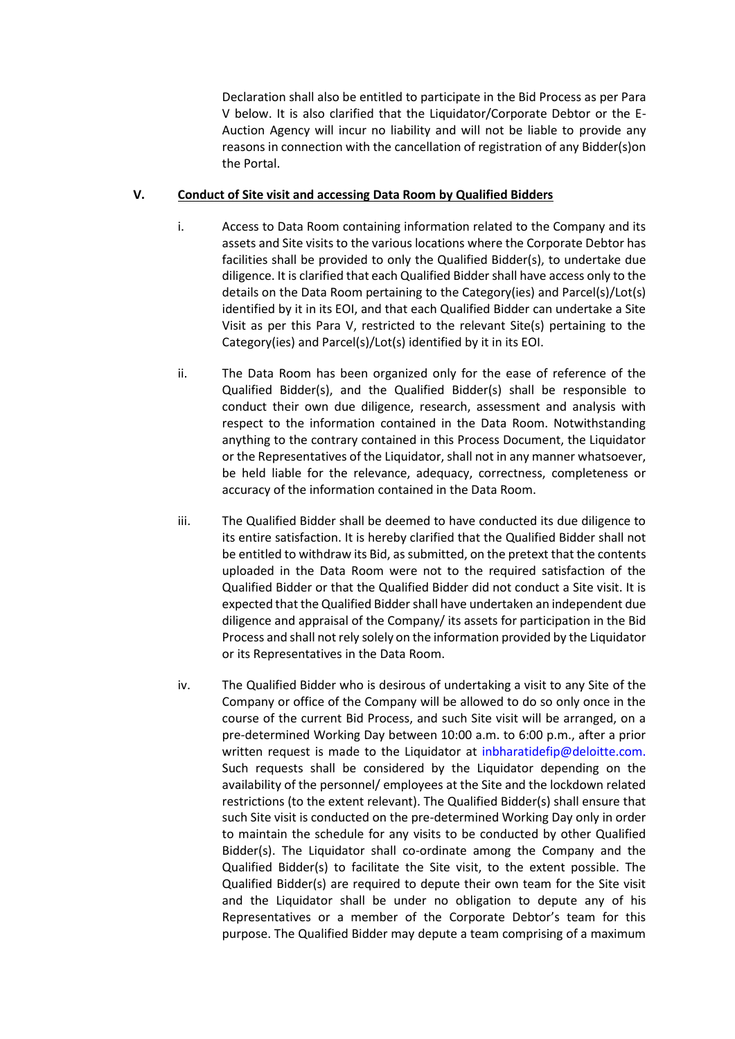Declaration shall also be entitled to participate in the Bid Process as per Para V below. It is also clarified that the Liquidator/Corporate Debtor or the E-Auction Agency will incur no liability and will not be liable to provide any reasons in connection with the cancellation of registration of any Bidder(s)on the Portal.

#### <span id="page-27-0"></span>**V. Conduct of Site visit and accessing Data Room by Qualified Bidders**

- i. Access to Data Room containing information related to the Company and its assets and Site visits to the various locations where the Corporate Debtor has facilities shall be provided to only the Qualified Bidder(s), to undertake due diligence. It is clarified that each Qualified Bidder shall have access only to the details on the Data Room pertaining to the Category(ies) and Parcel(s)/Lot(s) identified by it in its EOI, and that each Qualified Bidder can undertake a Site Visit as per this Para V, restricted to the relevant Site(s) pertaining to the Category(ies) and Parcel(s)/Lot(s) identified by it in its EOI.
- ii. The Data Room has been organized only for the ease of reference of the Qualified Bidder(s), and the Qualified Bidder(s) shall be responsible to conduct their own due diligence, research, assessment and analysis with respect to the information contained in the Data Room. Notwithstanding anything to the contrary contained in this Process Document, the Liquidator or the Representatives of the Liquidator, shall not in any manner whatsoever, be held liable for the relevance, adequacy, correctness, completeness or accuracy of the information contained in the Data Room.
- iii. The Qualified Bidder shall be deemed to have conducted its due diligence to its entire satisfaction. It is hereby clarified that the Qualified Bidder shall not be entitled to withdraw its Bid, as submitted, on the pretext that the contents uploaded in the Data Room were not to the required satisfaction of the Qualified Bidder or that the Qualified Bidder did not conduct a Site visit. It is expected that the Qualified Bidder shall have undertaken an independent due diligence and appraisal of the Company/ its assets for participation in the Bid Process and shall not rely solely on the information provided by the Liquidator or its Representatives in the Data Room.
- iv. The Qualified Bidder who is desirous of undertaking a visit to any Site of the Company or office of the Company will be allowed to do so only once in the course of the current Bid Process, and such Site visit will be arranged, on a pre-determined Working Day between 10:00 a.m. to 6:00 p.m., after a prior written request is made to the Liquidator at inbharatidefip@deloitte.com. Such requests shall be considered by the Liquidator depending on the availability of the personnel/ employees at the Site and the lockdown related restrictions (to the extent relevant). The Qualified Bidder(s) shall ensure that such Site visit is conducted on the pre-determined Working Day only in order to maintain the schedule for any visits to be conducted by other Qualified Bidder(s). The Liquidator shall co-ordinate among the Company and the Qualified Bidder(s) to facilitate the Site visit, to the extent possible. The Qualified Bidder(s) are required to depute their own team for the Site visit and the Liquidator shall be under no obligation to depute any of his Representatives or a member of the Corporate Debtor's team for this purpose. The Qualified Bidder may depute a team comprising of a maximum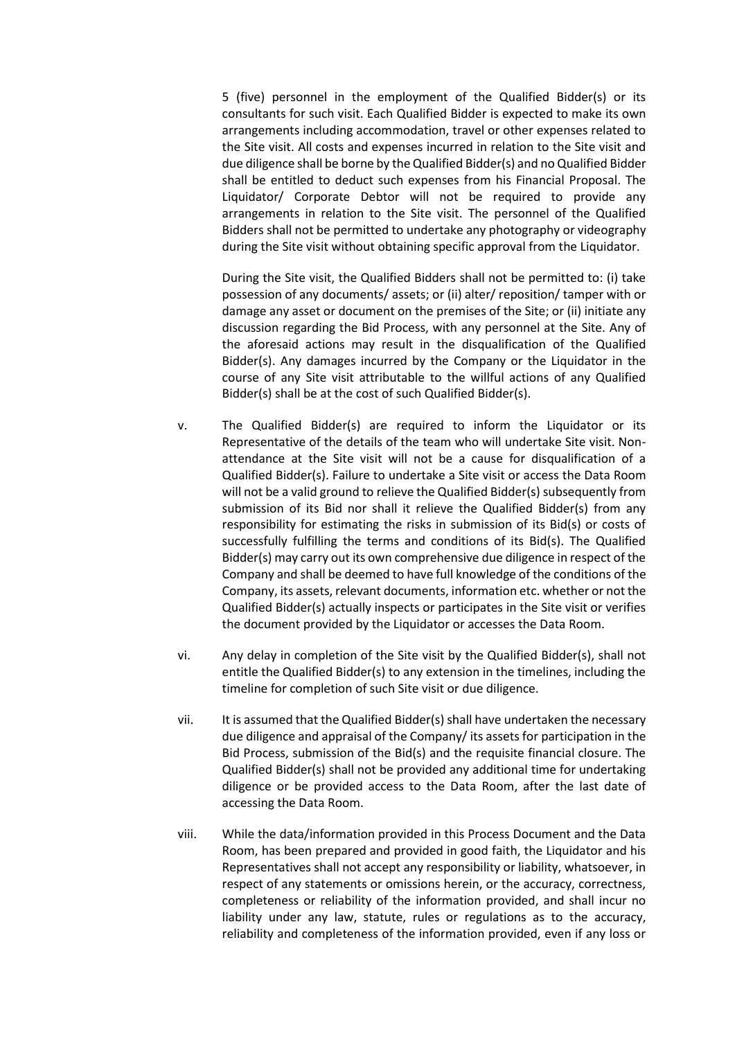5 (five) personnel in the employment of the Qualified Bidder(s) or its consultants for such visit. Each Qualified Bidder is expected to make its own arrangements including accommodation, travel or other expenses related to the Site visit. All costs and expenses incurred in relation to the Site visit and due diligence shall be borne by the Qualified Bidder(s) and no Qualified Bidder shall be entitled to deduct such expenses from his Financial Proposal. The Liquidator/ Corporate Debtor will not be required to provide any arrangements in relation to the Site visit. The personnel of the Qualified Bidders shall not be permitted to undertake any photography or videography during the Site visit without obtaining specific approval from the Liquidator.

During the Site visit, the Qualified Bidders shall not be permitted to: (i) take possession of any documents/ assets; or (ii) alter/ reposition/ tamper with or damage any asset or document on the premises of the Site; or (ii) initiate any discussion regarding the Bid Process, with any personnel at the Site. Any of the aforesaid actions may result in the disqualification of the Qualified Bidder(s). Any damages incurred by the Company or the Liquidator in the course of any Site visit attributable to the willful actions of any Qualified Bidder(s) shall be at the cost of such Qualified Bidder(s).

- v. The Qualified Bidder(s) are required to inform the Liquidator or its Representative of the details of the team who will undertake Site visit. Nonattendance at the Site visit will not be a cause for disqualification of a Qualified Bidder(s). Failure to undertake a Site visit or access the Data Room will not be a valid ground to relieve the Qualified Bidder(s) subsequently from submission of its Bid nor shall it relieve the Qualified Bidder(s) from any responsibility for estimating the risks in submission of its Bid(s) or costs of successfully fulfilling the terms and conditions of its Bid(s). The Qualified Bidder(s) may carry out its own comprehensive due diligence in respect of the Company and shall be deemed to have full knowledge of the conditions of the Company, its assets, relevant documents, information etc. whether or not the Qualified Bidder(s) actually inspects or participates in the Site visit or verifies the document provided by the Liquidator or accesses the Data Room.
- vi. Any delay in completion of the Site visit by the Qualified Bidder(s), shall not entitle the Qualified Bidder(s) to any extension in the timelines, including the timeline for completion of such Site visit or due diligence.
- vii. It is assumed that the Qualified Bidder(s) shall have undertaken the necessary due diligence and appraisal of the Company/ its assets for participation in the Bid Process, submission of the Bid(s) and the requisite financial closure. The Qualified Bidder(s) shall not be provided any additional time for undertaking diligence or be provided access to the Data Room, after the last date of accessing the Data Room.
- viii. While the data/information provided in this Process Document and the Data Room, has been prepared and provided in good faith, the Liquidator and his Representatives shall not accept any responsibility or liability, whatsoever, in respect of any statements or omissions herein, or the accuracy, correctness, completeness or reliability of the information provided, and shall incur no liability under any law, statute, rules or regulations as to the accuracy, reliability and completeness of the information provided, even if any loss or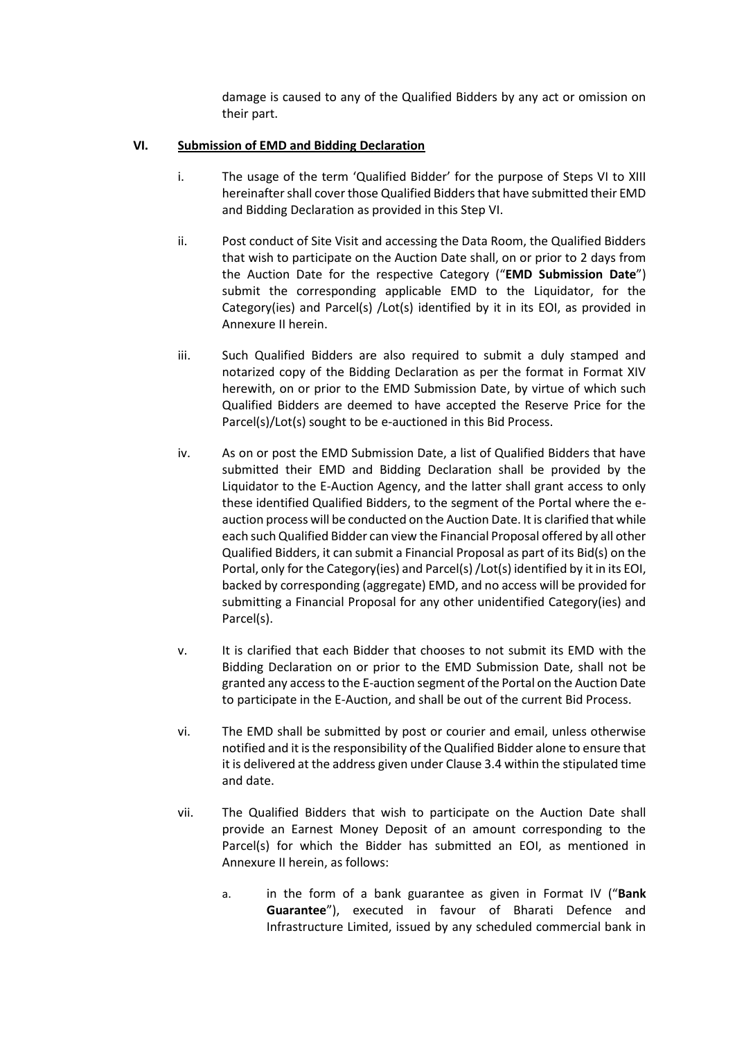damage is caused to any of the Qualified Bidders by any act or omission on their part.

## <span id="page-29-0"></span>**VI. Submission of EMD and Bidding Declaration**

- i. The usage of the term 'Qualified Bidder' for the purpose of Steps VI to XIII hereinafter shall cover those Qualified Bidders that have submitted their EMD and Bidding Declaration as provided in this Step VI.
- ii. Post conduct of Site Visit and accessing the Data Room, the Qualified Bidders that wish to participate on the Auction Date shall, on or prior to 2 days from the Auction Date for the respective Category ("**EMD Submission Date**") submit the corresponding applicable EMD to the Liquidator, for the Category(ies) and Parcel(s) /Lot(s) identified by it in its EOI, as provided in Annexure II herein.
- iii. Such Qualified Bidders are also required to submit a duly stamped and notarized copy of the Bidding Declaration as per the format in Format XIV herewith, on or prior to the EMD Submission Date, by virtue of which such Qualified Bidders are deemed to have accepted the Reserve Price for the Parcel(s)/Lot(s) sought to be e-auctioned in this Bid Process.
- iv. As on or post the EMD Submission Date, a list of Qualified Bidders that have submitted their EMD and Bidding Declaration shall be provided by the Liquidator to the E-Auction Agency, and the latter shall grant access to only these identified Qualified Bidders, to the segment of the Portal where the eauction process will be conducted on the Auction Date. It is clarified that while each such Qualified Bidder can view the Financial Proposal offered by all other Qualified Bidders, it can submit a Financial Proposal as part of its Bid(s) on the Portal, only for the Category(ies) and Parcel(s) /Lot(s) identified by it in its EOI, backed by corresponding (aggregate) EMD, and no access will be provided for submitting a Financial Proposal for any other unidentified Category(ies) and Parcel(s).
- v. It is clarified that each Bidder that chooses to not submit its EMD with the Bidding Declaration on or prior to the EMD Submission Date, shall not be granted any access to the E-auction segment of the Portal on the Auction Date to participate in the E-Auction, and shall be out of the current Bid Process.
- vi. The EMD shall be submitted by post or courier and email, unless otherwise notified and it is the responsibility of the Qualified Bidder alone to ensure that it is delivered at the address given under Clause 3.4 within the stipulated time and date.
- vii. The Qualified Bidders that wish to participate on the Auction Date shall provide an Earnest Money Deposit of an amount corresponding to the Parcel(s) for which the Bidder has submitted an EOI, as mentioned in Annexure II herein, as follows:
	- a. in the form of a bank guarantee as given in Format IV ("**Bank Guarantee**"), executed in favour of Bharati Defence and Infrastructure Limited, issued by any scheduled commercial bank in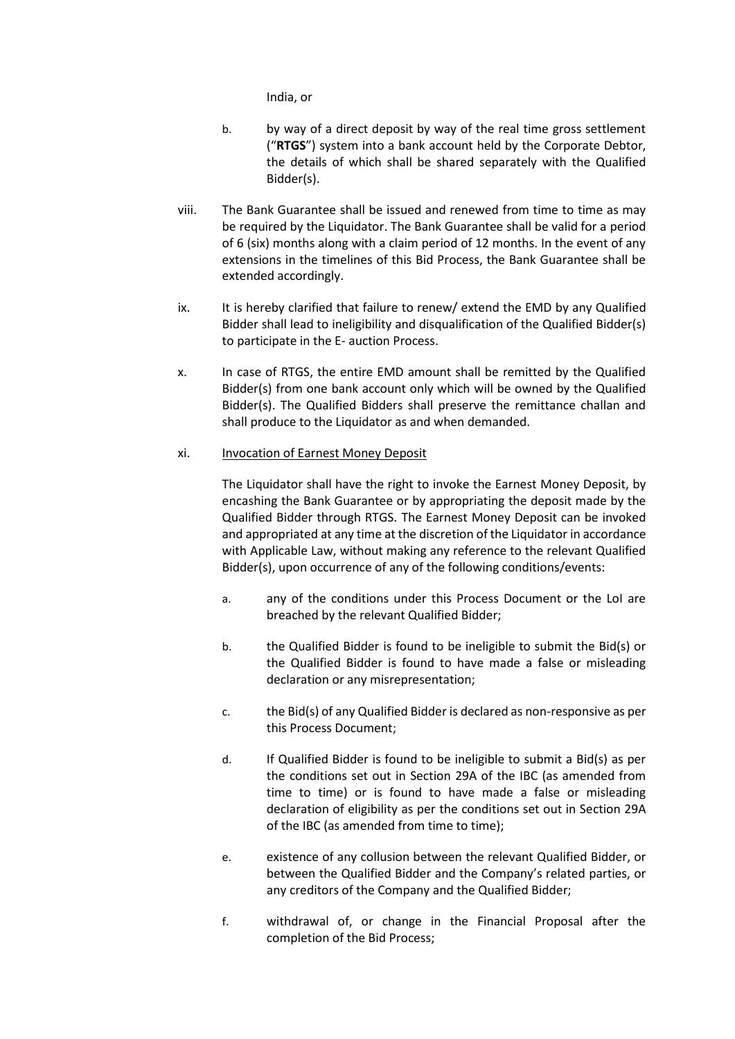India, or

- b. by way of a direct deposit by way of the real time gross settlement ("**RTGS**") system into a bank account held by the Corporate Debtor, the details of which shall be shared separately with the Qualified Bidder(s).
- viii. The Bank Guarantee shall be issued and renewed from time to time as may be required by the Liquidator. The Bank Guarantee shall be valid for a period of 6 (six) months along with a claim period of 12 months. In the event of any extensions in the timelines of this Bid Process, the Bank Guarantee shall be extended accordingly.
- ix. It is hereby clarified that failure to renew/ extend the EMD by any Qualified Bidder shall lead to ineligibility and disqualification of the Qualified Bidder(s) to participate in the E- auction Process.
- x. In case of RTGS, the entire EMD amount shall be remitted by the Qualified Bidder(s) from one bank account only which will be owned by the Qualified Bidder(s). The Qualified Bidders shall preserve the remittance challan and shall produce to the Liquidator as and when demanded.

### xi. Invocation of Earnest Money Deposit

The Liquidator shall have the right to invoke the Earnest Money Deposit, by encashing the Bank Guarantee or by appropriating the deposit made by the Qualified Bidder through RTGS. The Earnest Money Deposit can be invoked and appropriated at any time at the discretion of the Liquidator in accordance with Applicable Law, without making any reference to the relevant Qualified Bidder(s), upon occurrence of any of the following conditions/events:

- a. any of the conditions under this Process Document or the LoI are breached by the relevant Qualified Bidder;
- b. the Qualified Bidder is found to be ineligible to submit the Bid(s) or the Qualified Bidder is found to have made a false or misleading declaration or any misrepresentation;
- c. the Bid(s) of any Qualified Bidder is declared as non-responsive as per this Process Document;
- d. If Qualified Bidder is found to be ineligible to submit a Bid(s) as per the conditions set out in Section 29A of the IBC (as amended from time to time) or is found to have made a false or misleading declaration of eligibility as per the conditions set out in Section 29A of the IBC (as amended from time to time);
- e. existence of any collusion between the relevant Qualified Bidder, or between the Qualified Bidder and the Company's related parties, or any creditors of the Company and the Qualified Bidder;
- f. withdrawal of, or change in the Financial Proposal after the completion of the Bid Process;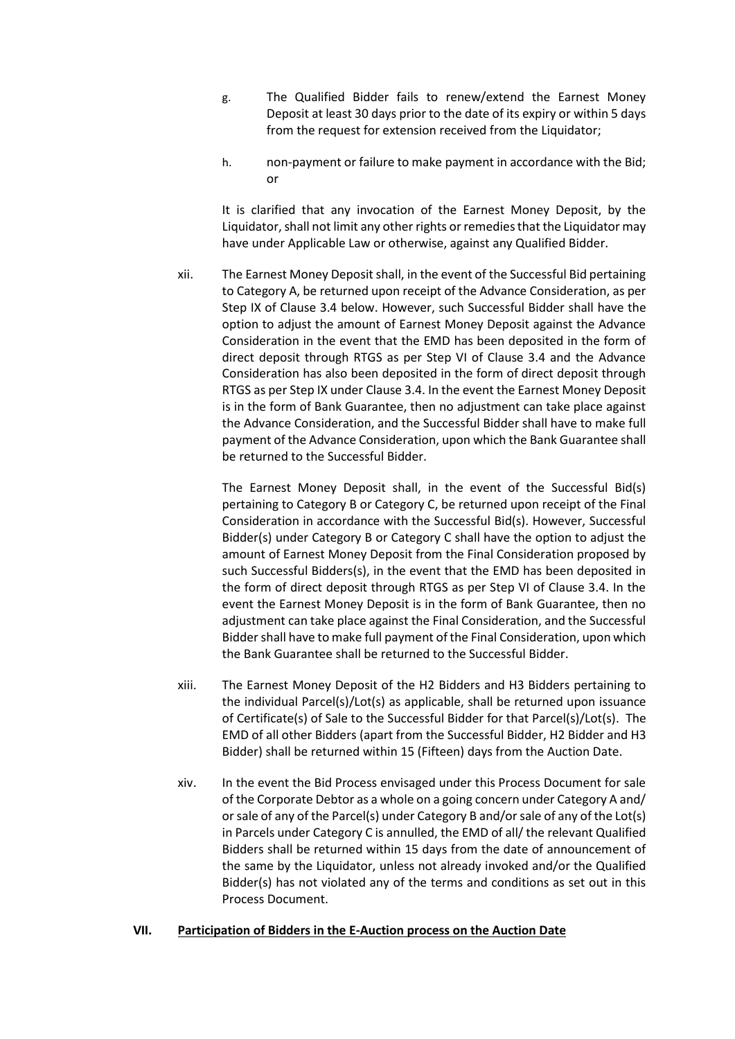- g. The Qualified Bidder fails to renew/extend the Earnest Money Deposit at least 30 days prior to the date of its expiry or within 5 days from the request for extension received from the Liquidator;
- h. non-payment or failure to make payment in accordance with the Bid; or

It is clarified that any invocation of the Earnest Money Deposit, by the Liquidator, shall not limit any other rights or remedies that the Liquidator may have under Applicable Law or otherwise, against any Qualified Bidder.

xii. The Earnest Money Deposit shall, in the event of the Successful Bid pertaining to Category A, be returned upon receipt of the Advance Consideration, as per Step IX of Clause 3.4 below. However, such Successful Bidder shall have the option to adjust the amount of Earnest Money Deposit against the Advance Consideration in the event that the EMD has been deposited in the form of direct deposit through RTGS as per Step VI of Clause 3.4 and the Advance Consideration has also been deposited in the form of direct deposit through RTGS as per Step IX under Clause 3.4. In the event the Earnest Money Deposit is in the form of Bank Guarantee, then no adjustment can take place against the Advance Consideration, and the Successful Bidder shall have to make full payment of the Advance Consideration, upon which the Bank Guarantee shall be returned to the Successful Bidder.

The Earnest Money Deposit shall, in the event of the Successful Bid(s) pertaining to Category B or Category C, be returned upon receipt of the Final Consideration in accordance with the Successful Bid(s). However, Successful Bidder(s) under Category B or Category C shall have the option to adjust the amount of Earnest Money Deposit from the Final Consideration proposed by such Successful Bidders(s), in the event that the EMD has been deposited in the form of direct deposit through RTGS as per Step VI of Clause 3.4. In the event the Earnest Money Deposit is in the form of Bank Guarantee, then no adjustment can take place against the Final Consideration, and the Successful Bidder shall have to make full payment of the Final Consideration, upon which the Bank Guarantee shall be returned to the Successful Bidder.

- xiii. The Earnest Money Deposit of the H2 Bidders and H3 Bidders pertaining to the individual Parcel(s)/Lot(s) as applicable, shall be returned upon issuance of Certificate(s) of Sale to the Successful Bidder for that Parcel(s)/Lot(s). The EMD of all other Bidders (apart from the Successful Bidder, H2 Bidder and H3 Bidder) shall be returned within 15 (Fifteen) days from the Auction Date.
- xiv. In the event the Bid Process envisaged under this Process Document for sale of the Corporate Debtor as a whole on a going concern under Category A and/ or sale of any of the Parcel(s) under Category B and/or sale of any of the Lot(s) in Parcels under Category C is annulled, the EMD of all/ the relevant Qualified Bidders shall be returned within 15 days from the date of announcement of the same by the Liquidator, unless not already invoked and/or the Qualified Bidder(s) has not violated any of the terms and conditions as set out in this Process Document.

#### <span id="page-31-0"></span>**VII. Participation of Bidders in the E-Auction process on the Auction Date**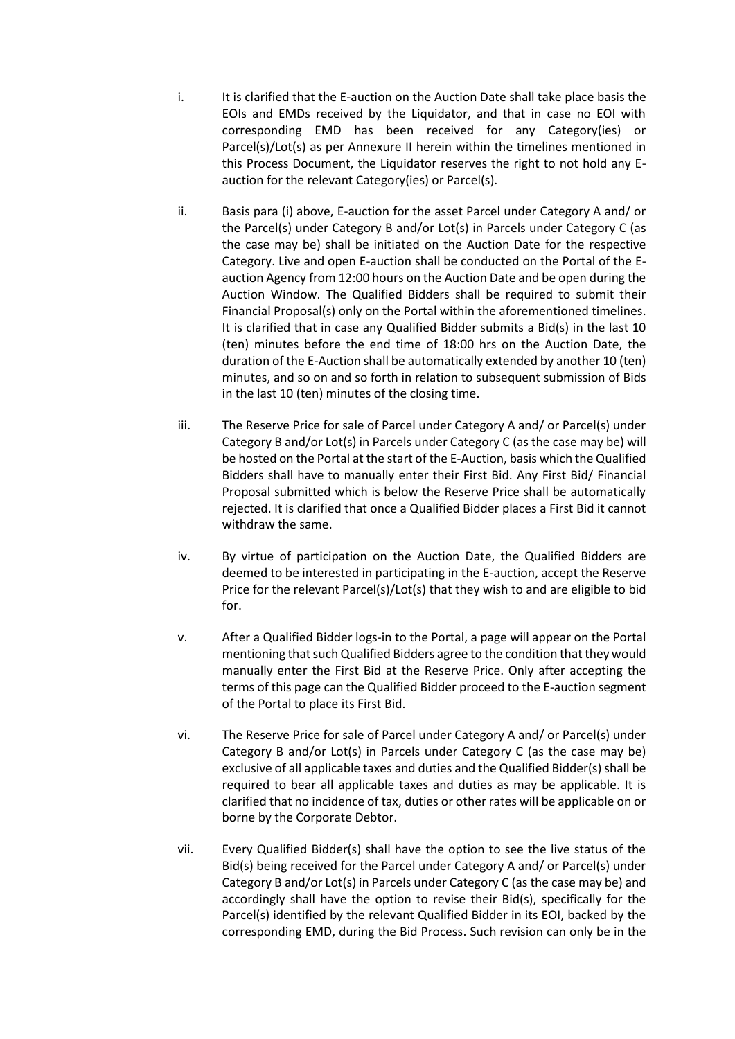- i. It is clarified that the E-auction on the Auction Date shall take place basis the EOIs and EMDs received by the Liquidator, and that in case no EOI with corresponding EMD has been received for any Category(ies) or Parcel(s)/Lot(s) as per Annexure II herein within the timelines mentioned in this Process Document, the Liquidator reserves the right to not hold any Eauction for the relevant Category(ies) or Parcel(s).
- ii. Basis para (i) above, E-auction for the asset Parcel under Category A and/ or the Parcel(s) under Category B and/or Lot(s) in Parcels under Category C (as the case may be) shall be initiated on the Auction Date for the respective Category. Live and open E-auction shall be conducted on the Portal of the Eauction Agency from 12:00 hours on the Auction Date and be open during the Auction Window. The Qualified Bidders shall be required to submit their Financial Proposal(s) only on the Portal within the aforementioned timelines. It is clarified that in case any Qualified Bidder submits a Bid(s) in the last 10 (ten) minutes before the end time of 18:00 hrs on the Auction Date, the duration of the E-Auction shall be automatically extended by another 10 (ten) minutes, and so on and so forth in relation to subsequent submission of Bids in the last 10 (ten) minutes of the closing time.
- iii. The Reserve Price for sale of Parcel under Category A and/ or Parcel(s) under Category B and/or Lot(s) in Parcels under Category C (as the case may be) will be hosted on the Portal at the start of the E-Auction, basis which the Qualified Bidders shall have to manually enter their First Bid. Any First Bid/ Financial Proposal submitted which is below the Reserve Price shall be automatically rejected. It is clarified that once a Qualified Bidder places a First Bid it cannot withdraw the same.
- iv. By virtue of participation on the Auction Date, the Qualified Bidders are deemed to be interested in participating in the E-auction, accept the Reserve Price for the relevant Parcel(s)/Lot(s) that they wish to and are eligible to bid for.
- v. After a Qualified Bidder logs-in to the Portal, a page will appear on the Portal mentioning that such Qualified Bidders agree to the condition that they would manually enter the First Bid at the Reserve Price. Only after accepting the terms of this page can the Qualified Bidder proceed to the E-auction segment of the Portal to place its First Bid.
- vi. The Reserve Price for sale of Parcel under Category A and/ or Parcel(s) under Category B and/or Lot(s) in Parcels under Category C (as the case may be) exclusive of all applicable taxes and duties and the Qualified Bidder(s) shall be required to bear all applicable taxes and duties as may be applicable. It is clarified that no incidence of tax, duties or other rates will be applicable on or borne by the Corporate Debtor.
- vii. Every Qualified Bidder(s) shall have the option to see the live status of the Bid(s) being received for the Parcel under Category A and/ or Parcel(s) under Category B and/or Lot(s) in Parcels under Category C (as the case may be) and accordingly shall have the option to revise their Bid(s), specifically for the Parcel(s) identified by the relevant Qualified Bidder in its EOI, backed by the corresponding EMD, during the Bid Process. Such revision can only be in the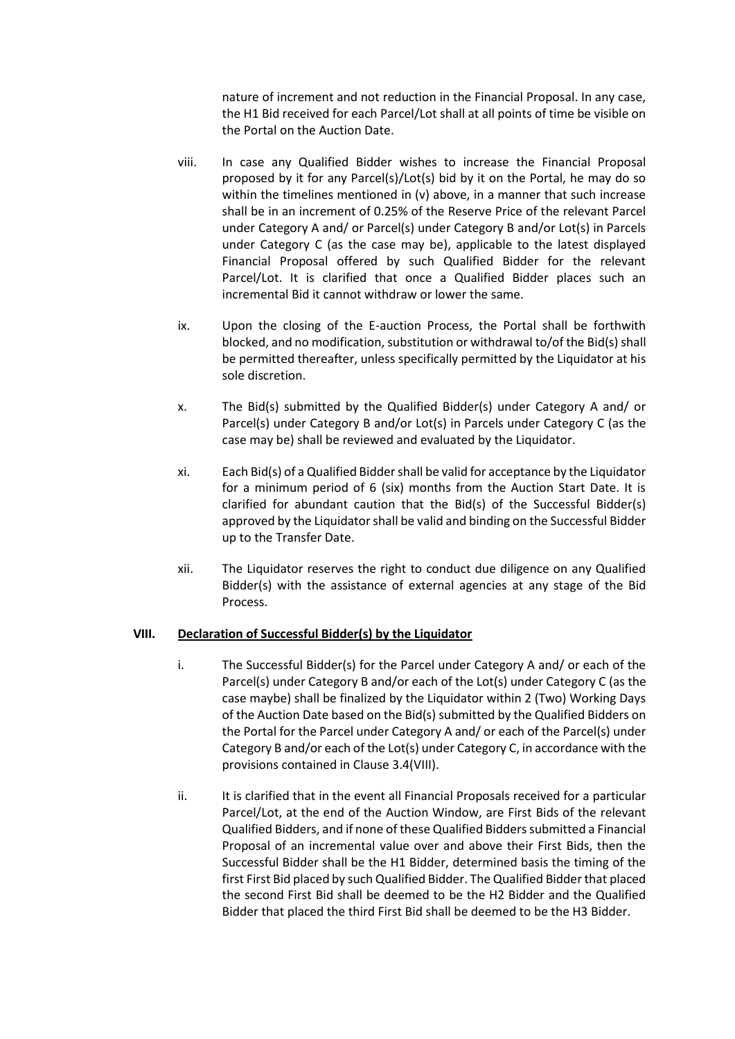nature of increment and not reduction in the Financial Proposal. In any case, the H1 Bid received for each Parcel/Lot shall at all points of time be visible on the Portal on the Auction Date.

- viii. In case any Qualified Bidder wishes to increase the Financial Proposal proposed by it for any Parcel(s)/Lot(s) bid by it on the Portal, he may do so within the timelines mentioned in (v) above, in a manner that such increase shall be in an increment of 0.25% of the Reserve Price of the relevant Parcel under Category A and/ or Parcel(s) under Category B and/or Lot(s) in Parcels under Category C (as the case may be), applicable to the latest displayed Financial Proposal offered by such Qualified Bidder for the relevant Parcel/Lot. It is clarified that once a Qualified Bidder places such an incremental Bid it cannot withdraw or lower the same.
- ix. Upon the closing of the E-auction Process, the Portal shall be forthwith blocked, and no modification, substitution or withdrawal to/of the Bid(s) shall be permitted thereafter, unless specifically permitted by the Liquidator at his sole discretion.
- x. The Bid(s) submitted by the Qualified Bidder(s) under Category A and/ or Parcel(s) under Category B and/or Lot(s) in Parcels under Category C (as the case may be) shall be reviewed and evaluated by the Liquidator.
- xi. Each Bid(s) of a Qualified Bidder shall be valid for acceptance by the Liquidator for a minimum period of 6 (six) months from the Auction Start Date. It is clarified for abundant caution that the Bid(s) of the Successful Bidder(s) approved by the Liquidator shall be valid and binding on the Successful Bidder up to the Transfer Date.
- xii. The Liquidator reserves the right to conduct due diligence on any Qualified Bidder(s) with the assistance of external agencies at any stage of the Bid Process.

#### **VIII. Declaration of Successful Bidder(s) by the Liquidator**

- i. The Successful Bidder(s) for the Parcel under Category A and/ or each of the Parcel(s) under Category B and/or each of the Lot(s) under Category C (as the case maybe) shall be finalized by the Liquidator within 2 (Two) Working Days of the Auction Date based on the Bid(s) submitted by the Qualified Bidders on the Portal for the Parcel under Category A and/ or each of the Parcel(s) under Category B and/or each of the Lot(s) under Category C, in accordance with the provisions contained in Clause 3.4(VIII).
- ii. It is clarified that in the event all Financial Proposals received for a particular Parcel/Lot, at the end of the Auction Window, are First Bids of the relevant Qualified Bidders, and if none of these Qualified Bidders submitted a Financial Proposal of an incremental value over and above their First Bids, then the Successful Bidder shall be the H1 Bidder, determined basis the timing of the first First Bid placed by such Qualified Bidder. The Qualified Bidder that placed the second First Bid shall be deemed to be the H2 Bidder and the Qualified Bidder that placed the third First Bid shall be deemed to be the H3 Bidder.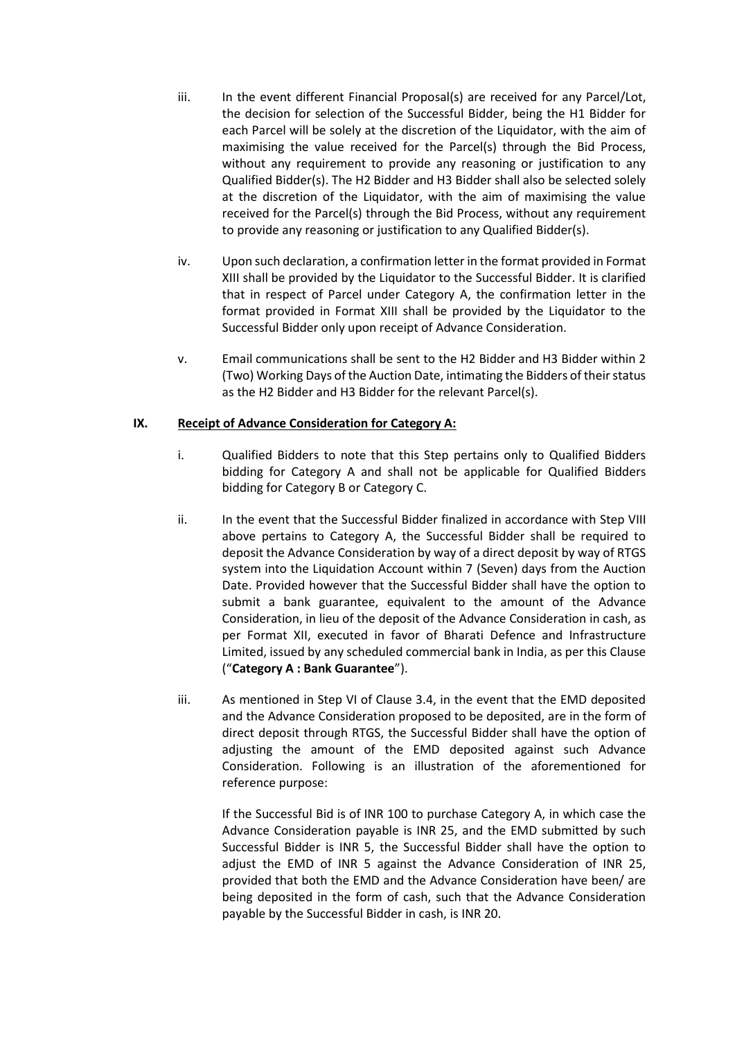- iii. In the event different Financial Proposal(s) are received for any Parcel/Lot, the decision for selection of the Successful Bidder, being the H1 Bidder for each Parcel will be solely at the discretion of the Liquidator, with the aim of maximising the value received for the Parcel(s) through the Bid Process, without any requirement to provide any reasoning or justification to any Qualified Bidder(s). The H2 Bidder and H3 Bidder shall also be selected solely at the discretion of the Liquidator, with the aim of maximising the value received for the Parcel(s) through the Bid Process, without any requirement to provide any reasoning or justification to any Qualified Bidder(s).
- iv. Upon such declaration, a confirmation letter in the format provided in Format XIII shall be provided by the Liquidator to the Successful Bidder. It is clarified that in respect of Parcel under Category A, the confirmation letter in the format provided in Format XIII shall be provided by the Liquidator to the Successful Bidder only upon receipt of Advance Consideration.
- v. Email communications shall be sent to the H2 Bidder and H3 Bidder within 2 (Two) Working Days of the Auction Date, intimating the Bidders of their status as the H2 Bidder and H3 Bidder for the relevant Parcel(s).

### **IX. Receipt of Advance Consideration for Category A:**

- i. Qualified Bidders to note that this Step pertains only to Qualified Bidders bidding for Category A and shall not be applicable for Qualified Bidders bidding for Category B or Category C.
- ii. In the event that the Successful Bidder finalized in accordance with Step VIII above pertains to Category A, the Successful Bidder shall be required to deposit the Advance Consideration by way of a direct deposit by way of RTGS system into the Liquidation Account within 7 (Seven) days from the Auction Date. Provided however that the Successful Bidder shall have the option to submit a bank guarantee, equivalent to the amount of the Advance Consideration, in lieu of the deposit of the Advance Consideration in cash, as per Format XII, executed in favor of Bharati Defence and Infrastructure Limited, issued by any scheduled commercial bank in India, as per this Clause ("**Category A : Bank Guarantee**").
- iii. As mentioned in Step VI of Clause 3.4, in the event that the EMD deposited and the Advance Consideration proposed to be deposited, are in the form of direct deposit through RTGS, the Successful Bidder shall have the option of adjusting the amount of the EMD deposited against such Advance Consideration. Following is an illustration of the aforementioned for reference purpose:

If the Successful Bid is of INR 100 to purchase Category A, in which case the Advance Consideration payable is INR 25, and the EMD submitted by such Successful Bidder is INR 5, the Successful Bidder shall have the option to adjust the EMD of INR 5 against the Advance Consideration of INR 25, provided that both the EMD and the Advance Consideration have been/ are being deposited in the form of cash, such that the Advance Consideration payable by the Successful Bidder in cash, is INR 20.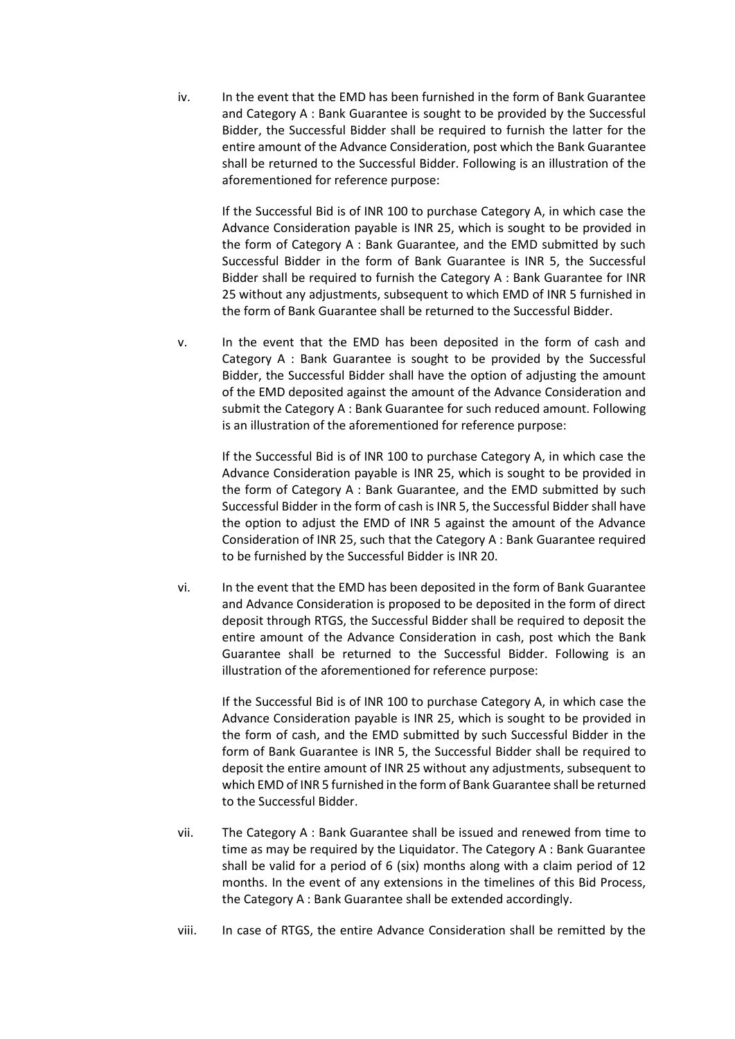iv. In the event that the EMD has been furnished in the form of Bank Guarantee and Category A : Bank Guarantee is sought to be provided by the Successful Bidder, the Successful Bidder shall be required to furnish the latter for the entire amount of the Advance Consideration, post which the Bank Guarantee shall be returned to the Successful Bidder. Following is an illustration of the aforementioned for reference purpose:

If the Successful Bid is of INR 100 to purchase Category A, in which case the Advance Consideration payable is INR 25, which is sought to be provided in the form of Category A : Bank Guarantee, and the EMD submitted by such Successful Bidder in the form of Bank Guarantee is INR 5, the Successful Bidder shall be required to furnish the Category A : Bank Guarantee for INR 25 without any adjustments, subsequent to which EMD of INR 5 furnished in the form of Bank Guarantee shall be returned to the Successful Bidder.

v. In the event that the EMD has been deposited in the form of cash and Category A : Bank Guarantee is sought to be provided by the Successful Bidder, the Successful Bidder shall have the option of adjusting the amount of the EMD deposited against the amount of the Advance Consideration and submit the Category A : Bank Guarantee for such reduced amount. Following is an illustration of the aforementioned for reference purpose:

> If the Successful Bid is of INR 100 to purchase Category A, in which case the Advance Consideration payable is INR 25, which is sought to be provided in the form of Category A : Bank Guarantee, and the EMD submitted by such Successful Bidder in the form of cash is INR 5, the Successful Bidder shall have the option to adjust the EMD of INR 5 against the amount of the Advance Consideration of INR 25, such that the Category A : Bank Guarantee required to be furnished by the Successful Bidder is INR 20.

vi. In the event that the EMD has been deposited in the form of Bank Guarantee and Advance Consideration is proposed to be deposited in the form of direct deposit through RTGS, the Successful Bidder shall be required to deposit the entire amount of the Advance Consideration in cash, post which the Bank Guarantee shall be returned to the Successful Bidder. Following is an illustration of the aforementioned for reference purpose:

If the Successful Bid is of INR 100 to purchase Category A, in which case the Advance Consideration payable is INR 25, which is sought to be provided in the form of cash, and the EMD submitted by such Successful Bidder in the form of Bank Guarantee is INR 5, the Successful Bidder shall be required to deposit the entire amount of INR 25 without any adjustments, subsequent to which EMD of INR 5 furnished in the form of Bank Guarantee shall be returned to the Successful Bidder.

- vii. The Category A : Bank Guarantee shall be issued and renewed from time to time as may be required by the Liquidator. The Category A : Bank Guarantee shall be valid for a period of 6 (six) months along with a claim period of 12 months. In the event of any extensions in the timelines of this Bid Process, the Category A : Bank Guarantee shall be extended accordingly.
- viii. In case of RTGS, the entire Advance Consideration shall be remitted by the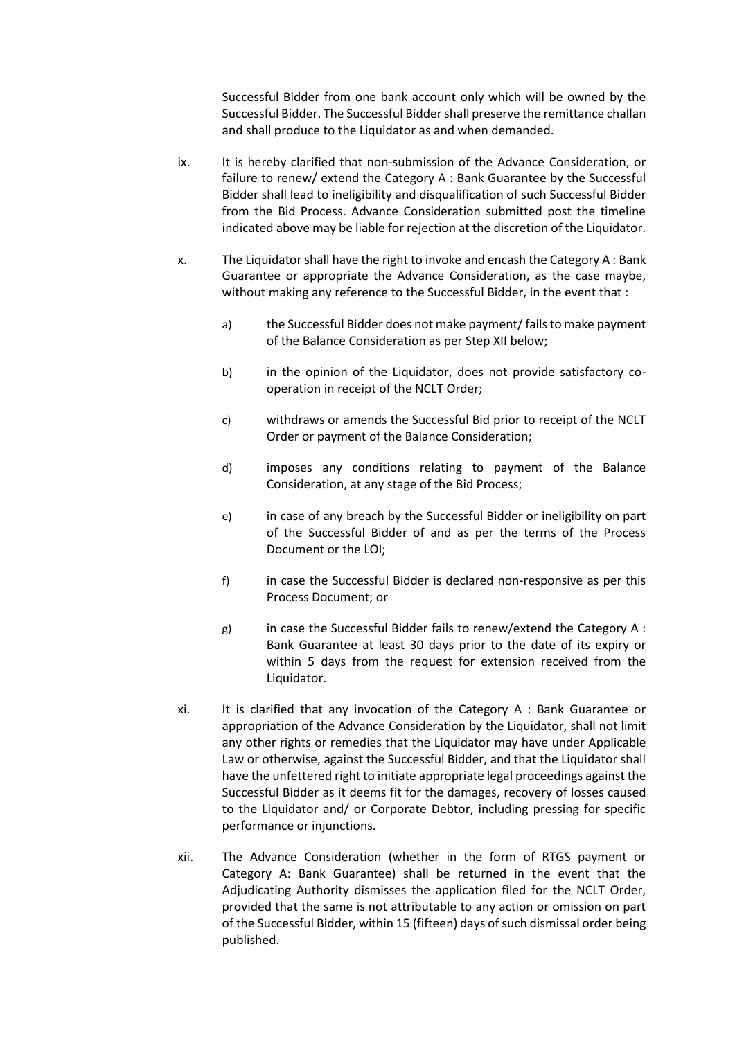Successful Bidder from one bank account only which will be owned by the Successful Bidder. The Successful Bidder shall preserve the remittance challan and shall produce to the Liquidator as and when demanded.

- ix. It is hereby clarified that non-submission of the Advance Consideration, or failure to renew/ extend the Category A : Bank Guarantee by the Successful Bidder shall lead to ineligibility and disqualification of such Successful Bidder from the Bid Process. Advance Consideration submitted post the timeline indicated above may be liable for rejection at the discretion of the Liquidator.
- x. The Liquidator shall have the right to invoke and encash the Category A : Bank Guarantee or appropriate the Advance Consideration, as the case maybe, without making any reference to the Successful Bidder, in the event that :
	- a) the Successful Bidder does not make payment/ fails to make payment of the Balance Consideration as per Step XII below;
	- b) in the opinion of the Liquidator, does not provide satisfactory cooperation in receipt of the NCLT Order;
	- c) withdraws or amends the Successful Bid prior to receipt of the NCLT Order or payment of the Balance Consideration;
	- d) imposes any conditions relating to payment of the Balance Consideration, at any stage of the Bid Process;
	- e) in case of any breach by the Successful Bidder or ineligibility on part of the Successful Bidder of and as per the terms of the Process Document or the LOI;
	- f) in case the Successful Bidder is declared non-responsive as per this Process Document; or
	- g) in case the Successful Bidder fails to renew/extend the Category  $A$  : Bank Guarantee at least 30 days prior to the date of its expiry or within 5 days from the request for extension received from the Liquidator.
- xi. It is clarified that any invocation of the Category A : Bank Guarantee or appropriation of the Advance Consideration by the Liquidator, shall not limit any other rights or remedies that the Liquidator may have under Applicable Law or otherwise, against the Successful Bidder, and that the Liquidator shall have the unfettered right to initiate appropriate legal proceedings against the Successful Bidder as it deems fit for the damages, recovery of losses caused to the Liquidator and/ or Corporate Debtor, including pressing for specific performance or injunctions.
- xii. The Advance Consideration (whether in the form of RTGS payment or Category A: Bank Guarantee) shall be returned in the event that the Adjudicating Authority dismisses the application filed for the NCLT Order, provided that the same is not attributable to any action or omission on part of the Successful Bidder, within 15 (fifteen) days of such dismissal order being published.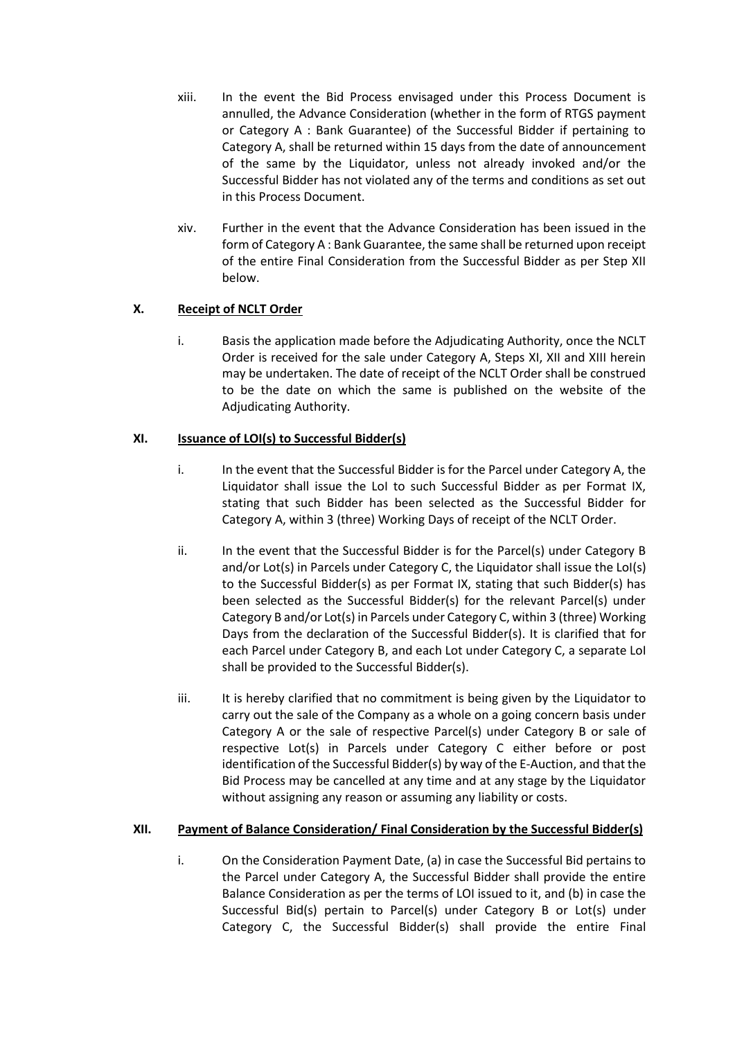- xiii. In the event the Bid Process envisaged under this Process Document is annulled, the Advance Consideration (whether in the form of RTGS payment or Category A : Bank Guarantee) of the Successful Bidder if pertaining to Category A, shall be returned within 15 days from the date of announcement of the same by the Liquidator, unless not already invoked and/or the Successful Bidder has not violated any of the terms and conditions as set out in this Process Document.
- xiv. Further in the event that the Advance Consideration has been issued in the form of Category A : Bank Guarantee, the same shall be returned upon receipt of the entire Final Consideration from the Successful Bidder as per Step XII below.

# **X. Receipt of NCLT Order**

i. Basis the application made before the Adjudicating Authority, once the NCLT Order is received for the sale under Category A, Steps XI, XII and XIII herein may be undertaken. The date of receipt of the NCLT Order shall be construed to be the date on which the same is published on the website of the Adjudicating Authority.

# **XI. Issuance of LOI(s) to Successful Bidder(s)**

- i. In the event that the Successful Bidder is for the Parcel under Category A, the Liquidator shall issue the LoI to such Successful Bidder as per Format IX, stating that such Bidder has been selected as the Successful Bidder for Category A, within 3 (three) Working Days of receipt of the NCLT Order.
- ii. In the event that the Successful Bidder is for the Parcel(s) under Category B and/or Lot(s) in Parcels under Category C, the Liquidator shall issue the LoI(s) to the Successful Bidder(s) as per Format IX, stating that such Bidder(s) has been selected as the Successful Bidder(s) for the relevant Parcel(s) under Category B and/or Lot(s) in Parcels under Category C, within 3 (three) Working Days from the declaration of the Successful Bidder(s). It is clarified that for each Parcel under Category B, and each Lot under Category C, a separate LoI shall be provided to the Successful Bidder(s).
- iii. It is hereby clarified that no commitment is being given by the Liquidator to carry out the sale of the Company as a whole on a going concern basis under Category A or the sale of respective Parcel(s) under Category B or sale of respective Lot(s) in Parcels under Category C either before or post identification of the Successful Bidder(s) by way of the E-Auction, and that the Bid Process may be cancelled at any time and at any stage by the Liquidator without assigning any reason or assuming any liability or costs.

# **XII. Payment of Balance Consideration/ Final Consideration by the Successful Bidder(s)**

i. On the Consideration Payment Date, (a) in case the Successful Bid pertains to the Parcel under Category A, the Successful Bidder shall provide the entire Balance Consideration as per the terms of LOI issued to it, and (b) in case the Successful Bid(s) pertain to Parcel(s) under Category B or Lot(s) under Category C, the Successful Bidder(s) shall provide the entire Final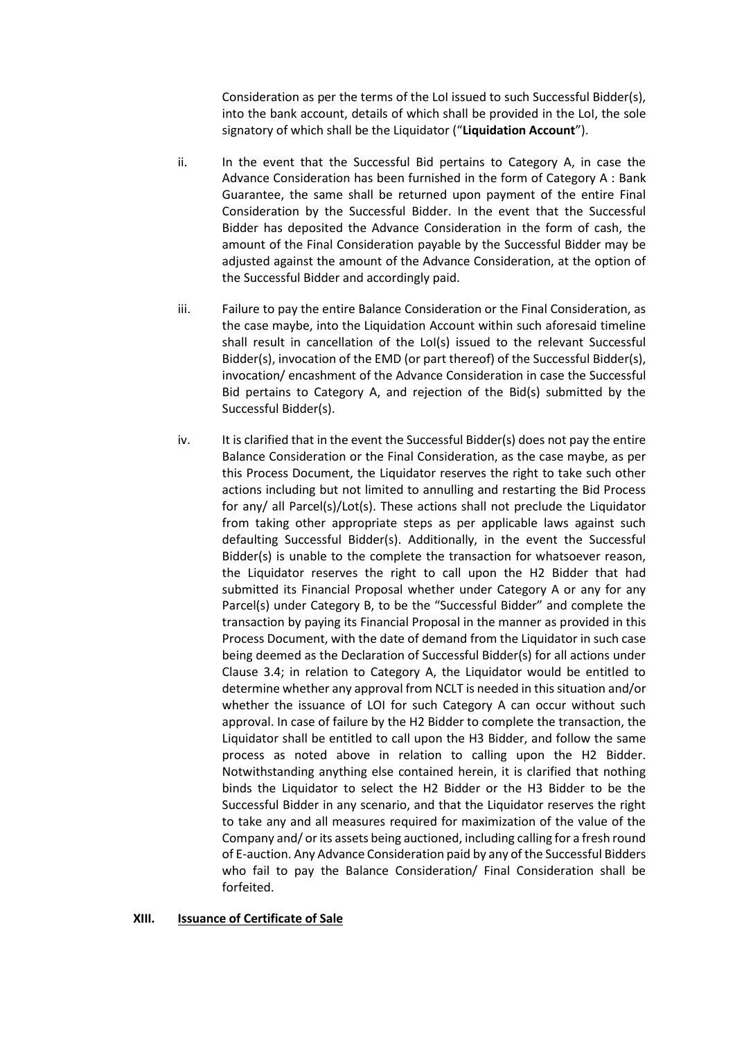Consideration as per the terms of the LoI issued to such Successful Bidder(s), into the bank account, details of which shall be provided in the LoI, the sole signatory of which shall be the Liquidator ("**Liquidation Account**").

- ii. In the event that the Successful Bid pertains to Category A, in case the Advance Consideration has been furnished in the form of Category A : Bank Guarantee, the same shall be returned upon payment of the entire Final Consideration by the Successful Bidder. In the event that the Successful Bidder has deposited the Advance Consideration in the form of cash, the amount of the Final Consideration payable by the Successful Bidder may be adjusted against the amount of the Advance Consideration, at the option of the Successful Bidder and accordingly paid.
- iii. Failure to pay the entire Balance Consideration or the Final Consideration, as the case maybe, into the Liquidation Account within such aforesaid timeline shall result in cancellation of the LoI(s) issued to the relevant Successful Bidder(s), invocation of the EMD (or part thereof) of the Successful Bidder(s), invocation/ encashment of the Advance Consideration in case the Successful Bid pertains to Category A, and rejection of the Bid(s) submitted by the Successful Bidder(s).
- iv. It is clarified that in the event the Successful Bidder(s) does not pay the entire Balance Consideration or the Final Consideration, as the case maybe, as per this Process Document, the Liquidator reserves the right to take such other actions including but not limited to annulling and restarting the Bid Process for any/ all Parcel(s)/Lot(s). These actions shall not preclude the Liquidator from taking other appropriate steps as per applicable laws against such defaulting Successful Bidder(s). Additionally, in the event the Successful Bidder(s) is unable to the complete the transaction for whatsoever reason, the Liquidator reserves the right to call upon the H2 Bidder that had submitted its Financial Proposal whether under Category A or any for any Parcel(s) under Category B, to be the "Successful Bidder" and complete the transaction by paying its Financial Proposal in the manner as provided in this Process Document, with the date of demand from the Liquidator in such case being deemed as the Declaration of Successful Bidder(s) for all actions under Clause 3.4; in relation to Category A, the Liquidator would be entitled to determine whether any approval from NCLT is needed in this situation and/or whether the issuance of LOI for such Category A can occur without such approval. In case of failure by the H2 Bidder to complete the transaction, the Liquidator shall be entitled to call upon the H3 Bidder, and follow the same process as noted above in relation to calling upon the H2 Bidder. Notwithstanding anything else contained herein, it is clarified that nothing binds the Liquidator to select the H2 Bidder or the H3 Bidder to be the Successful Bidder in any scenario, and that the Liquidator reserves the right to take any and all measures required for maximization of the value of the Company and/ or its assets being auctioned, including calling for a fresh round of E-auction. Any Advance Consideration paid by any of the Successful Bidders who fail to pay the Balance Consideration/ Final Consideration shall be forfeited.

### **XIII. Issuance of Certificate of Sale**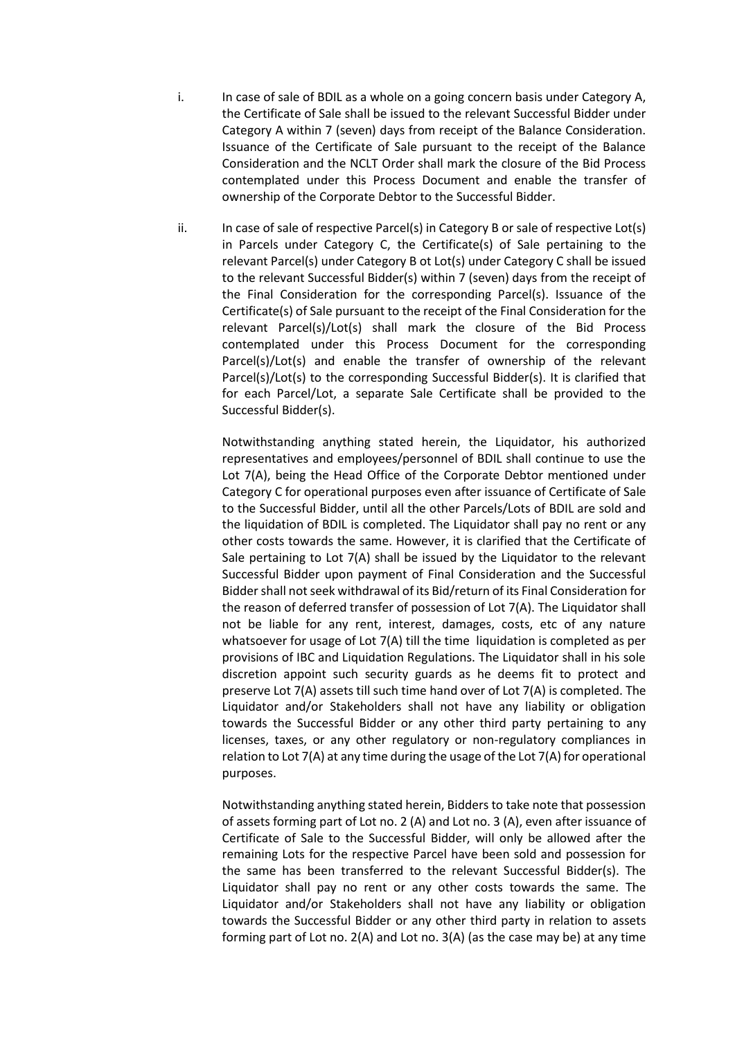- i. In case of sale of BDIL as a whole on a going concern basis under Category A, the Certificate of Sale shall be issued to the relevant Successful Bidder under Category A within 7 (seven) days from receipt of the Balance Consideration. Issuance of the Certificate of Sale pursuant to the receipt of the Balance Consideration and the NCLT Order shall mark the closure of the Bid Process contemplated under this Process Document and enable the transfer of ownership of the Corporate Debtor to the Successful Bidder.
- ii. In case of sale of respective Parcel(s) in Category B or sale of respective Lot(s) in Parcels under Category C, the Certificate(s) of Sale pertaining to the relevant Parcel(s) under Category B ot Lot(s) under Category C shall be issued to the relevant Successful Bidder(s) within 7 (seven) days from the receipt of the Final Consideration for the corresponding Parcel(s). Issuance of the Certificate(s) of Sale pursuant to the receipt of the Final Consideration for the relevant Parcel(s)/Lot(s) shall mark the closure of the Bid Process contemplated under this Process Document for the corresponding Parcel(s)/Lot(s) and enable the transfer of ownership of the relevant Parcel(s)/Lot(s) to the corresponding Successful Bidder(s). It is clarified that for each Parcel/Lot, a separate Sale Certificate shall be provided to the Successful Bidder(s).

Notwithstanding anything stated herein, the Liquidator, his authorized representatives and employees/personnel of BDIL shall continue to use the Lot 7(A), being the Head Office of the Corporate Debtor mentioned under Category C for operational purposes even after issuance of Certificate of Sale to the Successful Bidder, until all the other Parcels/Lots of BDIL are sold and the liquidation of BDIL is completed. The Liquidator shall pay no rent or any other costs towards the same. However, it is clarified that the Certificate of Sale pertaining to Lot 7(A) shall be issued by the Liquidator to the relevant Successful Bidder upon payment of Final Consideration and the Successful Bidder shall not seek withdrawal of its Bid/return of its Final Consideration for the reason of deferred transfer of possession of Lot 7(A). The Liquidator shall not be liable for any rent, interest, damages, costs, etc of any nature whatsoever for usage of Lot 7(A) till the time liquidation is completed as per provisions of IBC and Liquidation Regulations. The Liquidator shall in his sole discretion appoint such security guards as he deems fit to protect and preserve Lot 7(A) assets till such time hand over of Lot 7(A) is completed. The Liquidator and/or Stakeholders shall not have any liability or obligation towards the Successful Bidder or any other third party pertaining to any licenses, taxes, or any other regulatory or non-regulatory compliances in relation to Lot 7(A) at any time during the usage of the Lot 7(A) for operational purposes.

Notwithstanding anything stated herein, Bidders to take note that possession of assets forming part of Lot no. 2 (A) and Lot no. 3 (A), even after issuance of Certificate of Sale to the Successful Bidder, will only be allowed after the remaining Lots for the respective Parcel have been sold and possession for the same has been transferred to the relevant Successful Bidder(s). The Liquidator shall pay no rent or any other costs towards the same. The Liquidator and/or Stakeholders shall not have any liability or obligation towards the Successful Bidder or any other third party in relation to assets forming part of Lot no. 2(A) and Lot no. 3(A) (as the case may be) at any time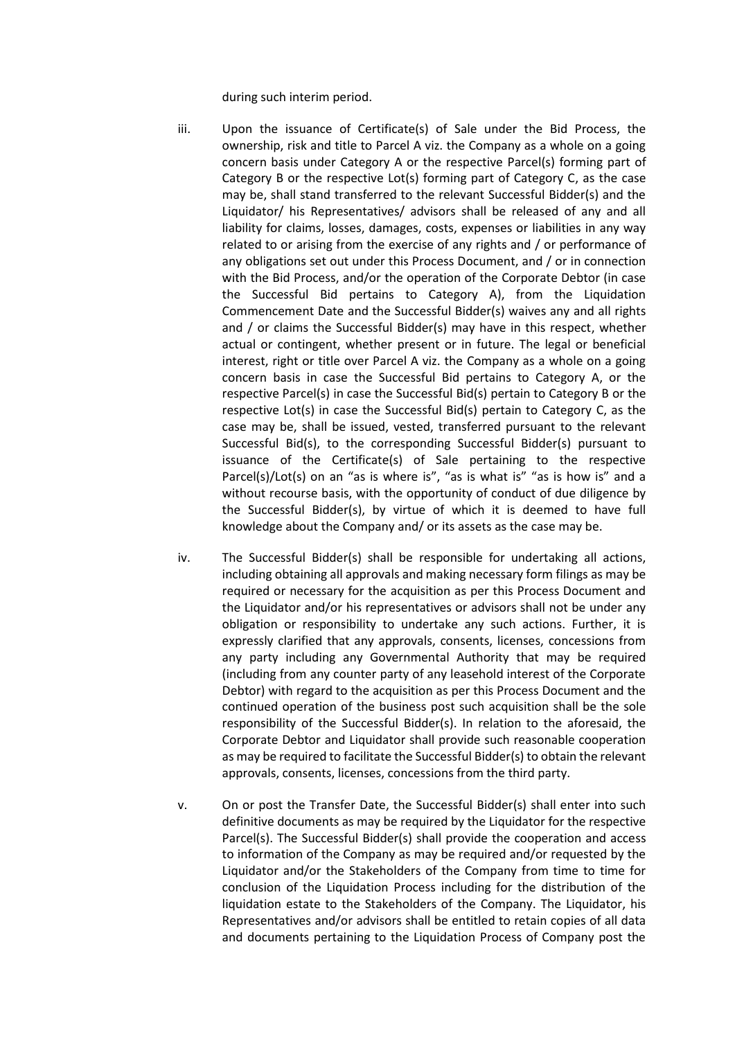during such interim period.

- iii. Upon the issuance of Certificate(s) of Sale under the Bid Process, the ownership, risk and title to Parcel A viz. the Company as a whole on a going concern basis under Category A or the respective Parcel(s) forming part of Category B or the respective Lot(s) forming part of Category C, as the case may be, shall stand transferred to the relevant Successful Bidder(s) and the Liquidator/ his Representatives/ advisors shall be released of any and all liability for claims, losses, damages, costs, expenses or liabilities in any way related to or arising from the exercise of any rights and / or performance of any obligations set out under this Process Document, and / or in connection with the Bid Process, and/or the operation of the Corporate Debtor (in case the Successful Bid pertains to Category A), from the Liquidation Commencement Date and the Successful Bidder(s) waives any and all rights and / or claims the Successful Bidder(s) may have in this respect, whether actual or contingent, whether present or in future. The legal or beneficial interest, right or title over Parcel A viz. the Company as a whole on a going concern basis in case the Successful Bid pertains to Category A, or the respective Parcel(s) in case the Successful Bid(s) pertain to Category B or the respective Lot(s) in case the Successful Bid(s) pertain to Category C, as the case may be, shall be issued, vested, transferred pursuant to the relevant Successful Bid(s), to the corresponding Successful Bidder(s) pursuant to issuance of the Certificate(s) of Sale pertaining to the respective Parcel(s)/Lot(s) on an "as is where is", "as is what is" "as is how is" and a without recourse basis, with the opportunity of conduct of due diligence by the Successful Bidder(s), by virtue of which it is deemed to have full knowledge about the Company and/ or its assets as the case may be.
- iv. The Successful Bidder(s) shall be responsible for undertaking all actions, including obtaining all approvals and making necessary form filings as may be required or necessary for the acquisition as per this Process Document and the Liquidator and/or his representatives or advisors shall not be under any obligation or responsibility to undertake any such actions. Further, it is expressly clarified that any approvals, consents, licenses, concessions from any party including any Governmental Authority that may be required (including from any counter party of any leasehold interest of the Corporate Debtor) with regard to the acquisition as per this Process Document and the continued operation of the business post such acquisition shall be the sole responsibility of the Successful Bidder(s). In relation to the aforesaid, the Corporate Debtor and Liquidator shall provide such reasonable cooperation as may be required to facilitate the Successful Bidder(s) to obtain the relevant approvals, consents, licenses, concessions from the third party.
- v. On or post the Transfer Date, the Successful Bidder(s) shall enter into such definitive documents as may be required by the Liquidator for the respective Parcel(s). The Successful Bidder(s) shall provide the cooperation and access to information of the Company as may be required and/or requested by the Liquidator and/or the Stakeholders of the Company from time to time for conclusion of the Liquidation Process including for the distribution of the liquidation estate to the Stakeholders of the Company. The Liquidator, his Representatives and/or advisors shall be entitled to retain copies of all data and documents pertaining to the Liquidation Process of Company post the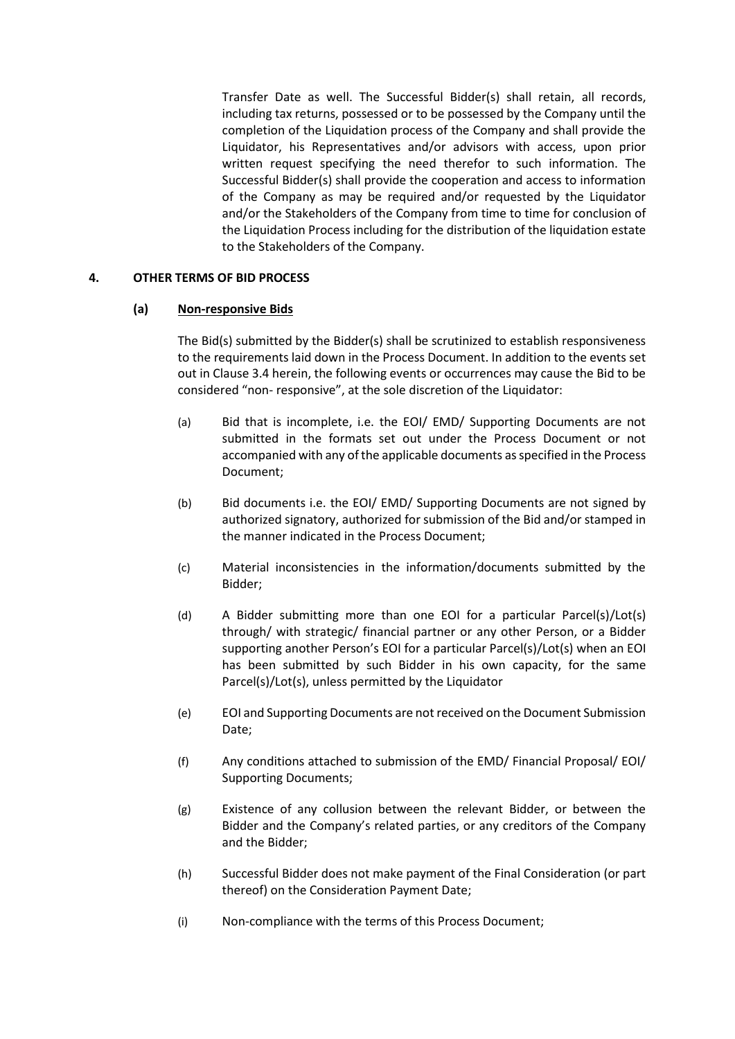Transfer Date as well. The Successful Bidder(s) shall retain, all records, including tax returns, possessed or to be possessed by the Company until the completion of the Liquidation process of the Company and shall provide the Liquidator, his Representatives and/or advisors with access, upon prior written request specifying the need therefor to such information. The Successful Bidder(s) shall provide the cooperation and access to information of the Company as may be required and/or requested by the Liquidator and/or the Stakeholders of the Company from time to time for conclusion of the Liquidation Process including for the distribution of the liquidation estate to the Stakeholders of the Company.

# **4. OTHER TERMS OF BID PROCESS**

# **(a) Non-responsive Bids**

The Bid(s) submitted by the Bidder(s) shall be scrutinized to establish responsiveness to the requirements laid down in the Process Document. In addition to the events set out in Clause 3.4 herein, the following events or occurrences may cause the Bid to be considered "non- responsive", at the sole discretion of the Liquidator:

- (a) Bid that is incomplete, i.e. the EOI/ EMD/ Supporting Documents are not submitted in the formats set out under the Process Document or not accompanied with any of the applicable documents as specified in the Process Document;
- (b) Bid documents i.e. the EOI/ EMD/ Supporting Documents are not signed by authorized signatory, authorized for submission of the Bid and/or stamped in the manner indicated in the Process Document;
- (c) Material inconsistencies in the information/documents submitted by the Bidder;
- (d) A Bidder submitting more than one EOI for a particular Parcel(s)/Lot(s) through/ with strategic/ financial partner or any other Person, or a Bidder supporting another Person's EOI for a particular Parcel(s)/Lot(s) when an EOI has been submitted by such Bidder in his own capacity, for the same Parcel(s)/Lot(s), unless permitted by the Liquidator
- (e) EOI and Supporting Documents are not received on the Document Submission Date;
- (f) Any conditions attached to submission of the EMD/ Financial Proposal/ EOI/ Supporting Documents;
- (g) Existence of any collusion between the relevant Bidder, or between the Bidder and the Company's related parties, or any creditors of the Company and the Bidder;
- (h) Successful Bidder does not make payment of the Final Consideration (or part thereof) on the Consideration Payment Date;
- (i) Non-compliance with the terms of this Process Document;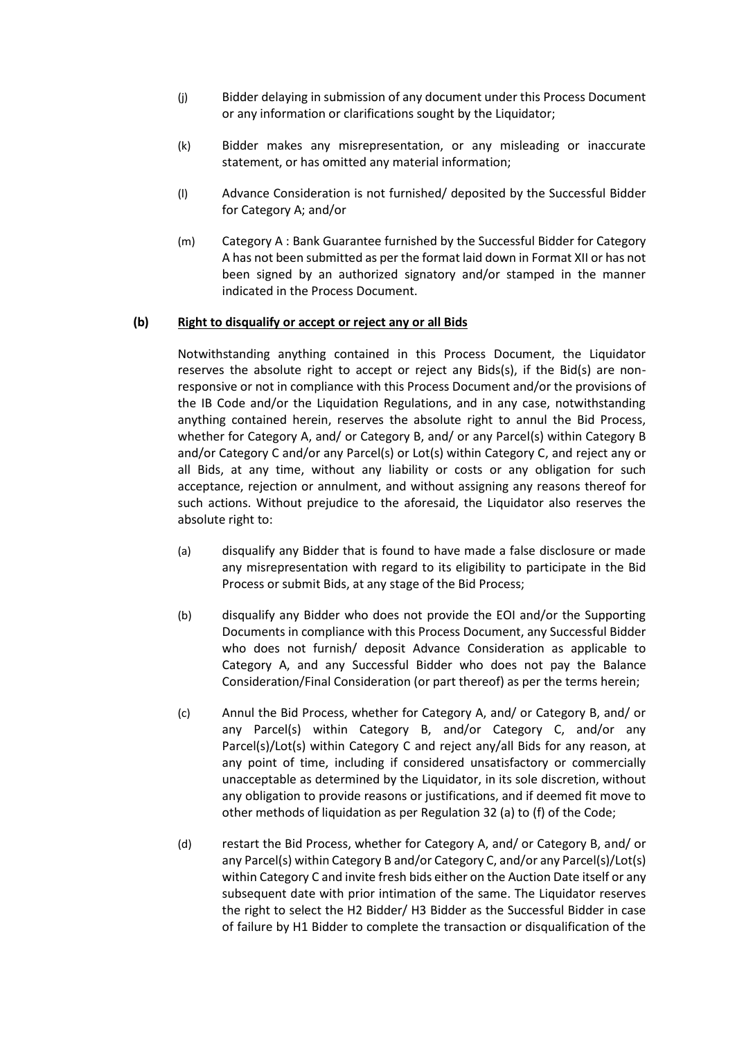- (j) Bidder delaying in submission of any document under this Process Document or any information or clarifications sought by the Liquidator;
- (k) Bidder makes any misrepresentation, or any misleading or inaccurate statement, or has omitted any material information;
- (l) Advance Consideration is not furnished/ deposited by the Successful Bidder for Category A; and/or
- (m) Category A : Bank Guarantee furnished by the Successful Bidder for Category A has not been submitted as per the format laid down in Format XII or has not been signed by an authorized signatory and/or stamped in the manner indicated in the Process Document.

# **(b) Right to disqualify or accept or reject any or all Bids**

Notwithstanding anything contained in this Process Document, the Liquidator reserves the absolute right to accept or reject any Bids(s), if the Bid(s) are nonresponsive or not in compliance with this Process Document and/or the provisions of the IB Code and/or the Liquidation Regulations, and in any case, notwithstanding anything contained herein, reserves the absolute right to annul the Bid Process, whether for Category A, and/ or Category B, and/ or any Parcel(s) within Category B and/or Category C and/or any Parcel(s) or Lot(s) within Category C, and reject any or all Bids, at any time, without any liability or costs or any obligation for such acceptance, rejection or annulment, and without assigning any reasons thereof for such actions. Without prejudice to the aforesaid, the Liquidator also reserves the absolute right to:

- (a) disqualify any Bidder that is found to have made a false disclosure or made any misrepresentation with regard to its eligibility to participate in the Bid Process or submit Bids, at any stage of the Bid Process;
- (b) disqualify any Bidder who does not provide the EOI and/or the Supporting Documents in compliance with this Process Document, any Successful Bidder who does not furnish/ deposit Advance Consideration as applicable to Category A, and any Successful Bidder who does not pay the Balance Consideration/Final Consideration (or part thereof) as per the terms herein;
- (c) Annul the Bid Process, whether for Category A, and/ or Category B, and/ or any Parcel(s) within Category B, and/or Category C, and/or any Parcel(s)/Lot(s) within Category C and reject any/all Bids for any reason, at any point of time, including if considered unsatisfactory or commercially unacceptable as determined by the Liquidator, in its sole discretion, without any obligation to provide reasons or justifications, and if deemed fit move to other methods of liquidation as per Regulation 32 (a) to (f) of the Code;
- (d) restart the Bid Process, whether for Category A, and/ or Category B, and/ or any Parcel(s) within Category B and/or Category C, and/or any Parcel(s)/Lot(s) within Category C and invite fresh bids either on the Auction Date itself or any subsequent date with prior intimation of the same. The Liquidator reserves the right to select the H2 Bidder/ H3 Bidder as the Successful Bidder in case of failure by H1 Bidder to complete the transaction or disqualification of the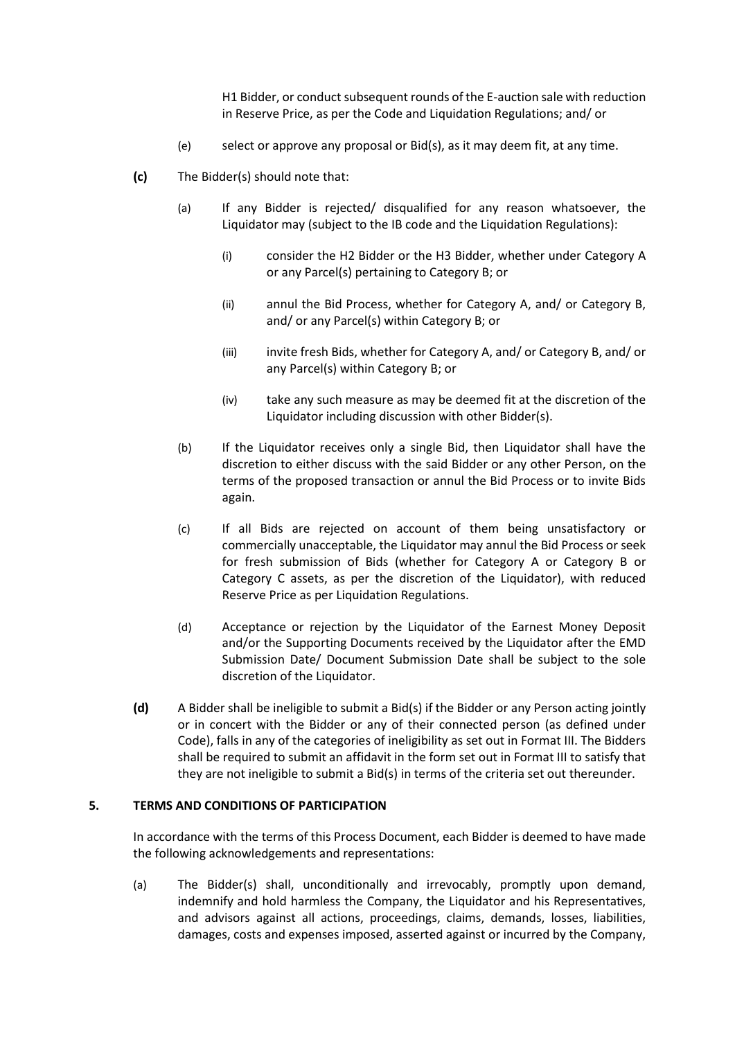H1 Bidder, or conduct subsequent rounds of the E-auction sale with reduction in Reserve Price, as per the Code and Liquidation Regulations; and/ or

- (e) select or approve any proposal or Bid(s), as it may deem fit, at any time.
- **(c)** The Bidder(s) should note that:
	- (a) If any Bidder is rejected/ disqualified for any reason whatsoever, the Liquidator may (subject to the IB code and the Liquidation Regulations):
		- (i) consider the H2 Bidder or the H3 Bidder, whether under Category A or any Parcel(s) pertaining to Category B; or
		- (ii) annul the Bid Process, whether for Category A, and/ or Category B, and/ or any Parcel(s) within Category B; or
		- (iii) invite fresh Bids, whether for Category A, and/ or Category B, and/ or any Parcel(s) within Category B; or
		- (iv) take any such measure as may be deemed fit at the discretion of the Liquidator including discussion with other Bidder(s).
	- (b) If the Liquidator receives only a single Bid, then Liquidator shall have the discretion to either discuss with the said Bidder or any other Person, on the terms of the proposed transaction or annul the Bid Process or to invite Bids again.
	- (c) If all Bids are rejected on account of them being unsatisfactory or commercially unacceptable, the Liquidator may annul the Bid Process or seek for fresh submission of Bids (whether for Category A or Category B or Category C assets, as per the discretion of the Liquidator), with reduced Reserve Price as per Liquidation Regulations.
	- (d) Acceptance or rejection by the Liquidator of the Earnest Money Deposit and/or the Supporting Documents received by the Liquidator after the EMD Submission Date/ Document Submission Date shall be subject to the sole discretion of the Liquidator.
- **(d)** A Bidder shall be ineligible to submit a Bid(s) if the Bidder or any Person acting jointly or in concert with the Bidder or any of their connected person (as defined under Code), falls in any of the categories of ineligibility as set out in Format III. The Bidders shall be required to submit an affidavit in the form set out in Format III to satisfy that they are not ineligible to submit a Bid(s) in terms of the criteria set out thereunder.

### **5. TERMS AND CONDITIONS OF PARTICIPATION**

In accordance with the terms of this Process Document, each Bidder is deemed to have made the following acknowledgements and representations:

(a) The Bidder(s) shall, unconditionally and irrevocably, promptly upon demand, indemnify and hold harmless the Company, the Liquidator and his Representatives, and advisors against all actions, proceedings, claims, demands, losses, liabilities, damages, costs and expenses imposed, asserted against or incurred by the Company,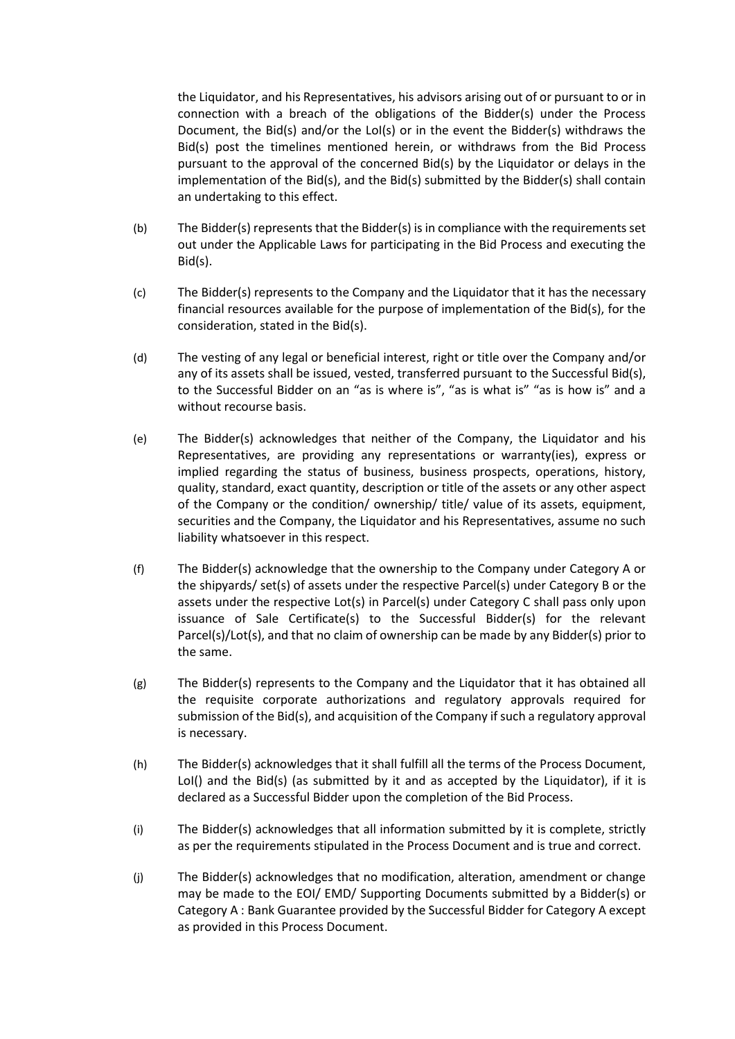the Liquidator, and his Representatives, his advisors arising out of or pursuant to or in connection with a breach of the obligations of the Bidder(s) under the Process Document, the Bid(s) and/or the LoI(s) or in the event the Bidder(s) withdraws the Bid(s) post the timelines mentioned herein, or withdraws from the Bid Process pursuant to the approval of the concerned Bid(s) by the Liquidator or delays in the implementation of the Bid(s), and the Bid(s) submitted by the Bidder(s) shall contain an undertaking to this effect.

- (b) The Bidder(s) represents that the Bidder(s) is in compliance with the requirements set out under the Applicable Laws for participating in the Bid Process and executing the Bid(s).
- (c) The Bidder(s) represents to the Company and the Liquidator that it has the necessary financial resources available for the purpose of implementation of the Bid(s), for the consideration, stated in the Bid(s).
- (d) The vesting of any legal or beneficial interest, right or title over the Company and/or any of its assets shall be issued, vested, transferred pursuant to the Successful Bid(s), to the Successful Bidder on an "as is where is", "as is what is" "as is how is" and a without recourse basis.
- (e) The Bidder(s) acknowledges that neither of the Company, the Liquidator and his Representatives, are providing any representations or warranty(ies), express or implied regarding the status of business, business prospects, operations, history, quality, standard, exact quantity, description or title of the assets or any other aspect of the Company or the condition/ ownership/ title/ value of its assets, equipment, securities and the Company, the Liquidator and his Representatives, assume no such liability whatsoever in this respect.
- (f) The Bidder(s) acknowledge that the ownership to the Company under Category A or the shipyards/ set(s) of assets under the respective Parcel(s) under Category B or the assets under the respective Lot(s) in Parcel(s) under Category C shall pass only upon issuance of Sale Certificate(s) to the Successful Bidder(s) for the relevant Parcel(s)/Lot(s), and that no claim of ownership can be made by any Bidder(s) prior to the same.
- (g) The Bidder(s) represents to the Company and the Liquidator that it has obtained all the requisite corporate authorizations and regulatory approvals required for submission of the Bid(s), and acquisition of the Company if such a regulatory approval is necessary.
- (h) The Bidder(s) acknowledges that it shall fulfill all the terms of the Process Document, LoI() and the Bid(s) (as submitted by it and as accepted by the Liquidator), if it is declared as a Successful Bidder upon the completion of the Bid Process.
- (i) The Bidder(s) acknowledges that all information submitted by it is complete, strictly as per the requirements stipulated in the Process Document and is true and correct.
- (j) The Bidder(s) acknowledges that no modification, alteration, amendment or change may be made to the EOI/ EMD/ Supporting Documents submitted by a Bidder(s) or Category A : Bank Guarantee provided by the Successful Bidder for Category A except as provided in this Process Document.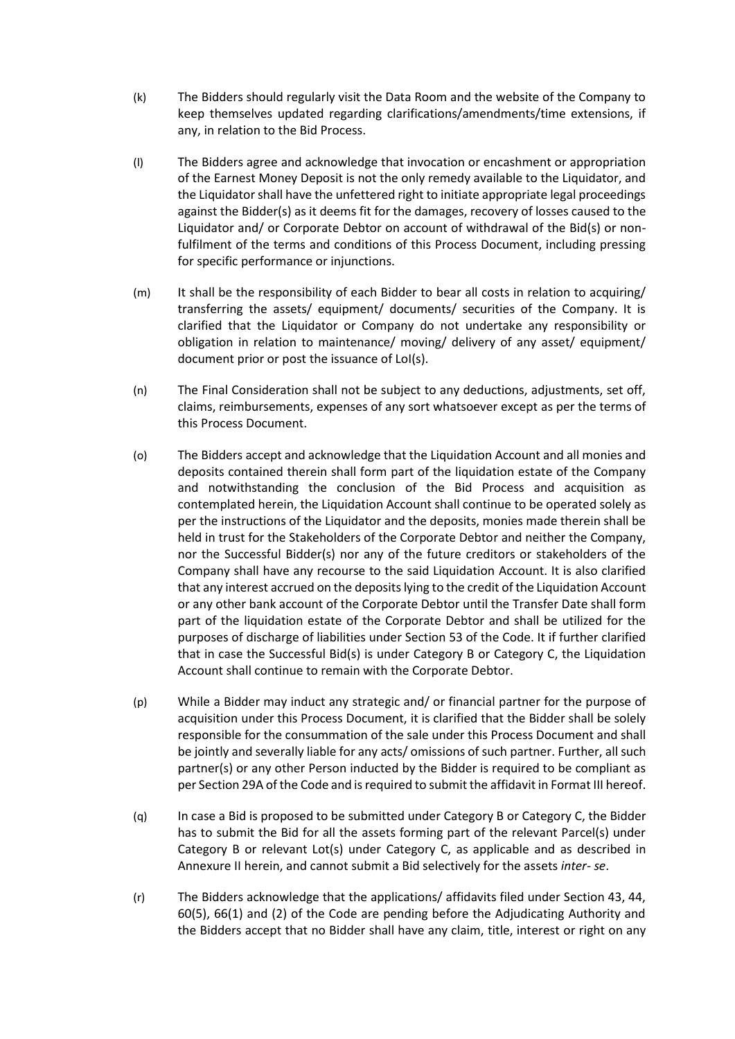- (k) The Bidders should regularly visit the Data Room and the website of the Company to keep themselves updated regarding clarifications/amendments/time extensions, if any, in relation to the Bid Process.
- (l) The Bidders agree and acknowledge that invocation or encashment or appropriation of the Earnest Money Deposit is not the only remedy available to the Liquidator, and the Liquidator shall have the unfettered right to initiate appropriate legal proceedings against the Bidder(s) as it deems fit for the damages, recovery of losses caused to the Liquidator and/ or Corporate Debtor on account of withdrawal of the Bid(s) or nonfulfilment of the terms and conditions of this Process Document, including pressing for specific performance or injunctions.
- (m) It shall be the responsibility of each Bidder to bear all costs in relation to acquiring/ transferring the assets/ equipment/ documents/ securities of the Company. It is clarified that the Liquidator or Company do not undertake any responsibility or obligation in relation to maintenance/ moving/ delivery of any asset/ equipment/ document prior or post the issuance of LoI(s).
- (n) The Final Consideration shall not be subject to any deductions, adjustments, set off, claims, reimbursements, expenses of any sort whatsoever except as per the terms of this Process Document.
- (o) The Bidders accept and acknowledge that the Liquidation Account and all monies and deposits contained therein shall form part of the liquidation estate of the Company and notwithstanding the conclusion of the Bid Process and acquisition as contemplated herein, the Liquidation Account shall continue to be operated solely as per the instructions of the Liquidator and the deposits, monies made therein shall be held in trust for the Stakeholders of the Corporate Debtor and neither the Company, nor the Successful Bidder(s) nor any of the future creditors or stakeholders of the Company shall have any recourse to the said Liquidation Account. It is also clarified that any interest accrued on the deposits lying to the credit of the Liquidation Account or any other bank account of the Corporate Debtor until the Transfer Date shall form part of the liquidation estate of the Corporate Debtor and shall be utilized for the purposes of discharge of liabilities under Section 53 of the Code. It if further clarified that in case the Successful Bid(s) is under Category B or Category C, the Liquidation Account shall continue to remain with the Corporate Debtor.
- (p) While a Bidder may induct any strategic and/ or financial partner for the purpose of acquisition under this Process Document, it is clarified that the Bidder shall be solely responsible for the consummation of the sale under this Process Document and shall be jointly and severally liable for any acts/ omissions of such partner. Further, all such partner(s) or any other Person inducted by the Bidder is required to be compliant as per Section 29A of the Code and is required to submit the affidavit in Format III hereof.
- (q) In case a Bid is proposed to be submitted under Category B or Category C, the Bidder has to submit the Bid for all the assets forming part of the relevant Parcel(s) under Category B or relevant Lot(s) under Category C, as applicable and as described in Annexure II herein, and cannot submit a Bid selectively for the assets *inter- se*.
- (r) The Bidders acknowledge that the applications/ affidavits filed under Section 43, 44, 60(5), 66(1) and (2) of the Code are pending before the Adjudicating Authority and the Bidders accept that no Bidder shall have any claim, title, interest or right on any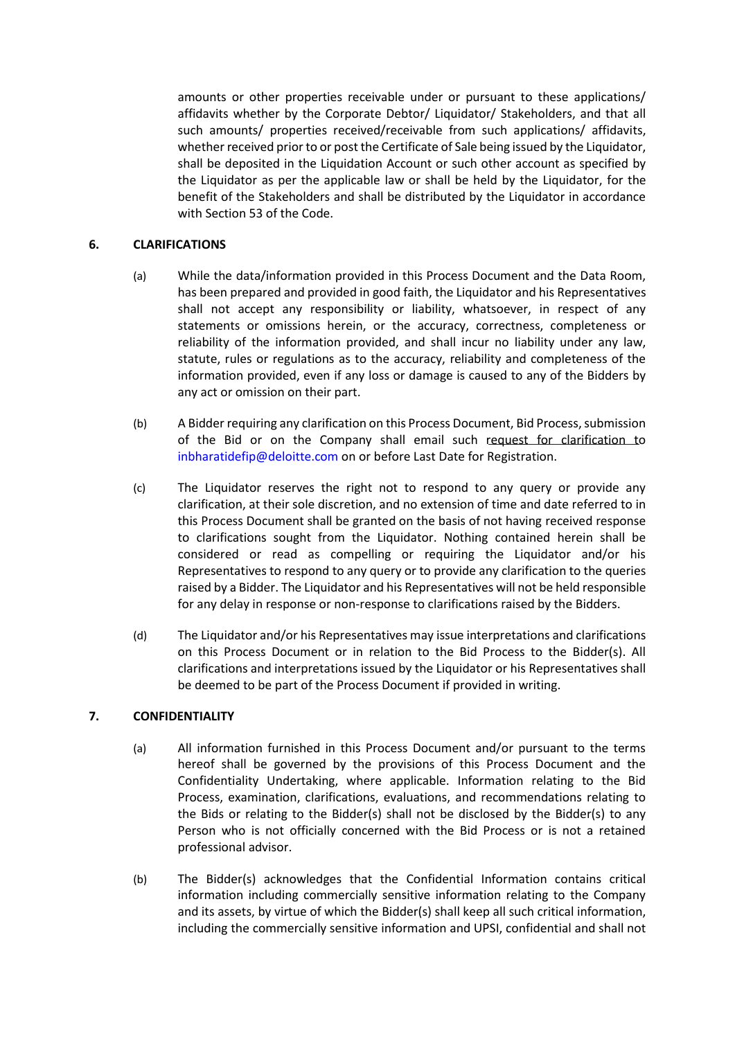amounts or other properties receivable under or pursuant to these applications/ affidavits whether by the Corporate Debtor/ Liquidator/ Stakeholders, and that all such amounts/ properties received/receivable from such applications/ affidavits, whether received prior to or post the Certificate of Sale being issued by the Liquidator, shall be deposited in the Liquidation Account or such other account as specified by the Liquidator as per the applicable law or shall be held by the Liquidator, for the benefit of the Stakeholders and shall be distributed by the Liquidator in accordance with Section 53 of the Code.

## **6. CLARIFICATIONS**

- (a) While the data/information provided in this Process Document and the Data Room, has been prepared and provided in good faith, the Liquidator and his Representatives shall not accept any responsibility or liability, whatsoever, in respect of any statements or omissions herein, or the accuracy, correctness, completeness or reliability of the information provided, and shall incur no liability under any law, statute, rules or regulations as to the accuracy, reliability and completeness of the information provided, even if any loss or damage is caused to any of the Bidders by any act or omission on their part.
- (b) A Bidder requiring any clarification on this Process Document, Bid Process, submission of the Bid or on the Company shall email such request for clarification to [inbharatidefip@deloitte.com](mailto:inbharatidefip@deloitte.com) on or before Last Date for Registration.
- (c) The Liquidator reserves the right not to respond to any query or provide any clarification, at their sole discretion, and no extension of time and date referred to in this Process Document shall be granted on the basis of not having received response to clarifications sought from the Liquidator. Nothing contained herein shall be considered or read as compelling or requiring the Liquidator and/or his Representatives to respond to any query or to provide any clarification to the queries raised by a Bidder. The Liquidator and his Representatives will not be held responsible for any delay in response or non-response to clarifications raised by the Bidders.
- (d) The Liquidator and/or his Representatives may issue interpretations and clarifications on this Process Document or in relation to the Bid Process to the Bidder(s). All clarifications and interpretations issued by the Liquidator or his Representatives shall be deemed to be part of the Process Document if provided in writing.

# **7. CONFIDENTIALITY**

- (a) All information furnished in this Process Document and/or pursuant to the terms hereof shall be governed by the provisions of this Process Document and the Confidentiality Undertaking, where applicable. Information relating to the Bid Process, examination, clarifications, evaluations, and recommendations relating to the Bids or relating to the Bidder(s) shall not be disclosed by the Bidder(s) to any Person who is not officially concerned with the Bid Process or is not a retained professional advisor.
- (b) The Bidder(s) acknowledges that the Confidential Information contains critical information including commercially sensitive information relating to the Company and its assets, by virtue of which the Bidder(s) shall keep all such critical information, including the commercially sensitive information and UPSI, confidential and shall not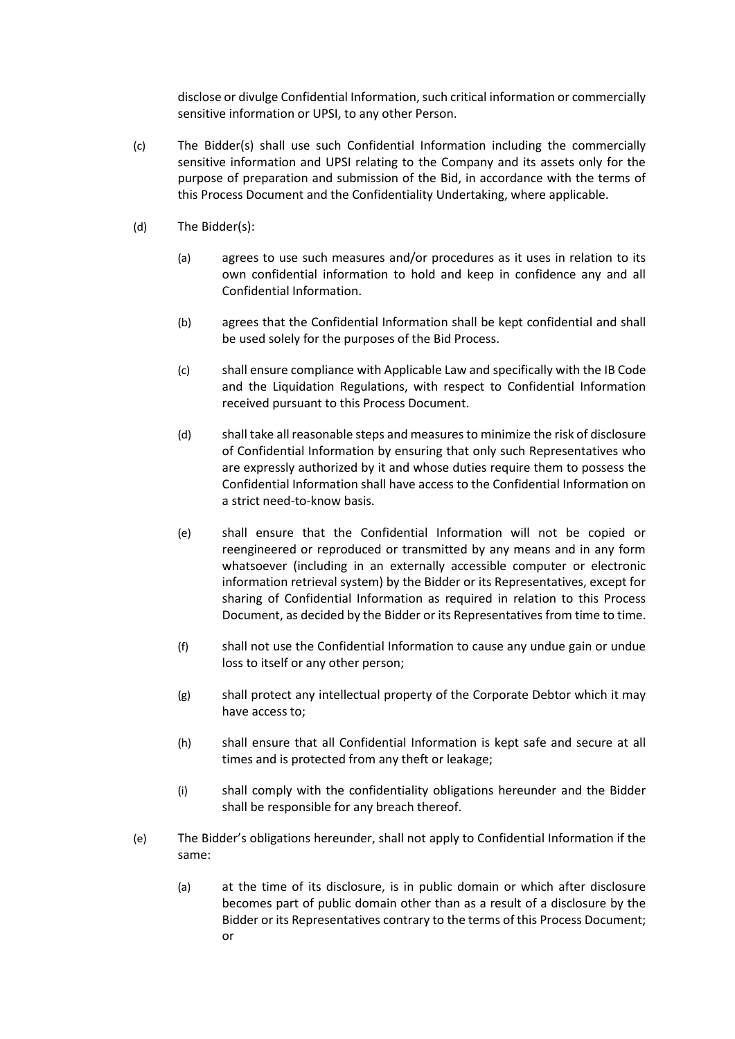disclose or divulge Confidential Information, such critical information or commercially sensitive information or UPSI, to any other Person.

- (c) The Bidder(s) shall use such Confidential Information including the commercially sensitive information and UPSI relating to the Company and its assets only for the purpose of preparation and submission of the Bid, in accordance with the terms of this Process Document and the Confidentiality Undertaking, where applicable.
- (d) The Bidder(s):
	- (a) agrees to use such measures and/or procedures as it uses in relation to its own confidential information to hold and keep in confidence any and all Confidential Information.
	- (b) agrees that the Confidential Information shall be kept confidential and shall be used solely for the purposes of the Bid Process.
	- (c) shall ensure compliance with Applicable Law and specifically with the IB Code and the Liquidation Regulations, with respect to Confidential Information received pursuant to this Process Document.
	- (d) shall take all reasonable steps and measures to minimize the risk of disclosure of Confidential Information by ensuring that only such Representatives who are expressly authorized by it and whose duties require them to possess the Confidential Information shall have access to the Confidential Information on a strict need-to-know basis.
	- (e) shall ensure that the Confidential Information will not be copied or reengineered or reproduced or transmitted by any means and in any form whatsoever (including in an externally accessible computer or electronic information retrieval system) by the Bidder or its Representatives, except for sharing of Confidential Information as required in relation to this Process Document, as decided by the Bidder or its Representatives from time to time.
	- (f) shall not use the Confidential Information to cause any undue gain or undue loss to itself or any other person;
	- (g) shall protect any intellectual property of the Corporate Debtor which it may have access to;
	- (h) shall ensure that all Confidential Information is kept safe and secure at all times and is protected from any theft or leakage;
	- (i) shall comply with the confidentiality obligations hereunder and the Bidder shall be responsible for any breach thereof.
- (e) The Bidder's obligations hereunder, shall not apply to Confidential Information if the same:
	- (a) at the time of its disclosure, is in public domain or which after disclosure becomes part of public domain other than as a result of a disclosure by the Bidder or its Representatives contrary to the terms of this Process Document; or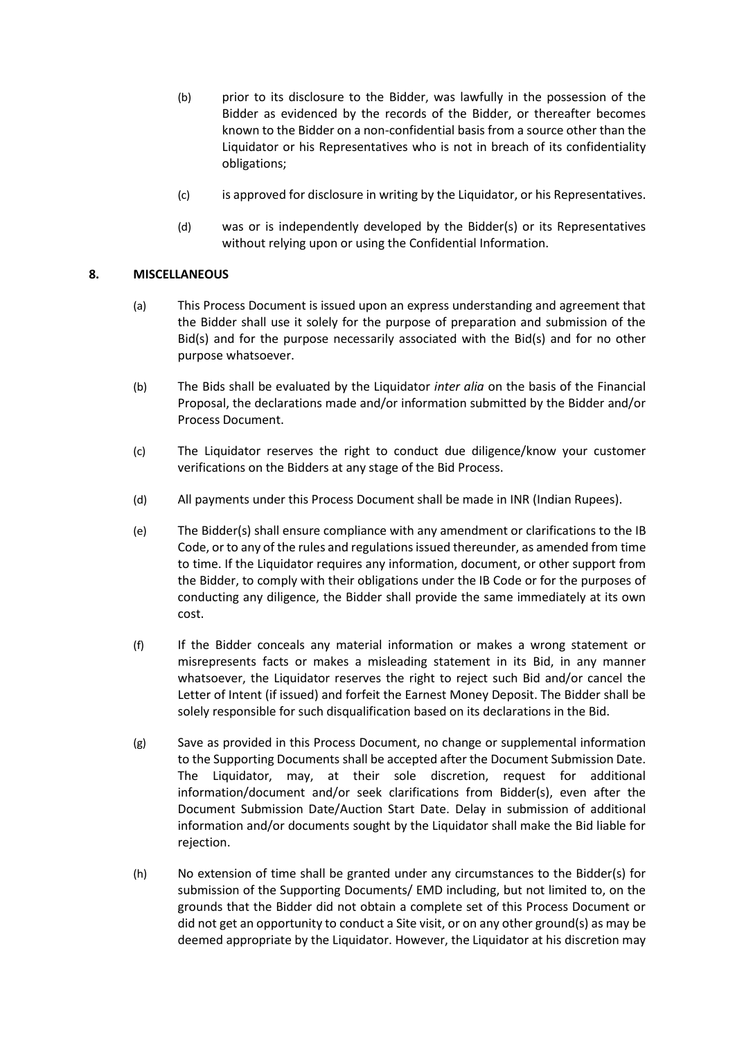- (b) prior to its disclosure to the Bidder, was lawfully in the possession of the Bidder as evidenced by the records of the Bidder, or thereafter becomes known to the Bidder on a non-confidential basis from a source other than the Liquidator or his Representatives who is not in breach of its confidentiality obligations;
- (c) is approved for disclosure in writing by the Liquidator, or his Representatives.
- (d) was or is independently developed by the Bidder(s) or its Representatives without relying upon or using the Confidential Information.

# **8. MISCELLANEOUS**

- (a) This Process Document is issued upon an express understanding and agreement that the Bidder shall use it solely for the purpose of preparation and submission of the Bid(s) and for the purpose necessarily associated with the Bid(s) and for no other purpose whatsoever.
- (b) The Bids shall be evaluated by the Liquidator *inter alia* on the basis of the Financial Proposal, the declarations made and/or information submitted by the Bidder and/or Process Document.
- (c) The Liquidator reserves the right to conduct due diligence/know your customer verifications on the Bidders at any stage of the Bid Process.
- (d) All payments under this Process Document shall be made in INR (Indian Rupees).
- (e) The Bidder(s) shall ensure compliance with any amendment or clarifications to the IB Code, or to any of the rules and regulations issued thereunder, as amended from time to time. If the Liquidator requires any information, document, or other support from the Bidder, to comply with their obligations under the IB Code or for the purposes of conducting any diligence, the Bidder shall provide the same immediately at its own cost.
- (f) If the Bidder conceals any material information or makes a wrong statement or misrepresents facts or makes a misleading statement in its Bid, in any manner whatsoever, the Liquidator reserves the right to reject such Bid and/or cancel the Letter of Intent (if issued) and forfeit the Earnest Money Deposit. The Bidder shall be solely responsible for such disqualification based on its declarations in the Bid.
- (g) Save as provided in this Process Document, no change or supplemental information to the Supporting Documents shall be accepted after the Document Submission Date. The Liquidator, may, at their sole discretion, request for additional information/document and/or seek clarifications from Bidder(s), even after the Document Submission Date/Auction Start Date. Delay in submission of additional information and/or documents sought by the Liquidator shall make the Bid liable for rejection.
- (h) No extension of time shall be granted under any circumstances to the Bidder(s) for submission of the Supporting Documents/ EMD including, but not limited to, on the grounds that the Bidder did not obtain a complete set of this Process Document or did not get an opportunity to conduct a Site visit, or on any other ground(s) as may be deemed appropriate by the Liquidator. However, the Liquidator at his discretion may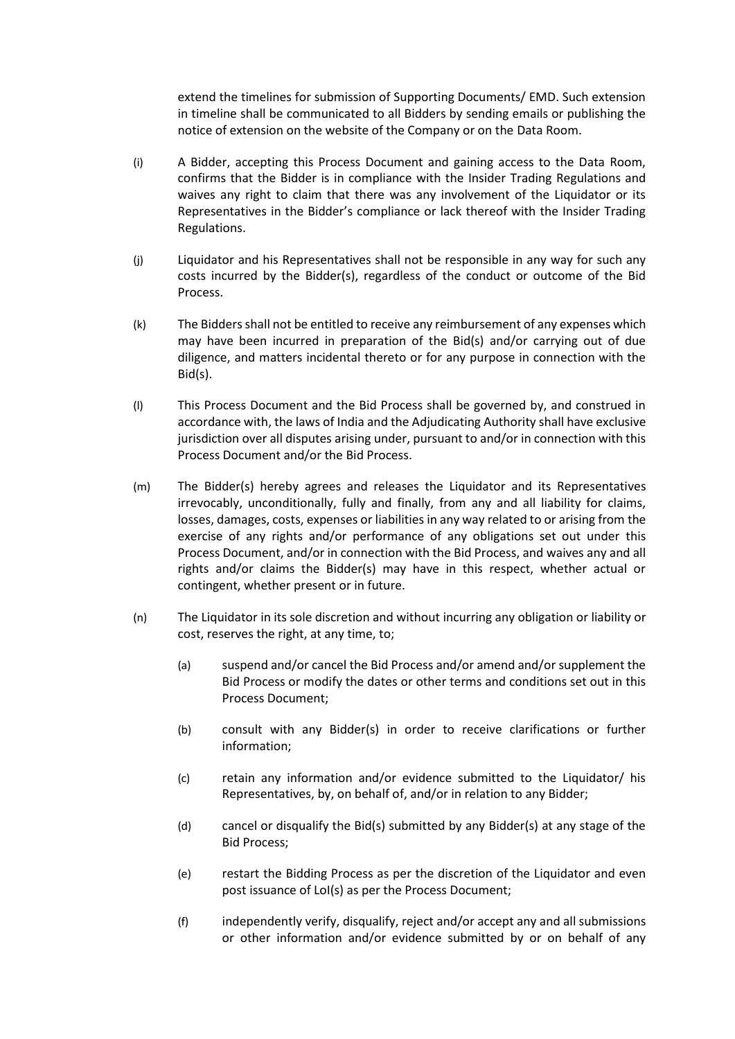extend the timelines for submission of Supporting Documents/ EMD. Such extension in timeline shall be communicated to all Bidders by sending emails or publishing the notice of extension on the website of the Company or on the Data Room.

- (i) A Bidder, accepting this Process Document and gaining access to the Data Room, confirms that the Bidder is in compliance with the Insider Trading Regulations and waives any right to claim that there was any involvement of the Liquidator or its Representatives in the Bidder's compliance or lack thereof with the Insider Trading Regulations.
- (j) Liquidator and his Representatives shall not be responsible in any way for such any costs incurred by the Bidder(s), regardless of the conduct or outcome of the Bid Process.
- (k) The Bidders shall not be entitled to receive any reimbursement of any expenses which may have been incurred in preparation of the Bid(s) and/or carrying out of due diligence, and matters incidental thereto or for any purpose in connection with the Bid(s).
- (l) This Process Document and the Bid Process shall be governed by, and construed in accordance with, the laws of India and the Adjudicating Authority shall have exclusive jurisdiction over all disputes arising under, pursuant to and/or in connection with this Process Document and/or the Bid Process.
- (m) The Bidder(s) hereby agrees and releases the Liquidator and its Representatives irrevocably, unconditionally, fully and finally, from any and all liability for claims, losses, damages, costs, expenses or liabilities in any way related to or arising from the exercise of any rights and/or performance of any obligations set out under this Process Document, and/or in connection with the Bid Process, and waives any and all rights and/or claims the Bidder(s) may have in this respect, whether actual or contingent, whether present or in future.
- (n) The Liquidator in its sole discretion and without incurring any obligation or liability or cost, reserves the right, at any time, to;
	- (a) suspend and/or cancel the Bid Process and/or amend and/or supplement the Bid Process or modify the dates or other terms and conditions set out in this Process Document;
	- (b) consult with any Bidder(s) in order to receive clarifications or further information;
	- (c) retain any information and/or evidence submitted to the Liquidator/ his Representatives, by, on behalf of, and/or in relation to any Bidder;
	- (d) cancel or disqualify the Bid(s) submitted by any Bidder(s) at any stage of the Bid Process;
	- (e) restart the Bidding Process as per the discretion of the Liquidator and even post issuance of LoI(s) as per the Process Document;
	- (f) independently verify, disqualify, reject and/or accept any and all submissions or other information and/or evidence submitted by or on behalf of any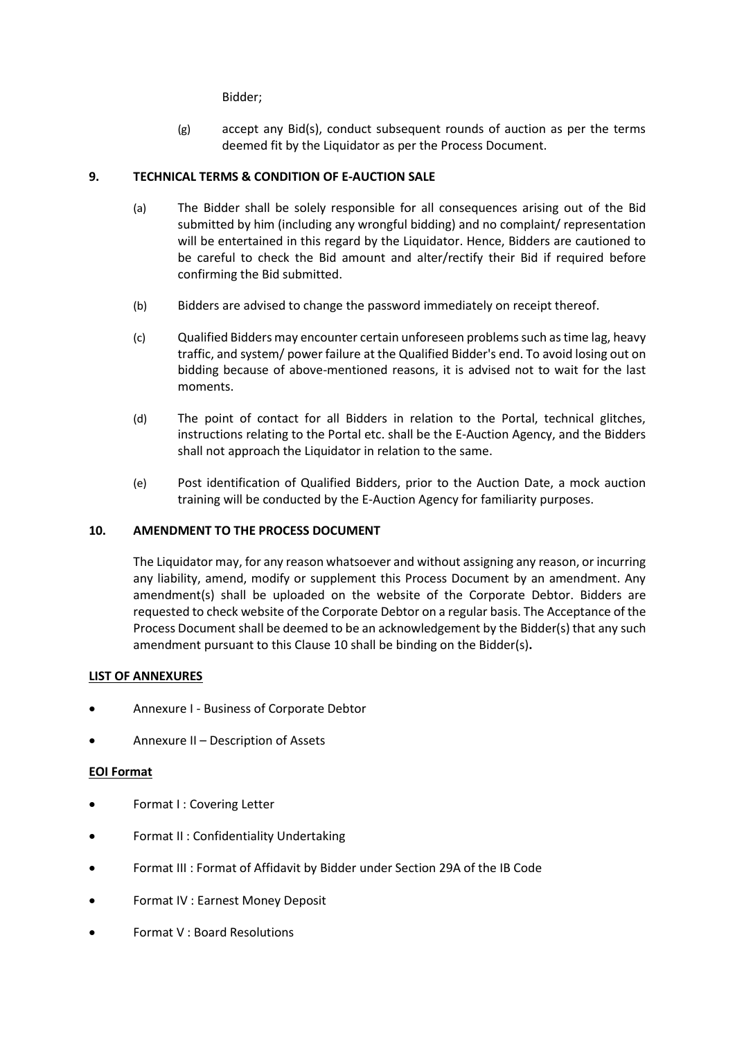Bidder;

(g) accept any Bid(s), conduct subsequent rounds of auction as per the terms deemed fit by the Liquidator as per the Process Document.

# **9. TECHNICAL TERMS & CONDITION OF E-AUCTION SALE**

- (a) The Bidder shall be solely responsible for all consequences arising out of the Bid submitted by him (including any wrongful bidding) and no complaint/ representation will be entertained in this regard by the Liquidator. Hence, Bidders are cautioned to be careful to check the Bid amount and alter/rectify their Bid if required before confirming the Bid submitted.
- (b) Bidders are advised to change the password immediately on receipt thereof.
- (c) Qualified Bidders may encounter certain unforeseen problems such as time lag, heavy traffic, and system/ power failure at the Qualified Bidder's end. To avoid losing out on bidding because of above-mentioned reasons, it is advised not to wait for the last moments.
- (d) The point of contact for all Bidders in relation to the Portal, technical glitches, instructions relating to the Portal etc. shall be the E-Auction Agency, and the Bidders shall not approach the Liquidator in relation to the same.
- (e) Post identification of Qualified Bidders, prior to the Auction Date, a mock auction training will be conducted by the E-Auction Agency for familiarity purposes.

### **10. AMENDMENT TO THE PROCESS DOCUMENT**

The Liquidator may, for any reason whatsoever and without assigning any reason, or incurring any liability, amend, modify or supplement this Process Document by an amendment. Any amendment(s) shall be uploaded on the website of the Corporate Debtor. Bidders are requested to check website of the Corporate Debtor on a regular basis. The Acceptance of the Process Document shall be deemed to be an acknowledgement by the Bidder(s) that any such amendment pursuant to this Clause 10 shall be binding on the Bidder(s)**.**

### **LIST OF ANNEXURES**

- Annexure I Business of Corporate Debtor
- Annexure II Description of Assets

# **EOI Format**

- Format I : Covering Letter
- Format II : Confidentiality Undertaking
- Format III : Format of Affidavit by Bidder under Section 29A of the IB Code
- Format IV : Earnest Money Deposit
- Format V : Board Resolutions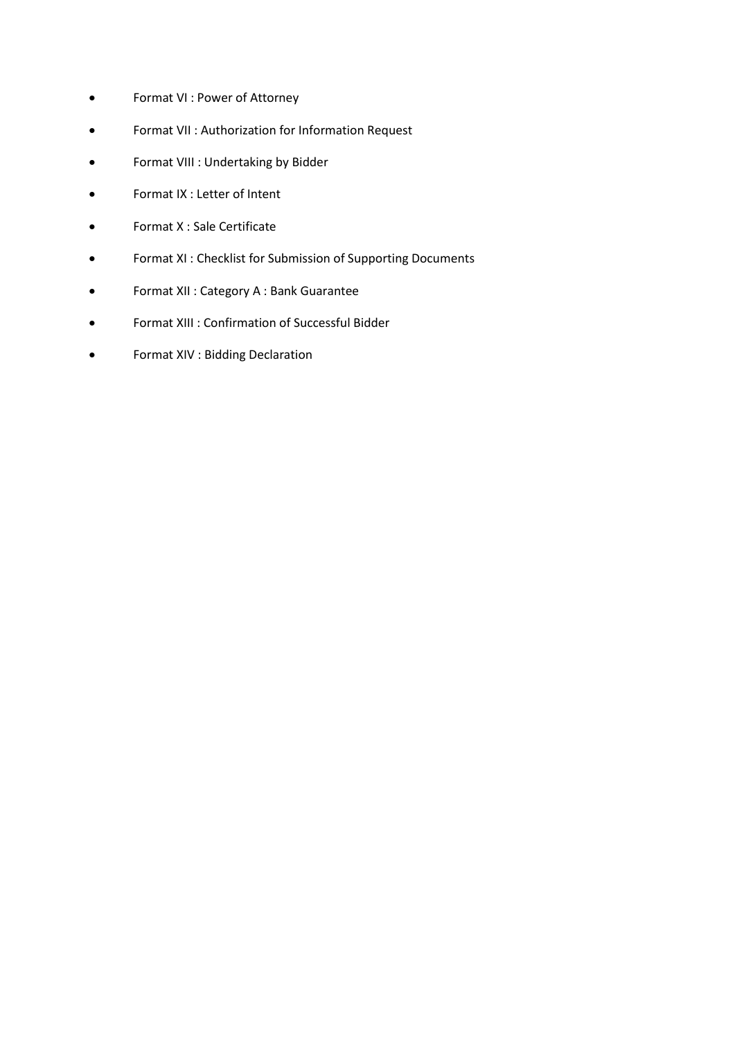- Format VI : Power of Attorney
- Format VII : Authorization for Information Request
- Format VIII : Undertaking by Bidder
- Format IX : Letter of Intent
- Format X : Sale Certificate
- Format XI : Checklist for Submission of Supporting Documents
- Format XII : Category A : Bank Guarantee
- Format XIII : Confirmation of Successful Bidder
- Format XIV : Bidding Declaration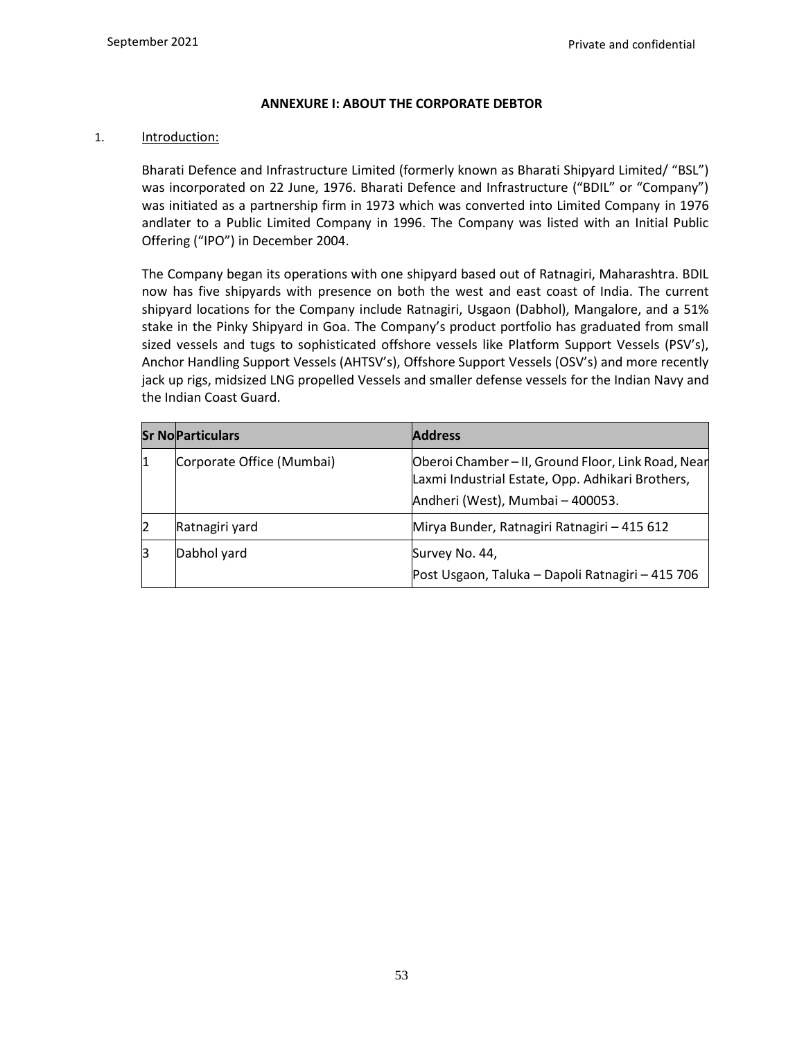# **ANNEXURE I: ABOUT THE CORPORATE DEBTOR**

### 1. **Introduction:**

Bharati Defence and Infrastructure Limited (formerly known as Bharati Shipyard Limited/ "BSL") was incorporated on 22 June, 1976. Bharati Defence and Infrastructure ("BDIL" or "Company") was initiated as a partnership firm in 1973 which was converted into Limited Company in 1976 andlater to a Public Limited Company in 1996. The Company was listed with an Initial Public Offering ("IPO") in December 2004.

The Company began its operations with one shipyard based out of Ratnagiri, Maharashtra. BDIL now has five shipyards with presence on both the west and east coast of India. The current shipyard locations for the Company include Ratnagiri, Usgaon (Dabhol), Mangalore, and a 51% stake in the Pinky Shipyard in Goa. The Company's product portfolio has graduated from small sized vessels and tugs to sophisticated offshore vessels like Platform Support Vessels (PSV's), Anchor Handling Support Vessels (AHTSV's), Offshore Support Vessels (OSV's) and more recently jack up rigs, midsized LNG propelled Vessels and smaller defense vessels for the Indian Navy and the Indian Coast Guard.

|             | <b>Sr No Particulars</b>  | <b>Address</b>                                                                                                                             |
|-------------|---------------------------|--------------------------------------------------------------------------------------------------------------------------------------------|
| l1          | Corporate Office (Mumbai) | Oberoi Chamber - II, Ground Floor, Link Road, Near<br>Laxmi Industrial Estate, Opp. Adhikari Brothers,<br>Andheri (West), Mumbai - 400053. |
| 12          | Ratnagiri yard            | Mirya Bunder, Ratnagiri Ratnagiri - 415 612                                                                                                |
| $\mathsf B$ | Dabhol yard               | Survey No. 44,<br>Post Usgaon, Taluka - Dapoli Ratnagiri - 415 706                                                                         |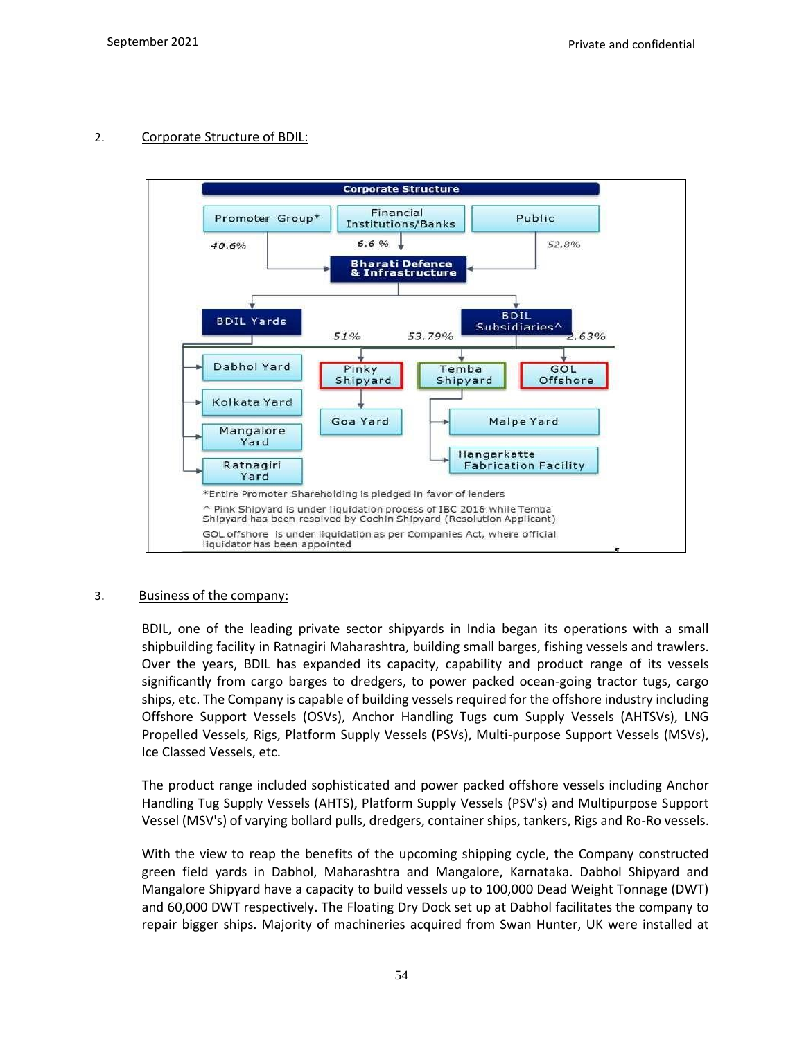# 2. Corporate Structure of BDIL:



### 3. Business of the company:

BDIL, one of the leading private sector shipyards in India began its operations with a small shipbuilding facility in Ratnagiri Maharashtra, building small barges, fishing vessels and trawlers. Over the years, BDIL has expanded its capacity, capability and product range of its vessels significantly from cargo barges to dredgers, to power packed ocean-going tractor tugs, cargo ships, etc. The Company is capable of building vessels required for the offshore industry including Offshore Support Vessels (OSVs), Anchor Handling Tugs cum Supply Vessels (AHTSVs), LNG Propelled Vessels, Rigs, Platform Supply Vessels (PSVs), Multi-purpose Support Vessels (MSVs), Ice Classed Vessels, etc.

The product range included sophisticated and power packed offshore vessels including Anchor Handling Tug Supply Vessels (AHTS), Platform Supply Vessels (PSV's) and Multipurpose Support Vessel (MSV's) of varying bollard pulls, dredgers, container ships, tankers, Rigs and Ro-Ro vessels.

With the view to reap the benefits of the upcoming shipping cycle, the Company constructed green field yards in Dabhol, Maharashtra and Mangalore, Karnataka. Dabhol Shipyard and Mangalore Shipyard have a capacity to build vessels up to 100,000 Dead Weight Tonnage (DWT) and 60,000 DWT respectively. The Floating Dry Dock set up at Dabhol facilitates the company to repair bigger ships. Majority of machineries acquired from Swan Hunter, UK were installed at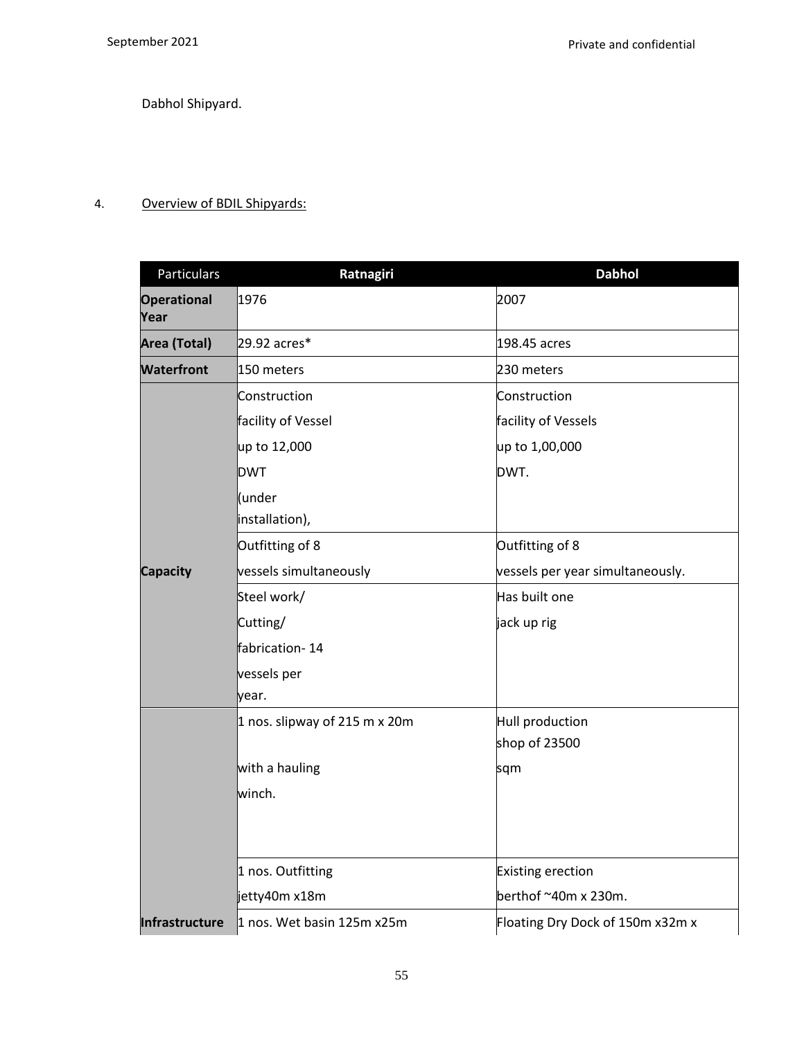Dabhol Shipyard.

# 4. Overview of BDIL Shipyards:

| Particulars                | Ratnagiri                     | <b>Dabhol</b>                    |
|----------------------------|-------------------------------|----------------------------------|
| <b>Operational</b><br>Year | 1976                          | 2007                             |
| Area (Total)               | 29.92 acres*                  | 198.45 acres                     |
| <b>Waterfront</b>          | 150 meters                    | 230 meters                       |
|                            | Construction                  | Construction                     |
|                            | facility of Vessel            | facility of Vessels              |
|                            | up to 12,000                  | up to 1,00,000                   |
|                            | <b>DWT</b>                    | DWT.                             |
|                            | (under<br>installation),      |                                  |
|                            | Outfitting of 8               | Outfitting of 8                  |
| <b>Capacity</b>            | vessels simultaneously        | vessels per year simultaneously. |
|                            | Steel work/                   | Has built one                    |
|                            | Cutting/                      | jack up rig                      |
|                            | fabrication-14                |                                  |
|                            | vessels per                   |                                  |
|                            | year.                         |                                  |
|                            | 1 nos. slipway of 215 m x 20m | Hull production                  |
|                            |                               | shop of 23500                    |
|                            | with a hauling                | sqm                              |
|                            | winch.                        |                                  |
|                            |                               |                                  |
|                            | 1 nos. Outfitting             | Existing erection                |
|                            | jetty40m x18m                 | berthof ~40m x 230m.             |
| Infrastructure             | 1 nos. Wet basin 125m x25m    | Floating Dry Dock of 150m x32m x |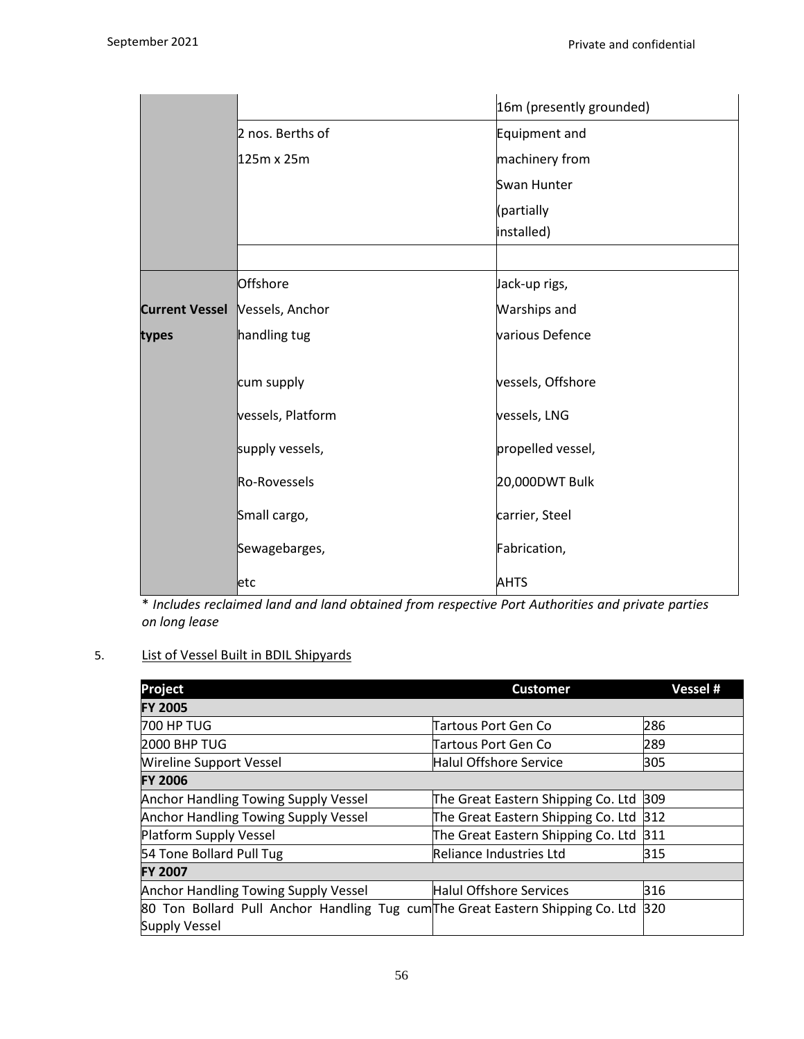|                       |                                 | 16m (presently grounded) |
|-----------------------|---------------------------------|--------------------------|
|                       | 2 nos. Berths of                | Equipment and            |
|                       | 125m x 25m                      | machinery from           |
|                       |                                 | Swan Hunter              |
|                       |                                 | (partially               |
|                       |                                 | installed)               |
|                       |                                 |                          |
|                       | Offshore                        | Jack-up rigs,            |
| <b>Current Vessel</b> | Vessels, Anchor                 | Warships and             |
| types                 | various Defence<br>handling tug |                          |
|                       |                                 |                          |
|                       | cum supply                      | vessels, Offshore        |
|                       | vessels, Platform               | vessels, LNG             |
|                       | supply vessels,                 | propelled vessel,        |
|                       | Ro-Rovessels                    | 20,000DWT Bulk           |
|                       | Small cargo,                    | carrier, Steel           |
|                       | Sewagebarges,                   | Fabrication,             |
|                       | letc                            | <b>AHTS</b>              |

\* *Includes reclaimed land and land obtained from respective Port Authorities and private parties on long lease*

# 5. List of Vessel Built in BDIL Shipyards

| Project                                                                        | <b>Customer</b>                    | Vessel # |
|--------------------------------------------------------------------------------|------------------------------------|----------|
| <b>FY 2005</b>                                                                 |                                    |          |
| 700 HP TUG                                                                     | Tartous Port Gen Co                | 286      |
| <b>2000 BHP TUG</b>                                                            | Tartous Port Gen Co                | 289      |
| <b>Wireline Support Vessel</b>                                                 | Halul Offshore Service             | 305      |
| <b>FY 2006</b>                                                                 |                                    |          |
| <b>Anchor Handling Towing Supply Vessel</b>                                    | The Great Eastern Shipping Co. Ltd | 309      |
| <b>Anchor Handling Towing Supply Vessel</b>                                    | The Great Eastern Shipping Co. Ltd | 312      |
| Platform Supply Vessel                                                         | The Great Eastern Shipping Co. Ltd | 311      |
| 54 Tone Bollard Pull Tug                                                       | Reliance Industries Ltd            | 315      |
| <b>FY 2007</b>                                                                 |                                    |          |
| <b>Anchor Handling Towing Supply Vessel</b>                                    | <b>Halul Offshore Services</b>     | 316      |
| 80 Ton Bollard Pull Anchor Handling Tug cum The Great Eastern Shipping Co. Ltd |                                    | 320      |
| <b>Supply Vessel</b>                                                           |                                    |          |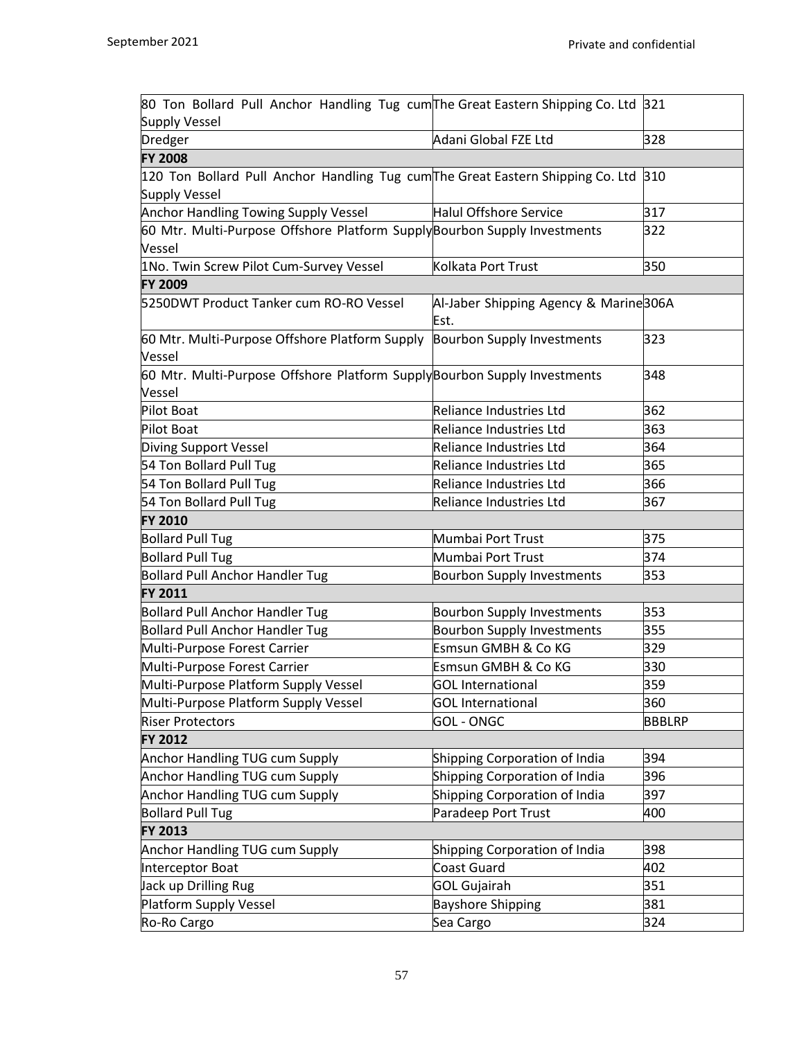| 80 Ton Bollard Pull Anchor Handling Tug cum The Great Eastern Shipping Co. Ltd 321 |                                               |               |
|------------------------------------------------------------------------------------|-----------------------------------------------|---------------|
| <b>Supply Vessel</b>                                                               |                                               |               |
| <b>Dredger</b>                                                                     | Adani Global FZE Ltd                          | 328           |
| <b>FY 2008</b>                                                                     |                                               |               |
| 120 Ton Bollard Pull Anchor Handling Tug cumThe Great Eastern Shipping Co. Ltd     |                                               | 310           |
| <b>Supply Vessel</b>                                                               |                                               |               |
| Anchor Handling Towing Supply Vessel                                               | Halul Offshore Service                        | 317           |
| 60 Mtr. Multi-Purpose Offshore Platform SupplyBourbon Supply Investments           |                                               | 322           |
| Vessel                                                                             |                                               |               |
| 1No. Twin Screw Pilot Cum-Survey Vessel                                            | Kolkata Port Trust                            | 350           |
| <b>FY 2009</b>                                                                     |                                               |               |
| 5250DWT Product Tanker cum RO-RO Vessel                                            | Al-Jaber Shipping Agency & Marine306A<br>Est. |               |
| 60 Mtr. Multi-Purpose Offshore Platform Supply<br>Vessel                           | <b>Bourbon Supply Investments</b>             | 323           |
| 60 Mtr. Multi-Purpose Offshore Platform SupplyBourbon Supply Investments<br>Vessel |                                               | 348           |
| <b>Pilot Boat</b>                                                                  | Reliance Industries Ltd                       | 362           |
| Pilot Boat                                                                         | Reliance Industries Ltd                       | 363           |
| Diving Support Vessel                                                              | Reliance Industries Ltd                       | 364           |
| 54 Ton Bollard Pull Tug                                                            | Reliance Industries Ltd                       | 365           |
| 54 Ton Bollard Pull Tug                                                            | Reliance Industries Ltd                       | 366           |
| 54 Ton Bollard Pull Tug                                                            | Reliance Industries Ltd                       | 367           |
| <b>FY 2010</b>                                                                     |                                               |               |
| <b>Bollard Pull Tug</b>                                                            | Mumbai Port Trust                             | 375           |
| <b>Bollard Pull Tug</b>                                                            | Mumbai Port Trust                             | 374           |
| <b>Bollard Pull Anchor Handler Tug</b>                                             | <b>Bourbon Supply Investments</b>             | 353           |
| FY 2011                                                                            |                                               |               |
| <b>Bollard Pull Anchor Handler Tug</b>                                             | <b>Bourbon Supply Investments</b>             | 353           |
| <b>Bollard Pull Anchor Handler Tug</b>                                             | <b>Bourbon Supply Investments</b>             | 355           |
| Multi-Purpose Forest Carrier                                                       | Esmsun GMBH & Co KG                           | 329           |
| Multi-Purpose Forest Carrier                                                       | Esmsun GMBH & Co KG                           | 330           |
| Multi-Purpose Platform Supply Vessel                                               | <b>GOL</b> International                      | 359           |
| Multi-Purpose Platform Supply Vessel                                               | <b>GOL</b> International                      | 360           |
| <b>Riser Protectors</b>                                                            | <b>GOL - ONGC</b>                             | <b>BBBLRP</b> |
| <b>FY 2012</b>                                                                     |                                               |               |
| Anchor Handling TUG cum Supply                                                     | Shipping Corporation of India                 | 394           |
| <b>Anchor Handling TUG cum Supply</b>                                              | Shipping Corporation of India                 | 396           |
| <b>Anchor Handling TUG cum Supply</b>                                              | Shipping Corporation of India                 | 397           |
| <b>Bollard Pull Tug</b>                                                            | Paradeep Port Trust                           | 400           |
| FY 2013                                                                            |                                               |               |
| <b>Anchor Handling TUG cum Supply</b>                                              | Shipping Corporation of India                 | 398           |
| Interceptor Boat                                                                   | Coast Guard                                   | 402           |
| Jack up Drilling Rug                                                               | <b>GOL Gujairah</b>                           | 351           |
| Platform Supply Vessel                                                             | <b>Bayshore Shipping</b>                      | 381           |
| Ro-Ro Cargo                                                                        | Sea Cargo                                     | 324           |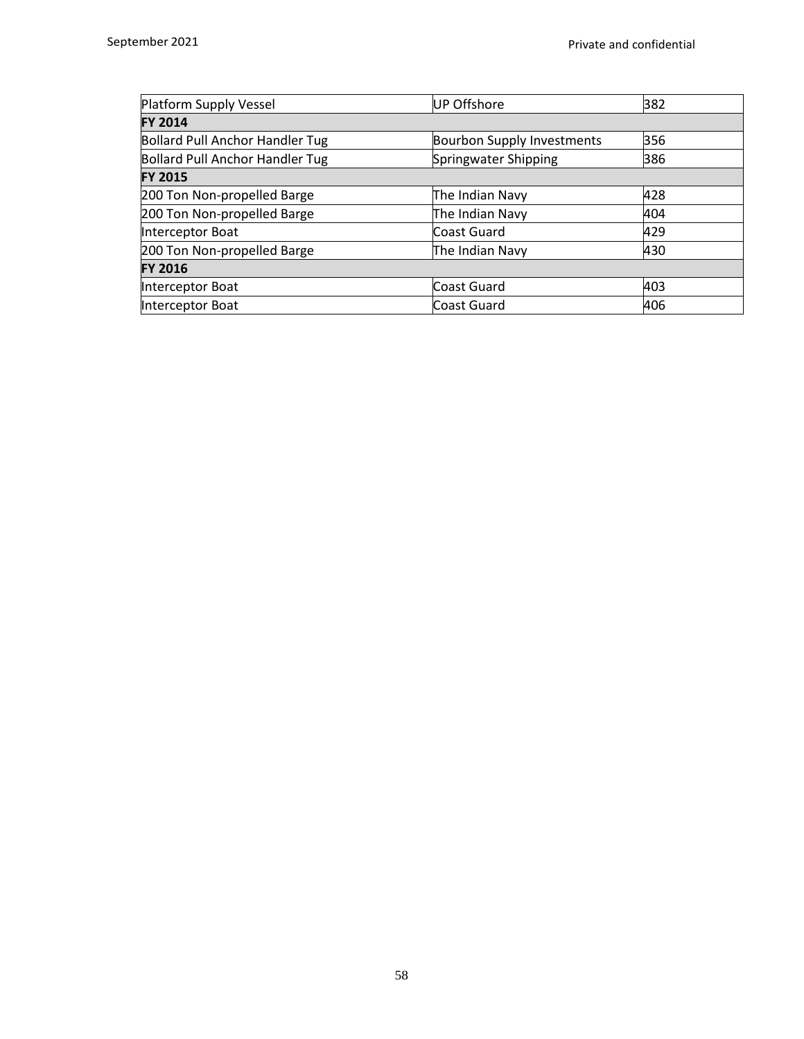| <b>UP Offshore</b>                | 382 |
|-----------------------------------|-----|
|                                   |     |
| <b>Bourbon Supply Investments</b> | 356 |
| Springwater Shipping              | 386 |
|                                   |     |
| The Indian Navy                   | 428 |
| The Indian Navy                   | 404 |
| Coast Guard                       | 429 |
| The Indian Navy                   | 430 |
|                                   |     |
| Coast Guard                       | 403 |
| Coast Guard                       | 406 |
|                                   |     |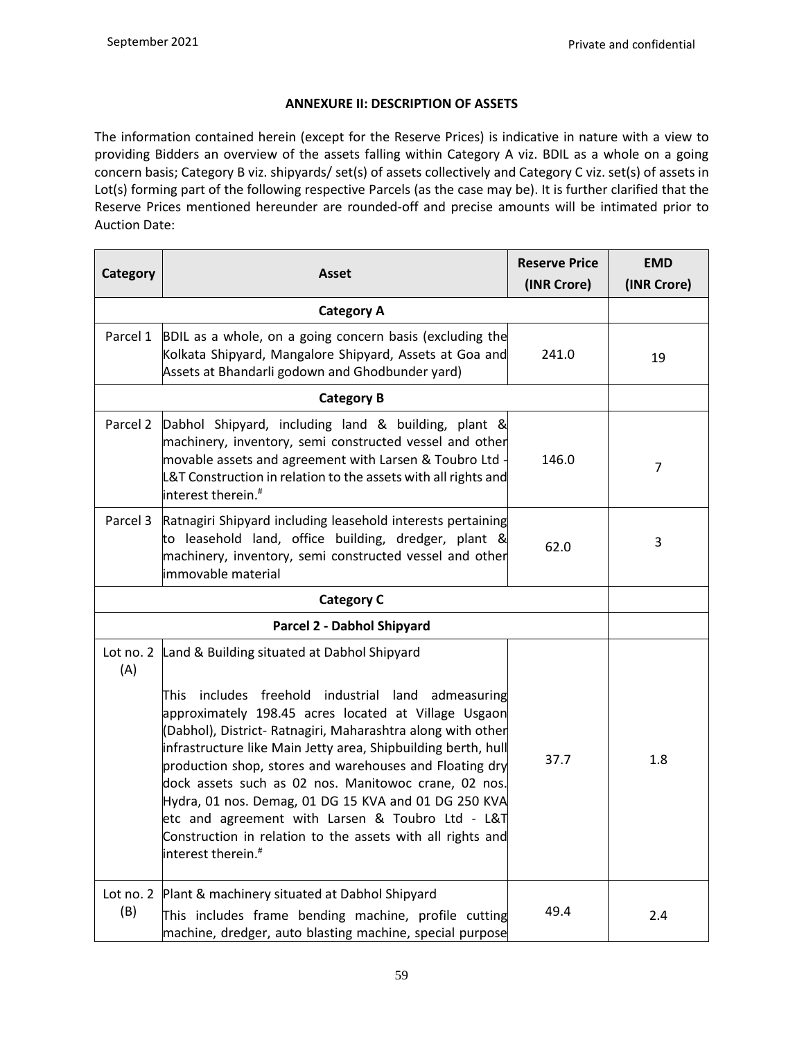# **ANNEXURE II: DESCRIPTION OF ASSETS**

The information contained herein (except for the Reserve Prices) is indicative in nature with a view to providing Bidders an overview of the assets falling within Category A viz. BDIL as a whole on a going concern basis; Category B viz. shipyards/ set(s) of assets collectively and Category C viz. set(s) of assets in Lot(s) forming part of the following respective Parcels (as the case may be). It is further clarified that the Reserve Prices mentioned hereunder are rounded-off and precise amounts will be intimated prior to Auction Date:

| Category<br><b>Asset</b>   |                                                                                                                                                                                                                                                                                                                                                                                                                                                                                                                                                                                                                              | <b>Reserve Price</b><br>(INR Crore) | <b>EMD</b><br>(INR Crore) |
|----------------------------|------------------------------------------------------------------------------------------------------------------------------------------------------------------------------------------------------------------------------------------------------------------------------------------------------------------------------------------------------------------------------------------------------------------------------------------------------------------------------------------------------------------------------------------------------------------------------------------------------------------------------|-------------------------------------|---------------------------|
|                            | <b>Category A</b>                                                                                                                                                                                                                                                                                                                                                                                                                                                                                                                                                                                                            |                                     |                           |
| Parcel 1                   | BDIL as a whole, on a going concern basis (excluding the<br>Kolkata Shipyard, Mangalore Shipyard, Assets at Goa and<br>Assets at Bhandarli godown and Ghodbunder yard)                                                                                                                                                                                                                                                                                                                                                                                                                                                       | 241.0                               | 19                        |
|                            | <b>Category B</b>                                                                                                                                                                                                                                                                                                                                                                                                                                                                                                                                                                                                            |                                     |                           |
| Parcel 2                   | Dabhol Shipyard, including land & building, plant &<br>machinery, inventory, semi constructed vessel and other<br>movable assets and agreement with Larsen & Toubro Ltd<br>L&T Construction in relation to the assets with all rights and<br>interest therein. <sup>#</sup>                                                                                                                                                                                                                                                                                                                                                  | 146.0                               | $\overline{7}$            |
| Parcel 3                   | Ratnagiri Shipyard including leasehold interests pertaining<br>to leasehold land, office building, dredger, plant &<br>machinery, inventory, semi constructed vessel and other<br>immovable material                                                                                                                                                                                                                                                                                                                                                                                                                         | 62.0                                | 3                         |
|                            |                                                                                                                                                                                                                                                                                                                                                                                                                                                                                                                                                                                                                              |                                     |                           |
| Parcel 2 - Dabhol Shipyard |                                                                                                                                                                                                                                                                                                                                                                                                                                                                                                                                                                                                                              |                                     |                           |
| Lot no. 2<br>(A)           | Land & Building situated at Dabhol Shipyard<br>includes freehold industrial land admeasuring<br>This.<br>approximately 198.45 acres located at Village Usgaon<br>(Dabhol), District- Ratnagiri, Maharashtra along with other<br>infrastructure like Main Jetty area, Shipbuilding berth, hull<br>production shop, stores and warehouses and Floating dry<br>dock assets such as 02 nos. Manitowoc crane, 02 nos.<br>Hydra, 01 nos. Demag, 01 DG 15 KVA and 01 DG 250 KVA<br>etc and agreement with Larsen & Toubro Ltd - L&T<br>Construction in relation to the assets with all rights and<br>interest therein. <sup>#</sup> | 37.7                                | 1.8                       |
| Lot no. 2<br>(B)           | Plant & machinery situated at Dabhol Shipyard<br>This includes frame bending machine, profile cutting<br>machine, dredger, auto blasting machine, special purpose                                                                                                                                                                                                                                                                                                                                                                                                                                                            | 49.4                                | 2.4                       |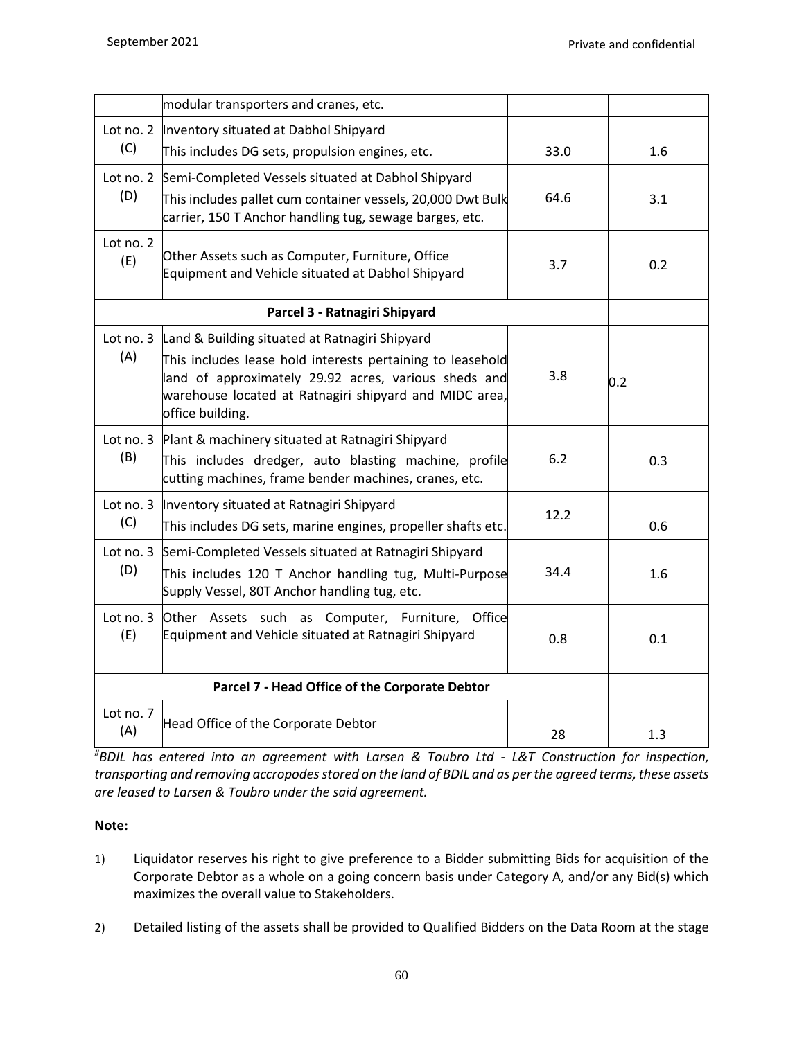|                                                | modular transporters and cranes, etc.                                                                                                                                                            |      |     |
|------------------------------------------------|--------------------------------------------------------------------------------------------------------------------------------------------------------------------------------------------------|------|-----|
| Lot no. 2                                      | Inventory situated at Dabhol Shipyard                                                                                                                                                            |      |     |
| (C)                                            | This includes DG sets, propulsion engines, etc.                                                                                                                                                  | 33.0 | 1.6 |
| (D)                                            | Lot no. 2 Semi-Completed Vessels situated at Dabhol Shipyard                                                                                                                                     | 64.6 | 3.1 |
|                                                | This includes pallet cum container vessels, 20,000 Dwt Bulk<br>carrier, 150 T Anchor handling tug, sewage barges, etc.                                                                           |      |     |
| Lot no. 2<br>(E)                               | Other Assets such as Computer, Furniture, Office<br>Equipment and Vehicle situated at Dabhol Shipyard                                                                                            | 3.7  | 0.2 |
|                                                | Parcel 3 - Ratnagiri Shipyard                                                                                                                                                                    |      |     |
| Lot no. 3                                      | Land & Building situated at Ratnagiri Shipyard                                                                                                                                                   |      |     |
| (A)                                            | This includes lease hold interests pertaining to leasehold<br>land of approximately 29.92 acres, various sheds and<br>warehouse located at Ratnagiri shipyard and MIDC area,<br>office building. | 3.8  | 0.2 |
| Lot no. 3                                      | Plant & machinery situated at Ratnagiri Shipyard                                                                                                                                                 |      |     |
| (B)                                            | This includes dredger, auto blasting machine, profile<br>cutting machines, frame bender machines, cranes, etc.                                                                                   | 6.2  | 0.3 |
| Lot no. 3                                      | Inventory situated at Ratnagiri Shipyard                                                                                                                                                         | 12.2 |     |
| (C)                                            | This includes DG sets, marine engines, propeller shafts etc.                                                                                                                                     |      | 0.6 |
| Lot no. 3                                      | Semi-Completed Vessels situated at Ratnagiri Shipyard                                                                                                                                            |      |     |
| (D)                                            | This includes 120 T Anchor handling tug, Multi-Purpose<br>Supply Vessel, 80T Anchor handling tug, etc.                                                                                           | 34.4 | 1.6 |
| Lot no. 3<br>(E)                               | Other Assets such as Computer, Furniture, Office<br>Equipment and Vehicle situated at Ratnagiri Shipyard                                                                                         | 0.8  | 0.1 |
| Parcel 7 - Head Office of the Corporate Debtor |                                                                                                                                                                                                  |      |     |
| Lot no. 7                                      | Head Office of the Corporate Debtor                                                                                                                                                              |      |     |
| (A)                                            |                                                                                                                                                                                                  | 28   | 1.3 |

*#BDIL has entered into an agreement with Larsen & Toubro Ltd - L&T Construction for inspection, transporting and removing accropodes stored on the land of BDIL and as per the agreed terms, these assets are leased to Larsen & Toubro under the said agreement.* 

# **Note:**

- 1) Liquidator reserves his right to give preference to a Bidder submitting Bids for acquisition of the Corporate Debtor as a whole on a going concern basis under Category A, and/or any Bid(s) which maximizes the overall value to Stakeholders.
- 2) Detailed listing of the assets shall be provided to Qualified Bidders on the Data Room at the stage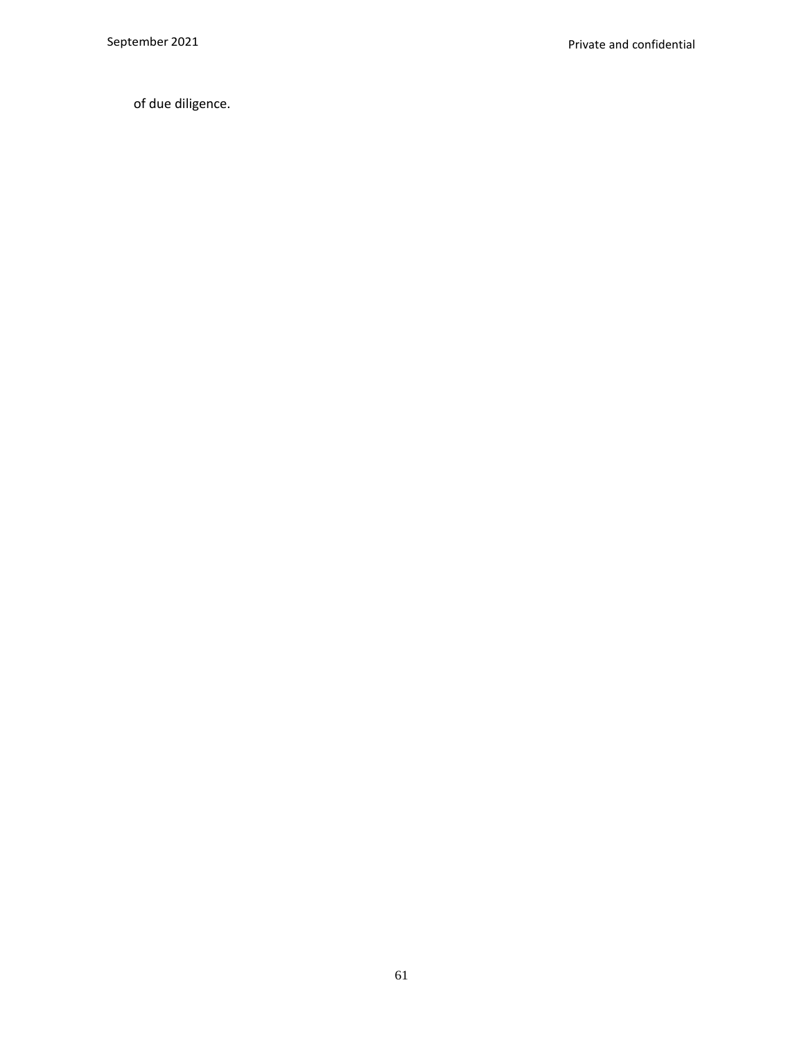of due diligence.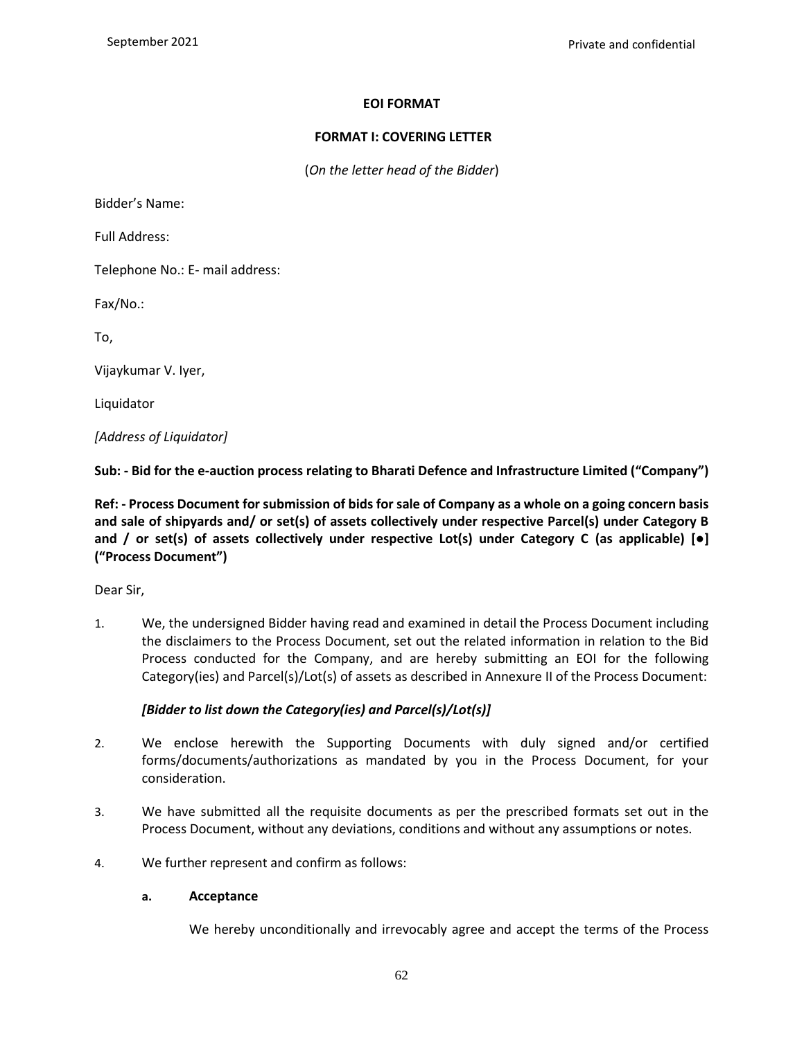# **EOI FORMAT**

### **FORMAT I: COVERING LETTER**

(*On the letter head of the Bidder*)

Bidder's Name:

Full Address:

Telephone No.: E- mail address:

Fax/No.:

To,

Vijaykumar V. Iyer,

Liquidator

*[Address of Liquidator]*

**Sub: - Bid for the e-auction process relating to Bharati Defence and Infrastructure Limited ("Company")**

**Ref: - Process Document for submission of bids for sale of Company as a whole on a going concern basis and sale of shipyards and/ or set(s) of assets collectively under respective Parcel(s) under Category B and / or set(s) of assets collectively under respective Lot(s) under Category C (as applicable) [●] ("Process Document")**

Dear Sir,

1. We, the undersigned Bidder having read and examined in detail the Process Document including the disclaimers to the Process Document, set out the related information in relation to the Bid Process conducted for the Company, and are hereby submitting an EOI for the following Category(ies) and Parcel(s)/Lot(s) of assets as described in Annexure II of the Process Document:

### *[Bidder to list down the Category(ies) and Parcel(s)/Lot(s)]*

- 2. We enclose herewith the Supporting Documents with duly signed and/or certified forms/documents/authorizations as mandated by you in the Process Document, for your consideration.
- 3. We have submitted all the requisite documents as per the prescribed formats set out in the Process Document, without any deviations, conditions and without any assumptions or notes.
- 4. We further represent and confirm as follows:

### **a. Acceptance**

We hereby unconditionally and irrevocably agree and accept the terms of the Process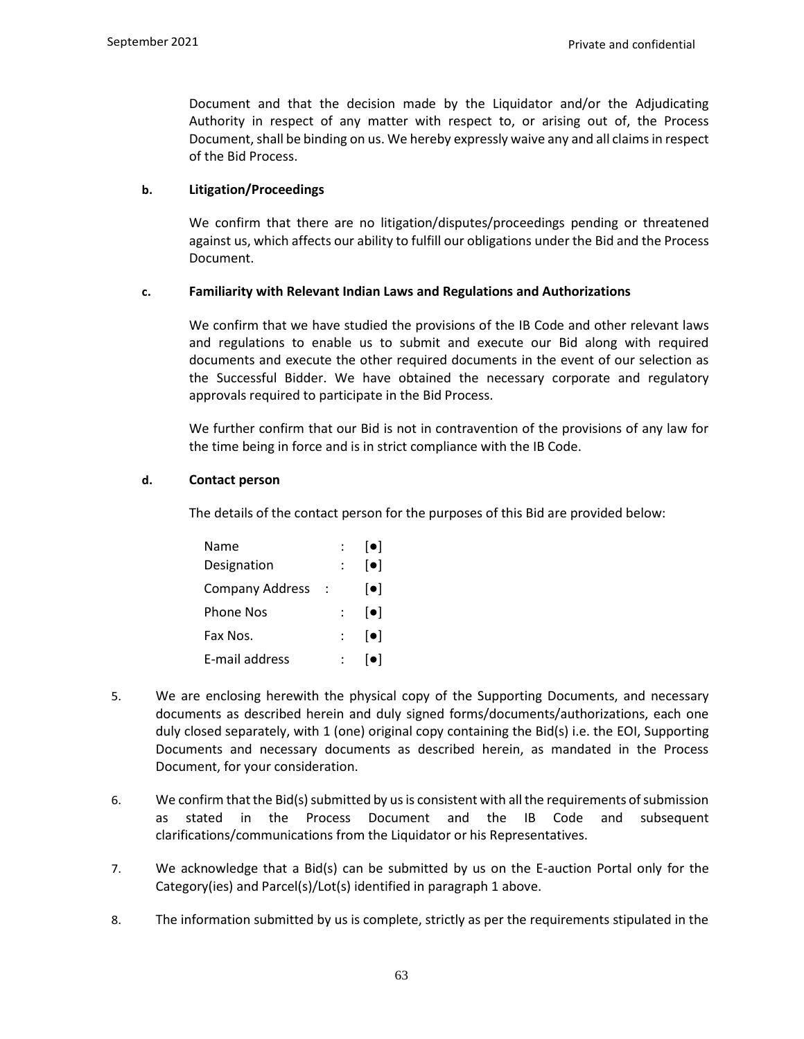Document and that the decision made by the Liquidator and/or the Adjudicating Authority in respect of any matter with respect to, or arising out of, the Process Document, shall be binding on us. We hereby expressly waive any and all claims in respect of the Bid Process.

### **b. Litigation/Proceedings**

We confirm that there are no litigation/disputes/proceedings pending or threatened against us, which affects our ability to fulfill our obligations under the Bid and the Process Document.

#### **c. Familiarity with Relevant Indian Laws and Regulations and Authorizations**

We confirm that we have studied the provisions of the IB Code and other relevant laws and regulations to enable us to submit and execute our Bid along with required documents and execute the other required documents in the event of our selection as the Successful Bidder. We have obtained the necessary corporate and regulatory approvals required to participate in the Bid Process.

We further confirm that our Bid is not in contravention of the provisions of any law for the time being in force and is in strict compliance with the IB Code.

#### **d. Contact person**

The details of the contact person for the purposes of this Bid are provided below:

| Name                   |               | $\lceil \bullet \rceil$ |
|------------------------|---------------|-------------------------|
| Designation            |               | $\lceil \bullet \rceil$ |
| <b>Company Address</b> |               | $[\bullet]$             |
| <b>Phone Nos</b>       | $\mathcal{L}$ | $\lceil \bullet \rceil$ |
| Fax Nos.               |               | $\lceil \bullet \rceil$ |
| E-mail address         |               | l۰l                     |

- 5. We are enclosing herewith the physical copy of the Supporting Documents, and necessary documents as described herein and duly signed forms/documents/authorizations, each one duly closed separately, with 1 (one) original copy containing the Bid(s) i.e. the EOI, Supporting Documents and necessary documents as described herein, as mandated in the Process Document, for your consideration.
- 6. We confirm that the Bid(s) submitted by us is consistent with all the requirements of submission as stated in the Process Document and the IB Code and subsequent clarifications/communications from the Liquidator or his Representatives.
- 7. We acknowledge that a Bid(s) can be submitted by us on the E-auction Portal only for the Category(ies) and Parcel(s)/Lot(s) identified in paragraph 1 above.
- 8. The information submitted by us is complete, strictly as per the requirements stipulated in the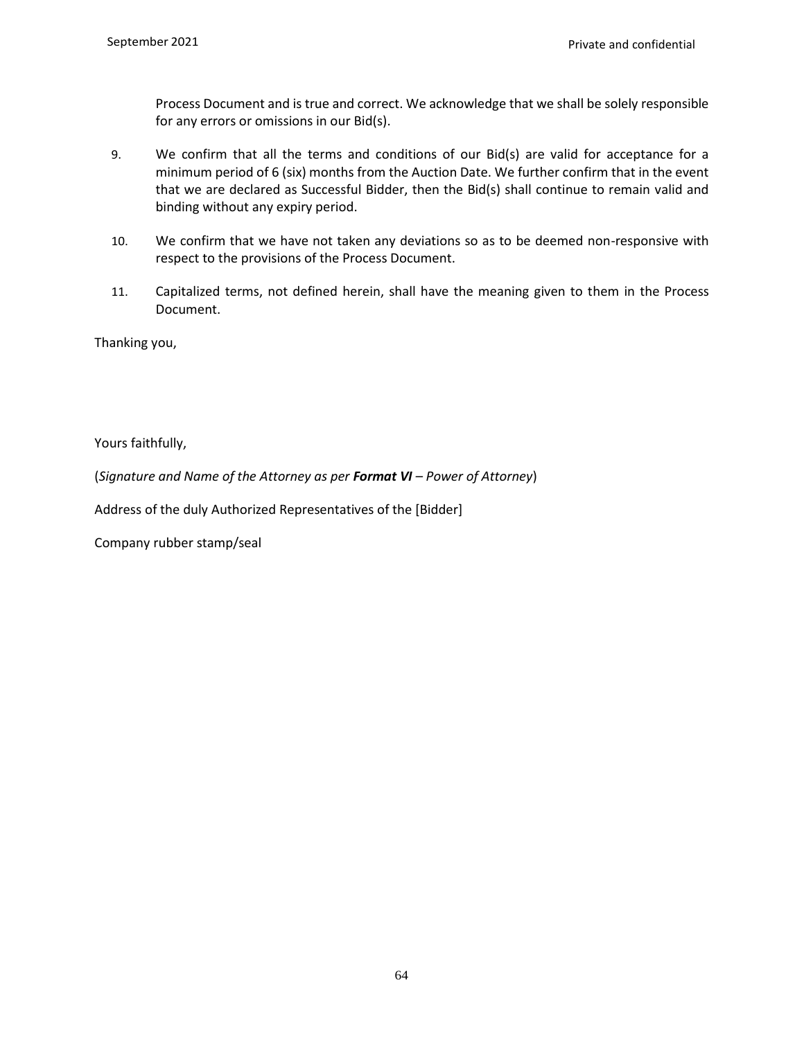Process Document and is true and correct. We acknowledge that we shall be solely responsible for any errors or omissions in our Bid(s).

- 9. We confirm that all the terms and conditions of our Bid(s) are valid for acceptance for a minimum period of 6 (six) months from the Auction Date. We further confirm that in the event that we are declared as Successful Bidder, then the Bid(s) shall continue to remain valid and binding without any expiry period.
- 10. We confirm that we have not taken any deviations so as to be deemed non-responsive with respect to the provisions of the Process Document.
- 11. Capitalized terms, not defined herein, shall have the meaning given to them in the Process Document.

Thanking you,

Yours faithfully,

(*Signature and Name of the Attorney as per Format VI – Power of Attorney*)

Address of the duly Authorized Representatives of the [Bidder]

Company rubber stamp/seal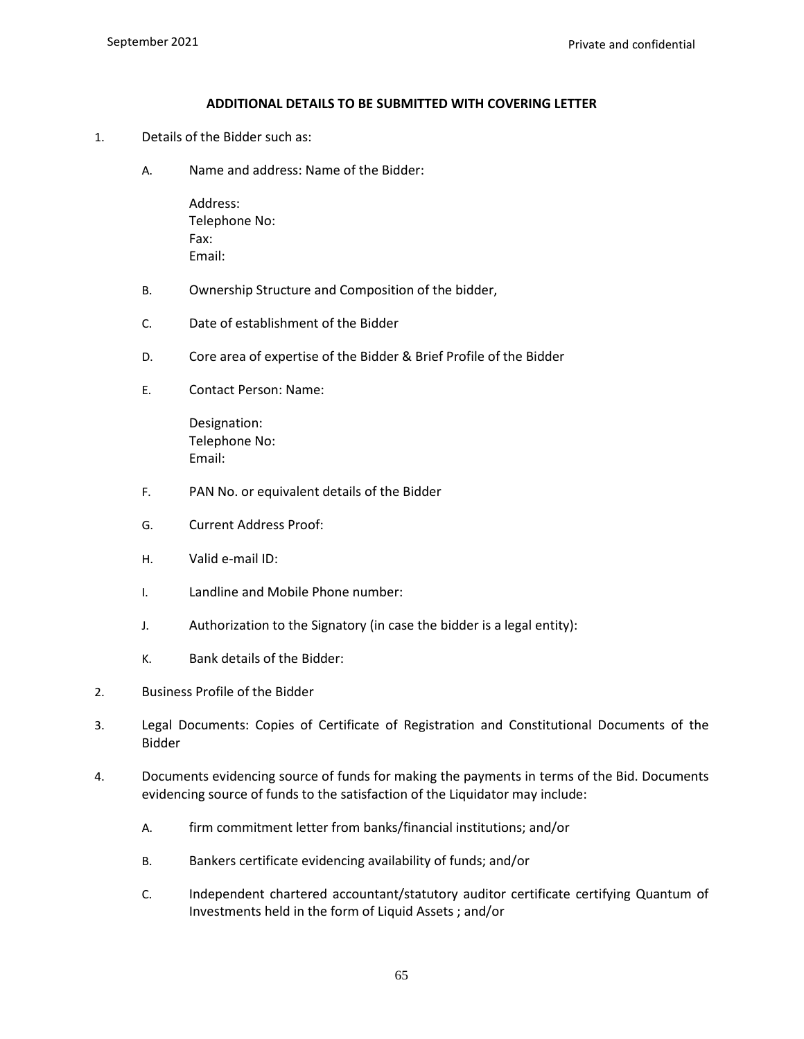#### **ADDITIONAL DETAILS TO BE SUBMITTED WITH COVERING LETTER**

- 1. Details of the Bidder such as:
	- A. Name and address: Name of the Bidder:

Address: Telephone No: Fax: Email:

- B. Ownership Structure and Composition of the bidder,
- C. Date of establishment of the Bidder
- D. Core area of expertise of the Bidder & Brief Profile of the Bidder
- E. Contact Person: Name:

Designation: Telephone No: Email:

- F. PAN No. or equivalent details of the Bidder
- G. Current Address Proof:
- H. Valid e-mail ID:
- I. Landline and Mobile Phone number:
- J. Authorization to the Signatory (in case the bidder is a legal entity):
- K. Bank details of the Bidder:
- 2. Business Profile of the Bidder
- 3. Legal Documents: Copies of Certificate of Registration and Constitutional Documents of the Bidder
- 4. Documents evidencing source of funds for making the payments in terms of the Bid. Documents evidencing source of funds to the satisfaction of the Liquidator may include:
	- A. firm commitment letter from banks/financial institutions; and/or
	- B. Bankers certificate evidencing availability of funds; and/or
	- C. Independent chartered accountant/statutory auditor certificate certifying Quantum of Investments held in the form of Liquid Assets ; and/or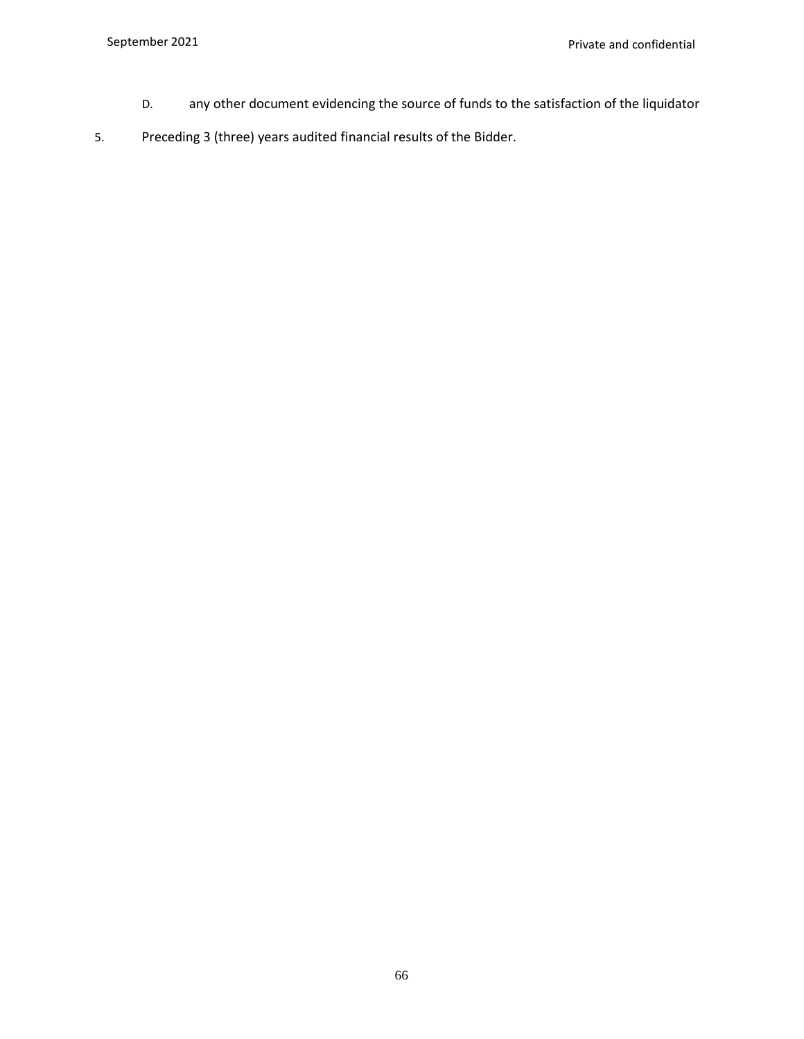- D. any other document evidencing the source of funds to the satisfaction of the liquidator
- 5. Preceding 3 (three) years audited financial results of the Bidder.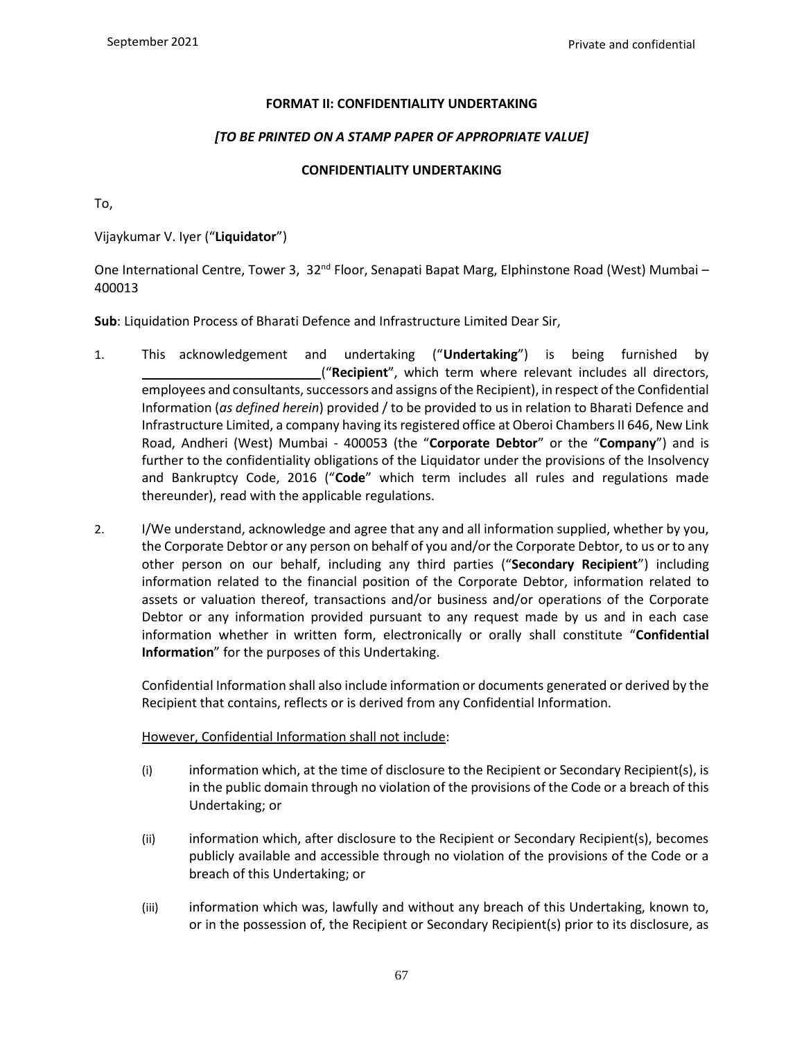### **FORMAT II: CONFIDENTIALITY UNDERTAKING**

# *[TO BE PRINTED ON A STAMP PAPER OF APPROPRIATE VALUE]*

# **CONFIDENTIALITY UNDERTAKING**

To,

Vijaykumar V. Iyer ("**Liquidator**")

One International Centre, Tower 3,  $32^{nd}$  Floor, Senapati Bapat Marg, Elphinstone Road (West) Mumbai – 400013

**Sub**: Liquidation Process of Bharati Defence and Infrastructure Limited Dear Sir,

- 1. This acknowledgement and undertaking ("**Undertaking**") is being furnished by ("**Recipient**", which term where relevant includes all directors, employees and consultants, successors and assigns of the Recipient), in respect of the Confidential Information (*as defined herein*) provided / to be provided to us in relation to Bharati Defence and Infrastructure Limited, a company having its registered office at Oberoi Chambers II 646, New Link Road, Andheri (West) Mumbai - 400053 (the "**Corporate Debtor**" or the "**Company**") and is further to the confidentiality obligations of the Liquidator under the provisions of the Insolvency and Bankruptcy Code, 2016 ("**Code**" which term includes all rules and regulations made thereunder), read with the applicable regulations.
- 2. I/We understand, acknowledge and agree that any and all information supplied, whether by you, the Corporate Debtor or any person on behalf of you and/or the Corporate Debtor, to us or to any other person on our behalf, including any third parties ("**Secondary Recipient**") including information related to the financial position of the Corporate Debtor, information related to assets or valuation thereof, transactions and/or business and/or operations of the Corporate Debtor or any information provided pursuant to any request made by us and in each case information whether in written form, electronically or orally shall constitute "**Confidential Information**" for the purposes of this Undertaking.

Confidential Information shall also include information or documents generated or derived by the Recipient that contains, reflects or is derived from any Confidential Information.

### However, Confidential Information shall not include:

- (i) information which, at the time of disclosure to the Recipient or Secondary Recipient(s), is in the public domain through no violation of the provisions of the Code or a breach of this Undertaking; or
- (ii) information which, after disclosure to the Recipient or Secondary Recipient(s), becomes publicly available and accessible through no violation of the provisions of the Code or a breach of this Undertaking; or
- (iii) information which was, lawfully and without any breach of this Undertaking, known to, or in the possession of, the Recipient or Secondary Recipient(s) prior to its disclosure, as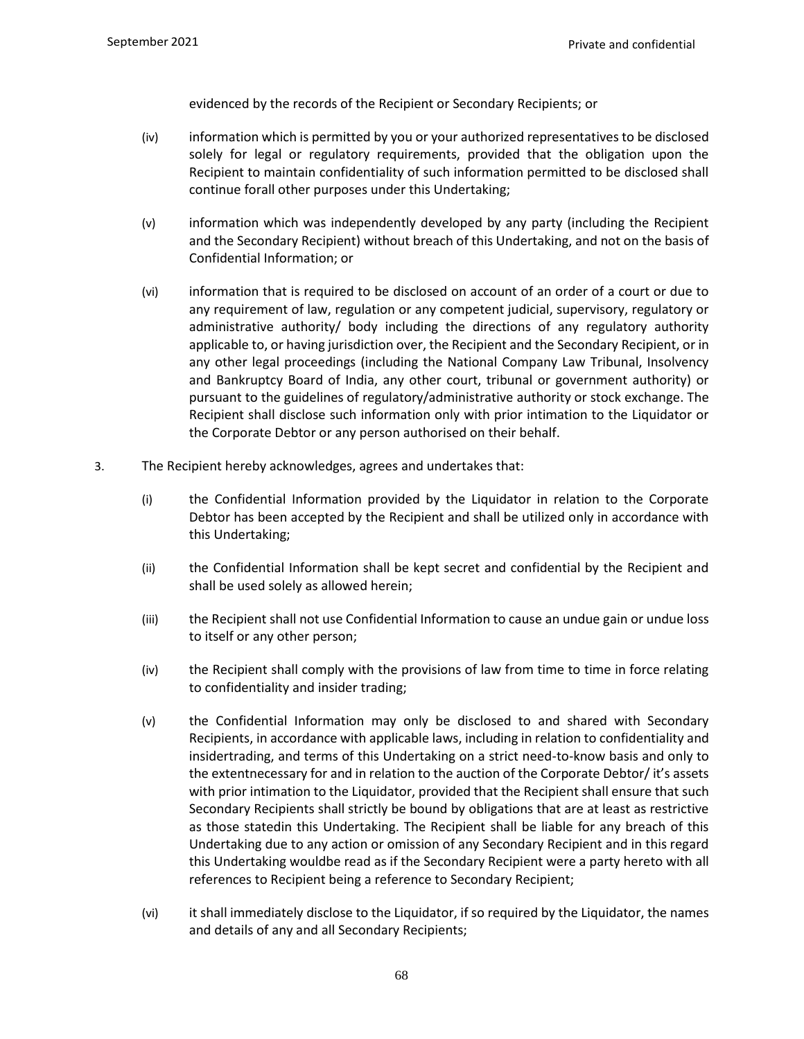evidenced by the records of the Recipient or Secondary Recipients; or

- (iv) information which is permitted by you or your authorized representatives to be disclosed solely for legal or regulatory requirements, provided that the obligation upon the Recipient to maintain confidentiality of such information permitted to be disclosed shall continue forall other purposes under this Undertaking;
- (v) information which was independently developed by any party (including the Recipient and the Secondary Recipient) without breach of this Undertaking, and not on the basis of Confidential Information; or
- (vi) information that is required to be disclosed on account of an order of a court or due to any requirement of law, regulation or any competent judicial, supervisory, regulatory or administrative authority/ body including the directions of any regulatory authority applicable to, or having jurisdiction over, the Recipient and the Secondary Recipient, or in any other legal proceedings (including the National Company Law Tribunal, Insolvency and Bankruptcy Board of India, any other court, tribunal or government authority) or pursuant to the guidelines of regulatory/administrative authority or stock exchange. The Recipient shall disclose such information only with prior intimation to the Liquidator or the Corporate Debtor or any person authorised on their behalf.
- 3. The Recipient hereby acknowledges, agrees and undertakes that:
	- (i) the Confidential Information provided by the Liquidator in relation to the Corporate Debtor has been accepted by the Recipient and shall be utilized only in accordance with this Undertaking;
	- (ii) the Confidential Information shall be kept secret and confidential by the Recipient and shall be used solely as allowed herein;
	- (iii) the Recipient shall not use Confidential Information to cause an undue gain or undue loss to itself or any other person;
	- (iv) the Recipient shall comply with the provisions of law from time to time in force relating to confidentiality and insider trading;
	- (v) the Confidential Information may only be disclosed to and shared with Secondary Recipients, in accordance with applicable laws, including in relation to confidentiality and insidertrading, and terms of this Undertaking on a strict need-to-know basis and only to the extentnecessary for and in relation to the auction of the Corporate Debtor/ it's assets with prior intimation to the Liquidator, provided that the Recipient shall ensure that such Secondary Recipients shall strictly be bound by obligations that are at least as restrictive as those statedin this Undertaking. The Recipient shall be liable for any breach of this Undertaking due to any action or omission of any Secondary Recipient and in this regard this Undertaking wouldbe read as if the Secondary Recipient were a party hereto with all references to Recipient being a reference to Secondary Recipient;
	- (vi) it shall immediately disclose to the Liquidator, if so required by the Liquidator, the names and details of any and all Secondary Recipients;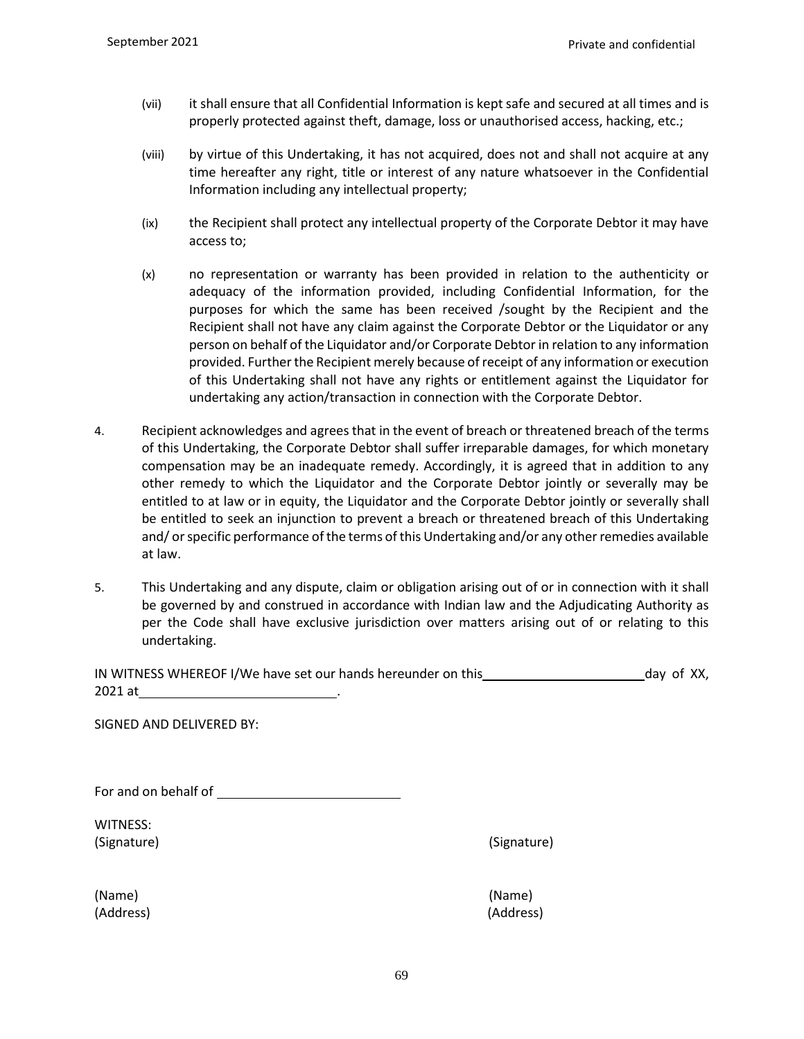- (vii) it shall ensure that all Confidential Information is kept safe and secured at all times and is properly protected against theft, damage, loss or unauthorised access, hacking, etc.;
- (viii) by virtue of this Undertaking, it has not acquired, does not and shall not acquire at any time hereafter any right, title or interest of any nature whatsoever in the Confidential Information including any intellectual property;
- (ix) the Recipient shall protect any intellectual property of the Corporate Debtor it may have access to;
- (x) no representation or warranty has been provided in relation to the authenticity or adequacy of the information provided, including Confidential Information, for the purposes for which the same has been received /sought by the Recipient and the Recipient shall not have any claim against the Corporate Debtor or the Liquidator or any person on behalf of the Liquidator and/or Corporate Debtor in relation to any information provided. Further the Recipient merely because of receipt of any information or execution of this Undertaking shall not have any rights or entitlement against the Liquidator for undertaking any action/transaction in connection with the Corporate Debtor.
- 4. Recipient acknowledges and agrees that in the event of breach or threatened breach of the terms of this Undertaking, the Corporate Debtor shall suffer irreparable damages, for which monetary compensation may be an inadequate remedy. Accordingly, it is agreed that in addition to any other remedy to which the Liquidator and the Corporate Debtor jointly or severally may be entitled to at law or in equity, the Liquidator and the Corporate Debtor jointly or severally shall be entitled to seek an injunction to prevent a breach or threatened breach of this Undertaking and/ or specific performance of the terms of this Undertaking and/or any other remedies available at law.
- 5. This Undertaking and any dispute, claim or obligation arising out of or in connection with it shall be governed by and construed in accordance with Indian law and the Adjudicating Authority as per the Code shall have exclusive jurisdiction over matters arising out of or relating to this undertaking.

| IN WITNESS WHEREOF I/We have set our hands hereunder on this | day of XX, |  |
|--------------------------------------------------------------|------------|--|
| 2021 at                                                      |            |  |

SIGNED AND DELIVERED BY:

For and on behalf of

WITNESS: (Signature) (Signature)

(Name) (Name) (Address) (Address)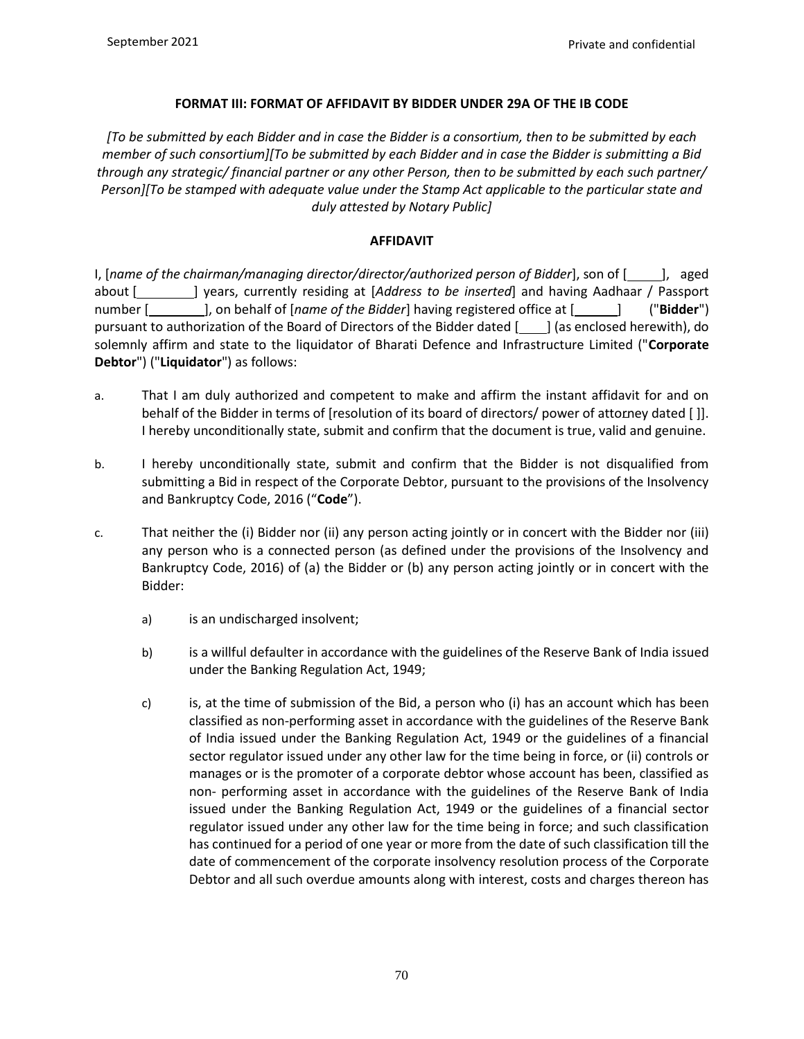## **FORMAT III: FORMAT OF AFFIDAVIT BY BIDDER UNDER 29A OF THE IB CODE**

*[To be submitted by each Bidder and in case the Bidder is a consortium, then to be submitted by each member of such consortium][To be submitted by each Bidder and in case the Bidder is submitting a Bid through any strategic/ financial partner or any other Person, then to be submitted by each such partner/ Person][To be stamped with adequate value under the Stamp Act applicable to the particular state and duly attested by Notary Public]*

## **AFFIDAVIT**

I, [name of the chairman/managing director/director/authorized person of Bidder], son of [1, aged about [ ] years, currently residing at [*Address to be inserted*] and having Aadhaar / Passport number [*lecteriff increases 1, on behalf of [name of the Bidder]* **having registered office at [***lecter]* **("<b>Bidder**") pursuant to authorization of the Board of Directors of the Bidder dated [1000] (as enclosed herewith), do solemnly affirm and state to the liquidator of Bharati Defence and Infrastructure Limited ("**Corporate Debtor**") ("**Liquidator**") as follows:

- a. That I am duly authorized and competent to make and affirm the instant affidavit for and on behalf of the Bidder in terms of [resolution of its board of directors/ power of attorney dated [ ]]. I hereby unconditionally state, submit and confirm that the document is true, valid and genuine.
- b. I hereby unconditionally state, submit and confirm that the Bidder is not disqualified from submitting a Bid in respect of the Corporate Debtor, pursuant to the provisions of the Insolvency and Bankruptcy Code, 2016 ("**Code**").
- c. That neither the (i) Bidder nor (ii) any person acting jointly or in concert with the Bidder nor (iii) any person who is a connected person (as defined under the provisions of the Insolvency and Bankruptcy Code, 2016) of (a) the Bidder or (b) any person acting jointly or in concert with the Bidder:
	- a) is an undischarged insolvent;
	- b) is a willful defaulter in accordance with the guidelines of the Reserve Bank of India issued under the Banking Regulation Act, 1949;
	- c) is, at the time of submission of the Bid, a person who (i) has an account which has been classified as non-performing asset in accordance with the guidelines of the Reserve Bank of India issued under the Banking Regulation Act, 1949 or the guidelines of a financial sector regulator issued under any other law for the time being in force, or (ii) controls or manages or is the promoter of a corporate debtor whose account has been, classified as non- performing asset in accordance with the guidelines of the Reserve Bank of India issued under the Banking Regulation Act, 1949 or the guidelines of a financial sector regulator issued under any other law for the time being in force; and such classification has continued for a period of one year or more from the date of such classification till the date of commencement of the corporate insolvency resolution process of the Corporate Debtor and all such overdue amounts along with interest, costs and charges thereon has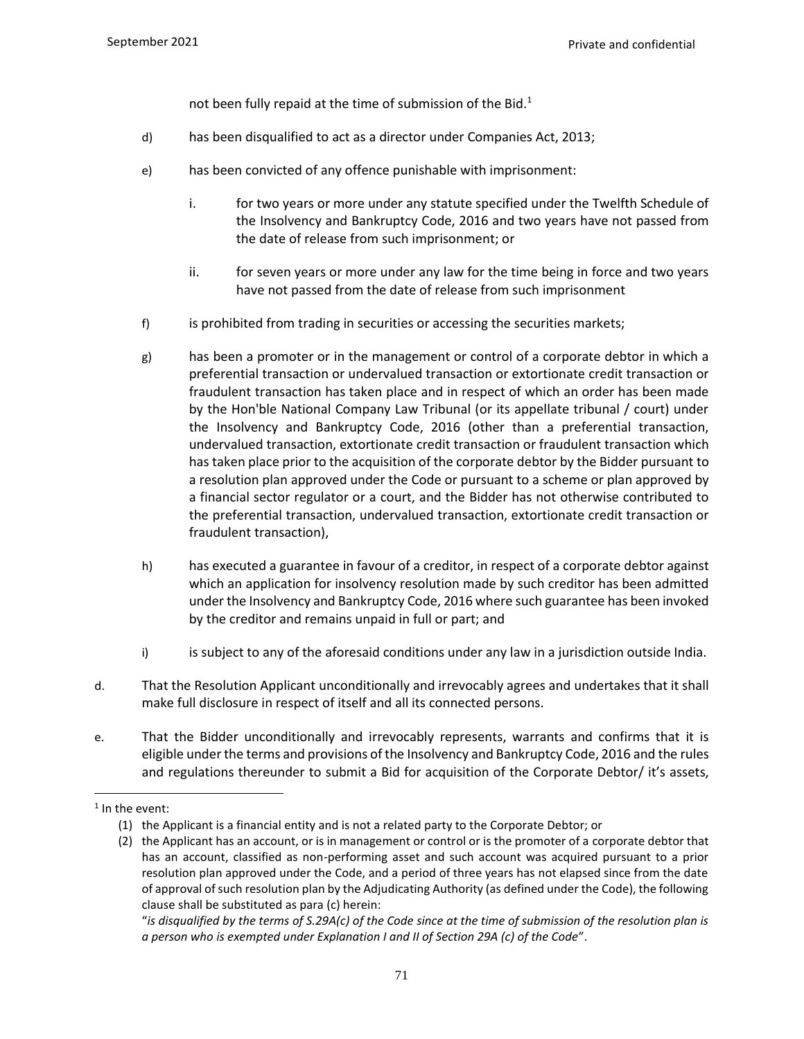not been fully repaid at the time of submission of the Bid. $<sup>1</sup>$ </sup>

- d) has been disqualified to act as a director under Companies Act, 2013;
- e) has been convicted of any offence punishable with imprisonment:
	- i. for two years or more under any statute specified under the Twelfth Schedule of the Insolvency and Bankruptcy Code, 2016 and two years have not passed from the date of release from such imprisonment; or
	- ii. for seven years or more under any law for the time being in force and two years have not passed from the date of release from such imprisonment
- f) is prohibited from trading in securities or accessing the securities markets;
- g) has been a promoter or in the management or control of a corporate debtor in which a preferential transaction or undervalued transaction or extortionate credit transaction or fraudulent transaction has taken place and in respect of which an order has been made by the Hon'ble National Company Law Tribunal (or its appellate tribunal / court) under the Insolvency and Bankruptcy Code, 2016 (other than a preferential transaction, undervalued transaction, extortionate credit transaction or fraudulent transaction which has taken place prior to the acquisition of the corporate debtor by the Bidder pursuant to a resolution plan approved under the Code or pursuant to a scheme or plan approved by a financial sector regulator or a court, and the Bidder has not otherwise contributed to the preferential transaction, undervalued transaction, extortionate credit transaction or fraudulent transaction),
- h) has executed a guarantee in favour of a creditor, in respect of a corporate debtor against which an application for insolvency resolution made by such creditor has been admitted under the Insolvency and Bankruptcy Code, 2016 where such guarantee has been invoked by the creditor and remains unpaid in full or part; and
- i) is subject to any of the aforesaid conditions under any law in a jurisdiction outside India.
- d. That the Resolution Applicant unconditionally and irrevocably agrees and undertakes that it shall make full disclosure in respect of itself and all its connected persons.
- e. That the Bidder unconditionally and irrevocably represents, warrants and confirms that it is eligible under the terms and provisions of the Insolvency and Bankruptcy Code, 2016 and the rules and regulations thereunder to submit a Bid for acquisition of the Corporate Debtor/ it's assets,

 $1$  In the event:

<sup>(1)</sup> the Applicant is a financial entity and is not a related party to the Corporate Debtor; or

<sup>(2)</sup> the Applicant has an account, or is in management or control or is the promoter of a corporate debtor that has an account, classified as non-performing asset and such account was acquired pursuant to a prior resolution plan approved under the Code, and a period of three years has not elapsed since from the date of approval of such resolution plan by the Adjudicating Authority (as defined under the Code), the following clause shall be substituted as para (c) herein:

<sup>&</sup>quot;*is disqualified by the terms of S.29A(c) of the Code since at the time of submission of the resolution plan is a person who is exempted under Explanation I and II of Section 29A (c) of the Code*".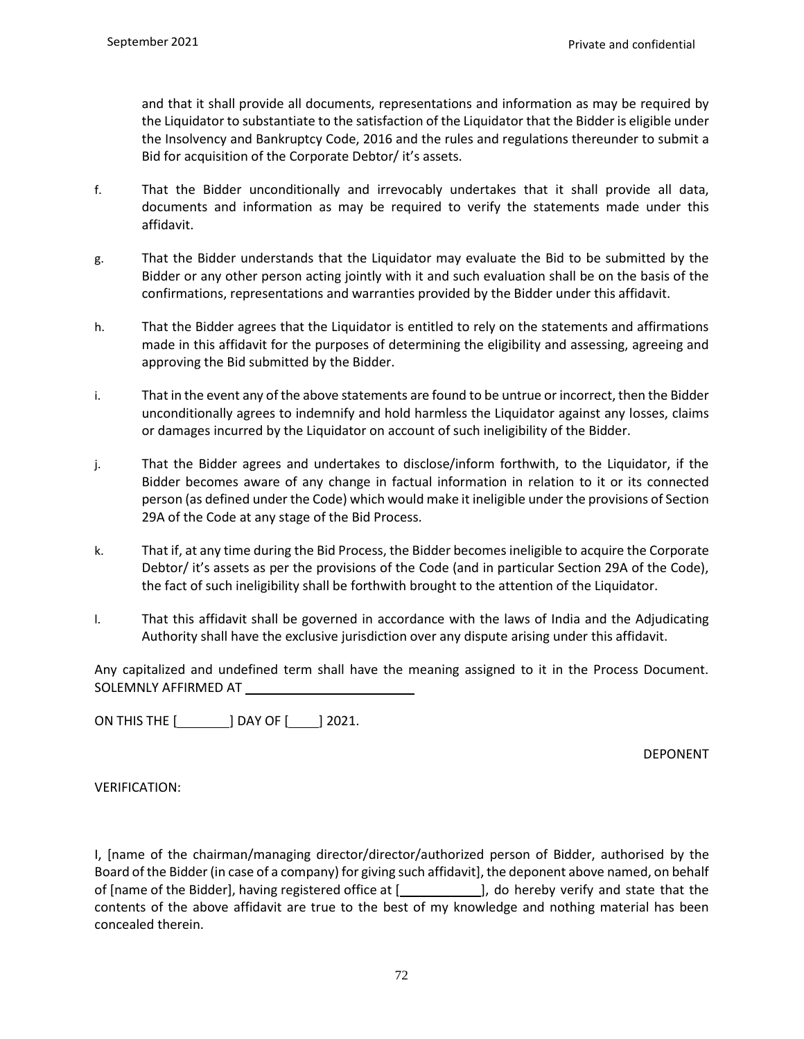and that it shall provide all documents, representations and information as may be required by the Liquidator to substantiate to the satisfaction of the Liquidator that the Bidder is eligible under the Insolvency and Bankruptcy Code, 2016 and the rules and regulations thereunder to submit a Bid for acquisition of the Corporate Debtor/ it's assets.

- f. That the Bidder unconditionally and irrevocably undertakes that it shall provide all data, documents and information as may be required to verify the statements made under this affidavit.
- g. That the Bidder understands that the Liquidator may evaluate the Bid to be submitted by the Bidder or any other person acting jointly with it and such evaluation shall be on the basis of the confirmations, representations and warranties provided by the Bidder under this affidavit.
- h. That the Bidder agrees that the Liquidator is entitled to rely on the statements and affirmations made in this affidavit for the purposes of determining the eligibility and assessing, agreeing and approving the Bid submitted by the Bidder.
- i. That in the event any of the above statements are found to be untrue or incorrect, then the Bidder unconditionally agrees to indemnify and hold harmless the Liquidator against any losses, claims or damages incurred by the Liquidator on account of such ineligibility of the Bidder.
- j. That the Bidder agrees and undertakes to disclose/inform forthwith, to the Liquidator, if the Bidder becomes aware of any change in factual information in relation to it or its connected person (as defined under the Code) which would make it ineligible under the provisions of Section 29A of the Code at any stage of the Bid Process.
- k. That if, at any time during the Bid Process, the Bidder becomes ineligible to acquire the Corporate Debtor/ it's assets as per the provisions of the Code (and in particular Section 29A of the Code), the fact of such ineligibility shall be forthwith brought to the attention of the Liquidator.
- l. That this affidavit shall be governed in accordance with the laws of India and the Adjudicating Authority shall have the exclusive jurisdiction over any dispute arising under this affidavit.

Any capitalized and undefined term shall have the meaning assigned to it in the Process Document. SOLEMNLY AFFIRMED AT

ON THIS THE [ ] DAY OF [ ] 2021.

DEPONENT

VERIFICATION:

I, [name of the chairman/managing director/director/authorized person of Bidder, authorised by the Board of the Bidder (in case of a company) for giving such affidavit], the deponent above named, on behalf of [name of the Bidder], having registered office at [ ], do hereby verify and state that the contents of the above affidavit are true to the best of my knowledge and nothing material has been concealed therein.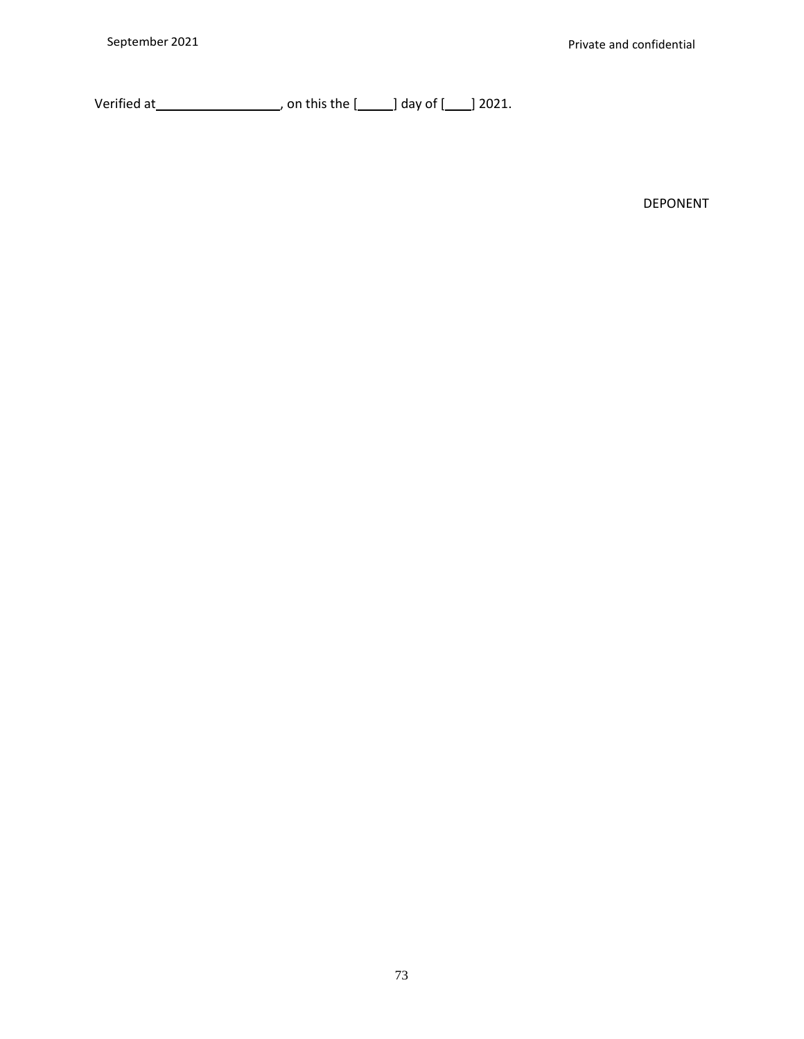Verified at  $\qquad \qquad$  , on this the  $[\qquad]$  day of  $[\qquad]$  2021.

DEPONENT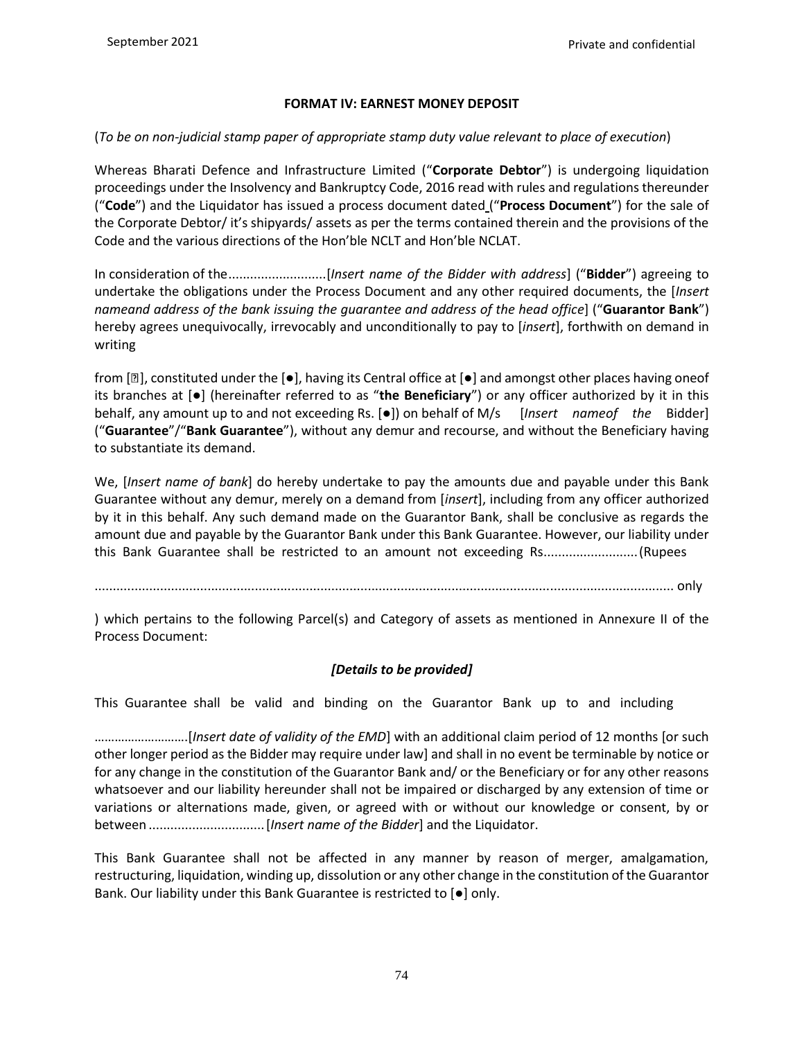### **FORMAT IV: EARNEST MONEY DEPOSIT**

## (*To be on non-judicial stamp paper of appropriate stamp duty value relevant to place of execution*)

Whereas Bharati Defence and Infrastructure Limited ("**Corporate Debtor**") is undergoing liquidation proceedings under the Insolvency and Bankruptcy Code, 2016 read with rules and regulations thereunder ("**Code**") and the Liquidator has issued a process document dated ("**Process Document**") for the sale of the Corporate Debtor/ it's shipyards/ assets as per the terms contained therein and the provisions of the Code and the various directions of the Hon'ble NCLT and Hon'ble NCLAT.

In consideration of the...........................[*Insert name of the Bidder with address*] ("**Bidder**") agreeing to undertake the obligations under the Process Document and any other required documents, the [*Insert nameand address of the bank issuing the guarantee and address of the head office*] ("**Guarantor Bank**") hereby agrees unequivocally, irrevocably and unconditionally to pay to [*insert*], forthwith on demand in writing

from  $[2]$ , constituted under the  $[\bullet]$ , having its Central office at  $[\bullet]$  and amongst other places having oneof its branches at [●] (hereinafter referred to as "**the Beneficiary**") or any officer authorized by it in this behalf, any amount up to and not exceeding Rs. [●]) on behalf of M/s [*Insert nameof the* Bidder] ("**Guarantee**"/"**Bank Guarantee**"), without any demur and recourse, and without the Beneficiary having to substantiate its demand.

We, [*Insert name of bank*] do hereby undertake to pay the amounts due and payable under this Bank Guarantee without any demur, merely on a demand from [*insert*], including from any officer authorized by it in this behalf. Any such demand made on the Guarantor Bank, shall be conclusive as regards the amount due and payable by the Guarantor Bank under this Bank Guarantee. However, our liability under this Bank Guarantee shall be restricted to an amount not exceeding Rs..........................(Rupees

............................................................................................................................................................... only

) which pertains to the following Parcel(s) and Category of assets as mentioned in Annexure II of the Process Document:

## *[Details to be provided]*

This Guarantee shall be valid and binding on the Guarantor Bank up to and including

……………………….[*Insert date of validity of the EMD*] with an additional claim period of 12 months [or such other longer period as the Bidder may require under law] and shall in no event be terminable by notice or for any change in the constitution of the Guarantor Bank and/ or the Beneficiary or for any other reasons whatsoever and our liability hereunder shall not be impaired or discharged by any extension of time or variations or alternations made, given, or agreed with or without our knowledge or consent, by or between ................................[*Insert name of the Bidder*] and the Liquidator.

This Bank Guarantee shall not be affected in any manner by reason of merger, amalgamation, restructuring, liquidation, winding up, dissolution or any other change in the constitution of the Guarantor Bank. Our liability under this Bank Guarantee is restricted to [●] only.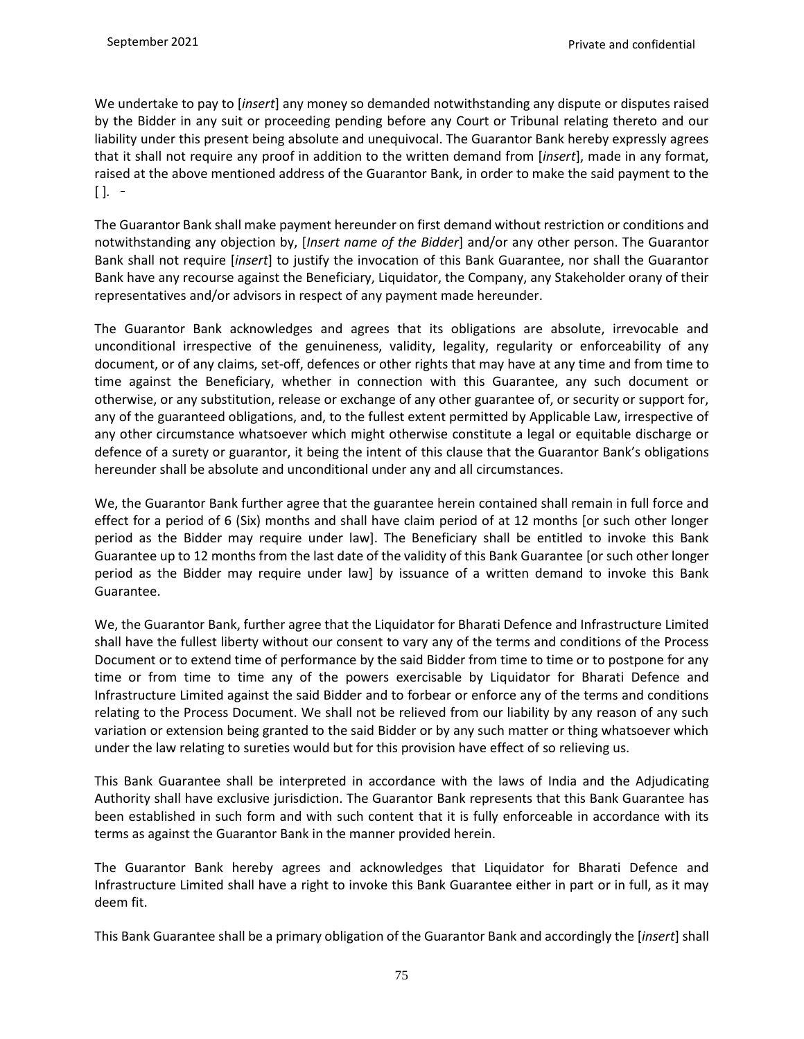We undertake to pay to [*insert*] any money so demanded notwithstanding any dispute or disputes raised by the Bidder in any suit or proceeding pending before any Court or Tribunal relating thereto and our liability under this present being absolute and unequivocal. The Guarantor Bank hereby expressly agrees that it shall not require any proof in addition to the written demand from [*insert*], made in any format, raised at the above mentioned address of the Guarantor Bank, in order to make the said payment to the  $[$  ].  $-$ 

The Guarantor Bank shall make payment hereunder on first demand without restriction or conditions and notwithstanding any objection by, [*Insert name of the Bidder*] and/or any other person. The Guarantor Bank shall not require [*insert*] to justify the invocation of this Bank Guarantee, nor shall the Guarantor Bank have any recourse against the Beneficiary, Liquidator, the Company, any Stakeholder orany of their representatives and/or advisors in respect of any payment made hereunder.

The Guarantor Bank acknowledges and agrees that its obligations are absolute, irrevocable and unconditional irrespective of the genuineness, validity, legality, regularity or enforceability of any document, or of any claims, set-off, defences or other rights that may have at any time and from time to time against the Beneficiary, whether in connection with this Guarantee, any such document or otherwise, or any substitution, release or exchange of any other guarantee of, or security or support for, any of the guaranteed obligations, and, to the fullest extent permitted by Applicable Law, irrespective of any other circumstance whatsoever which might otherwise constitute a legal or equitable discharge or defence of a surety or guarantor, it being the intent of this clause that the Guarantor Bank's obligations hereunder shall be absolute and unconditional under any and all circumstances.

We, the Guarantor Bank further agree that the guarantee herein contained shall remain in full force and effect for a period of 6 (Six) months and shall have claim period of at 12 months [or such other longer period as the Bidder may require under law]. The Beneficiary shall be entitled to invoke this Bank Guarantee up to 12 months from the last date of the validity of this Bank Guarantee [or such other longer period as the Bidder may require under law] by issuance of a written demand to invoke this Bank Guarantee.

We, the Guarantor Bank, further agree that the Liquidator for Bharati Defence and Infrastructure Limited shall have the fullest liberty without our consent to vary any of the terms and conditions of the Process Document or to extend time of performance by the said Bidder from time to time or to postpone for any time or from time to time any of the powers exercisable by Liquidator for Bharati Defence and Infrastructure Limited against the said Bidder and to forbear or enforce any of the terms and conditions relating to the Process Document. We shall not be relieved from our liability by any reason of any such variation or extension being granted to the said Bidder or by any such matter or thing whatsoever which under the law relating to sureties would but for this provision have effect of so relieving us.

This Bank Guarantee shall be interpreted in accordance with the laws of India and the Adjudicating Authority shall have exclusive jurisdiction. The Guarantor Bank represents that this Bank Guarantee has been established in such form and with such content that it is fully enforceable in accordance with its terms as against the Guarantor Bank in the manner provided herein.

The Guarantor Bank hereby agrees and acknowledges that Liquidator for Bharati Defence and Infrastructure Limited shall have a right to invoke this Bank Guarantee either in part or in full, as it may deem fit.

This Bank Guarantee shall be a primary obligation of the Guarantor Bank and accordingly the [*insert*] shall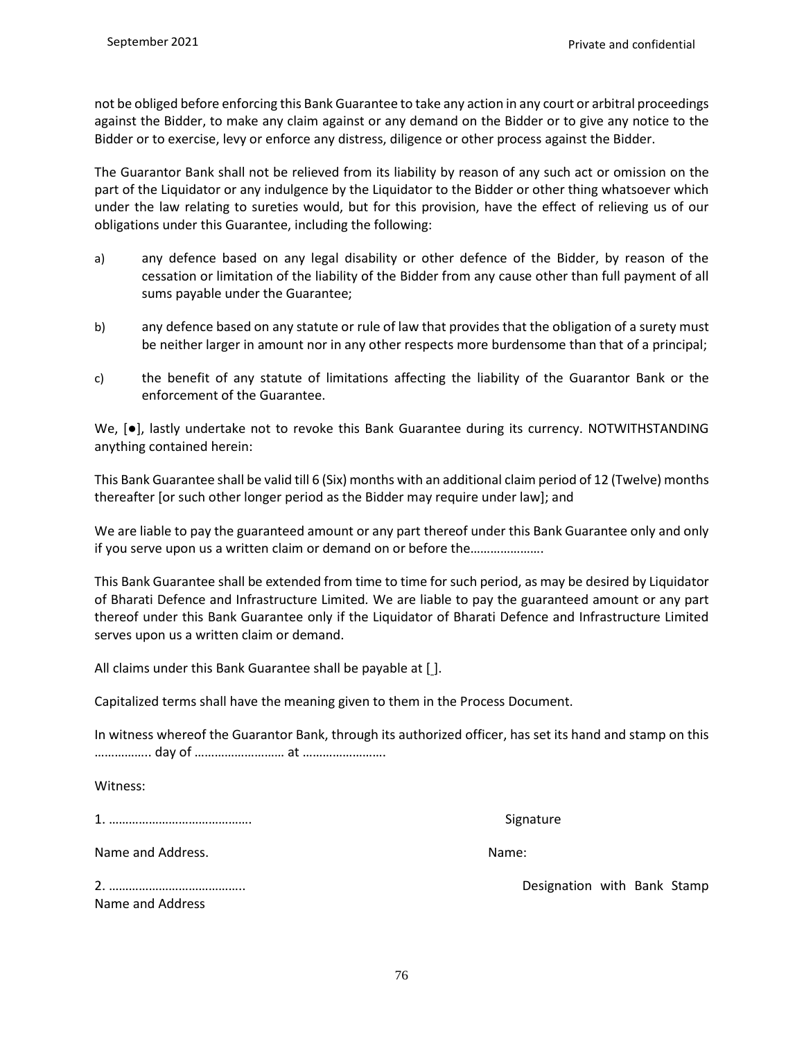not be obliged before enforcing this Bank Guarantee to take any action in any court or arbitral proceedings against the Bidder, to make any claim against or any demand on the Bidder or to give any notice to the Bidder or to exercise, levy or enforce any distress, diligence or other process against the Bidder.

The Guarantor Bank shall not be relieved from its liability by reason of any such act or omission on the part of the Liquidator or any indulgence by the Liquidator to the Bidder or other thing whatsoever which under the law relating to sureties would, but for this provision, have the effect of relieving us of our obligations under this Guarantee, including the following:

- a) any defence based on any legal disability or other defence of the Bidder, by reason of the cessation or limitation of the liability of the Bidder from any cause other than full payment of all sums payable under the Guarantee;
- b) any defence based on any statute or rule of law that provides that the obligation of a surety must be neither larger in amount nor in any other respects more burdensome than that of a principal;
- c) the benefit of any statute of limitations affecting the liability of the Guarantor Bank or the enforcement of the Guarantee.

We, [●], lastly undertake not to revoke this Bank Guarantee during its currency. NOTWITHSTANDING anything contained herein:

This Bank Guarantee shall be valid till 6 (Six) months with an additional claim period of 12 (Twelve) months thereafter [or such other longer period as the Bidder may require under law]; and

We are liable to pay the guaranteed amount or any part thereof under this Bank Guarantee only and only if you serve upon us a written claim or demand on or before the………………….

This Bank Guarantee shall be extended from time to time for such period, as may be desired by Liquidator of Bharati Defence and Infrastructure Limited*.* We are liable to pay the guaranteed amount or any part thereof under this Bank Guarantee only if the Liquidator of Bharati Defence and Infrastructure Limited serves upon us a written claim or demand.

All claims under this Bank Guarantee shall be payable at [J.

Capitalized terms shall have the meaning given to them in the Process Document.

In witness whereof the Guarantor Bank, through its authorized officer, has set its hand and stamp on this …………….. day of ……………………… at …………………….

Witness:

1. ……………………………………. Signature

Name and Address. Name: Name: Name: Name: Name: Name: Name: Name: Name: Name: Name: Name: Name: Name: Name: Name: Name: Name: Name: Name: Name: Name: Name: Name: Name: Name: Name: Name: Name: Name: Name: Name: Name: Name:

Name and Address

2. ………………………………….. Designation with Bank Stamp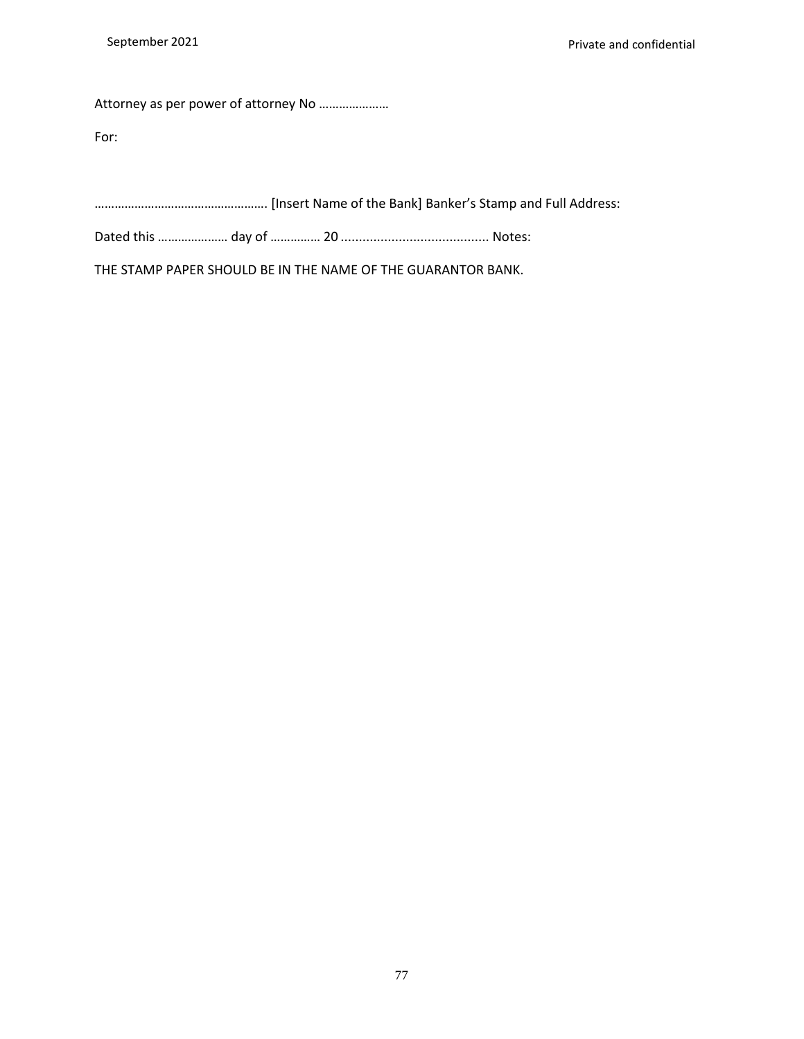Attorney as per power of attorney No …………………

For:

……………………………………………. [Insert Name of the Bank] Banker's Stamp and Full Address:

Dated this ………………… day of …………… 20 ......................................... Notes:

THE STAMP PAPER SHOULD BE IN THE NAME OF THE GUARANTOR BANK.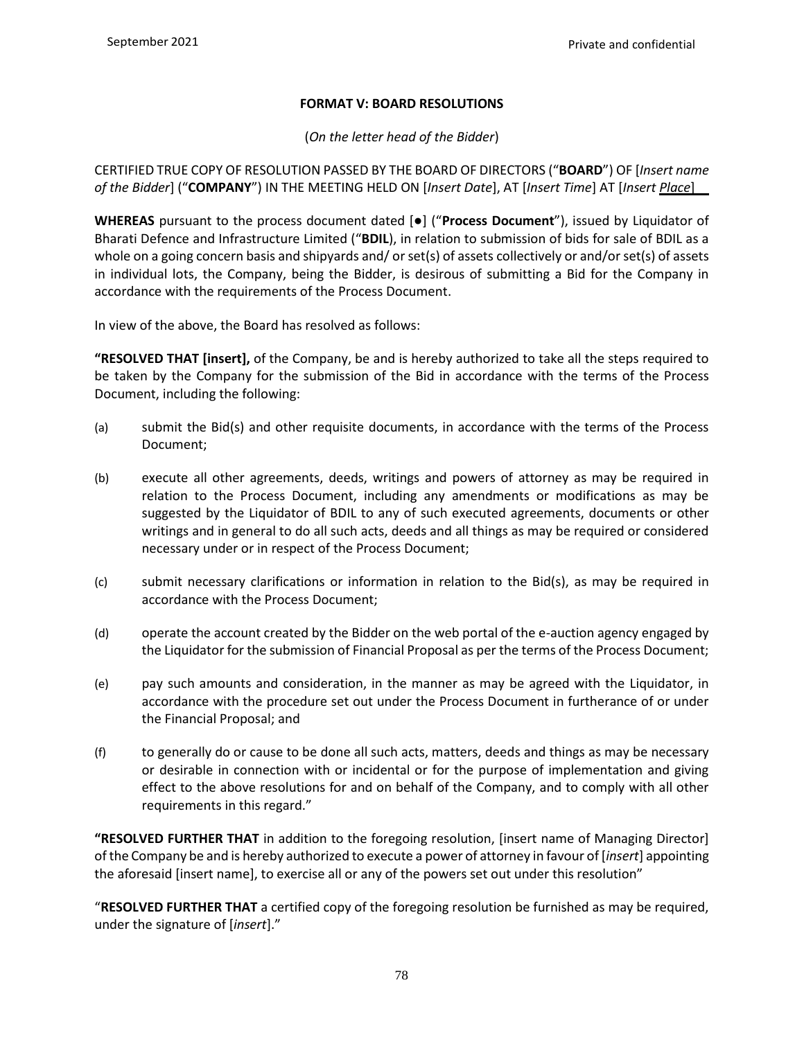# **FORMAT V: BOARD RESOLUTIONS**

(*On the letter head of the Bidder*)

CERTIFIED TRUE COPY OF RESOLUTION PASSED BY THE BOARD OF DIRECTORS ("**BOARD**") OF [*Insert name of the Bidder*] ("**COMPANY**") IN THE MEETING HELD ON [*Insert Date*], AT [*Insert Time*] AT [*Insert Place*]

**WHEREAS** pursuant to the process document dated [●] ("**Process Document**"), issued by Liquidator of Bharati Defence and Infrastructure Limited ("**BDIL**), in relation to submission of bids for sale of BDIL as a whole on a going concern basis and shipyards and/ or set(s) of assets collectively or and/or set(s) of assets in individual lots, the Company, being the Bidder, is desirous of submitting a Bid for the Company in accordance with the requirements of the Process Document.

In view of the above, the Board has resolved as follows:

**"RESOLVED THAT [insert],** of the Company, be and is hereby authorized to take all the steps required to be taken by the Company for the submission of the Bid in accordance with the terms of the Process Document, including the following:

- (a) submit the Bid(s) and other requisite documents, in accordance with the terms of the Process Document;
- (b) execute all other agreements, deeds, writings and powers of attorney as may be required in relation to the Process Document, including any amendments or modifications as may be suggested by the Liquidator of BDIL to any of such executed agreements, documents or other writings and in general to do all such acts, deeds and all things as may be required or considered necessary under or in respect of the Process Document;
- (c) submit necessary clarifications or information in relation to the Bid(s), as may be required in accordance with the Process Document;
- (d) operate the account created by the Bidder on the web portal of the e-auction agency engaged by the Liquidator for the submission of Financial Proposal as per the terms of the Process Document;
- (e) pay such amounts and consideration, in the manner as may be agreed with the Liquidator, in accordance with the procedure set out under the Process Document in furtherance of or under the Financial Proposal; and
- (f) to generally do or cause to be done all such acts, matters, deeds and things as may be necessary or desirable in connection with or incidental or for the purpose of implementation and giving effect to the above resolutions for and on behalf of the Company, and to comply with all other requirements in this regard."

**"RESOLVED FURTHER THAT** in addition to the foregoing resolution, [insert name of Managing Director] of the Company be and is hereby authorized to execute a power of attorney in favour of [*insert*] appointing the aforesaid [insert name], to exercise all or any of the powers set out under this resolution"

"**RESOLVED FURTHER THAT** a certified copy of the foregoing resolution be furnished as may be required, under the signature of [*insert*]."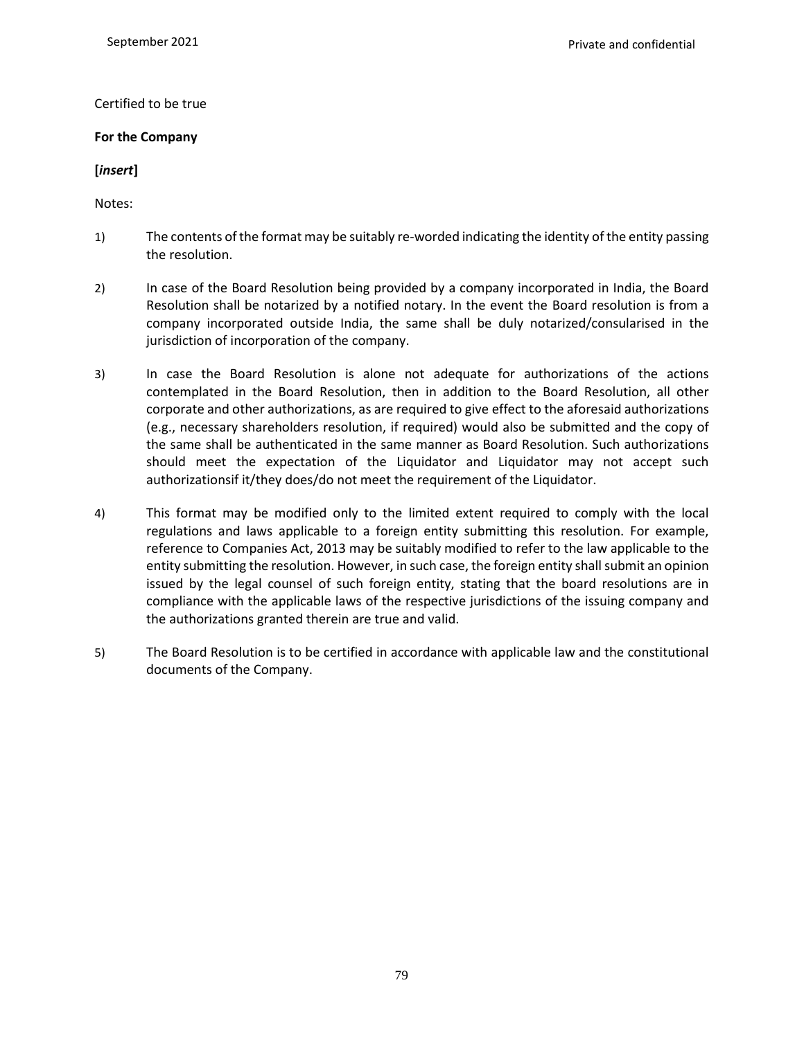#### Certified to be true

#### **For the Company**

### **[***insert***]**

Notes:

- 1) The contents of the format may be suitably re-worded indicating the identity of the entity passing the resolution.
- 2) In case of the Board Resolution being provided by a company incorporated in India, the Board Resolution shall be notarized by a notified notary. In the event the Board resolution is from a company incorporated outside India, the same shall be duly notarized/consularised in the jurisdiction of incorporation of the company.
- 3) In case the Board Resolution is alone not adequate for authorizations of the actions contemplated in the Board Resolution, then in addition to the Board Resolution, all other corporate and other authorizations, as are required to give effect to the aforesaid authorizations (e.g., necessary shareholders resolution, if required) would also be submitted and the copy of the same shall be authenticated in the same manner as Board Resolution. Such authorizations should meet the expectation of the Liquidator and Liquidator may not accept such authorizationsif it/they does/do not meet the requirement of the Liquidator.
- 4) This format may be modified only to the limited extent required to comply with the local regulations and laws applicable to a foreign entity submitting this resolution. For example, reference to Companies Act, 2013 may be suitably modified to refer to the law applicable to the entity submitting the resolution. However, in such case, the foreign entity shall submit an opinion issued by the legal counsel of such foreign entity, stating that the board resolutions are in compliance with the applicable laws of the respective jurisdictions of the issuing company and the authorizations granted therein are true and valid.
- 5) The Board Resolution is to be certified in accordance with applicable law and the constitutional documents of the Company.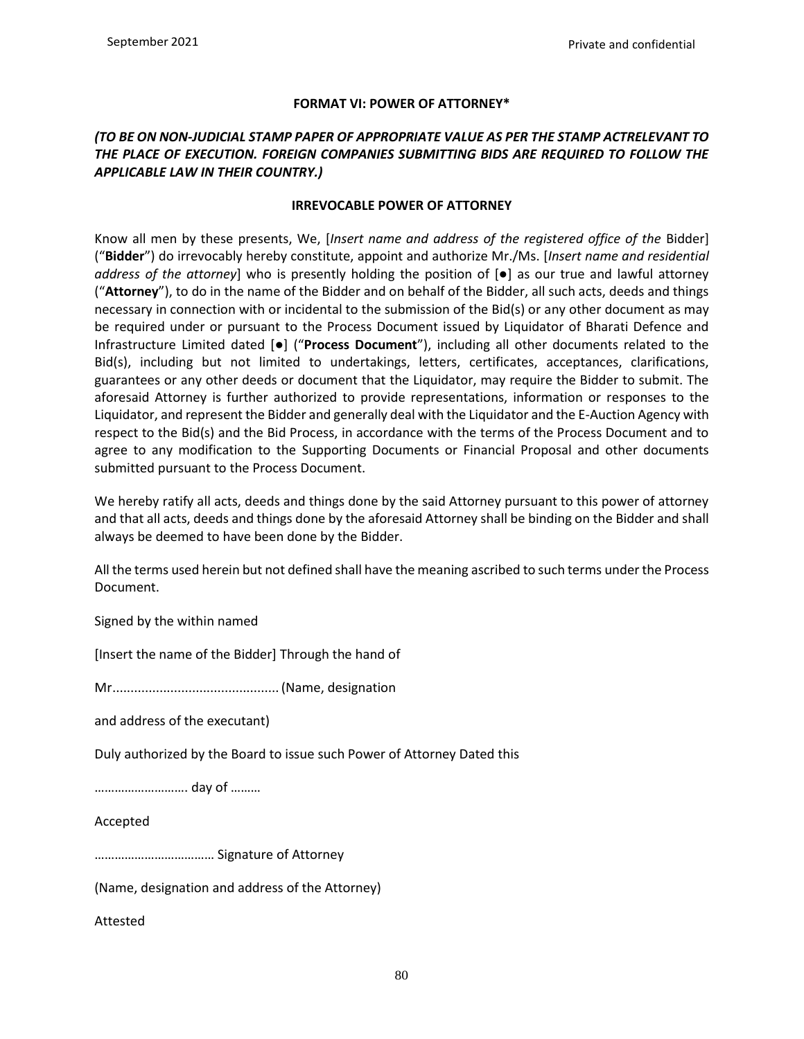## **FORMAT VI: POWER OF ATTORNEY\***

## *(TO BE ON NON-JUDICIAL STAMP PAPER OF APPROPRIATE VALUE AS PER THE STAMP ACTRELEVANT TO THE PLACE OF EXECUTION. FOREIGN COMPANIES SUBMITTING BIDS ARE REQUIRED TO FOLLOW THE APPLICABLE LAW IN THEIR COUNTRY.)*

#### **IRREVOCABLE POWER OF ATTORNEY**

Know all men by these presents, We, [*Insert name and address of the registered office of the* Bidder] ("**Bidder**") do irrevocably hereby constitute, appoint and authorize Mr./Ms. [*Insert name and residential address of the attorney*] who is presently holding the position of [●] as our true and lawful attorney ("**Attorney**"), to do in the name of the Bidder and on behalf of the Bidder, all such acts, deeds and things necessary in connection with or incidental to the submission of the Bid(s) or any other document as may be required under or pursuant to the Process Document issued by Liquidator of Bharati Defence and Infrastructure Limited dated [●] ("**Process Document**"), including all other documents related to the Bid(s), including but not limited to undertakings, letters, certificates, acceptances, clarifications, guarantees or any other deeds or document that the Liquidator, may require the Bidder to submit. The aforesaid Attorney is further authorized to provide representations, information or responses to the Liquidator, and represent the Bidder and generally deal with the Liquidator and the E-Auction Agency with respect to the Bid(s) and the Bid Process, in accordance with the terms of the Process Document and to agree to any modification to the Supporting Documents or Financial Proposal and other documents submitted pursuant to the Process Document.

We hereby ratify all acts, deeds and things done by the said Attorney pursuant to this power of attorney and that all acts, deeds and things done by the aforesaid Attorney shall be binding on the Bidder and shall always be deemed to have been done by the Bidder.

All the terms used herein but not defined shall have the meaning ascribed to such terms under the Process Document.

Signed by the within named

[Insert the name of the Bidder] Through the hand of

Mr.............................................. (Name, designation

and address of the executant)

Duly authorized by the Board to issue such Power of Attorney Dated this

………………………. day of ………

#### Accepted

……………………………… Signature of Attorney

(Name, designation and address of the Attorney)

Attested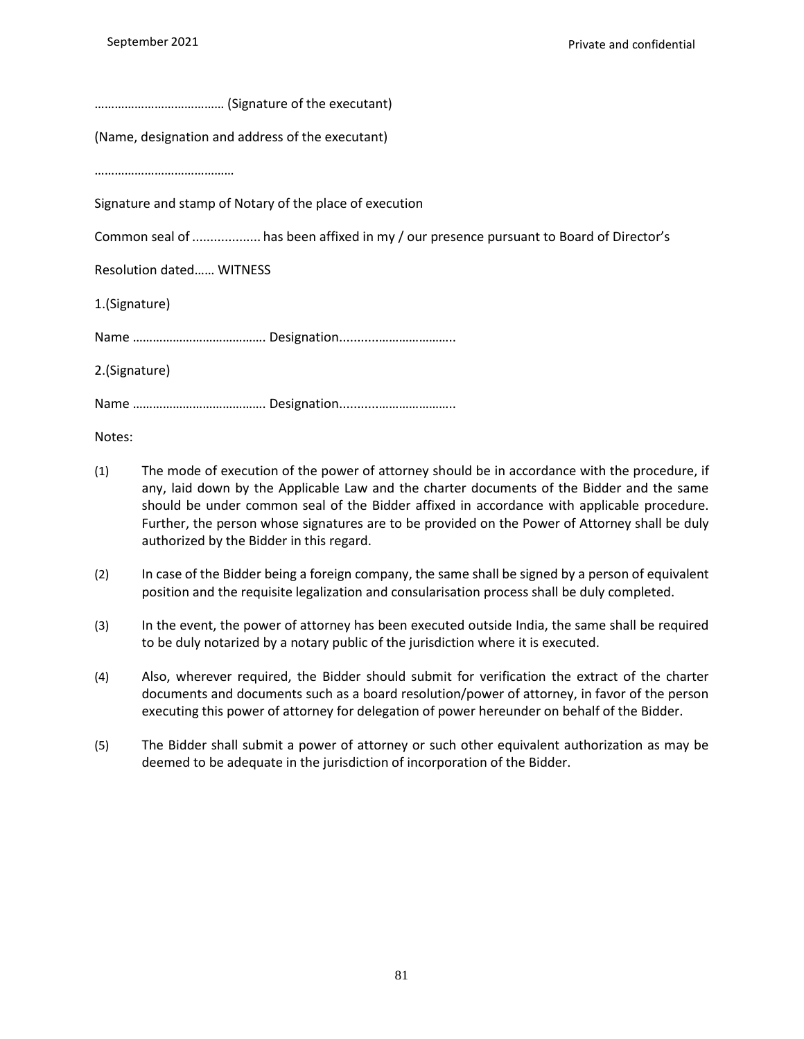| (Name, designation and address of the executant)                                      |
|---------------------------------------------------------------------------------------|
|                                                                                       |
| Signature and stamp of Notary of the place of execution                               |
| Common seal of  has been affixed in my / our presence pursuant to Board of Director's |
| <b>Resolution dated WITNESS</b>                                                       |
| 1.(Signature)                                                                         |
|                                                                                       |
| 2.(Signature)                                                                         |
|                                                                                       |

Notes:

- (1) The mode of execution of the power of attorney should be in accordance with the procedure, if any, laid down by the Applicable Law and the charter documents of the Bidder and the same should be under common seal of the Bidder affixed in accordance with applicable procedure. Further, the person whose signatures are to be provided on the Power of Attorney shall be duly authorized by the Bidder in this regard.
- (2) In case of the Bidder being a foreign company, the same shall be signed by a person of equivalent position and the requisite legalization and consularisation process shall be duly completed.
- (3) In the event, the power of attorney has been executed outside India, the same shall be required to be duly notarized by a notary public of the jurisdiction where it is executed.
- (4) Also, wherever required, the Bidder should submit for verification the extract of the charter documents and documents such as a board resolution/power of attorney, in favor of the person executing this power of attorney for delegation of power hereunder on behalf of the Bidder.
- (5) The Bidder shall submit a power of attorney or such other equivalent authorization as may be deemed to be adequate in the jurisdiction of incorporation of the Bidder.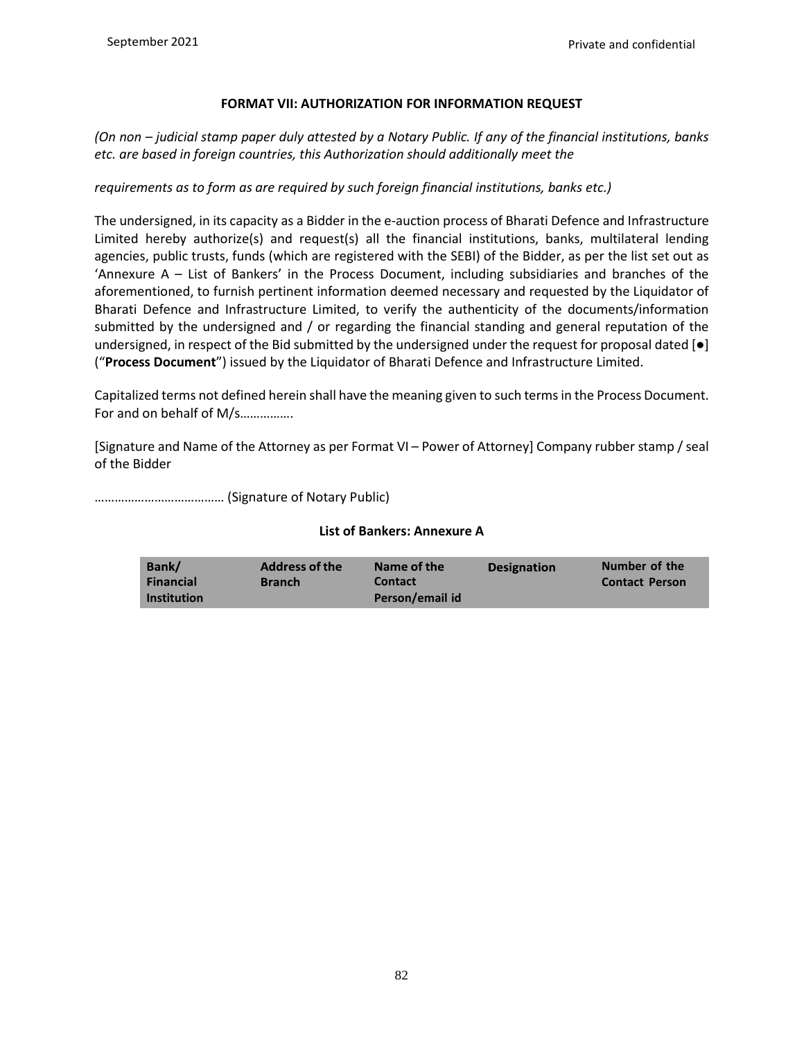## **FORMAT VII: AUTHORIZATION FOR INFORMATION REQUEST**

*(On non – judicial stamp paper duly attested by a Notary Public. If any of the financial institutions, banks etc. are based in foreign countries, this Authorization should additionally meet the*

## *requirements as to form as are required by such foreign financial institutions, banks etc.)*

The undersigned, in its capacity as a Bidder in the e-auction process of Bharati Defence and Infrastructure Limited hereby authorize(s) and request(s) all the financial institutions, banks, multilateral lending agencies, public trusts, funds (which are registered with the SEBI) of the Bidder, as per the list set out as 'Annexure A – List of Bankers' in the Process Document, including subsidiaries and branches of the aforementioned, to furnish pertinent information deemed necessary and requested by the Liquidator of Bharati Defence and Infrastructure Limited, to verify the authenticity of the documents/information submitted by the undersigned and / or regarding the financial standing and general reputation of the undersigned, in respect of the Bid submitted by the undersigned under the request for proposal dated [●] ("**Process Document**") issued by the Liquidator of Bharati Defence and Infrastructure Limited.

Capitalized terms not defined herein shall have the meaning given to such terms in the Process Document. For and on behalf of M/s…………….

[Signature and Name of the Attorney as per Format VI – Power of Attorney] Company rubber stamp / seal of the Bidder

………………………………… (Signature of Notary Public)

| Bank/<br><b>Address of the</b><br><b>Financial</b><br><b>Branch</b><br><b>Institution</b> | Name of the<br><b>Contact</b><br>Person/email id | <b>Designation</b> | Number of the<br><b>Contact Person</b> |
|-------------------------------------------------------------------------------------------|--------------------------------------------------|--------------------|----------------------------------------|
|                                                                                           |                                                  |                    |                                        |

#### **List of Bankers: Annexure A**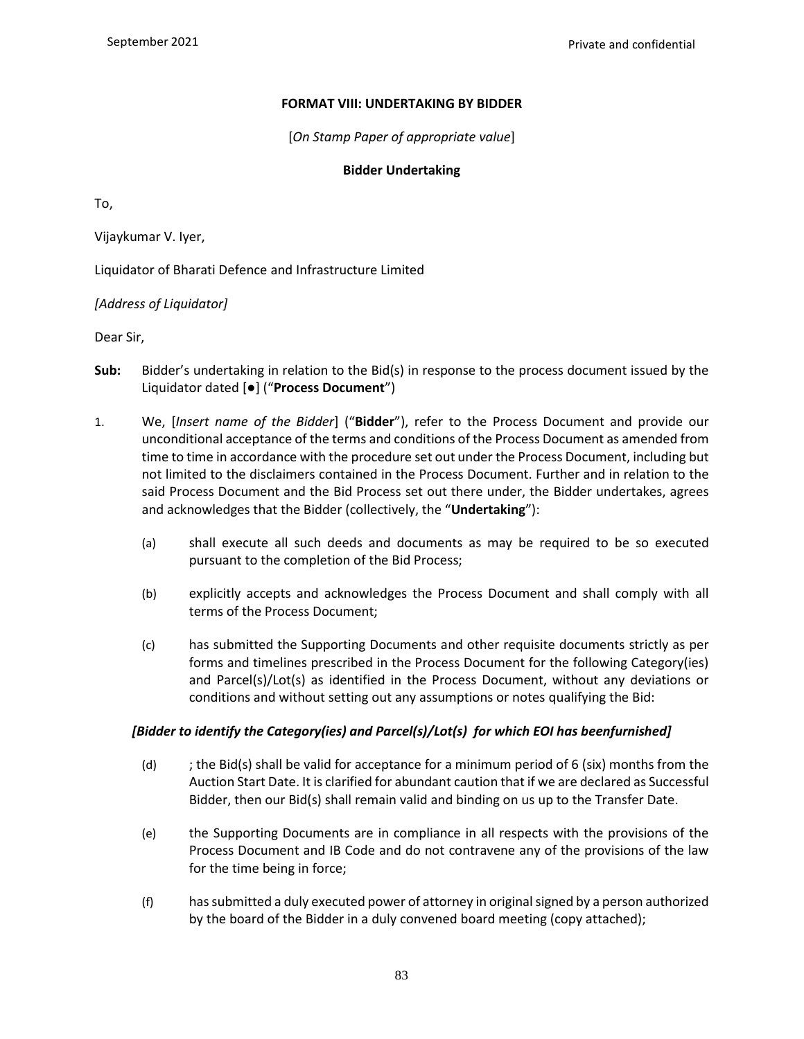#### **FORMAT VIII: UNDERTAKING BY BIDDER**

[*On Stamp Paper of appropriate value*]

#### **Bidder Undertaking**

To,

Vijaykumar V. Iyer,

Liquidator of Bharati Defence and Infrastructure Limited

*[Address of Liquidator]*

Dear Sir,

- **Sub:** Bidder's undertaking in relation to the Bid(s) in response to the process document issued by the Liquidator dated [●] ("**Process Document**")
- 1. We, [*Insert name of the Bidder*] ("**Bidder**"), refer to the Process Document and provide our unconditional acceptance of the terms and conditions of the Process Document as amended from time to time in accordance with the procedure set out under the Process Document, including but not limited to the disclaimers contained in the Process Document. Further and in relation to the said Process Document and the Bid Process set out there under, the Bidder undertakes, agrees and acknowledges that the Bidder (collectively, the "**Undertaking**"):
	- (a) shall execute all such deeds and documents as may be required to be so executed pursuant to the completion of the Bid Process;
	- (b) explicitly accepts and acknowledges the Process Document and shall comply with all terms of the Process Document;
	- (c) has submitted the Supporting Documents and other requisite documents strictly as per forms and timelines prescribed in the Process Document for the following Category(ies) and Parcel(s)/Lot(s) as identified in the Process Document, without any deviations or conditions and without setting out any assumptions or notes qualifying the Bid:

#### *[Bidder to identify the Category(ies) and Parcel(s)/Lot(s) for which EOI has beenfurnished]*

- (d)  $\qquad$ ; the Bid(s) shall be valid for acceptance for a minimum period of 6 (six) months from the Auction Start Date. It is clarified for abundant caution that if we are declared as Successful Bidder, then our Bid(s) shall remain valid and binding on us up to the Transfer Date.
- (e) the Supporting Documents are in compliance in all respects with the provisions of the Process Document and IB Code and do not contravene any of the provisions of the law for the time being in force;
- (f) has submitted a duly executed power of attorney in original signed by a person authorized by the board of the Bidder in a duly convened board meeting (copy attached);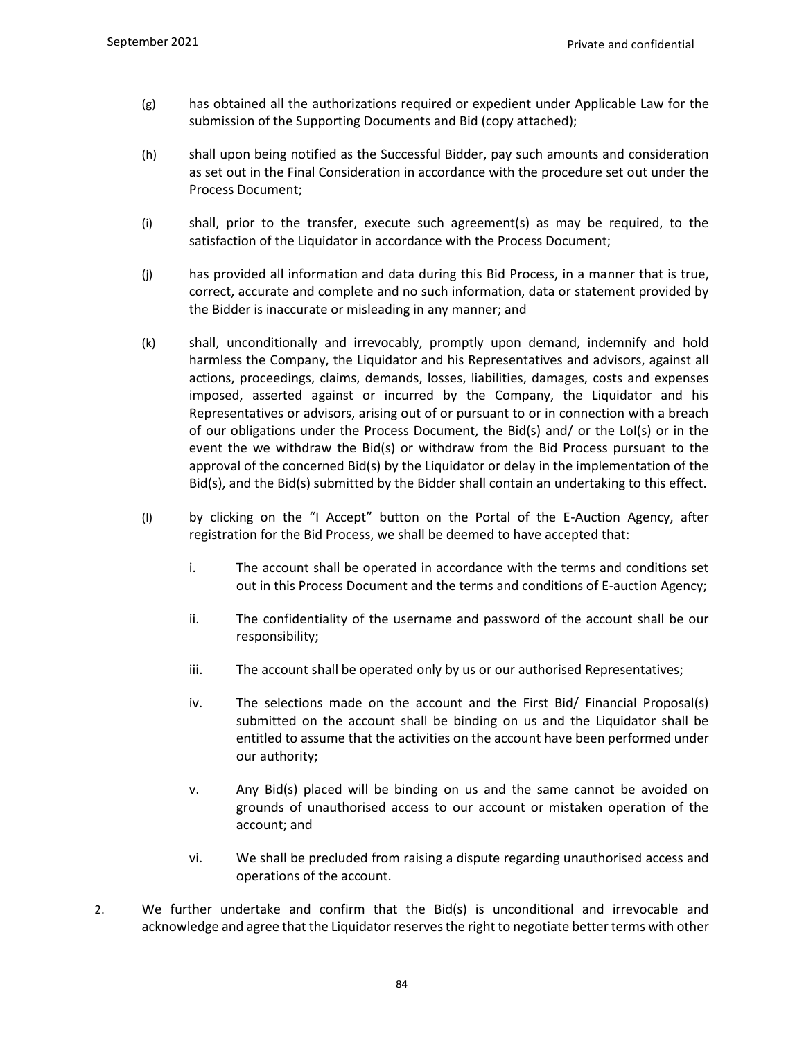- (g) has obtained all the authorizations required or expedient under Applicable Law for the submission of the Supporting Documents and Bid (copy attached);
- (h) shall upon being notified as the Successful Bidder, pay such amounts and consideration as set out in the Final Consideration in accordance with the procedure set out under the Process Document;
- (i) shall, prior to the transfer, execute such agreement(s) as may be required, to the satisfaction of the Liquidator in accordance with the Process Document;
- (j) has provided all information and data during this Bid Process, in a manner that is true, correct, accurate and complete and no such information, data or statement provided by the Bidder is inaccurate or misleading in any manner; and
- (k) shall, unconditionally and irrevocably, promptly upon demand, indemnify and hold harmless the Company, the Liquidator and his Representatives and advisors, against all actions, proceedings, claims, demands, losses, liabilities, damages, costs and expenses imposed, asserted against or incurred by the Company, the Liquidator and his Representatives or advisors, arising out of or pursuant to or in connection with a breach of our obligations under the Process Document, the Bid(s) and/ or the LoI(s) or in the event the we withdraw the Bid(s) or withdraw from the Bid Process pursuant to the approval of the concerned Bid(s) by the Liquidator or delay in the implementation of the Bid(s), and the Bid(s) submitted by the Bidder shall contain an undertaking to this effect.
- (l) by clicking on the "I Accept" button on the Portal of the E-Auction Agency, after registration for the Bid Process, we shall be deemed to have accepted that:
	- i. The account shall be operated in accordance with the terms and conditions set out in this Process Document and the terms and conditions of E-auction Agency;
	- ii. The confidentiality of the username and password of the account shall be our responsibility;
	- iii. The account shall be operated only by us or our authorised Representatives;
	- iv. The selections made on the account and the First Bid/ Financial Proposal(s) submitted on the account shall be binding on us and the Liquidator shall be entitled to assume that the activities on the account have been performed under our authority;
	- v. Any Bid(s) placed will be binding on us and the same cannot be avoided on grounds of unauthorised access to our account or mistaken operation of the account; and
	- vi. We shall be precluded from raising a dispute regarding unauthorised access and operations of the account.
- 2. We further undertake and confirm that the Bid(s) is unconditional and irrevocable and acknowledge and agree that the Liquidator reserves the right to negotiate better terms with other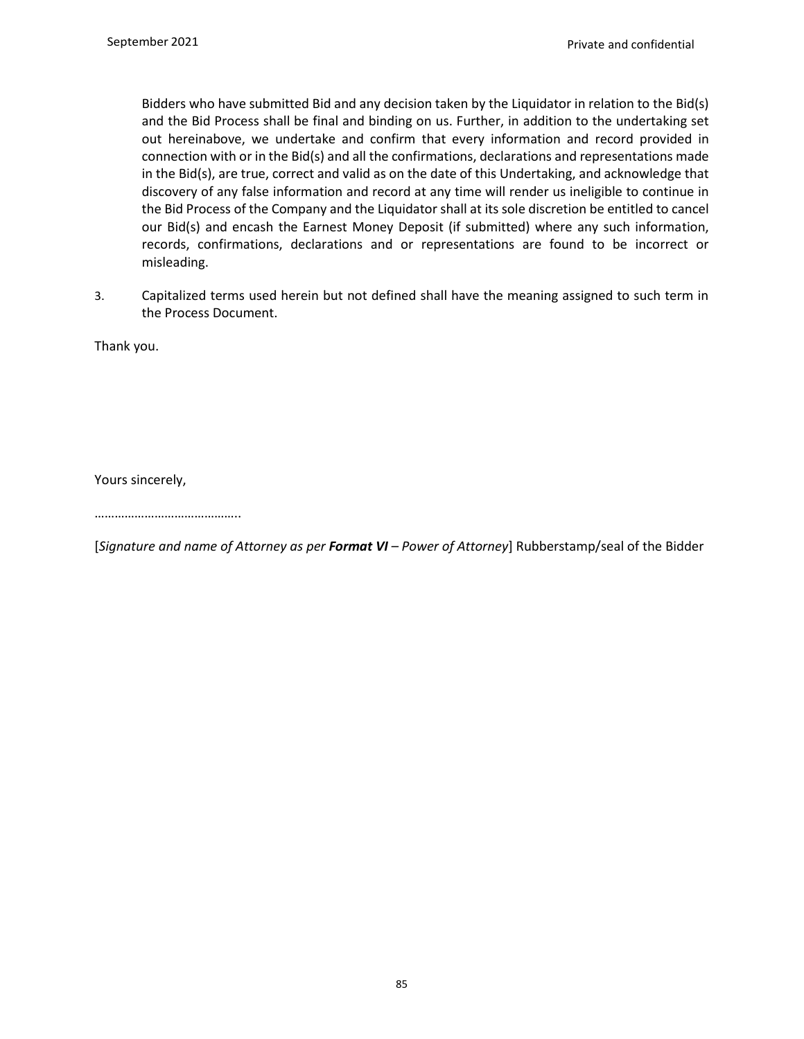Bidders who have submitted Bid and any decision taken by the Liquidator in relation to the Bid(s) and the Bid Process shall be final and binding on us. Further, in addition to the undertaking set out hereinabove, we undertake and confirm that every information and record provided in connection with or in the Bid(s) and all the confirmations, declarations and representations made in the Bid(s), are true, correct and valid as on the date of this Undertaking, and acknowledge that discovery of any false information and record at any time will render us ineligible to continue in the Bid Process of the Company and the Liquidator shall at its sole discretion be entitled to cancel our Bid(s) and encash the Earnest Money Deposit (if submitted) where any such information, records, confirmations, declarations and or representations are found to be incorrect or misleading.

3. Capitalized terms used herein but not defined shall have the meaning assigned to such term in the Process Document.

Thank you.

Yours sincerely,

……………………………………..

[*Signature and name of Attorney as per Format VI – Power of Attorney*] Rubberstamp/seal of the Bidder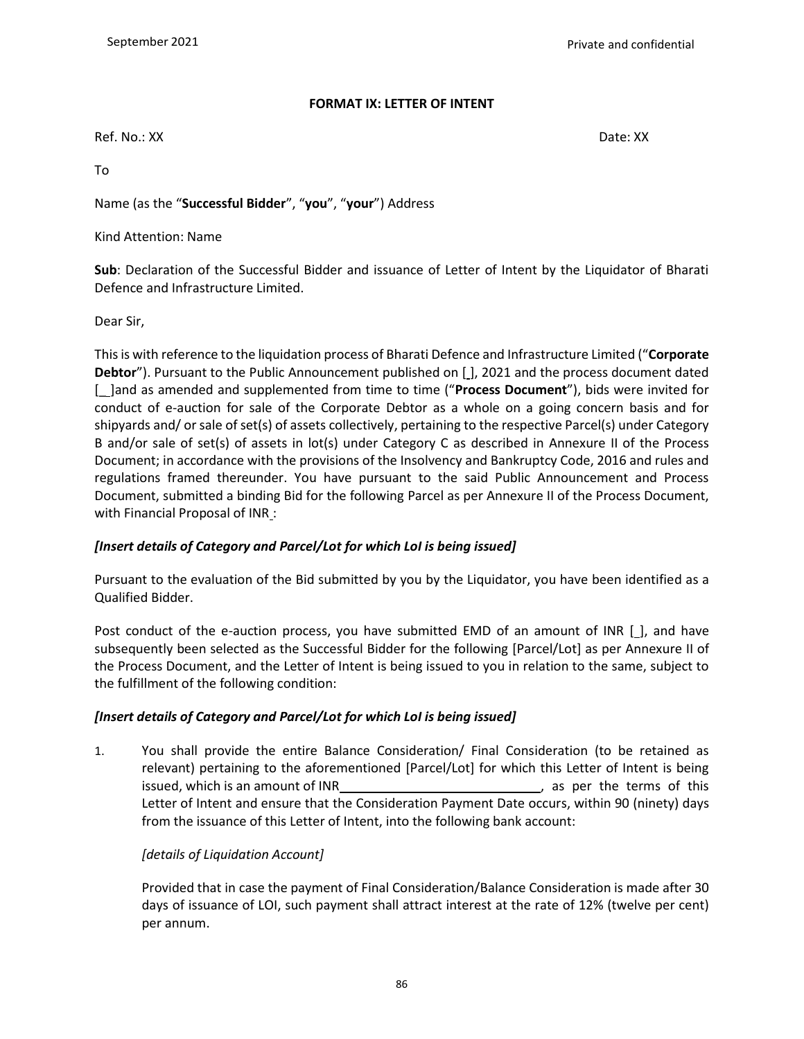### **FORMAT IX: LETTER OF INTENT**

Ref. No.: XX Date: XX Date: XX Date: XX Date: XX Date: XX Date: XX Date: XX Date: XX Date: XX Date: XX Date: XX

To

Name (as the "**Successful Bidder**", "**you**", "**your**") Address

Kind Attention: Name

**Sub**: Declaration of the Successful Bidder and issuance of Letter of Intent by the Liquidator of Bharati Defence and Infrastructure Limited.

Dear Sir,

This is with reference to the liquidation process of Bharati Defence and Infrastructure Limited ("**Corporate Debtor**"). Pursuant to the Public Announcement published on [J, 2021 and the process document dated [\_ ]and as amended and supplemented from time to time ("**Process Document**"), bids were invited for conduct of e-auction for sale of the Corporate Debtor as a whole on a going concern basis and for shipyards and/ or sale of set(s) of assets collectively, pertaining to the respective Parcel(s) under Category B and/or sale of set(s) of assets in lot(s) under Category C as described in Annexure II of the Process Document; in accordance with the provisions of the Insolvency and Bankruptcy Code, 2016 and rules and regulations framed thereunder. You have pursuant to the said Public Announcement and Process Document, submitted a binding Bid for the following Parcel as per Annexure II of the Process Document, with Financial Proposal of INR :

## *[Insert details of Category and Parcel/Lot for which LoI is being issued]*

Pursuant to the evaluation of the Bid submitted by you by the Liquidator, you have been identified as a Qualified Bidder.

Post conduct of the e-auction process, you have submitted EMD of an amount of INR [ ], and have subsequently been selected as the Successful Bidder for the following [Parcel/Lot] as per Annexure II of the Process Document, and the Letter of Intent is being issued to you in relation to the same, subject to the fulfillment of the following condition:

## *[Insert details of Category and Parcel/Lot for which LoI is being issued]*

1. You shall provide the entire Balance Consideration/ Final Consideration (to be retained as relevant) pertaining to the aforementioned [Parcel/Lot] for which this Letter of Intent is being issued, which is an amount of INR **Source 20 as per the terms** of this Letter of Intent and ensure that the Consideration Payment Date occurs, within 90 (ninety) days from the issuance of this Letter of Intent, into the following bank account:

## *[details of Liquidation Account]*

Provided that in case the payment of Final Consideration/Balance Consideration is made after 30 days of issuance of LOI, such payment shall attract interest at the rate of 12% (twelve per cent) per annum.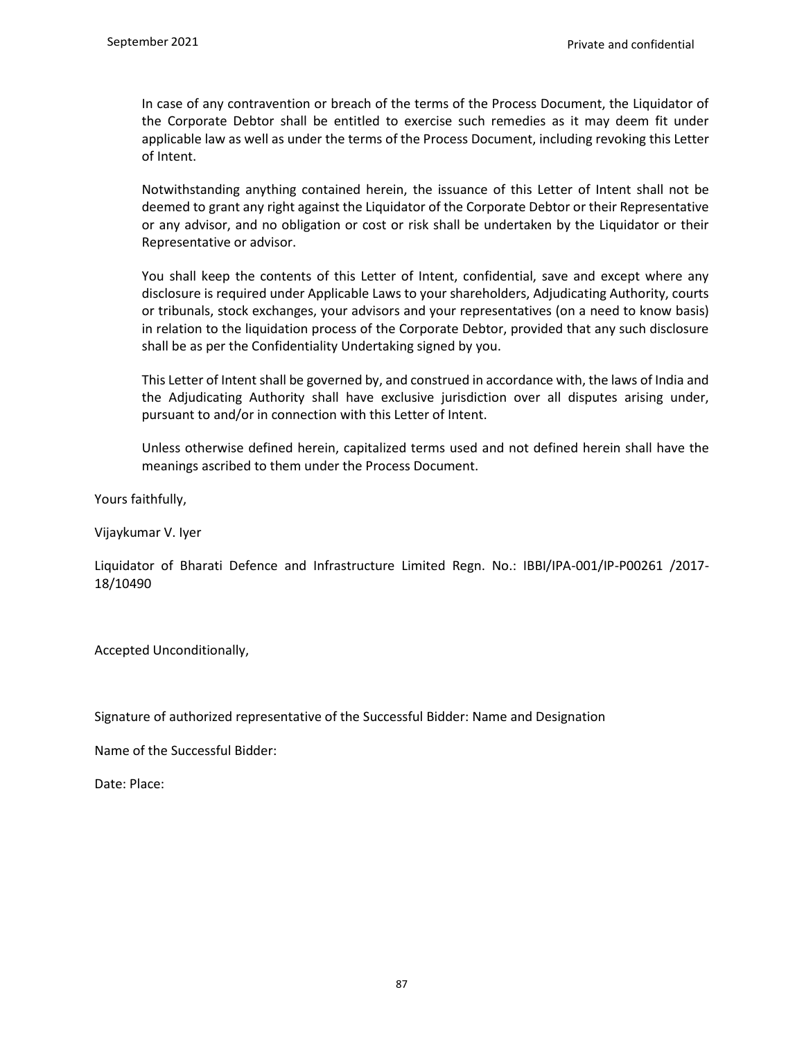In case of any contravention or breach of the terms of the Process Document, the Liquidator of the Corporate Debtor shall be entitled to exercise such remedies as it may deem fit under applicable law as well as under the terms of the Process Document, including revoking this Letter of Intent.

Notwithstanding anything contained herein, the issuance of this Letter of Intent shall not be deemed to grant any right against the Liquidator of the Corporate Debtor or their Representative or any advisor, and no obligation or cost or risk shall be undertaken by the Liquidator or their Representative or advisor.

You shall keep the contents of this Letter of Intent, confidential, save and except where any disclosure is required under Applicable Laws to your shareholders, Adjudicating Authority, courts or tribunals, stock exchanges, your advisors and your representatives (on a need to know basis) in relation to the liquidation process of the Corporate Debtor, provided that any such disclosure shall be as per the Confidentiality Undertaking signed by you.

This Letter of Intent shall be governed by, and construed in accordance with, the laws of India and the Adjudicating Authority shall have exclusive jurisdiction over all disputes arising under, pursuant to and/or in connection with this Letter of Intent.

Unless otherwise defined herein, capitalized terms used and not defined herein shall have the meanings ascribed to them under the Process Document.

Yours faithfully,

Vijaykumar V. Iyer

Liquidator of Bharati Defence and Infrastructure Limited Regn. No.: IBBI/IPA-001/IP-P00261 /2017- 18/10490

Accepted Unconditionally,

Signature of authorized representative of the Successful Bidder: Name and Designation

Name of the Successful Bidder:

Date: Place: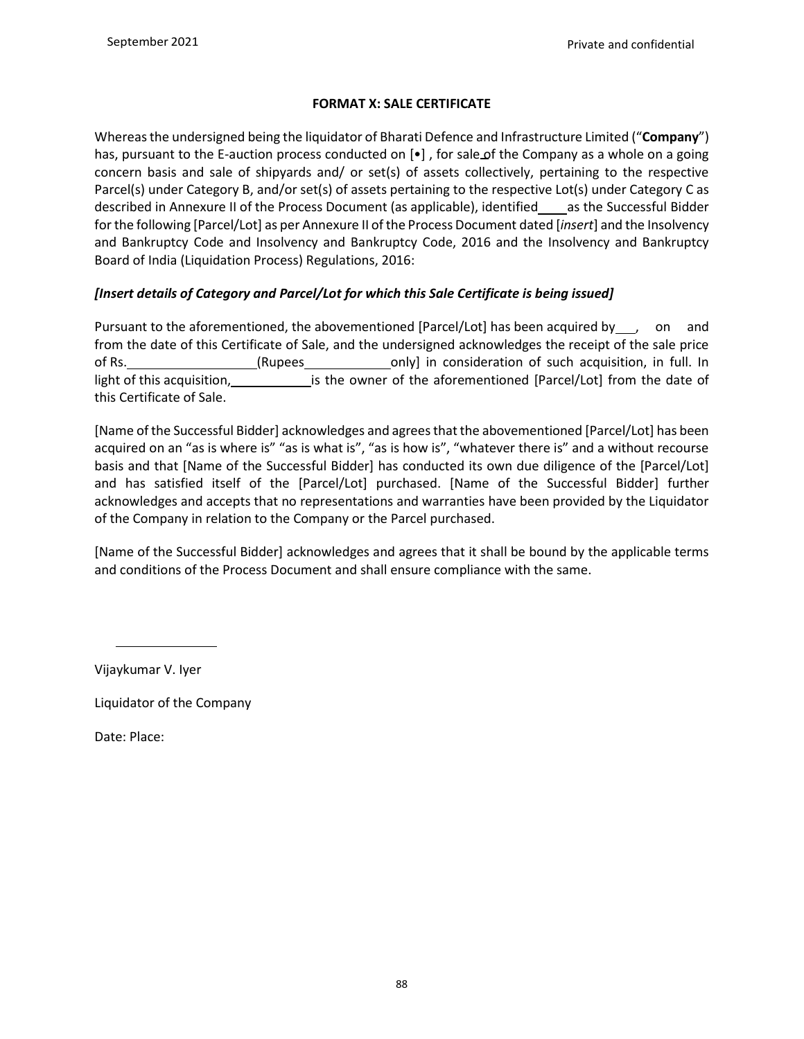## **FORMAT X: SALE CERTIFICATE**

Whereas the undersigned being the liquidator of Bharati Defence and Infrastructure Limited ("**Company**") has, pursuant to the E-auction process conducted on  $\left[\bullet\right]$ , for sale of the Company as a whole on a going concern basis and sale of shipyards and/ or set(s) of assets collectively, pertaining to the respective Parcel(s) under Category B, and/or set(s) of assets pertaining to the respective Lot(s) under Category C as described in Annexure II of the Process Document (as applicable), identified as the Successful Bidder for the following [Parcel/Lot] as per Annexure II of the Process Document dated [*insert*] and the Insolvency and Bankruptcy Code and Insolvency and Bankruptcy Code, 2016 and the Insolvency and Bankruptcy Board of India (Liquidation Process) Regulations, 2016:

## *[Insert details of Category and Parcel/Lot for which this Sale Certificate is being issued]*

Pursuant to the aforementioned, the abovementioned [Parcel/Lot] has been acquired by \_\_\_, on and from the date of this Certificate of Sale, and the undersigned acknowledges the receipt of the sale price of Rs. (Rupees only] in consideration of such acquisition, in full. In light of this acquisition, integral is the owner of the aforementioned [Parcel/Lot] from the date of this Certificate of Sale.

[Name of the Successful Bidder] acknowledges and agrees that the abovementioned [Parcel/Lot] has been acquired on an "as is where is" "as is what is", "as is how is", "whatever there is" and a without recourse basis and that [Name of the Successful Bidder] has conducted its own due diligence of the [Parcel/Lot] and has satisfied itself of the [Parcel/Lot] purchased. [Name of the Successful Bidder] further acknowledges and accepts that no representations and warranties have been provided by the Liquidator of the Company in relation to the Company or the Parcel purchased.

[Name of the Successful Bidder] acknowledges and agrees that it shall be bound by the applicable terms and conditions of the Process Document and shall ensure compliance with the same.

Vijaykumar V. Iyer

Liquidator of the Company

Date: Place: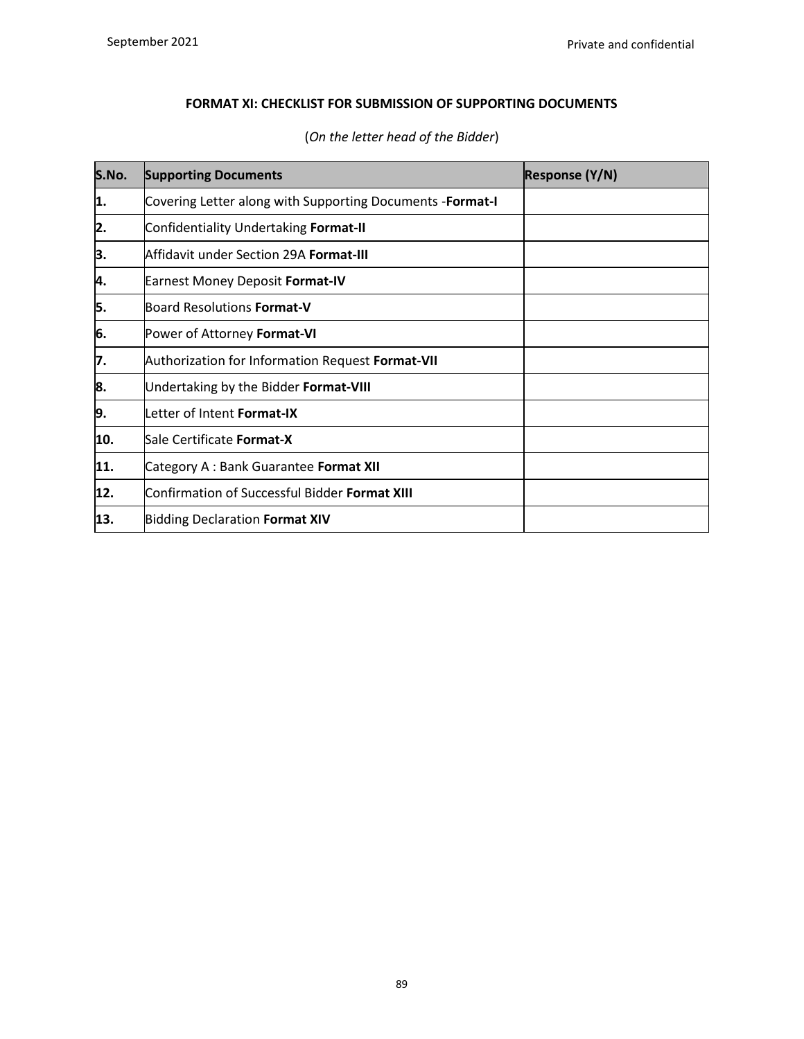# **FORMAT XI: CHECKLIST FOR SUBMISSION OF SUPPORTING DOCUMENTS**

| S.No. | <b>Supporting Documents</b>                                | <b>Response (Y/N)</b> |
|-------|------------------------------------------------------------|-----------------------|
| 1.    | Covering Letter along with Supporting Documents - Format-I |                       |
| 2.    | Confidentiality Undertaking Format-II                      |                       |
| 3.    | Affidavit under Section 29A Format-III                     |                       |
| 4.    | Earnest Money Deposit Format-IV                            |                       |
| 5.    | Board Resolutions Format-V                                 |                       |
| 6.    | Power of Attorney Format-VI                                |                       |
| 17.   | Authorization for Information Request Format-VII           |                       |
| 8.    | Undertaking by the Bidder Format-VIII                      |                       |
| 19.   | Letter of Intent Format-IX                                 |                       |
| 10.   | Sale Certificate Format-X                                  |                       |
| 11.   | Category A : Bank Guarantee Format XII                     |                       |
| 12.   | Confirmation of Successful Bidder Format XIII              |                       |
| 13.   | <b>Bidding Declaration Format XIV</b>                      |                       |

# (*On the letter head of the Bidder*)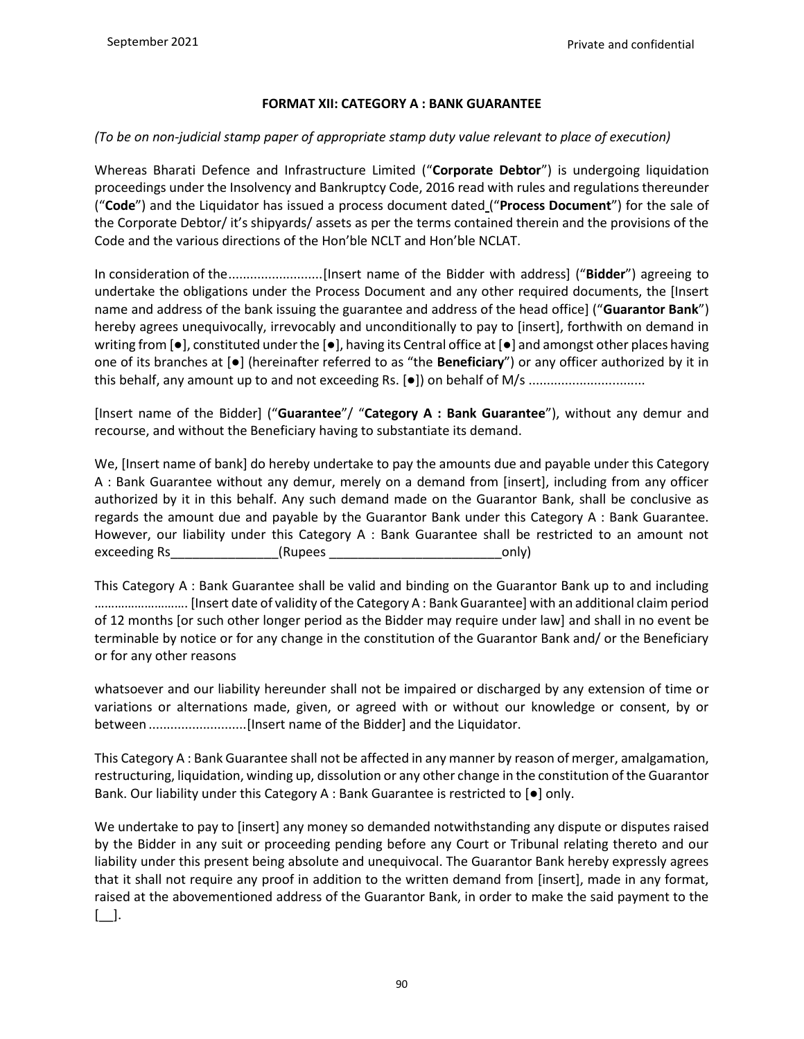#### **FORMAT XII: CATEGORY A : BANK GUARANTEE**

### *(To be on non-judicial stamp paper of appropriate stamp duty value relevant to place of execution)*

Whereas Bharati Defence and Infrastructure Limited ("**Corporate Debtor**") is undergoing liquidation proceedings under the Insolvency and Bankruptcy Code, 2016 read with rules and regulations thereunder ("**Code**") and the Liquidator has issued a process document dated ("**Process Document**") for the sale of the Corporate Debtor/ it's shipyards/ assets as per the terms contained therein and the provisions of the Code and the various directions of the Hon'ble NCLT and Hon'ble NCLAT.

In consideration of the..........................[Insert name of the Bidder with address] ("**Bidder**") agreeing to undertake the obligations under the Process Document and any other required documents, the [Insert name and address of the bank issuing the guarantee and address of the head office] ("**Guarantor Bank**") hereby agrees unequivocally, irrevocably and unconditionally to pay to [insert], forthwith on demand in writing from [●], constituted under the [●], having its Central office at [●] and amongst other places having one of its branches at [●] (hereinafter referred to as "the **Beneficiary**") or any officer authorized by it in this behalf, any amount up to and not exceeding Rs. [ $\bullet$ ]) on behalf of M/s .................................

[Insert name of the Bidder] ("**Guarantee**"/ "**Category A : Bank Guarantee**"), without any demur and recourse, and without the Beneficiary having to substantiate its demand.

We, [Insert name of bank] do hereby undertake to pay the amounts due and payable under this Category A : Bank Guarantee without any demur, merely on a demand from [insert], including from any officer authorized by it in this behalf. Any such demand made on the Guarantor Bank, shall be conclusive as regards the amount due and payable by the Guarantor Bank under this Category A : Bank Guarantee. However, our liability under this Category A : Bank Guarantee shall be restricted to an amount not exceeding Rs\_\_\_\_\_\_\_\_\_\_\_\_\_\_\_\_\_(Rupees \_\_\_\_\_\_\_\_\_\_\_\_\_\_\_\_\_\_\_\_\_\_\_\_\_\_\_\_\_\_\_\_\_\_only)

This Category A : Bank Guarantee shall be valid and binding on the Guarantor Bank up to and including ………………………. [Insert date of validity of the Category A : Bank Guarantee] with an additional claim period of 12 months [or such other longer period as the Bidder may require under law] and shall in no event be terminable by notice or for any change in the constitution of the Guarantor Bank and/ or the Beneficiary or for any other reasons

whatsoever and our liability hereunder shall not be impaired or discharged by any extension of time or variations or alternations made, given, or agreed with or without our knowledge or consent, by or between ...........................[Insert name of the Bidder] and the Liquidator.

This Category A : Bank Guarantee shall not be affected in any manner by reason of merger, amalgamation, restructuring, liquidation, winding up, dissolution or any other change in the constitution of the Guarantor Bank. Our liability under this Category A : Bank Guarantee is restricted to [●] only.

We undertake to pay to [insert] any money so demanded notwithstanding any dispute or disputes raised by the Bidder in any suit or proceeding pending before any Court or Tribunal relating thereto and our liability under this present being absolute and unequivocal. The Guarantor Bank hereby expressly agrees that it shall not require any proof in addition to the written demand from [insert], made in any format, raised at the abovementioned address of the Guarantor Bank, in order to make the said payment to the [\_\_].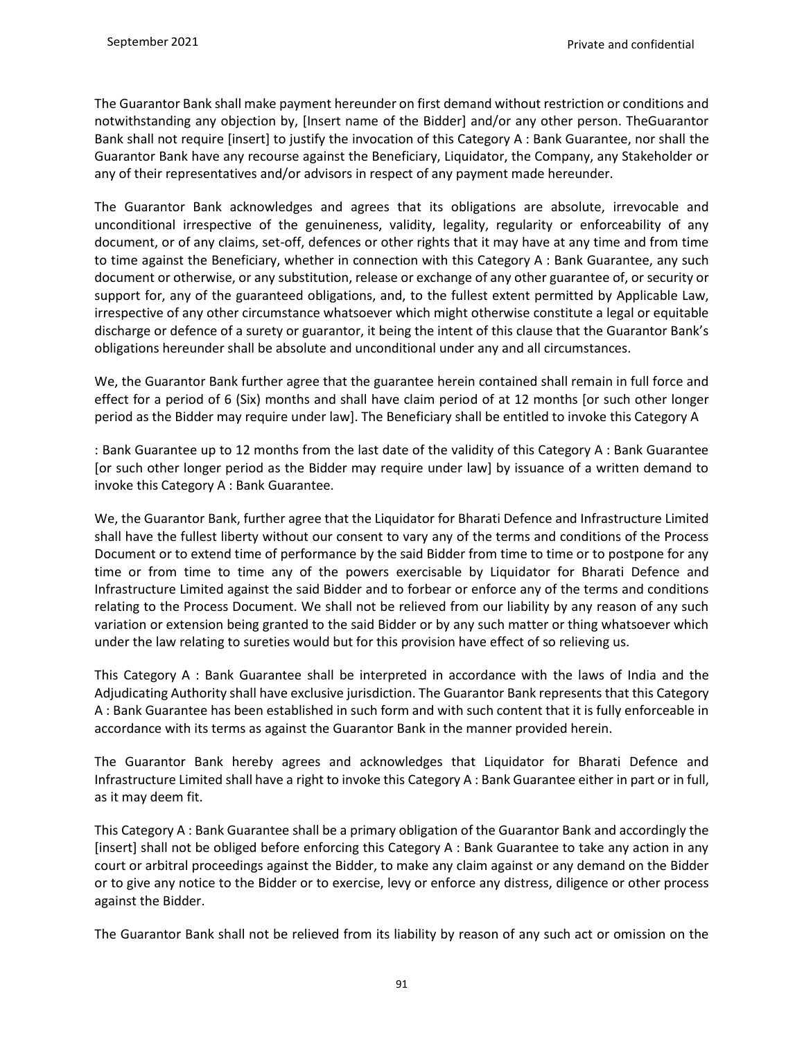The Guarantor Bank shall make payment hereunder on first demand without restriction or conditions and notwithstanding any objection by, [Insert name of the Bidder] and/or any other person. TheGuarantor Bank shall not require [insert] to justify the invocation of this Category A : Bank Guarantee, nor shall the Guarantor Bank have any recourse against the Beneficiary, Liquidator, the Company, any Stakeholder or any of their representatives and/or advisors in respect of any payment made hereunder.

The Guarantor Bank acknowledges and agrees that its obligations are absolute, irrevocable and unconditional irrespective of the genuineness, validity, legality, regularity or enforceability of any document, or of any claims, set-off, defences or other rights that it may have at any time and from time to time against the Beneficiary, whether in connection with this Category A : Bank Guarantee, any such document or otherwise, or any substitution, release or exchange of any other guarantee of, or security or support for, any of the guaranteed obligations, and, to the fullest extent permitted by Applicable Law, irrespective of any other circumstance whatsoever which might otherwise constitute a legal or equitable discharge or defence of a surety or guarantor, it being the intent of this clause that the Guarantor Bank's obligations hereunder shall be absolute and unconditional under any and all circumstances.

We, the Guarantor Bank further agree that the guarantee herein contained shall remain in full force and effect for a period of 6 (Six) months and shall have claim period of at 12 months [or such other longer period as the Bidder may require under law]. The Beneficiary shall be entitled to invoke this Category A

: Bank Guarantee up to 12 months from the last date of the validity of this Category A : Bank Guarantee [or such other longer period as the Bidder may require under law] by issuance of a written demand to invoke this Category A : Bank Guarantee.

We, the Guarantor Bank, further agree that the Liquidator for Bharati Defence and Infrastructure Limited shall have the fullest liberty without our consent to vary any of the terms and conditions of the Process Document or to extend time of performance by the said Bidder from time to time or to postpone for any time or from time to time any of the powers exercisable by Liquidator for Bharati Defence and Infrastructure Limited against the said Bidder and to forbear or enforce any of the terms and conditions relating to the Process Document. We shall not be relieved from our liability by any reason of any such variation or extension being granted to the said Bidder or by any such matter or thing whatsoever which under the law relating to sureties would but for this provision have effect of so relieving us.

This Category A : Bank Guarantee shall be interpreted in accordance with the laws of India and the Adjudicating Authority shall have exclusive jurisdiction. The Guarantor Bank represents that this Category A : Bank Guarantee has been established in such form and with such content that it is fully enforceable in accordance with its terms as against the Guarantor Bank in the manner provided herein.

The Guarantor Bank hereby agrees and acknowledges that Liquidator for Bharati Defence and Infrastructure Limited shall have a right to invoke this Category A : Bank Guarantee either in part or in full, as it may deem fit.

This Category A : Bank Guarantee shall be a primary obligation of the Guarantor Bank and accordingly the [insert] shall not be obliged before enforcing this Category A : Bank Guarantee to take any action in any court or arbitral proceedings against the Bidder, to make any claim against or any demand on the Bidder or to give any notice to the Bidder or to exercise, levy or enforce any distress, diligence or other process against the Bidder.

The Guarantor Bank shall not be relieved from its liability by reason of any such act or omission on the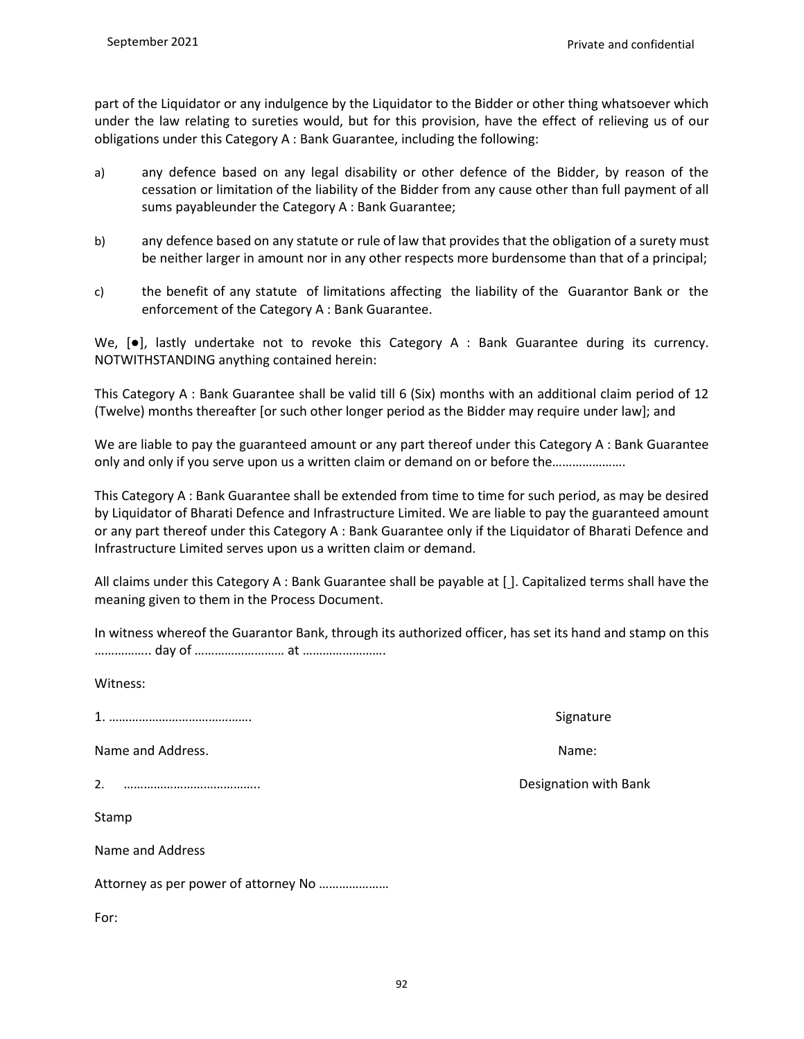part of the Liquidator or any indulgence by the Liquidator to the Bidder or other thing whatsoever which under the law relating to sureties would, but for this provision, have the effect of relieving us of our obligations under this Category A : Bank Guarantee, including the following:

- a) any defence based on any legal disability or other defence of the Bidder, by reason of the cessation or limitation of the liability of the Bidder from any cause other than full payment of all sums payableunder the Category A : Bank Guarantee;
- b) any defence based on any statute or rule of law that provides that the obligation of a surety must be neither larger in amount nor in any other respects more burdensome than that of a principal;
- c) the benefit of any statute of limitations affecting the liability of the Guarantor Bank or the enforcement of the Category A : Bank Guarantee.

We,  $[e]$ , lastly undertake not to revoke this Category A : Bank Guarantee during its currency. NOTWITHSTANDING anything contained herein:

This Category A : Bank Guarantee shall be valid till 6 (Six) months with an additional claim period of 12 (Twelve) months thereafter [or such other longer period as the Bidder may require under law]; and

We are liable to pay the guaranteed amount or any part thereof under this Category A : Bank Guarantee only and only if you serve upon us a written claim or demand on or before the………………….

This Category A : Bank Guarantee shall be extended from time to time for such period, as may be desired by Liquidator of Bharati Defence and Infrastructure Limited. We are liable to pay the guaranteed amount or any part thereof under this Category A : Bank Guarantee only if the Liquidator of Bharati Defence and Infrastructure Limited serves upon us a written claim or demand.

All claims under this Category A : Bank Guarantee shall be payable at [ ]. Capitalized terms shall have the meaning given to them in the Process Document.

| In witness whereof the Guarantor Bank, through its authorized officer, has set its hand and stamp on this |  |
|-----------------------------------------------------------------------------------------------------------|--|
|                                                                                                           |  |

Witness:

1. ……………………………………. Signature

Name and Address. Name: Name: Name: Name: Name: Name: Name: Name: Name: Name: Name: Name: Name: Name: Name: Name: Name: Name: Name: Name: Name: Name: Name: Name: Name: Name: Name: Name: Name: Name: Name: Name: Name: Name:

2. ………………………………….. Designation with Bank

Stamp

Name and Address

Attorney as per power of attorney No …………………

For: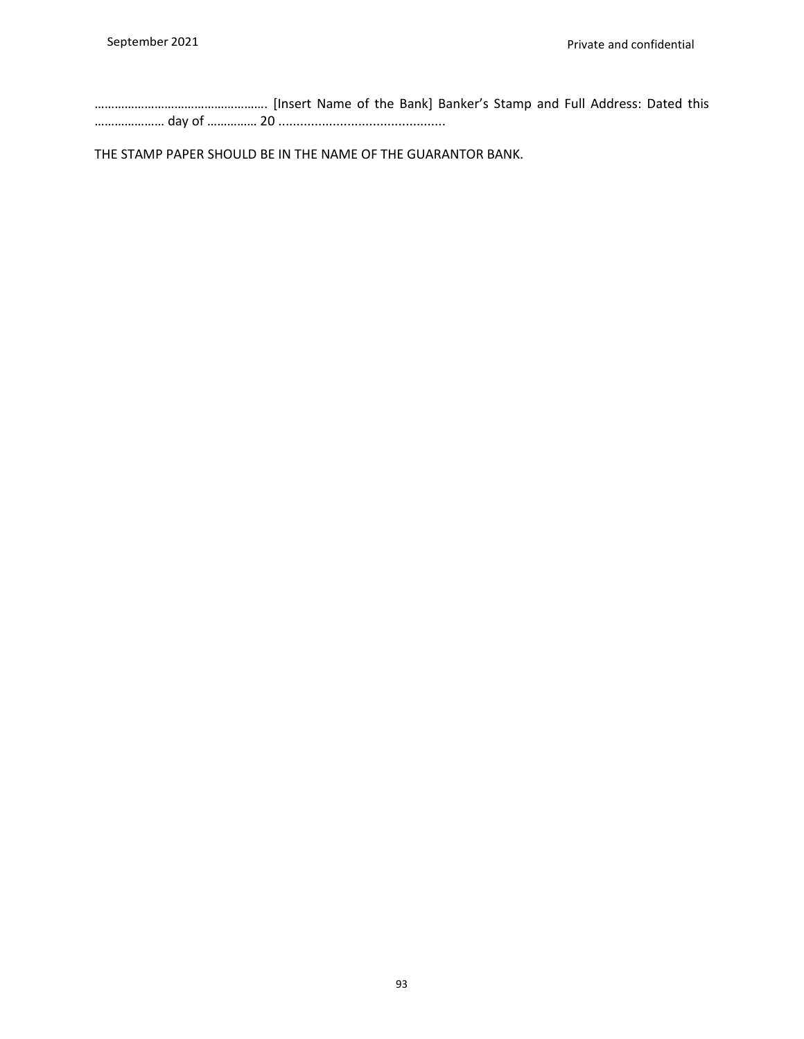……………………………………………. [Insert Name of the Bank] Banker's Stamp and Full Address: Dated this ………………… day of …………… 20 ..............................................

THE STAMP PAPER SHOULD BE IN THE NAME OF THE GUARANTOR BANK.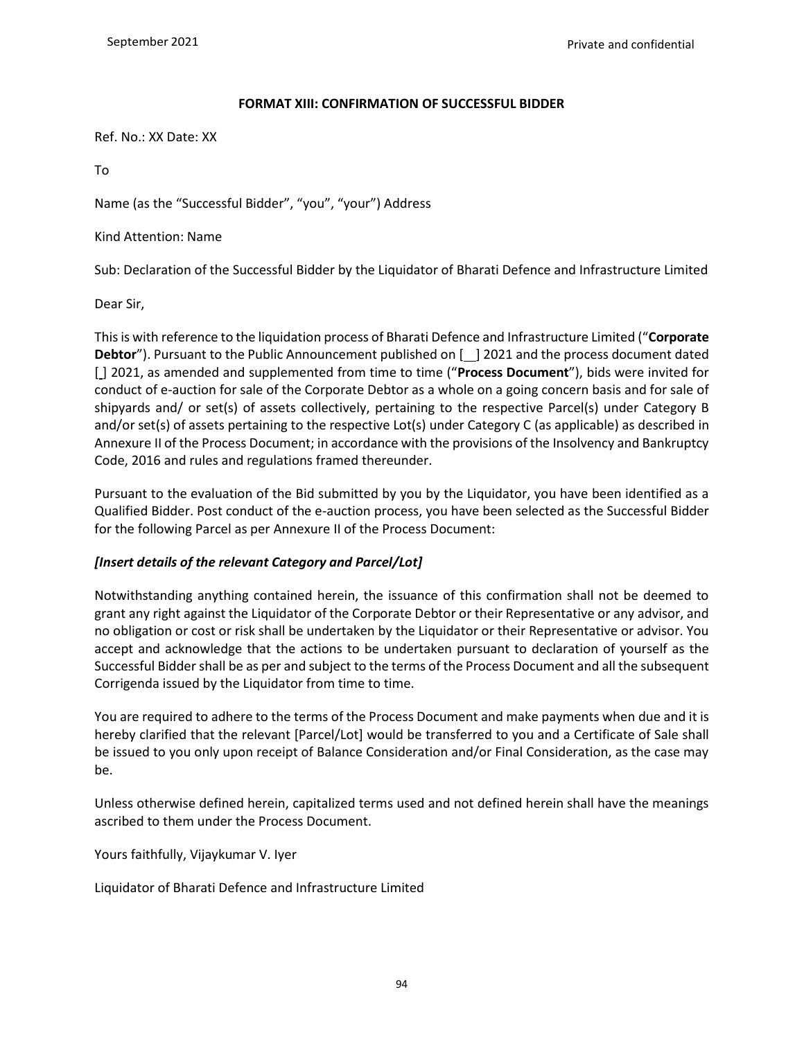### **FORMAT XIII: CONFIRMATION OF SUCCESSFUL BIDDER**

Ref. No.: XX Date: XX

To

Name (as the "Successful Bidder", "you", "your") Address

Kind Attention: Name

Sub: Declaration of the Successful Bidder by the Liquidator of Bharati Defence and Infrastructure Limited

Dear Sir,

This is with reference to the liquidation process of Bharati Defence and Infrastructure Limited ("**Corporate Debtor**"). Pursuant to the Public Announcement published on [ ] 2021 and the process document dated [ $\vert$ ] 2021, as amended and supplemented from time to time ("**Process Document**"), bids were invited for conduct of e-auction for sale of the Corporate Debtor as a whole on a going concern basis and for sale of shipyards and/ or set(s) of assets collectively, pertaining to the respective Parcel(s) under Category B and/or set(s) of assets pertaining to the respective Lot(s) under Category C (as applicable) as described in Annexure II of the Process Document; in accordance with the provisions of the Insolvency and Bankruptcy Code, 2016 and rules and regulations framed thereunder.

Pursuant to the evaluation of the Bid submitted by you by the Liquidator, you have been identified as a Qualified Bidder. Post conduct of the e-auction process, you have been selected as the Successful Bidder for the following Parcel as per Annexure II of the Process Document:

## *[Insert details of the relevant Category and Parcel/Lot]*

Notwithstanding anything contained herein, the issuance of this confirmation shall not be deemed to grant any right against the Liquidator of the Corporate Debtor or their Representative or any advisor, and no obligation or cost or risk shall be undertaken by the Liquidator or their Representative or advisor. You accept and acknowledge that the actions to be undertaken pursuant to declaration of yourself as the Successful Bidder shall be as per and subject to the terms of the Process Document and all the subsequent Corrigenda issued by the Liquidator from time to time.

You are required to adhere to the terms of the Process Document and make payments when due and it is hereby clarified that the relevant [Parcel/Lot] would be transferred to you and a Certificate of Sale shall be issued to you only upon receipt of Balance Consideration and/or Final Consideration, as the case may be.

Unless otherwise defined herein, capitalized terms used and not defined herein shall have the meanings ascribed to them under the Process Document.

Yours faithfully, Vijaykumar V. Iyer

Liquidator of Bharati Defence and Infrastructure Limited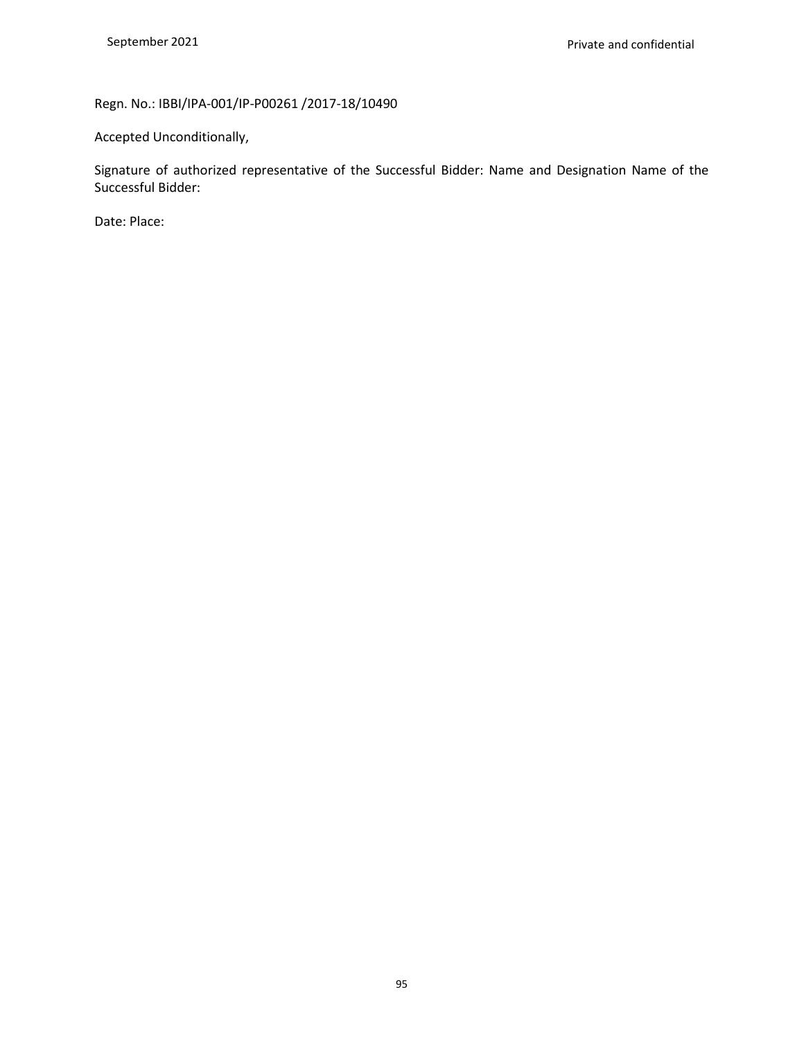# Regn. No.: IBBI/IPA-001/IP-P00261 /2017-18/10490

Accepted Unconditionally,

Signature of authorized representative of the Successful Bidder: Name and Designation Name of the Successful Bidder:

Date: Place: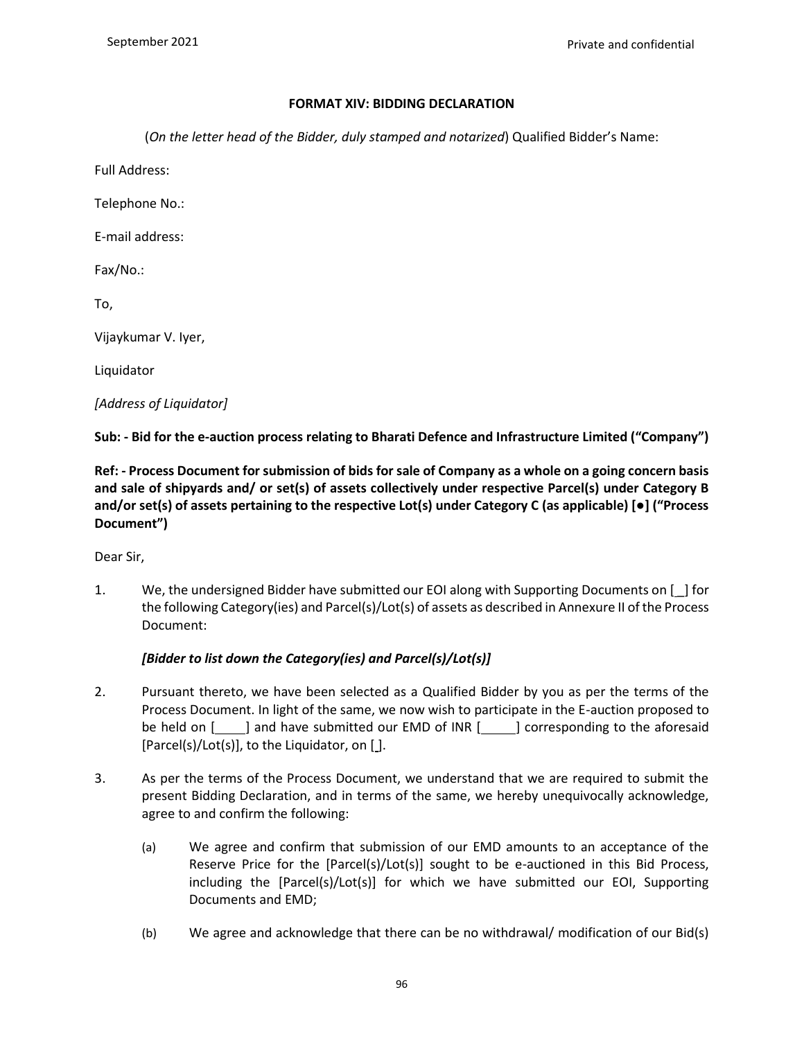#### **FORMAT XIV: BIDDING DECLARATION**

(*On the letter head of the Bidder, duly stamped and notarized*) Qualified Bidder's Name:

Full Address:

Telephone No.:

E-mail address:

Fax/No.:

To,

Vijaykumar V. Iyer,

Liquidator

*[Address of Liquidator]*

**Sub: - Bid for the e-auction process relating to Bharati Defence and Infrastructure Limited ("Company")**

**Ref: - Process Document for submission of bids for sale of Company as a whole on a going concern basis and sale of shipyards and/ or set(s) of assets collectively under respective Parcel(s) under Category B and/or set(s) of assets pertaining to the respective Lot(s) under Category C (as applicable) [●] ("Process Document")**

Dear Sir,

1. We, the undersigned Bidder have submitted our EOI along with Supporting Documents on [ \_] for the following Category(ies) and Parcel(s)/Lot(s) of assets as described in Annexure II of the Process Document:

#### *[Bidder to list down the Category(ies) and Parcel(s)/Lot(s)]*

- 2. Pursuant thereto, we have been selected as a Qualified Bidder by you as per the terms of the Process Document. In light of the same, we now wish to participate in the E-auction proposed to be held on [ ] and have submitted our EMD of INR [ ] corresponding to the aforesaid [Parcel(s)/Lot(s)], to the Liquidator, on [ ].
- 3. As per the terms of the Process Document, we understand that we are required to submit the present Bidding Declaration, and in terms of the same, we hereby unequivocally acknowledge, agree to and confirm the following:
	- (a) We agree and confirm that submission of our EMD amounts to an acceptance of the Reserve Price for the [Parcel(s)/Lot(s)] sought to be e-auctioned in this Bid Process, including the [Parcel(s)/Lot(s)] for which we have submitted our EOI, Supporting Documents and EMD;
	- (b) We agree and acknowledge that there can be no withdrawal/ modification of our Bid(s)